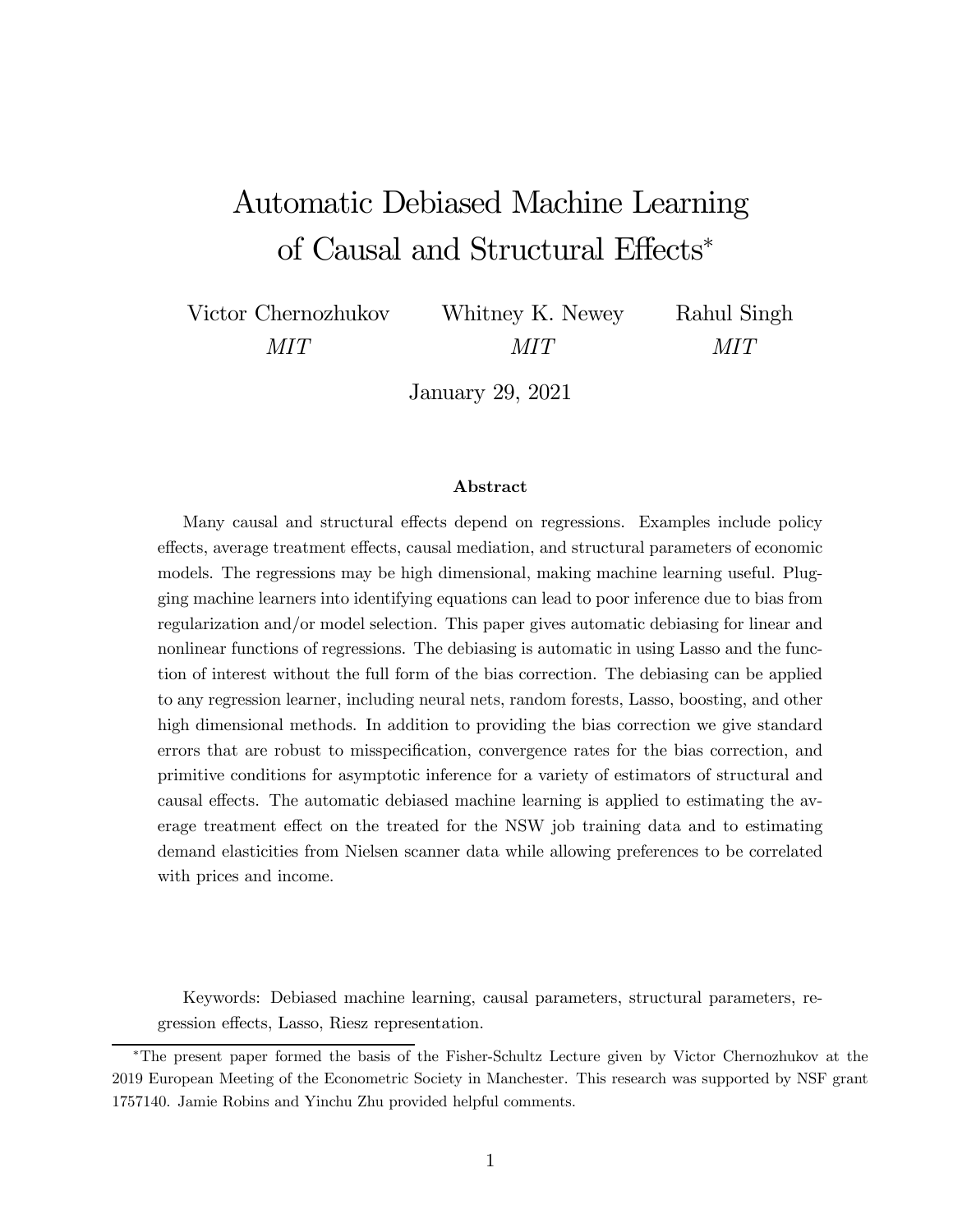# Automatic Debiased Machine Learning of Causal and Structural Effects<sup>∗</sup>

Victor Chernozhukov MIT

Whitney K. Newey MIT

Rahul Singh MIT

January 29, 2021

#### Abstract

Many causal and structural effects depend on regressions. Examples include policy effects, average treatment effects, causal mediation, and structural parameters of economic models. The regressions may be high dimensional, making machine learning useful. Plugging machine learners into identifying equations can lead to poor inference due to bias from regularization and/or model selection. This paper gives automatic debiasing for linear and nonlinear functions of regressions. The debiasing is automatic in using Lasso and the function of interest without the full form of the bias correction. The debiasing can be applied to any regression learner, including neural nets, random forests, Lasso, boosting, and other high dimensional methods. In addition to providing the bias correction we give standard errors that are robust to misspecification, convergence rates for the bias correction, and primitive conditions for asymptotic inference for a variety of estimators of structural and causal effects. The automatic debiased machine learning is applied to estimating the average treatment effect on the treated for the NSW job training data and to estimating demand elasticities from Nielsen scanner data while allowing preferences to be correlated with prices and income.

Keywords: Debiased machine learning, causal parameters, structural parameters, regression effects, Lasso, Riesz representation.

<sup>∗</sup>The present paper formed the basis of the Fisher-Schultz Lecture given by Victor Chernozhukov at the 2019 European Meeting of the Econometric Society in Manchester. This research was supported by NSF grant 1757140. Jamie Robins and Yinchu Zhu provided helpful comments.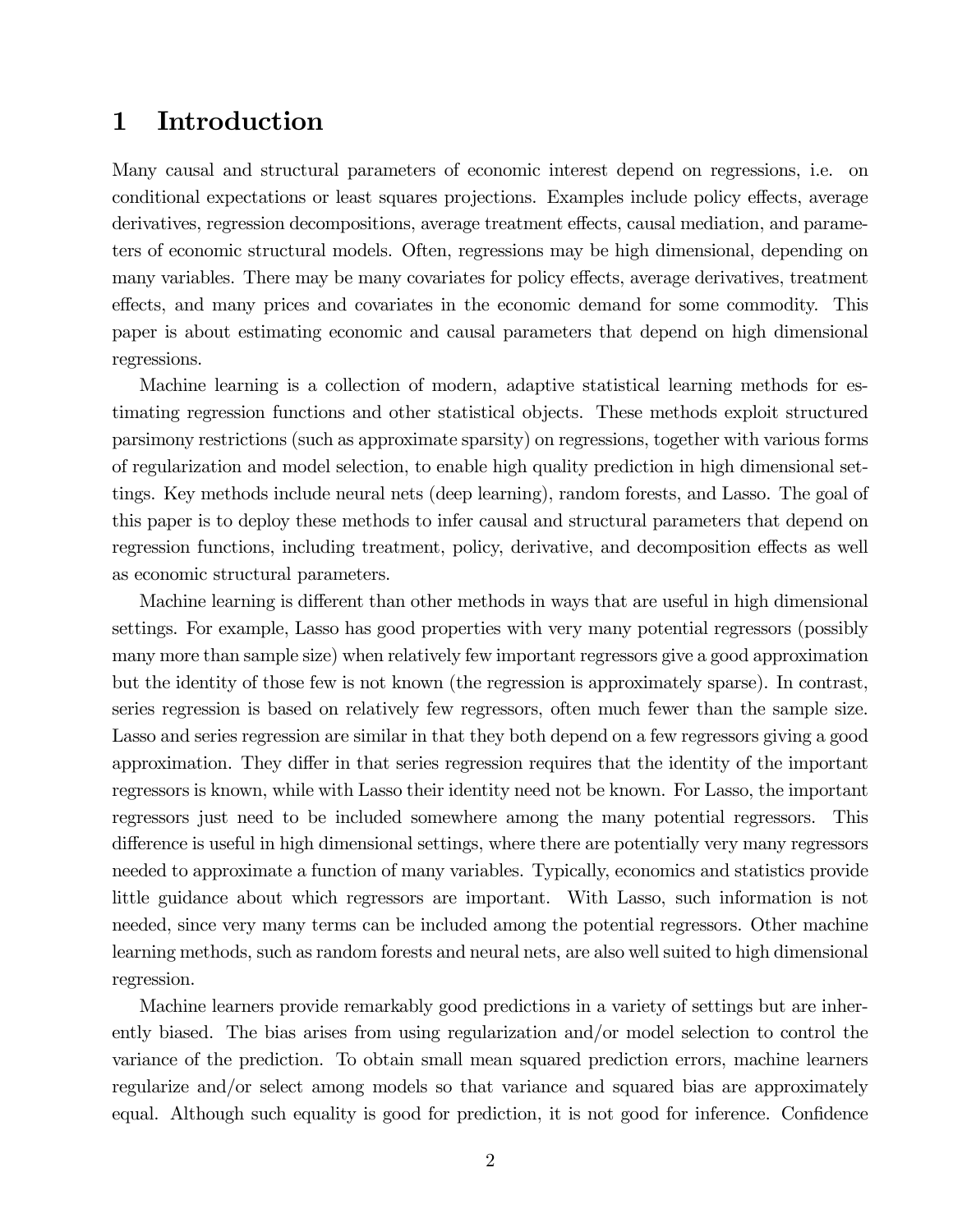### 1 Introduction

Many causal and structural parameters of economic interest depend on regressions, i.e. on conditional expectations or least squares projections. Examples include policy effects, average derivatives, regression decompositions, average treatment effects, causal mediation, and parameters of economic structural models. Often, regressions may be high dimensional, depending on many variables. There may be many covariates for policy effects, average derivatives, treatment effects, and many prices and covariates in the economic demand for some commodity. This paper is about estimating economic and causal parameters that depend on high dimensional regressions.

Machine learning is a collection of modern, adaptive statistical learning methods for estimating regression functions and other statistical objects. These methods exploit structured parsimony restrictions (such as approximate sparsity) on regressions, together with various forms of regularization and model selection, to enable high quality prediction in high dimensional settings. Key methods include neural nets (deep learning), random forests, and Lasso. The goal of this paper is to deploy these methods to infer causal and structural parameters that depend on regression functions, including treatment, policy, derivative, and decomposition effects as well as economic structural parameters.

Machine learning is different than other methods in ways that are useful in high dimensional settings. For example, Lasso has good properties with very many potential regressors (possibly many more than sample size) when relatively few important regressors give a good approximation but the identity of those few is not known (the regression is approximately sparse). In contrast, series regression is based on relatively few regressors, often much fewer than the sample size. Lasso and series regression are similar in that they both depend on a few regressors giving a good approximation. They differ in that series regression requires that the identity of the important regressors is known, while with Lasso their identity need not be known. For Lasso, the important regressors just need to be included somewhere among the many potential regressors. This difference is useful in high dimensional settings, where there are potentially very many regressors needed to approximate a function of many variables. Typically, economics and statistics provide little guidance about which regressors are important. With Lasso, such information is not needed, since very many terms can be included among the potential regressors. Other machine learning methods, such as random forests and neural nets, are also well suited to high dimensional regression.

Machine learners provide remarkably good predictions in a variety of settings but are inherently biased. The bias arises from using regularization and/or model selection to control the variance of the prediction. To obtain small mean squared prediction errors, machine learners regularize and/or select among models so that variance and squared bias are approximately equal. Although such equality is good for prediction, it is not good for inference. Confidence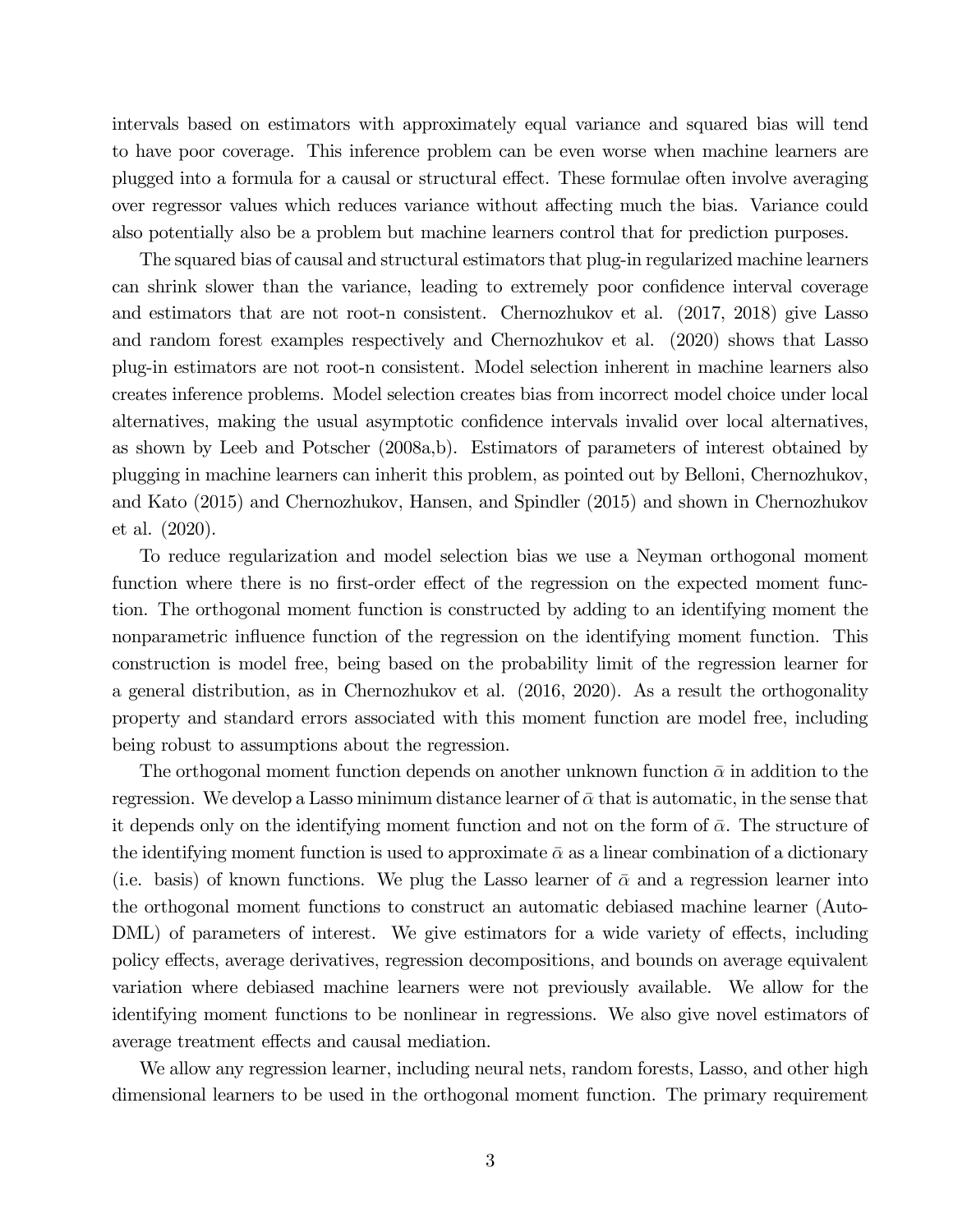intervals based on estimators with approximately equal variance and squared bias will tend to have poor coverage. This inference problem can be even worse when machine learners are plugged into a formula for a causal or structural effect. These formulae often involve averaging over regressor values which reduces variance without affecting much the bias. Variance could also potentially also be a problem but machine learners control that for prediction purposes.

The squared bias of causal and structural estimators that plug-in regularized machine learners can shrink slower than the variance, leading to extremely poor confidence interval coverage and estimators that are not root-n consistent. Chernozhukov et al. (2017, 2018) give Lasso and random forest examples respectively and Chernozhukov et al. (2020) shows that Lasso plug-in estimators are not root-n consistent. Model selection inherent in machine learners also creates inference problems. Model selection creates bias from incorrect model choice under local alternatives, making the usual asymptotic confidence intervals invalid over local alternatives, as shown by Leeb and Potscher (2008a,b). Estimators of parameters of interest obtained by plugging in machine learners can inherit this problem, as pointed out by Belloni, Chernozhukov, and Kato (2015) and Chernozhukov, Hansen, and Spindler (2015) and shown in Chernozhukov et al. (2020).

To reduce regularization and model selection bias we use a Neyman orthogonal moment function where there is no first-order effect of the regression on the expected moment function. The orthogonal moment function is constructed by adding to an identifying moment the nonparametric influence function of the regression on the identifying moment function. This construction is model free, being based on the probability limit of the regression learner for a general distribution, as in Chernozhukov et al. (2016, 2020). As a result the orthogonality property and standard errors associated with this moment function are model free, including being robust to assumptions about the regression.

The orthogonal moment function depends on another unknown function  $\bar{\alpha}$  in addition to the regression. We develop a Lasso minimum distance learner of  $\bar{\alpha}$  that is automatic, in the sense that it depends only on the identifying moment function and not on the form of  $\bar{\alpha}$ . The structure of the identifying moment function is used to approximate  $\bar{\alpha}$  as a linear combination of a dictionary (i.e. basis) of known functions. We plug the Lasso learner of  $\bar{\alpha}$  and a regression learner into the orthogonal moment functions to construct an automatic debiased machine learner (Auto-DML) of parameters of interest. We give estimators for a wide variety of effects, including policy effects, average derivatives, regression decompositions, and bounds on average equivalent variation where debiased machine learners were not previously available. We allow for the identifying moment functions to be nonlinear in regressions. We also give novel estimators of average treatment effects and causal mediation.

We allow any regression learner, including neural nets, random forests, Lasso, and other high dimensional learners to be used in the orthogonal moment function. The primary requirement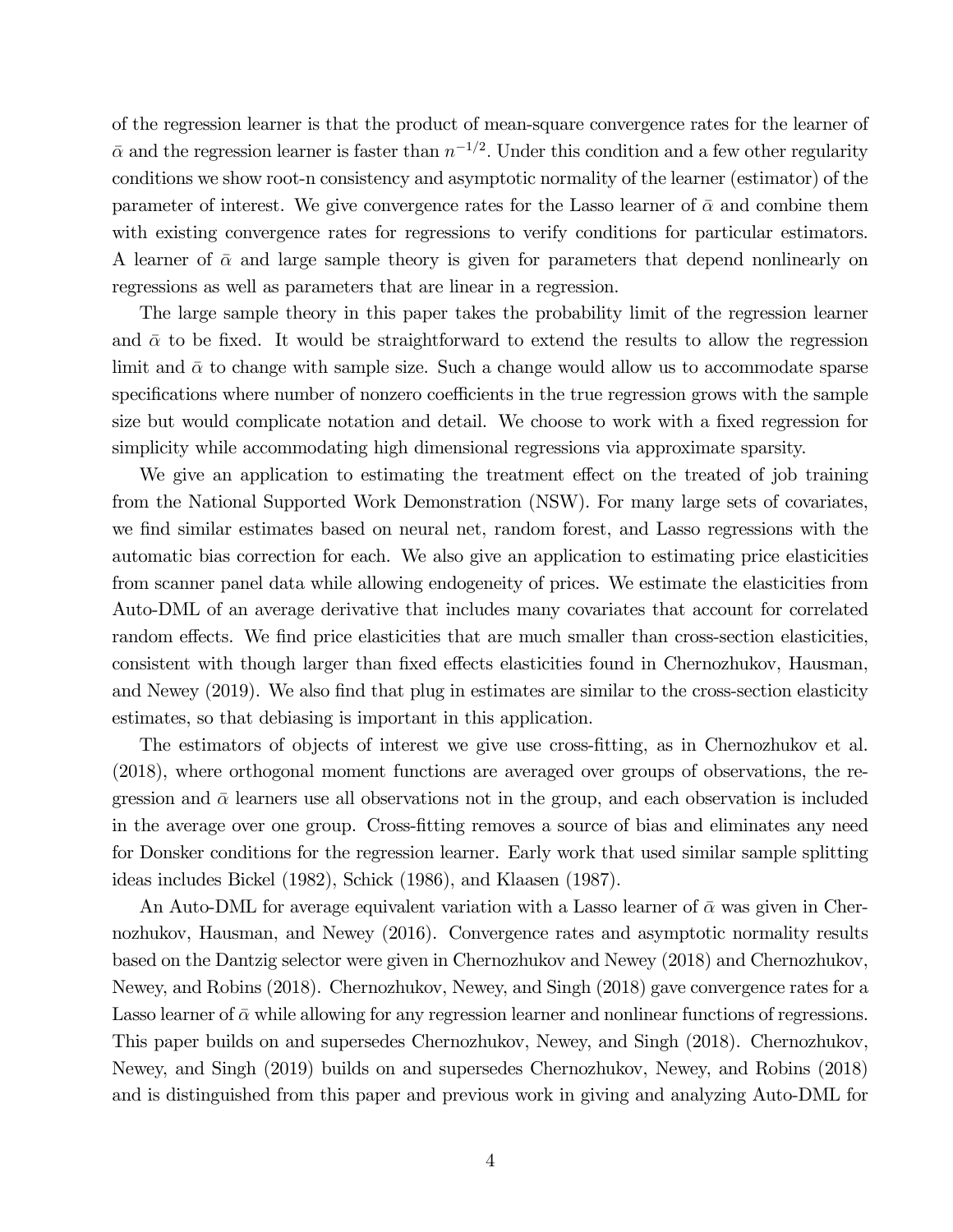of the regression learner is that the product of mean-square convergence rates for the learner of  $\bar{\alpha}$  and the regression learner is faster than  $n^{-1/2}$ . Under this condition and a few other regularity conditions we show root-n consistency and asymptotic normality of the learner (estimator) of the parameter of interest. We give convergence rates for the Lasso learner of  $\bar{\alpha}$  and combine them with existing convergence rates for regressions to verify conditions for particular estimators. A learner of  $\bar{\alpha}$  and large sample theory is given for parameters that depend nonlinearly on regressions as well as parameters that are linear in a regression.

The large sample theory in this paper takes the probability limit of the regression learner and  $\bar{\alpha}$  to be fixed. It would be straightforward to extend the results to allow the regression limit and  $\bar{\alpha}$  to change with sample size. Such a change would allow us to accommodate sparse specifications where number of nonzero coefficients in the true regression grows with the sample size but would complicate notation and detail. We choose to work with a fixed regression for simplicity while accommodating high dimensional regressions via approximate sparsity.

We give an application to estimating the treatment effect on the treated of job training from the National Supported Work Demonstration (NSW). For many large sets of covariates, we find similar estimates based on neural net, random forest, and Lasso regressions with the automatic bias correction for each. We also give an application to estimating price elasticities from scanner panel data while allowing endogeneity of prices. We estimate the elasticities from Auto-DML of an average derivative that includes many covariates that account for correlated random effects. We find price elasticities that are much smaller than cross-section elasticities, consistent with though larger than fixed effects elasticities found in Chernozhukov, Hausman, and Newey (2019). We also find that plug in estimates are similar to the cross-section elasticity estimates, so that debiasing is important in this application.

The estimators of objects of interest we give use cross-fitting, as in Chernozhukov et al. (2018), where orthogonal moment functions are averaged over groups of observations, the regression and  $\bar{\alpha}$  learners use all observations not in the group, and each observation is included in the average over one group. Cross-fitting removes a source of bias and eliminates any need for Donsker conditions for the regression learner. Early work that used similar sample splitting ideas includes Bickel (1982), Schick (1986), and Klaasen (1987).

An Auto-DML for average equivalent variation with a Lasso learner of  $\bar{\alpha}$  was given in Chernozhukov, Hausman, and Newey (2016). Convergence rates and asymptotic normality results based on the Dantzig selector were given in Chernozhukov and Newey (2018) and Chernozhukov, Newey, and Robins (2018). Chernozhukov, Newey, and Singh (2018) gave convergence rates for a Lasso learner of  $\bar{\alpha}$  while allowing for any regression learner and nonlinear functions of regressions. This paper builds on and supersedes Chernozhukov, Newey, and Singh (2018). Chernozhukov, Newey, and Singh (2019) builds on and supersedes Chernozhukov, Newey, and Robins (2018) and is distinguished from this paper and previous work in giving and analyzing Auto-DML for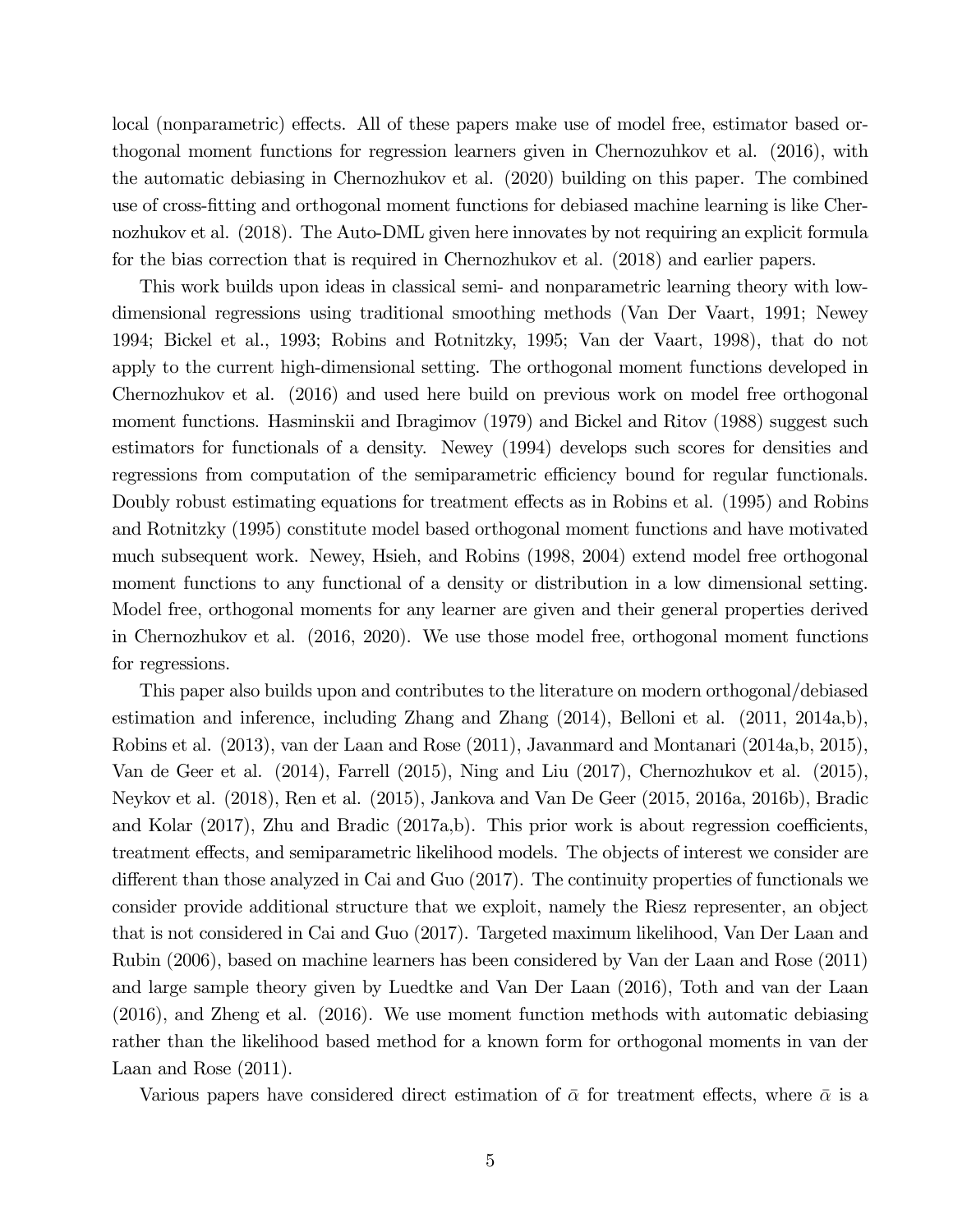local (nonparametric) effects. All of these papers make use of model free, estimator based orthogonal moment functions for regression learners given in Chernozuhkov et al. (2016), with the automatic debiasing in Chernozhukov et al. (2020) building on this paper. The combined use of cross-fitting and orthogonal moment functions for debiased machine learning is like Chernozhukov et al. (2018). The Auto-DML given here innovates by not requiring an explicit formula for the bias correction that is required in Chernozhukov et al. (2018) and earlier papers.

This work builds upon ideas in classical semi- and nonparametric learning theory with lowdimensional regressions using traditional smoothing methods (Van Der Vaart, 1991; Newey 1994; Bickel et al., 1993; Robins and Rotnitzky, 1995; Van der Vaart, 1998), that do not apply to the current high-dimensional setting. The orthogonal moment functions developed in Chernozhukov et al. (2016) and used here build on previous work on model free orthogonal moment functions. Hasminskii and Ibragimov (1979) and Bickel and Ritov (1988) suggest such estimators for functionals of a density. Newey (1994) develops such scores for densities and regressions from computation of the semiparametric efficiency bound for regular functionals. Doubly robust estimating equations for treatment effects as in Robins et al. (1995) and Robins and Rotnitzky (1995) constitute model based orthogonal moment functions and have motivated much subsequent work. Newey, Hsieh, and Robins (1998, 2004) extend model free orthogonal moment functions to any functional of a density or distribution in a low dimensional setting. Model free, orthogonal moments for any learner are given and their general properties derived in Chernozhukov et al. (2016, 2020). We use those model free, orthogonal moment functions for regressions.

This paper also builds upon and contributes to the literature on modern orthogonal/debiased estimation and inference, including Zhang and Zhang (2014), Belloni et al. (2011, 2014a,b), Robins et al. (2013), van der Laan and Rose (2011), Javanmard and Montanari (2014a,b, 2015), Van de Geer et al. (2014), Farrell (2015), Ning and Liu (2017), Chernozhukov et al. (2015), Neykov et al. (2018), Ren et al. (2015), Jankova and Van De Geer (2015, 2016a, 2016b), Bradic and Kolar (2017), Zhu and Bradic (2017a,b). This prior work is about regression coefficients, treatment effects, and semiparametric likelihood models. The objects of interest we consider are different than those analyzed in Cai and Guo (2017). The continuity properties of functionals we consider provide additional structure that we exploit, namely the Riesz representer, an object that is not considered in Cai and Guo (2017). Targeted maximum likelihood, Van Der Laan and Rubin (2006), based on machine learners has been considered by Van der Laan and Rose (2011) and large sample theory given by Luedtke and Van Der Laan (2016), Toth and van der Laan (2016), and Zheng et al. (2016). We use moment function methods with automatic debiasing rather than the likelihood based method for a known form for orthogonal moments in van der Laan and Rose (2011).

Various papers have considered direct estimation of  $\bar{\alpha}$  for treatment effects, where  $\bar{\alpha}$  is a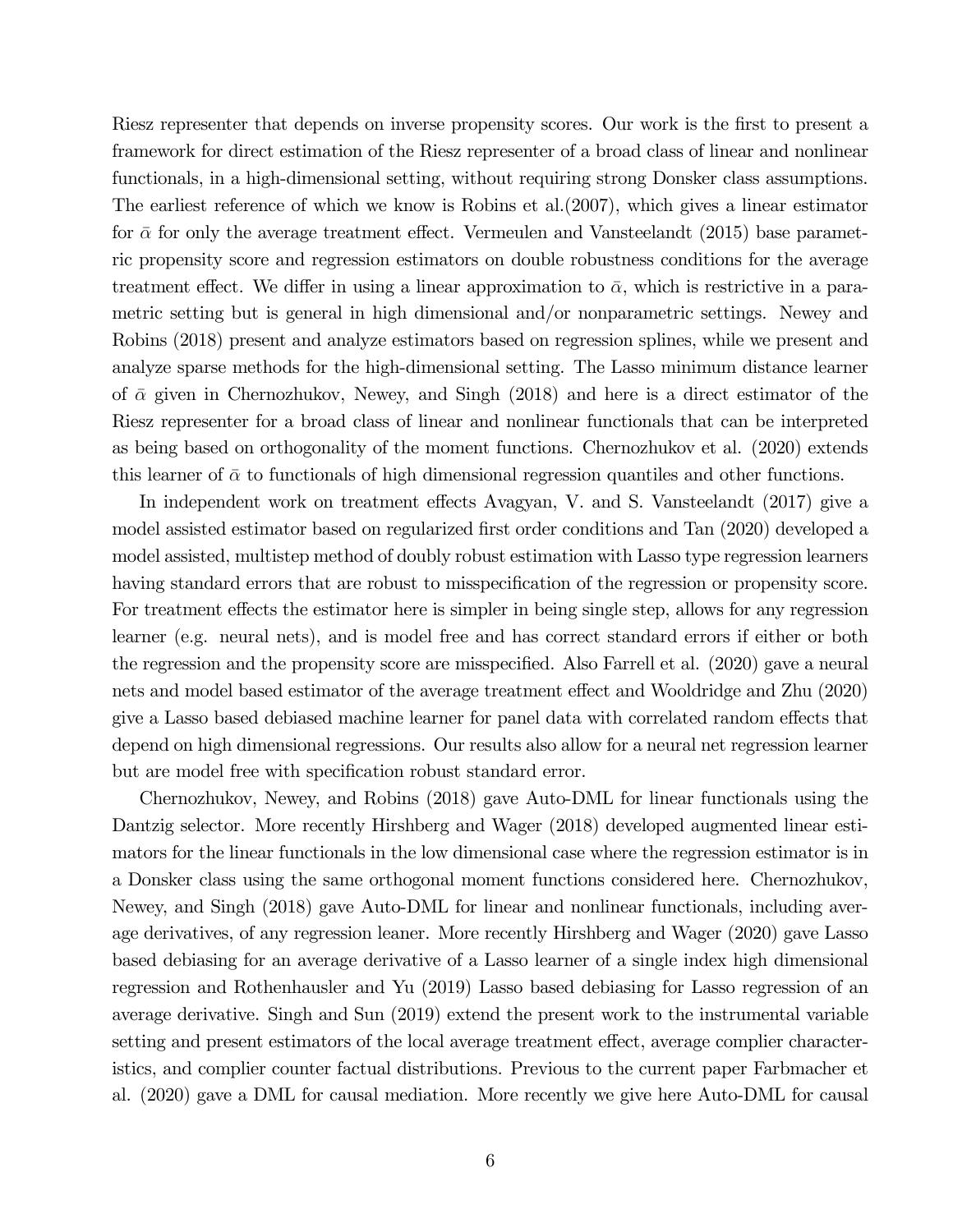Riesz representer that depends on inverse propensity scores. Our work is the first to present a framework for direct estimation of the Riesz representer of a broad class of linear and nonlinear functionals, in a high-dimensional setting, without requiring strong Donsker class assumptions. The earliest reference of which we know is Robins et al.(2007), which gives a linear estimator for  $\bar{\alpha}$  for only the average treatment effect. Vermeulen and Vansteelandt (2015) base parametric propensity score and regression estimators on double robustness conditions for the average treatment effect. We differ in using a linear approximation to  $\bar{\alpha}$ , which is restrictive in a parametric setting but is general in high dimensional and/or nonparametric settings. Newey and Robins (2018) present and analyze estimators based on regression splines, while we present and analyze sparse methods for the high-dimensional setting. The Lasso minimum distance learner of  $\bar{\alpha}$  given in Chernozhukov, Newey, and Singh (2018) and here is a direct estimator of the Riesz representer for a broad class of linear and nonlinear functionals that can be interpreted as being based on orthogonality of the moment functions. Chernozhukov et al. (2020) extends this learner of  $\bar{\alpha}$  to functionals of high dimensional regression quantiles and other functions.

In independent work on treatment effects Avagyan, V. and S. Vansteelandt (2017) give a model assisted estimator based on regularized first order conditions and Tan (2020) developed a model assisted, multistep method of doubly robust estimation with Lasso type regression learners having standard errors that are robust to misspecification of the regression or propensity score. For treatment effects the estimator here is simpler in being single step, allows for any regression learner (e.g. neural nets), and is model free and has correct standard errors if either or both the regression and the propensity score are misspecified. Also Farrell et al. (2020) gave a neural nets and model based estimator of the average treatment effect and Wooldridge and Zhu (2020) give a Lasso based debiased machine learner for panel data with correlated random effects that depend on high dimensional regressions. Our results also allow for a neural net regression learner but are model free with specification robust standard error.

Chernozhukov, Newey, and Robins (2018) gave Auto-DML for linear functionals using the Dantzig selector. More recently Hirshberg and Wager (2018) developed augmented linear estimators for the linear functionals in the low dimensional case where the regression estimator is in a Donsker class using the same orthogonal moment functions considered here. Chernozhukov, Newey, and Singh (2018) gave Auto-DML for linear and nonlinear functionals, including average derivatives, of any regression leaner. More recently Hirshberg and Wager (2020) gave Lasso based debiasing for an average derivative of a Lasso learner of a single index high dimensional regression and Rothenhausler and Yu (2019) Lasso based debiasing for Lasso regression of an average derivative. Singh and Sun (2019) extend the present work to the instrumental variable setting and present estimators of the local average treatment effect, average complier characteristics, and complier counter factual distributions. Previous to the current paper Farbmacher et al. (2020) gave a DML for causal mediation. More recently we give here Auto-DML for causal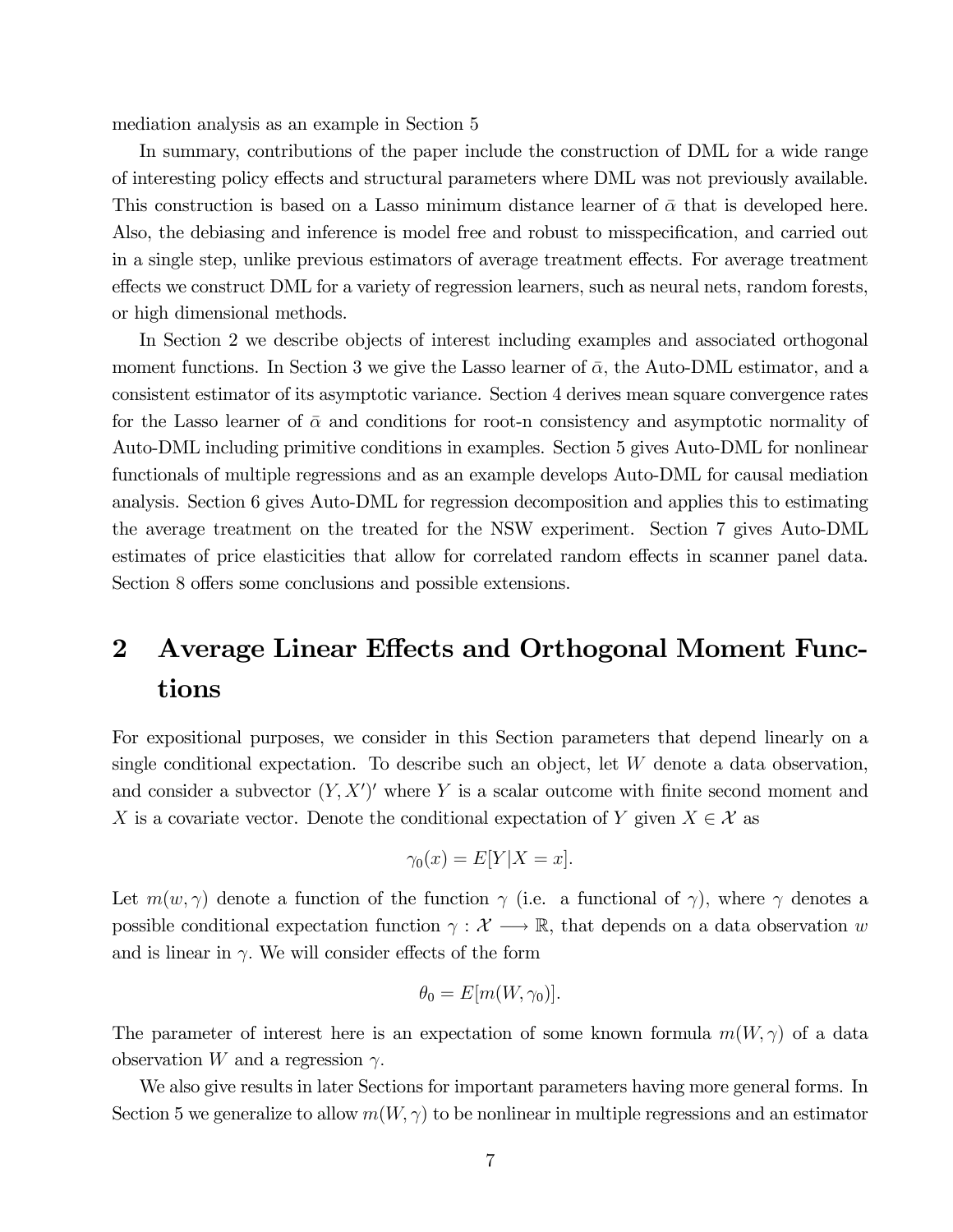mediation analysis as an example in Section 5

In summary, contributions of the paper include the construction of DML for a wide range of interesting policy effects and structural parameters where DML was not previously available. This construction is based on a Lasso minimum distance learner of  $\bar{\alpha}$  that is developed here. Also, the debiasing and inference is model free and robust to misspecification, and carried out in a single step, unlike previous estimators of average treatment effects. For average treatment effects we construct DML for a variety of regression learners, such as neural nets, random forests, or high dimensional methods.

In Section 2 we describe objects of interest including examples and associated orthogonal moment functions. In Section 3 we give the Lasso learner of  $\bar{\alpha}$ , the Auto-DML estimator, and a consistent estimator of its asymptotic variance. Section 4 derives mean square convergence rates for the Lasso learner of  $\bar{\alpha}$  and conditions for root-n consistency and asymptotic normality of Auto-DML including primitive conditions in examples. Section 5 gives Auto-DML for nonlinear functionals of multiple regressions and as an example develops Auto-DML for causal mediation analysis. Section 6 gives Auto-DML for regression decomposition and applies this to estimating the average treatment on the treated for the NSW experiment. Section 7 gives Auto-DML estimates of price elasticities that allow for correlated random effects in scanner panel data. Section 8 offers some conclusions and possible extensions.

## 2 Average Linear Effects and Orthogonal Moment Functions

For expositional purposes, we consider in this Section parameters that depend linearly on a single conditional expectation. To describe such an object, let  $W$  denote a data observation, and consider a subvector  $(Y, X')'$  where Y is a scalar outcome with finite second moment and X is a covariate vector. Denote the conditional expectation of Y given  $X \in \mathcal{X}$  as

$$
\gamma_0(x) = E[Y|X = x].
$$

Let  $m(w, \gamma)$  denote a function of the function  $\gamma$  (i.e. a functional of  $\gamma$ ), where  $\gamma$  denotes a possible conditional expectation function  $\gamma : \mathcal{X} \longrightarrow \mathbb{R}$ , that depends on a data observation w and is linear in  $\gamma$ . We will consider effects of the form

$$
\theta_0 = E[m(W, \gamma_0)].
$$

The parameter of interest here is an expectation of some known formula  $m(W, \gamma)$  of a data observation W and a regression  $\gamma$ .

We also give results in later Sections for important parameters having more general forms. In Section 5 we generalize to allow  $m(W, \gamma)$  to be nonlinear in multiple regressions and an estimator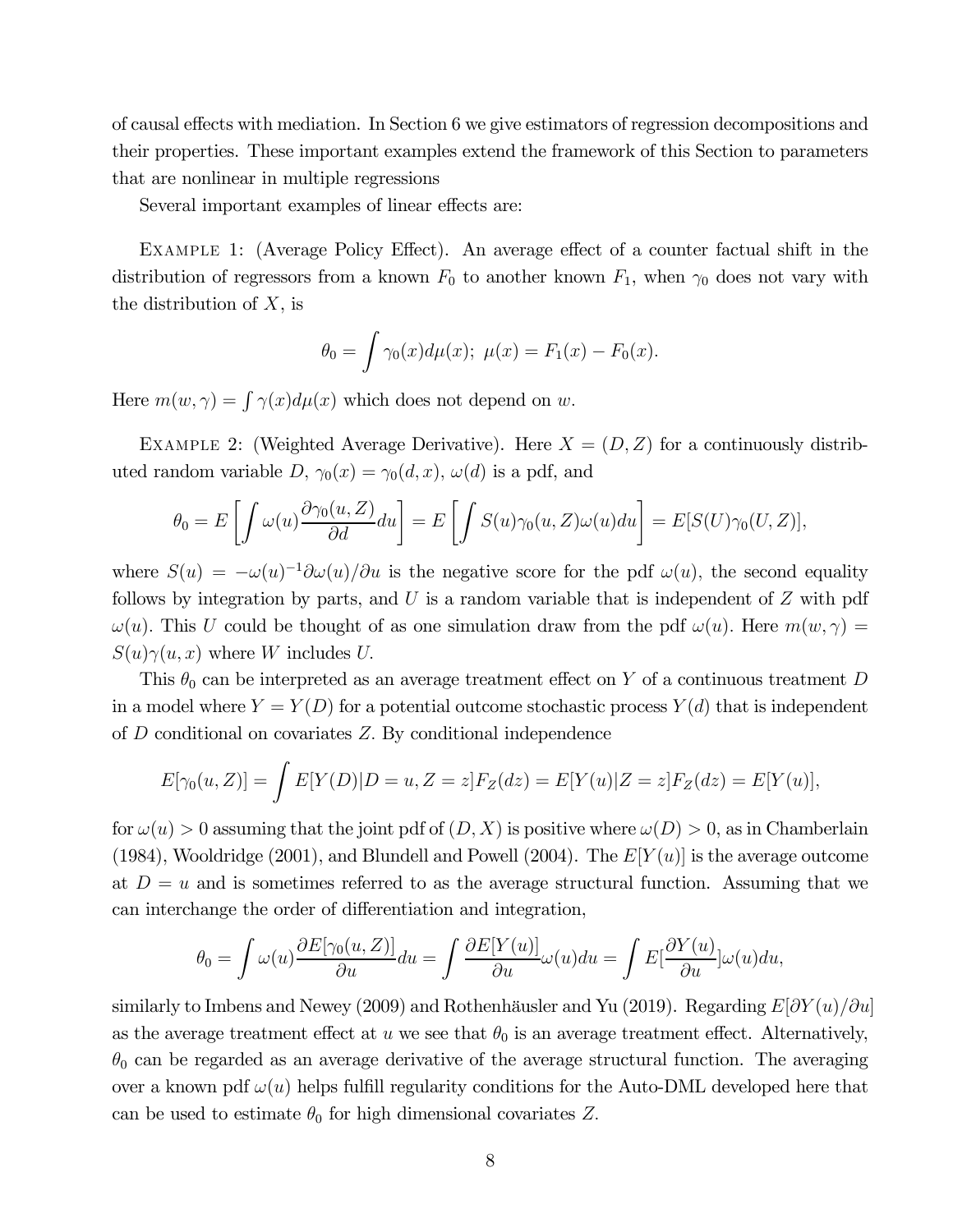of causal effects with mediation. In Section 6 we give estimators of regression decompositions and their properties. These important examples extend the framework of this Section to parameters that are nonlinear in multiple regressions

Several important examples of linear effects are:

Example 1: (Average Policy Effect). An average effect of a counter factual shift in the distribution of regressors from a known  $F_0$  to another known  $F_1$ , when  $\gamma_0$  does not vary with the distribution of  $X$ , is

$$
\theta_0 = \int \gamma_0(x) d\mu(x); \ \mu(x) = F_1(x) - F_0(x).
$$

Here  $m(w, \gamma) = \int \gamma(x) d\mu(x)$  which does not depend on w.

EXAMPLE 2: (Weighted Average Derivative). Here  $X = (D, Z)$  for a continuously distributed random variable  $D, \gamma_0(x) = \gamma_0(d, x), \omega(d)$  is a pdf, and

$$
\theta_0 = E\left[\int \omega(u) \frac{\partial \gamma_0(u, Z)}{\partial d} du\right] = E\left[\int S(u) \gamma_0(u, Z) \omega(u) du\right] = E[S(U) \gamma_0(U, Z)],
$$

where  $S(u) = -\omega(u)^{-1}\partial\omega(u)/\partial u$  is the negative score for the pdf  $\omega(u)$ , the second equality follows by integration by parts, and  $U$  is a random variable that is independent of  $Z$  with pdf  $\omega(u)$ . This U could be thought of as one simulation draw from the pdf  $\omega(u)$ . Here  $m(w, \gamma) =$  $S(u)\gamma(u, x)$  where W includes U.

This  $\theta_0$  can be interpreted as an average treatment effect on Y of a continuous treatment D in a model where  $Y = Y(D)$  for a potential outcome stochastic process  $Y(d)$  that is independent of  $D$  conditional on covariates  $Z$ . By conditional independence

$$
E[\gamma_0(u, Z)] = \int E[Y(D)|D = u, Z = z]F_Z(dz) = E[Y(u)|Z = z]F_Z(dz) = E[Y(u)],
$$

for  $\omega(u) > 0$  assuming that the joint pdf of  $(D, X)$  is positive where  $\omega(D) > 0$ , as in Chamberlain (1984), Wooldridge (2001), and Blundell and Powell (2004). The  $E[Y(u)]$  is the average outcome at  $D = u$  and is sometimes referred to as the average structural function. Assuming that we can interchange the order of differentiation and integration,

$$
\theta_0 = \int \omega(u) \frac{\partial E[\gamma_0(u, Z)]}{\partial u} du = \int \frac{\partial E[Y(u)]}{\partial u} \omega(u) du = \int E[\frac{\partial Y(u)}{\partial u}] \omega(u) du,
$$

similarly to Imbens and Newey (2009) and Rothenhäusler and Yu (2019). Regarding  $E|\partial Y(u)/\partial u|$ as the average treatment effect at  $u$  we see that  $\theta_0$  is an average treatment effect. Alternatively,  $\theta_0$  can be regarded as an average derivative of the average structural function. The averaging over a known pdf  $\omega(u)$  helps fulfill regularity conditions for the Auto-DML developed here that can be used to estimate  $\theta_0$  for high dimensional covariates Z.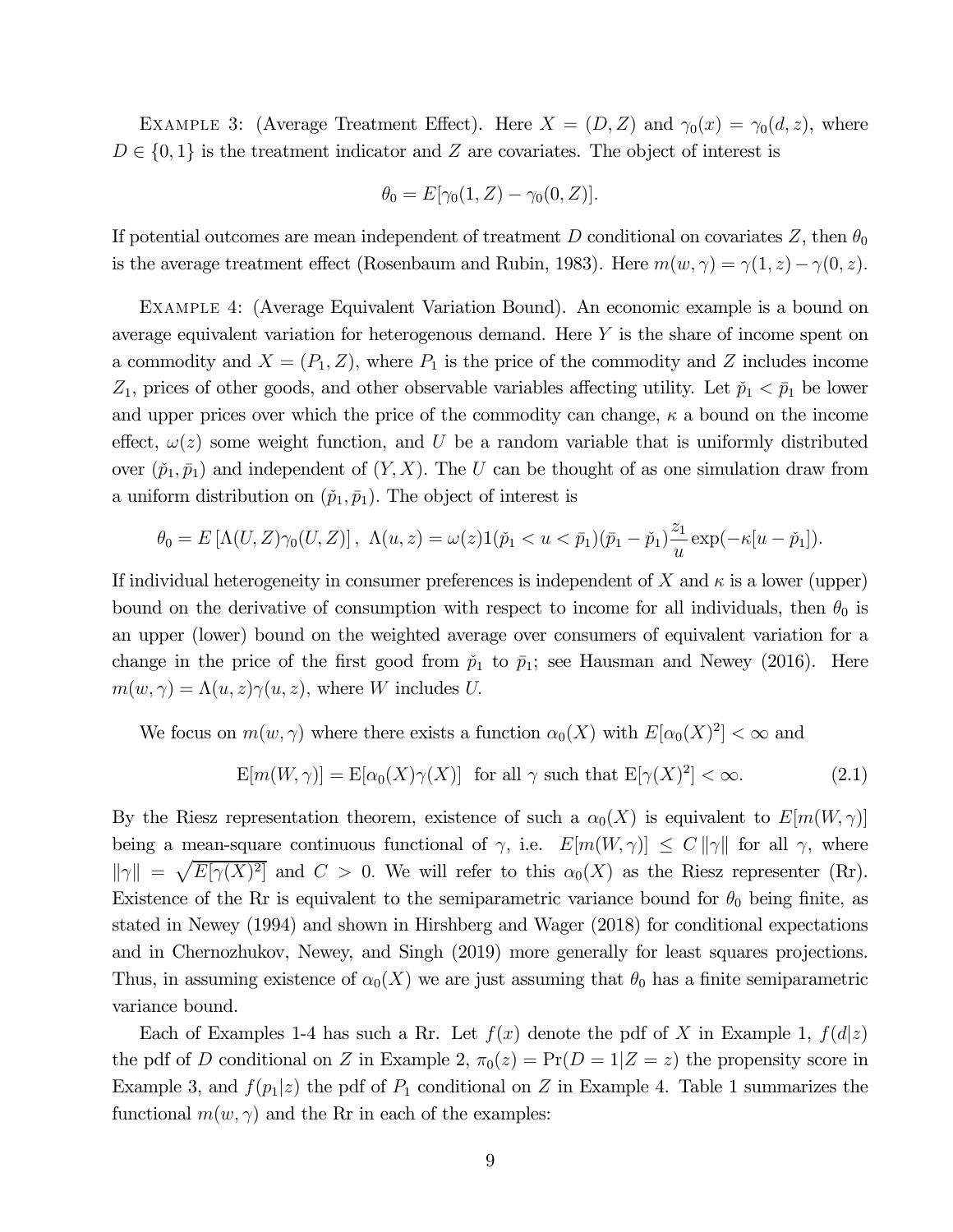EXAMPLE 3: (Average Treatment Effect). Here  $X = (D, Z)$  and  $\gamma_0(x) = \gamma_0(d, z)$ , where  $D \in \{0,1\}$  is the treatment indicator and Z are covariates. The object of interest is

$$
\theta_0 = E[\gamma_0(1, Z) - \gamma_0(0, Z)].
$$

If potential outcomes are mean independent of treatment  $D$  conditional on covariates  $Z$ , then  $\theta_0$ is the average treatment effect (Rosenbaum and Rubin, 1983). Here  $m(w, \gamma) = \gamma(1, z) - \gamma(0, z)$ .

Example 4: (Average Equivalent Variation Bound). An economic example is a bound on average equivalent variation for heterogenous demand. Here  $Y$  is the share of income spent on a commodity and  $X = (P_1, Z)$ , where  $P_1$  is the price of the commodity and Z includes income  $Z_1$ , prices of other goods, and other observable variables affecting utility. Let  $\check{p}_1 < \bar{p}_1$  be lower and upper prices over which the price of the commodity can change,  $\kappa$  a bound on the income effect,  $\omega(z)$  some weight function, and U be a random variable that is uniformly distributed over  $(\tilde{p}_1, \bar{p}_1)$  and independent of  $(Y, X)$ . The U can be thought of as one simulation draw from a uniform distribution on  $(\tilde{p}_1, \bar{p}_1)$ . The object of interest is

$$
\theta_0 = E\left[\Lambda(U, Z)\gamma_0(U, Z)\right], \ \Lambda(u, z) = \omega(z)1(\check{p}_1 < u < \bar{p}_1)(\bar{p}_1 - \check{p}_1)\frac{z_1}{u}\exp(-\kappa[u - \check{p}_1]).
$$

If individual heterogeneity in consumer preferences is independent of X and  $\kappa$  is a lower (upper) bound on the derivative of consumption with respect to income for all individuals, then  $\theta_0$  is an upper (lower) bound on the weighted average over consumers of equivalent variation for a change in the price of the first good from  $\tilde{p}_1$  to  $\bar{p}_1$ ; see Hausman and Newey (2016). Here  $m(w, \gamma) = \Lambda(u, z) \gamma(u, z)$ , where W includes U.

We focus on  $m(w, \gamma)$  where there exists a function  $\alpha_0(X)$  with  $E[\alpha_0(X)^2] < \infty$  and

$$
E[m(W,\gamma)] = E[\alpha_0(X)\gamma(X)] \text{ for all } \gamma \text{ such that } E[\gamma(X)^2] < \infty. \tag{2.1}
$$

By the Riesz representation theorem, existence of such a  $\alpha_0(X)$  is equivalent to  $E[m(W,\gamma)]$ being a mean-square continuous functional of  $\gamma$ , i.e.  $E[m(W,\gamma)] \leq C ||\gamma||$  for all  $\gamma$ , where  $\|\gamma\| = \sqrt{E[\gamma(X)^2]}$  and  $C > 0$ . We will refer to this  $\alpha_0(X)$  as the Riesz representer (Rr). Existence of the Rr is equivalent to the semiparametric variance bound for  $\theta_0$  being finite, as stated in Newey (1994) and shown in Hirshberg and Wager (2018) for conditional expectations and in Chernozhukov, Newey, and Singh (2019) more generally for least squares projections. Thus, in assuming existence of  $\alpha_0(X)$  we are just assuming that  $\theta_0$  has a finite semiparametric variance bound.

Each of Examples 1-4 has such a Rr. Let  $f(x)$  denote the pdf of X in Example 1,  $f(d|z)$ the pdf of D conditional on Z in Example 2,  $\pi_0(z) = Pr(D = 1|Z = z)$  the propensity score in Example 3, and  $f(p_1|z)$  the pdf of  $P_1$  conditional on Z in Example 4. Table 1 summarizes the functional  $m(w, \gamma)$  and the Rr in each of the examples: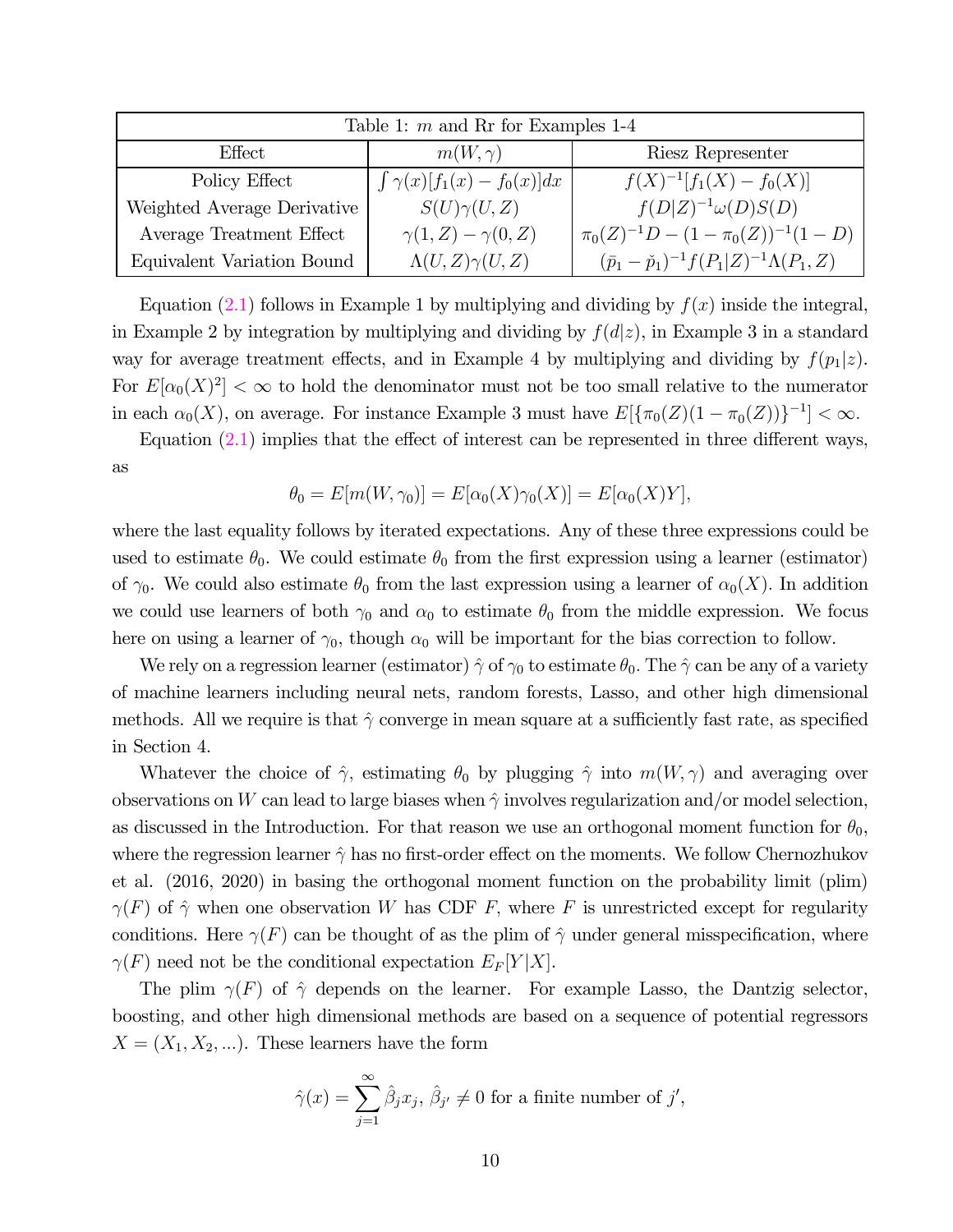| Table 1: $m$ and Rr for Examples 1-4 |                                     |                                                                |  |  |  |  |  |
|--------------------------------------|-------------------------------------|----------------------------------------------------------------|--|--|--|--|--|
| Effect                               | $m(W, \gamma)$                      | Riesz Representer                                              |  |  |  |  |  |
| Policy Effect                        | $\int \gamma(x)[f_1(x) - f_0(x)]dx$ | $f(X)^{-1}[f_1(X) - f_0(X)]$                                   |  |  |  |  |  |
| Weighted Average Derivative          | $S(U)\gamma(U,Z)$                   | $f(D Z)^{-1}\omega(D)S(D)$                                     |  |  |  |  |  |
| Average Treatment Effect             | $\gamma(1,Z) - \gamma(0,Z)$         | $\pi_0(Z)^{-1}D - (1 - \pi_0(Z))^{-1}(1 - D)$                  |  |  |  |  |  |
| Equivalent Variation Bound           | $\Lambda(U,Z)\gamma(U,Z)$           | $(\bar{p}_1 - \check{p}_1)^{-1} f(P_1 Z)^{-1} \Lambda(P_1, Z)$ |  |  |  |  |  |

Equation (2.1) follows in Example 1 by multiplying and dividing by  $f(x)$  inside the integral, in Example 2 by integration by multiplying and dividing by  $f(d|z)$ , in Example 3 in a standard way for average treatment effects, and in Example 4 by multiplying and dividing by  $f(p_1|z)$ . For  $E[\alpha_0(X)^2]<\infty$  to hold the denominator must not be too small relative to the numerator in each  $\alpha_0(X)$ , on average. For instance Example 3 must have  $E[\{\pi_0(Z)(1 - \pi_0(Z))\}^{-1}] < \infty$ .

Equation  $(2.1)$  implies that the effect of interest can be represented in three different ways, as

$$
\theta_0 = E[m(W, \gamma_0)] = E[\alpha_0(X)\gamma_0(X)] = E[\alpha_0(X)Y],
$$

where the last equality follows by iterated expectations. Any of these three expressions could be used to estimate  $\theta_0$ . We could estimate  $\theta_0$  from the first expression using a learner (estimator) of  $\gamma_0$ . We could also estimate  $\theta_0$  from the last expression using a learner of  $\alpha_0(X)$ . In addition we could use learners of both  $\gamma_0$  and  $\alpha_0$  to estimate  $\theta_0$  from the middle expression. We focus here on using a learner of  $\gamma_0$ , though  $\alpha_0$  will be important for the bias correction to follow.

We rely on a regression learner (estimator)  $\hat{\gamma}$  of  $\gamma_0$  to estimate  $\theta_0$ . The  $\hat{\gamma}$  can be any of a variety of machine learners including neural nets, random forests, Lasso, and other high dimensional methods. All we require is that  $\hat{\gamma}$  converge in mean square at a sufficiently fast rate, as specified in Section 4.

Whatever the choice of  $\hat{\gamma}$ , estimating  $\theta_0$  by plugging  $\hat{\gamma}$  into  $m(W, \gamma)$  and averaging over observations on W can lead to large biases when  $\hat{\gamma}$  involves regularization and/or model selection, as discussed in the Introduction. For that reason we use an orthogonal moment function for  $\theta_0$ , where the regression learner  $\hat{\gamma}$  has no first-order effect on the moments. We follow Chernozhukov et al. (2016, 2020) in basing the orthogonal moment function on the probability limit (plim)  $\gamma(F)$  of  $\hat{\gamma}$  when one observation W has CDF F, where F is unrestricted except for regularity conditions. Here  $\gamma(F)$  can be thought of as the plim of  $\hat{\gamma}$  under general misspecification, where  $\gamma(F)$  need not be the conditional expectation  $E_F[Y|X].$ 

The plim  $\gamma(F)$  of  $\hat{\gamma}$  depends on the learner. For example Lasso, the Dantzig selector, boosting, and other high dimensional methods are based on a sequence of potential regressors  $X = (X_1, X_2, \ldots)$ . These learners have the form

$$
\hat{\gamma}(x) = \sum_{j=1}^{\infty} \hat{\beta}_j x_j, \, \hat{\beta}_{j'} \neq 0 \text{ for a finite number of } j',
$$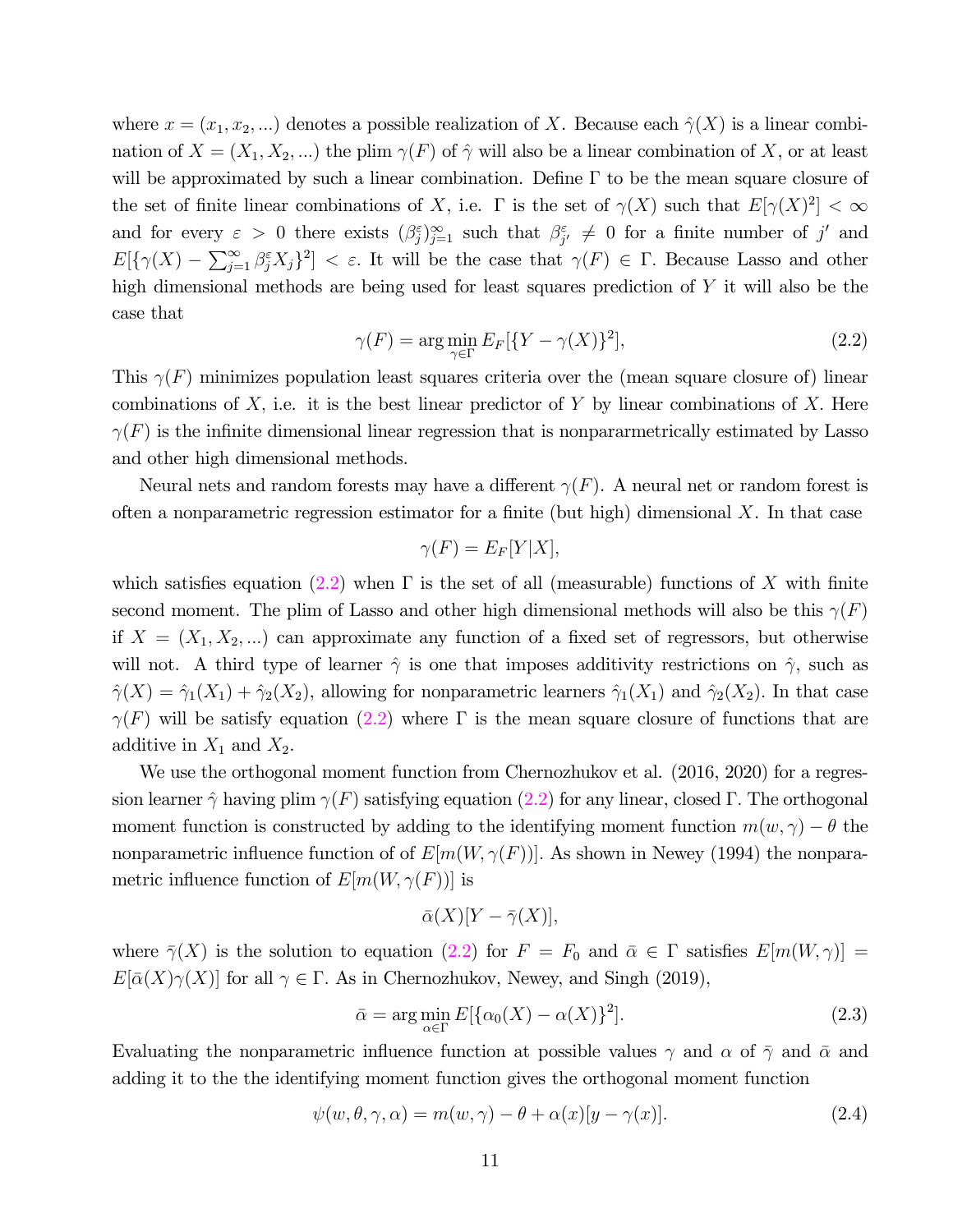where  $x = (x_1, x_2, ...)$  denotes a possible realization of X. Because each  $\hat{\gamma}(X)$  is a linear combination of  $X = (X_1, X_2, ...)$  the plim  $\gamma(F)$  of  $\hat{\gamma}$  will also be a linear combination of X, or at least will be approximated by such a linear combination. Define  $\Gamma$  to be the mean square closure of the set of finite linear combinations of X, i.e.  $\Gamma$  is the set of  $\gamma(X)$  such that  $E[\gamma(X)^2] < \infty$ and for every  $\varepsilon > 0$  there exists  $(\beta_j^{\varepsilon})_{j=1}^{\infty}$  such that  $\beta_j^{\varepsilon} \neq 0$  for a finite number of j' and  $E[\{\gamma(X) - \sum_{j=1}^{\infty} \beta_j^{\varepsilon} X_j\}^2] < \varepsilon$ . It will be the case that  $\gamma(F) \in \Gamma$ . Because Lasso and other high dimensional methods are being used for least squares prediction of  $Y$  it will also be the case that

$$
\gamma(F) = \arg\min_{\gamma \in \Gamma} E_F[\{Y - \gamma(X)\}^2],\tag{2.2}
$$

This  $\gamma(F)$  minimizes population least squares criteria over the (mean square closure of) linear combinations of  $X$ , i.e. it is the best linear predictor of  $Y$  by linear combinations of  $X$ . Here  $\gamma(F)$  is the infinite dimensional linear regression that is nonpararmetrically estimated by Lasso and other high dimensional methods.

Neural nets and random forests may have a different  $\gamma(F)$ . A neural net or random forest is often a nonparametric regression estimator for a finite (but high) dimensional  $X$ . In that case

$$
\gamma(F) = E_F[Y|X],
$$

which satisfies equation (2.2) when  $\Gamma$  is the set of all (measurable) functions of X with finite second moment. The plim of Lasso and other high dimensional methods will also be this  $\gamma(F)$ if  $X = (X_1, X_2, ...)$  can approximate any function of a fixed set of regressors, but otherwise will not. A third type of learner  $\hat{\gamma}$  is one that imposes additivity restrictions on  $\hat{\gamma}$ , such as  $\hat{\gamma}(X)=\hat{\gamma}_1(X_1)+\hat{\gamma}_2(X_2)$ , allowing for nonparametric learners  $\hat{\gamma}_1(X_1)$  and  $\hat{\gamma}_2(X_2)$ . In that case  $\gamma(F)$  will be satisfy equation (2.2) where Γ is the mean square closure of functions that are additive in  $X_1$  and  $X_2$ .

We use the orthogonal moment function from Chernozhukov et al. (2016, 2020) for a regression learner  $\hat{\gamma}$  having plim  $\gamma(F)$  satisfying equation (2.2) for any linear, closed Γ. The orthogonal moment function is constructed by adding to the identifying moment function  $m(w, \gamma) - \theta$  the nonparametric influence function of of  $E[m(W, \gamma(F))]$ . As shown in Newey (1994) the nonparametric influence function of  $E[m(W, \gamma(F))]$  is

$$
\bar{\alpha}(X)[Y-\bar{\gamma}(X)],
$$

where  $\bar{\gamma}(X)$  is the solution to equation (2.2) for  $F = F_0$  and  $\bar{\alpha} \in \Gamma$  satisfies  $E[m(W, \gamma)] =$  $E[\bar{\alpha}(X)\gamma(X)]$  for all  $\gamma \in \Gamma$ . As in Chernozhukov, Newey, and Singh (2019),

$$
\bar{\alpha} = \arg\min_{\alpha \in \Gamma} E[\{\alpha_0(X) - \alpha(X)\}^2].
$$
\n(2.3)

Evaluating the nonparametric influence function at possible values  $\gamma$  and  $\alpha$  of  $\bar{\gamma}$  and  $\bar{\alpha}$  and adding it to the the identifying moment function gives the orthogonal moment function

$$
\psi(w,\theta,\gamma,\alpha) = m(w,\gamma) - \theta + \alpha(x)[y-\gamma(x)].
$$
\n(2.4)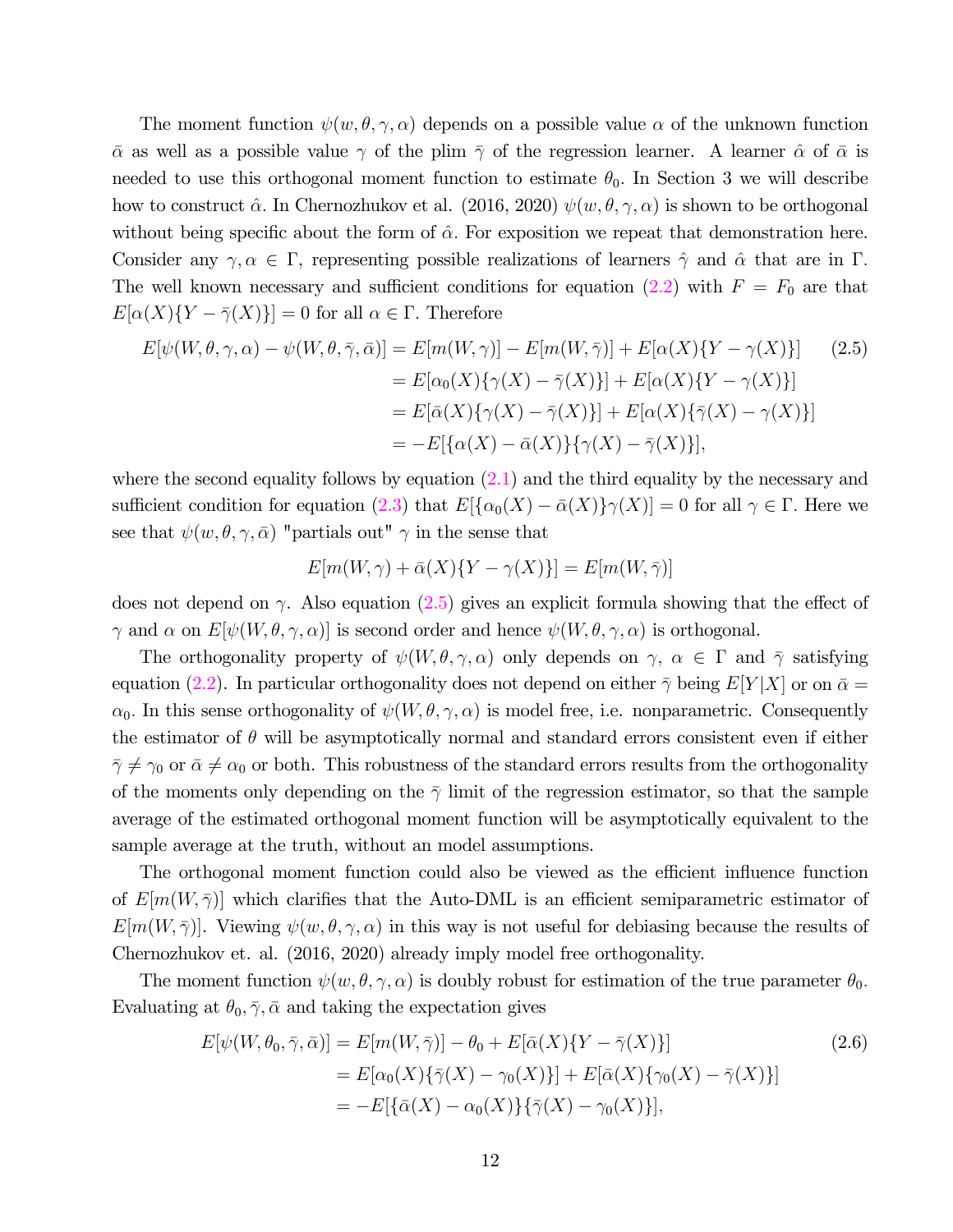The moment function  $\psi(w, \theta, \gamma, \alpha)$  depends on a possible value  $\alpha$  of the unknown function  $\bar{\alpha}$  as well as a possible value  $\gamma$  of the plim  $\bar{\gamma}$  of the regression learner. A learner  $\hat{\alpha}$  of  $\bar{\alpha}$  is needed to use this orthogonal moment function to estimate  $\theta_0$ . In Section 3 we will describe how to construct  $\hat{\alpha}$ . In Chernozhukov et al. (2016, 2020)  $\psi(w, \theta, \gamma, \alpha)$  is shown to be orthogonal without being specific about the form of  $\hat{\alpha}$ . For exposition we repeat that demonstration here. Consider any  $\gamma, \alpha \in \Gamma$ , representing possible realizations of learners  $\hat{\gamma}$  and  $\hat{\alpha}$  that are in  $\Gamma$ . The well known necessary and sufficient conditions for equation (2.2) with  $F = F_0$  are that  $E[\alpha(X)\{Y-\overline{\gamma}(X)\}]=0$  for all  $\alpha \in \Gamma$ . Therefore

$$
E[\psi(W,\theta,\gamma,\alpha) - \psi(W,\theta,\bar{\gamma},\bar{\alpha})] = E[m(W,\gamma)] - E[m(W,\bar{\gamma})] + E[\alpha(X)\{Y - \gamma(X)\}] \qquad (2.5)
$$
  
\n
$$
= E[\alpha_0(X)\{\gamma(X) - \bar{\gamma}(X)\}] + E[\alpha(X)\{Y - \gamma(X)\}]
$$
  
\n
$$
= E[\bar{\alpha}(X)\{\gamma(X) - \bar{\gamma}(X)\}] + E[\alpha(X)\{\bar{\gamma}(X) - \gamma(X)\}]
$$
  
\n
$$
= -E[\{\alpha(X) - \bar{\alpha}(X)\}\{\gamma(X) - \bar{\gamma}(X)\}],
$$
\n(2.5)

where the second equality follows by equation  $(2.1)$  and the third equality by the necessary and sufficient condition for equation (2.3) that  $E[\{\alpha_0(X) - \bar{\alpha}(X)\}\gamma(X)] = 0$  for all  $\gamma \in \Gamma$ . Here we see that  $\psi(w, \theta, \gamma, \bar{\alpha})$  "partials out"  $\gamma$  in the sense that

$$
E[m(W, \gamma) + \bar{\alpha}(X)\{Y - \gamma(X)\}] = E[m(W, \bar{\gamma})]
$$

does not depend on  $\gamma$ . Also equation (2.5) gives an explicit formula showing that the effect of  $\gamma$  and  $\alpha$  on  $E[\psi(W, \theta, \gamma, \alpha)]$  is second order and hence  $\psi(W, \theta, \gamma, \alpha)$  is orthogonal.

The orthogonality property of  $\psi(W, \theta, \gamma, \alpha)$  only depends on  $\gamma, \alpha \in \Gamma$  and  $\overline{\gamma}$  satisfying equation (2.2). In particular orthogonality does not depend on either  $\bar{\gamma}$  being  $E[Y|X]$  or on  $\bar{\alpha} =$  $\alpha_0$ . In this sense orthogonality of  $\psi(W, \theta, \gamma, \alpha)$  is model free, i.e. nonparametric. Consequently the estimator of  $\theta$  will be asymptotically normal and standard errors consistent even if either  $\bar{\gamma} \neq \gamma_0$  or  $\bar{\alpha} \neq \alpha_0$  or both. This robustness of the standard errors results from the orthogonality of the moments only depending on the  $\bar{\gamma}$  limit of the regression estimator, so that the sample average of the estimated orthogonal moment function will be asymptotically equivalent to the sample average at the truth, without an model assumptions.

The orthogonal moment function could also be viewed as the efficient influence function of  $E[m(W,\bar{\gamma})]$  which clarifies that the Auto-DML is an efficient semiparametric estimator of  $E[m(W,\bar{\gamma})].$  Viewing  $\psi(w,\theta,\gamma,\alpha)$  in this way is not useful for debiasing because the results of Chernozhukov et. al. (2016, 2020) already imply model free orthogonality.

The moment function  $\psi(w, \theta, \gamma, \alpha)$  is doubly robust for estimation of the true parameter  $\theta_0$ . Evaluating at  $\theta_0$ ,  $\bar{\gamma}$ ,  $\bar{\alpha}$  and taking the expectation gives

$$
E[\psi(W, \theta_0, \bar{\gamma}, \bar{\alpha})] = E[m(W, \bar{\gamma})] - \theta_0 + E[\bar{\alpha}(X)\{Y - \bar{\gamma}(X)\}]
$$
\n
$$
= E[\alpha_0(X)\{\bar{\gamma}(X) - \gamma_0(X)\}] + E[\bar{\alpha}(X)\{\gamma_0(X) - \bar{\gamma}(X)\}]
$$
\n
$$
= -E[\{\bar{\alpha}(X) - \alpha_0(X)\}\{\bar{\gamma}(X) - \gamma_0(X)\}],
$$
\n(2.6)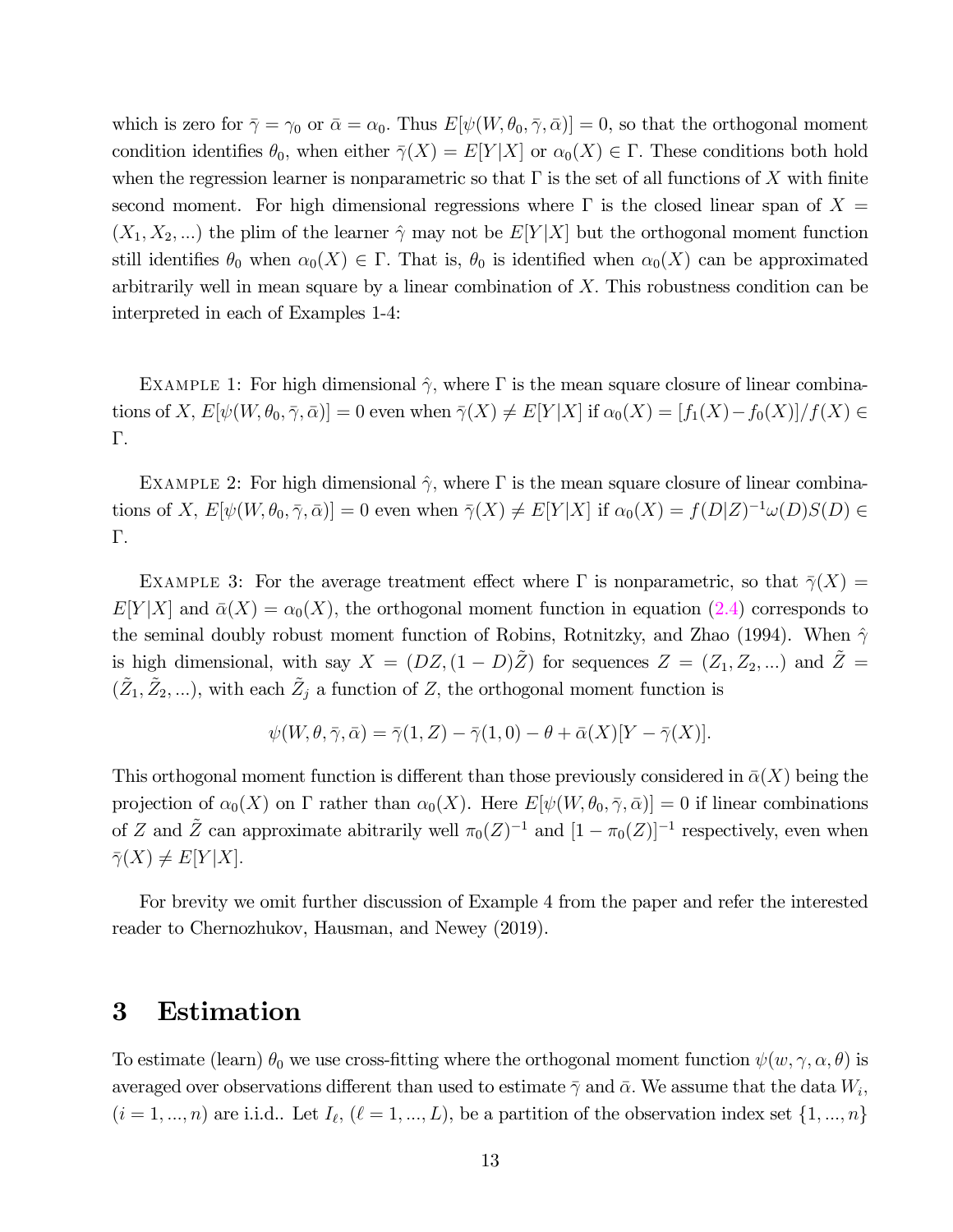which is zero for  $\bar{\gamma} = \gamma_0$  or  $\bar{\alpha} = \alpha_0$ . Thus  $E[\psi(W, \theta_0, \bar{\gamma}, \bar{\alpha})] = 0$ , so that the orthogonal moment condition identifies  $\theta_0$ , when either  $\overline{\gamma}(X) = E[Y|X]$  or  $\alpha_0(X) \in \Gamma$ . These conditions both hold when the regression learner is nonparametric so that  $\Gamma$  is the set of all functions of X with finite second moment. For high dimensional regressions where  $\Gamma$  is the closed linear span of  $X =$  $(X_1, X_2, ...)$  the plim of the learner  $\hat{\gamma}$  may not be  $E[Y|X]$  but the orthogonal moment function still identifies  $\theta_0$  when  $\alpha_0(X) \in \Gamma$ . That is,  $\theta_0$  is identified when  $\alpha_0(X)$  can be approximated arbitrarily well in mean square by a linear combination of  $X$ . This robustness condition can be interpreted in each of Examples 1-4:

EXAMPLE 1: For high dimensional  $\hat{\gamma}$ , where  $\Gamma$  is the mean square closure of linear combinations of X,  $E[\psi(W, \theta_0, \overline{\gamma}, \overline{\alpha})] = 0$  even when  $\overline{\gamma}(X) \neq E[Y|X]$  if  $\alpha_0(X) = [f_1(X) - f_0(X)]/f(X) \in$ Γ

EXAMPLE 2: For high dimensional  $\hat{\gamma}$ , where  $\Gamma$  is the mean square closure of linear combinations of X,  $E[\psi(W, \theta_0, \overline{\gamma}, \overline{\alpha})] = 0$  even when  $\overline{\gamma}(X) \neq E[Y|X]$  if  $\alpha_0(X) = f(D|Z)^{-1}\omega(D)S(D) \in$ Γ

EXAMPLE 3: For the average treatment effect where  $\Gamma$  is nonparametric, so that  $\bar{\gamma}(X) =$  $E[Y|X]$  and  $\bar{\alpha}(X) = \alpha_0(X)$ , the orthogonal moment function in equation (2.4) corresponds to the seminal doubly robust moment function of Robins, Rotnitzky, and Zhao (1994). When  $\hat{\gamma}$ is high dimensional, with say  $X = (DZ, (1 - D)\tilde{Z})$  for sequences  $Z = (Z_1, Z_2, ...)$  and  $\tilde{Z} =$  $(\tilde{Z}_1, \tilde{Z}_2, \ldots)$ , with each  $\tilde{Z}_j$  a function of Z, the orthogonal moment function is

$$
\psi(W,\theta,\bar{\gamma},\bar{\alpha}) = \bar{\gamma}(1,Z) - \bar{\gamma}(1,0) - \theta + \bar{\alpha}(X)[Y - \bar{\gamma}(X)].
$$

This orthogonal moment function is different than those previously considered in  $\bar{\alpha}(X)$  being the projection of  $\alpha_0(X)$  on  $\Gamma$  rather than  $\alpha_0(X)$ . Here  $E[\psi(W, \theta_0, \overline{\gamma}, \overline{\alpha})] = 0$  if linear combinations of Z and  $\tilde{Z}$  can approximate abitrarily well  $\pi_0(Z)^{-1}$  and  $[1 - \pi_0(Z)]^{-1}$  respectively, even when  $\bar{\gamma}(X) \neq E[Y|X].$ 

For brevity we omit further discussion of Example 4 from the paper and refer the interested reader to Chernozhukov, Hausman, and Newey (2019).

### 3 Estimation

To estimate (learn)  $\theta_0$  we use cross-fitting where the orthogonal moment function  $\psi(w, \gamma, \alpha, \theta)$  is averaged over observations different than used to estimate  $\bar{\gamma}$  and  $\bar{\alpha}$ . We assume that the data  $W_i$ ,  $(i = 1, ..., n)$  are i.i.d.. Let  $I_{\ell}, (\ell = 1, ..., L)$ , be a partition of the observation index set  $\{1, ..., n\}$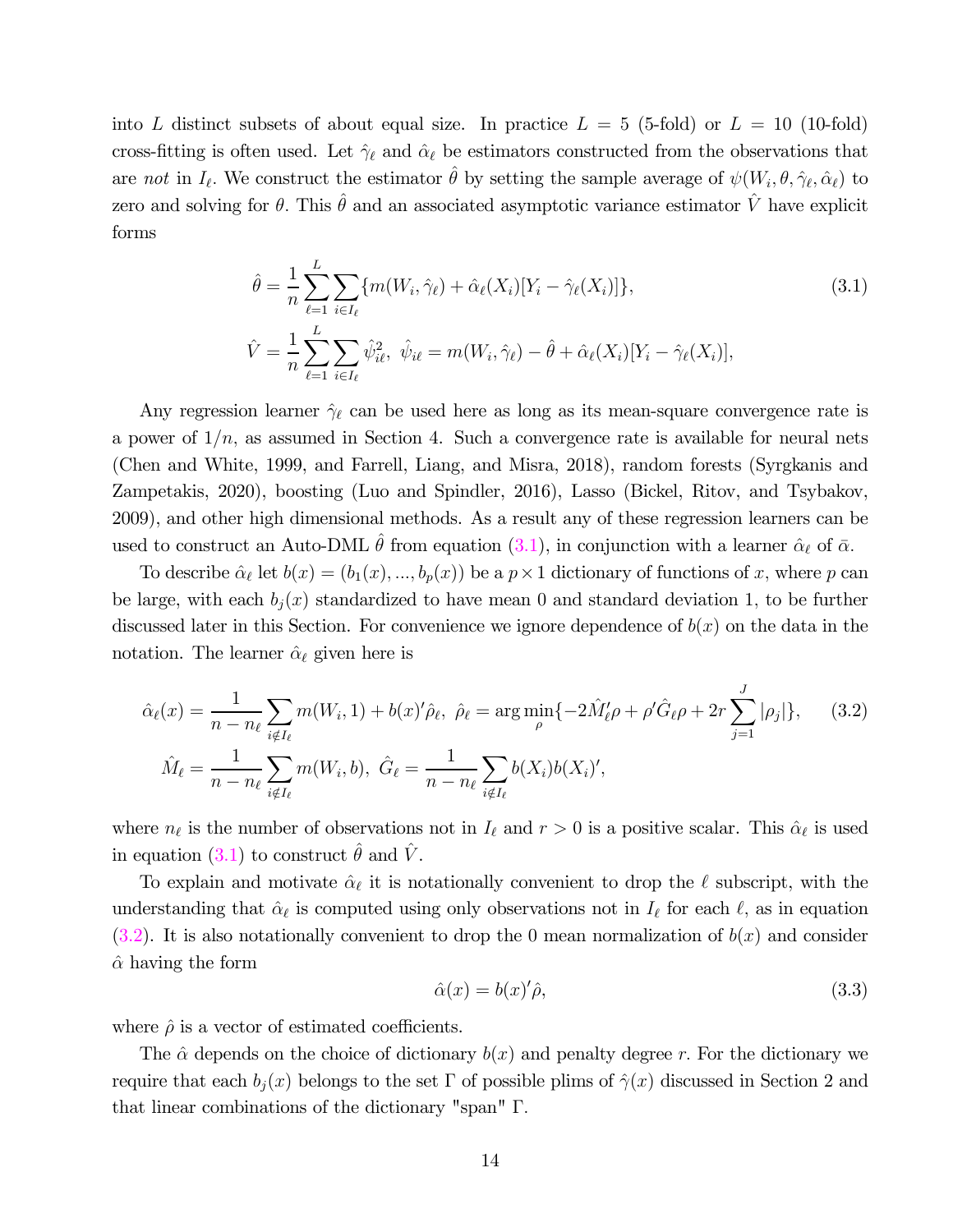into L distinct subsets of about equal size. In practice  $L = 5$  (5-fold) or  $L = 10$  (10-fold) cross-fitting is often used. Let  $\hat{\gamma}_{\ell}$  and  $\hat{\alpha}_{\ell}$  be estimators constructed from the observations that are not in  $I_{\ell}$ . We construct the estimator  $\hat{\theta}$  by setting the sample average of  $\psi(W_i, \theta, \hat{\gamma}_{\ell}, \hat{\alpha}_{\ell})$  to zero and solving for  $\theta$ . This  $\hat{\theta}$  and an associated asymptotic variance estimator  $\hat{V}$  have explicit forms

$$
\hat{\theta} = \frac{1}{n} \sum_{\ell=1}^{L} \sum_{i \in I_{\ell}} \{ m(W_i, \hat{\gamma}_{\ell}) + \hat{\alpha}_{\ell}(X_i) [Y_i - \hat{\gamma}_{\ell}(X_i)] \},
$$
\n
$$
\hat{V} = \frac{1}{n} \sum_{\ell=1}^{L} \sum_{i \in I_{\ell}} \hat{\psi}_{i\ell}^2, \ \hat{\psi}_{i\ell} = m(W_i, \hat{\gamma}_{\ell}) - \hat{\theta} + \hat{\alpha}_{\ell}(X_i) [Y_i - \hat{\gamma}_{\ell}(X_i)],
$$
\n(3.1)

Any regression learner  $\hat{\gamma}_{\ell}$  can be used here as long as its mean-square convergence rate is a power of  $1/n$ , as assumed in Section 4. Such a convergence rate is available for neural nets (Chen and White, 1999, and Farrell, Liang, and Misra, 2018), random forests (Syrgkanis and Zampetakis, 2020), boosting (Luo and Spindler, 2016), Lasso (Bickel, Ritov, and Tsybakov, 2009), and other high dimensional methods. As a result any of these regression learners can be used to construct an Auto-DML  $\theta$  from equation (3.1), in conjunction with a learner  $\hat{\alpha}_{\ell}$  of  $\bar{\alpha}$ .

To describe  $\hat{\alpha}_{\ell}$  let  $b(x)=(b_1(x),...,b_p(x))$  be a  $p \times 1$  dictionary of functions of x, where p can be large, with each  $b_i(x)$  standardized to have mean 0 and standard deviation 1, to be further discussed later in this Section. For convenience we ignore dependence of  $b(x)$  on the data in the notation. The learner  $\hat{\alpha}_{\ell}$  given here is

$$
\hat{\alpha}_{\ell}(x) = \frac{1}{n - n_{\ell}} \sum_{i \notin I_{\ell}} m(W_i, 1) + b(x)^{\prime} \hat{\rho}_{\ell}, \ \hat{\rho}_{\ell} = \arg \min_{\rho} \{-2\hat{M}_{\ell}'\rho + \rho^{\prime} \hat{G}_{\ell}\rho + 2r \sum_{j=1}^{J} |\rho_j| \}, \tag{3.2}
$$

$$
\hat{M}_{\ell} = \frac{1}{n - n_{\ell}} \sum_{i \notin I_{\ell}} m(W_i, b), \ \hat{G}_{\ell} = \frac{1}{n - n_{\ell}} \sum_{i \notin I_{\ell}} b(X_i) b(X_i)^{\prime},
$$

where  $n_{\ell}$  is the number of observations not in  $I_{\ell}$  and  $r > 0$  is a positive scalar. This  $\hat{\alpha}_{\ell}$  is used in equation (3.1) to construct  $\hat{\theta}$  and  $\hat{V}$ .

To explain and motivate  $\hat{\alpha}_{\ell}$  it is notationally convenient to drop the  $\ell$  subscript, with the understanding that  $\hat{\alpha}_{\ell}$  is computed using only observations not in  $I_{\ell}$  for each  $\ell$ , as in equation  $(3.2)$ . It is also notationally convenient to drop the 0 mean normalization of  $b(x)$  and consider  $\hat{\alpha}$  having the form

$$
\hat{\alpha}(x) = b(x)'\hat{\rho},\tag{3.3}
$$

where  $\hat{\rho}$  is a vector of estimated coefficients.

The  $\hat{\alpha}$  depends on the choice of dictionary  $b(x)$  and penalty degree r. For the dictionary we require that each  $b_i(x)$  belongs to the set Γ of possible plims of  $\hat{\gamma}(x)$  discussed in Section 2 and that linear combinations of the dictionary "span" Γ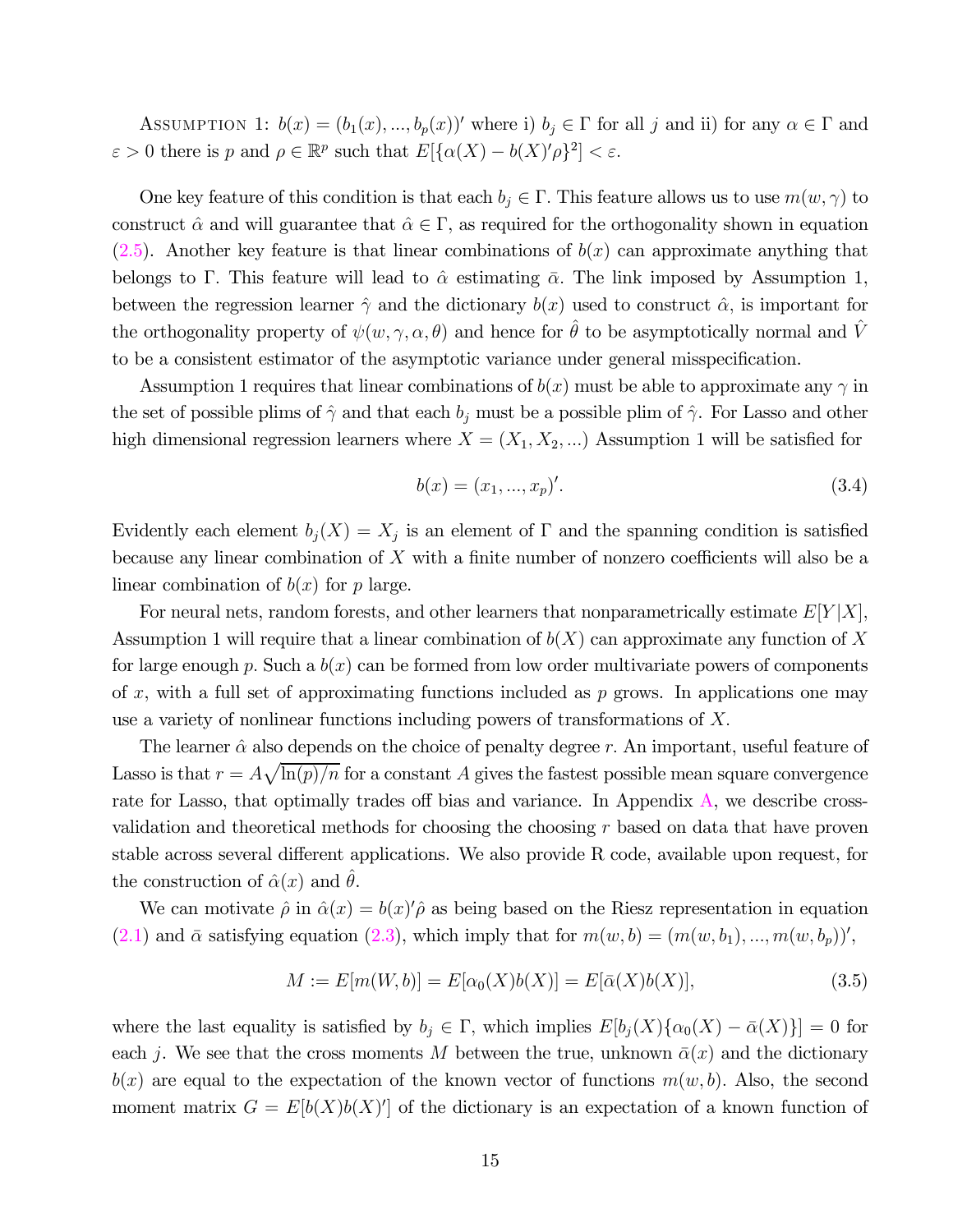ASSUMPTION 1:  $b(x)=(b_1(x),...,b_p(x))'$  where i)  $b_j \in \Gamma$  for all j and ii) for any  $\alpha \in \Gamma$  and  $\varepsilon > 0$  there is  $p$  and  $\rho \in \mathbb{R}^p$  such that  $E[\{\alpha(X) - b(X)'\rho\}^2] < \varepsilon$ .

One key feature of this condition is that each  $b_i \in \Gamma$ . This feature allows us to use  $m(w, \gamma)$  to construct  $\hat{\alpha}$  and will guarantee that  $\hat{\alpha} \in \Gamma$ , as required for the orthogonality shown in equation  $(2.5)$ . Another key feature is that linear combinations of  $b(x)$  can approximate anything that belongs to Γ. This feature will lead to  $\hat{\alpha}$  estimating  $\bar{\alpha}$ . The link imposed by Assumption 1, between the regression learner  $\hat{\gamma}$  and the dictionary  $b(x)$  used to construct  $\hat{\alpha}$ , is important for the orthogonality property of  $\psi(w, \gamma, \alpha, \theta)$  and hence for  $\hat{\theta}$  to be asymptotically normal and  $\hat{V}$ to be a consistent estimator of the asymptotic variance under general misspecification.

Assumption 1 requires that linear combinations of  $b(x)$  must be able to approximate any  $\gamma$  in the set of possible plims of  $\hat{\gamma}$  and that each  $b_i$  must be a possible plim of  $\hat{\gamma}$ . For Lasso and other high dimensional regression learners where  $X = (X_1, X_2, ...)$  Assumption 1 will be satisfied for

$$
b(x) = (x_1, ..., x_p)'.\tag{3.4}
$$

Evidently each element  $b_j(X) = X_j$  is an element of  $\Gamma$  and the spanning condition is satisfied because any linear combination of  $X$  with a finite number of nonzero coefficients will also be a linear combination of  $b(x)$  for p large.

For neural nets, random forests, and other learners that nonparametrically estimate  $E[Y|X]$ , Assumption 1 will require that a linear combination of  $b(X)$  can approximate any function of X for large enough p. Such a  $b(x)$  can be formed from low order multivariate powers of components of x, with a full set of approximating functions included as  $p$  grows. In applications one may use a variety of nonlinear functions including powers of transformations of  $X$ .

The learner  $\hat{\alpha}$  also depends on the choice of penalty degree r. An important, useful feature of Lasso is that  $r = A\sqrt{\ln(p)/n}$  for a constant A gives the fastest possible mean square convergence rate for Lasso, that optimally trades off bias and variance. In Appendix A, we describe crossvalidation and theoretical methods for choosing the choosing  $r$  based on data that have proven stable across several different applications. We also provide R code, available upon request, for the construction of  $\hat{\alpha}(x)$  and  $\theta$ .

We can motivate  $\hat{\rho}$  in  $\hat{\alpha}(x) = b(x)'\hat{\rho}$  as being based on the Riesz representation in equation  $(2.1)$  and  $\bar{\alpha}$  satisfying equation  $(2.3)$ , which imply that for  $m(w, b) = (m(w, b_1), ..., m(w, b_p))'$ ,

$$
M := E[m(W, b)] = E[\alpha_0(X)b(X)] = E[\bar{\alpha}(X)b(X)],
$$
\n(3.5)

where the last equality is satisfied by  $b_j \in \Gamma$ , which implies  $E[b_i(X)\{\alpha_0(X) - \bar{\alpha}(X)\}] = 0$  for each j. We see that the cross moments M between the true, unknown  $\bar{\alpha}(x)$  and the dictionary  $b(x)$  are equal to the expectation of the known vector of functions  $m(w, b)$ . Also, the second moment matrix  $G = E[b(X)b(X)]$  of the dictionary is an expectation of a known function of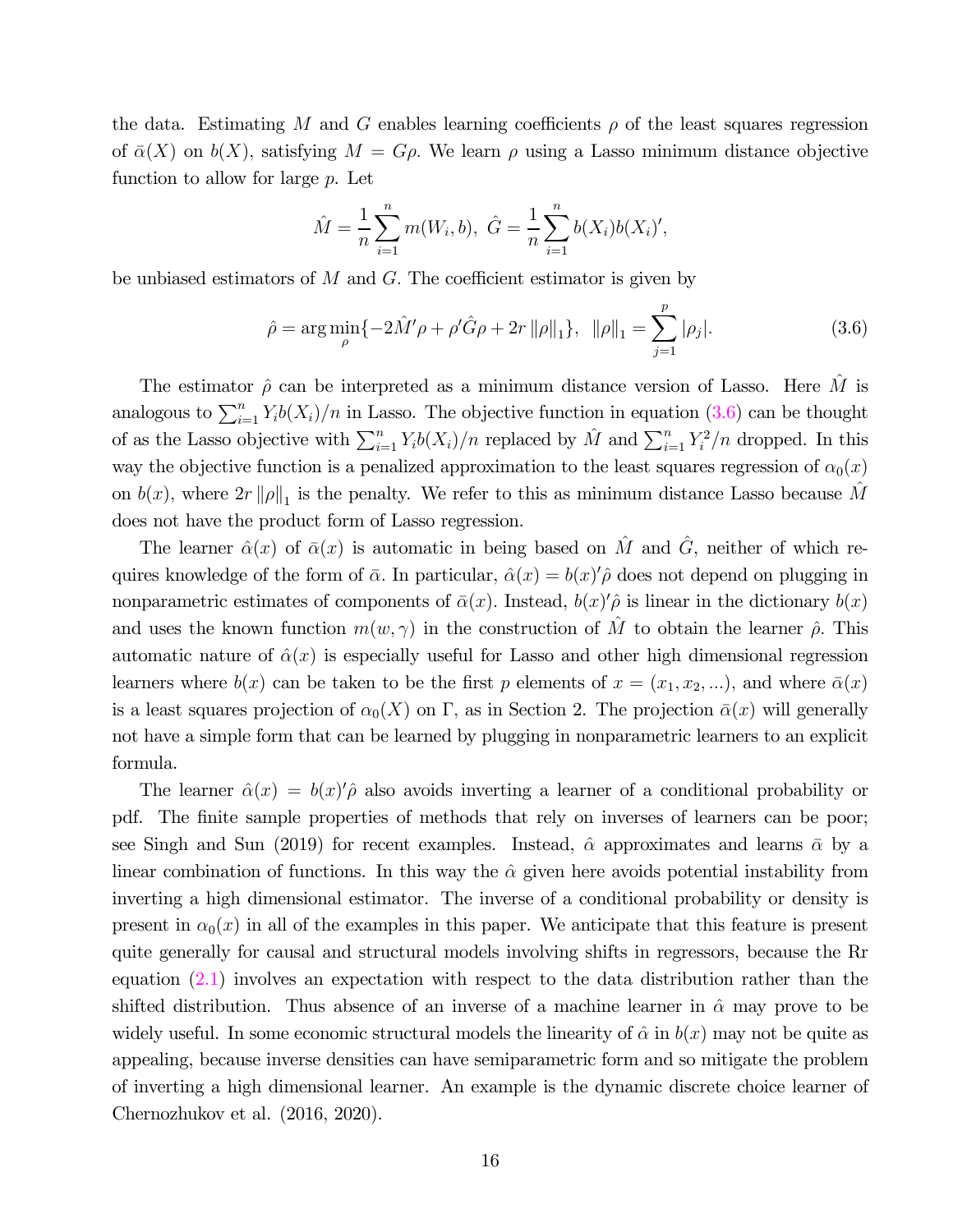the data. Estimating M and G enables learning coefficients  $\rho$  of the least squares regression of  $\bar{\alpha}(X)$  on  $b(X)$ , satisfying  $M = G\rho$ . We learn  $\rho$  using a Lasso minimum distance objective function to allow for large  $p$ . Let

$$
\hat{M} = \frac{1}{n} \sum_{i=1}^{n} m(W_i, b), \ \hat{G} = \frac{1}{n} \sum_{i=1}^{n} b(X_i) b(X_i)',
$$

be unbiased estimators of  $M$  and  $G$ . The coefficient estimator is given by

$$
\hat{\rho} = \arg\min_{\rho} \{-2\hat{M}'\rho + \rho'\hat{G}\rho + 2r\|\rho\|_1\}, \quad \|\rho\|_1 = \sum_{j=1}^p |\rho_j|.\tag{3.6}
$$

The estimator  $\hat{\rho}$  can be interpreted as a minimum distance version of Lasso. Here  $\hat{M}$  is analogous to  $\sum_{i=1}^{n} Y_i b(X_i) / n$  in Lasso. The objective function in equation (3.6) can be thought of as the Lasso objective with  $\sum_{i=1}^{n} Y_i b(X_i) / n$  replaced by  $\hat{M}$  and  $\sum_{i=1}^{n} Y_i^2 / n$  dropped. In this way the objective function is a penalized approximation to the least squares regression of  $\alpha_0(x)$ on  $b(x)$ , where  $2r \|\rho\|_1$  is the penalty. We refer to this as minimum distance Lasso because  $\hat{M}$ does not have the product form of Lasso regression.

The learner  $\hat{\alpha}(x)$  of  $\bar{\alpha}(x)$  is automatic in being based on  $\hat{M}$  and  $\hat{G}$ , neither of which requires knowledge of the form of  $\bar{\alpha}$ . In particular,  $\hat{\alpha}(x) = b(x)'\hat{\rho}$  does not depend on plugging in nonparametric estimates of components of  $\bar{\alpha}(x)$ . Instead,  $b(x)$  is linear in the dictionary  $b(x)$ and uses the known function  $m(w, \gamma)$  in the construction of  $\hat{M}$  to obtain the learner  $\hat{\rho}$ . This automatic nature of  $\hat{\alpha}(x)$  is especially useful for Lasso and other high dimensional regression learners where  $b(x)$  can be taken to be the first p elements of  $x = (x_1, x_2, ...)$ , and where  $\bar{\alpha}(x)$ is a least squares projection of  $\alpha_0(X)$  on Γ, as in Section 2. The projection  $\bar{\alpha}(x)$  will generally not have a simple form that can be learned by plugging in nonparametric learners to an explicit formula.

The learner  $\hat{\alpha}(x) = b(x)'\hat{\rho}$  also avoids inverting a learner of a conditional probability or pdf. The finite sample properties of methods that rely on inverses of learners can be poor; see Singh and Sun (2019) for recent examples. Instead,  $\hat{\alpha}$  approximates and learns  $\bar{\alpha}$  by a linear combination of functions. In this way the  $\hat{\alpha}$  given here avoids potential instability from inverting a high dimensional estimator. The inverse of a conditional probability or density is present in  $\alpha_0(x)$  in all of the examples in this paper. We anticipate that this feature is present quite generally for causal and structural models involving shifts in regressors, because the Rr equation (2.1) involves an expectation with respect to the data distribution rather than the shifted distribution. Thus absence of an inverse of a machine learner in  $\hat{\alpha}$  may prove to be widely useful. In some economic structural models the linearity of  $\hat{\alpha}$  in  $b(x)$  may not be quite as appealing, because inverse densities can have semiparametric form and so mitigate the problem of inverting a high dimensional learner. An example is the dynamic discrete choice learner of Chernozhukov et al. (2016, 2020).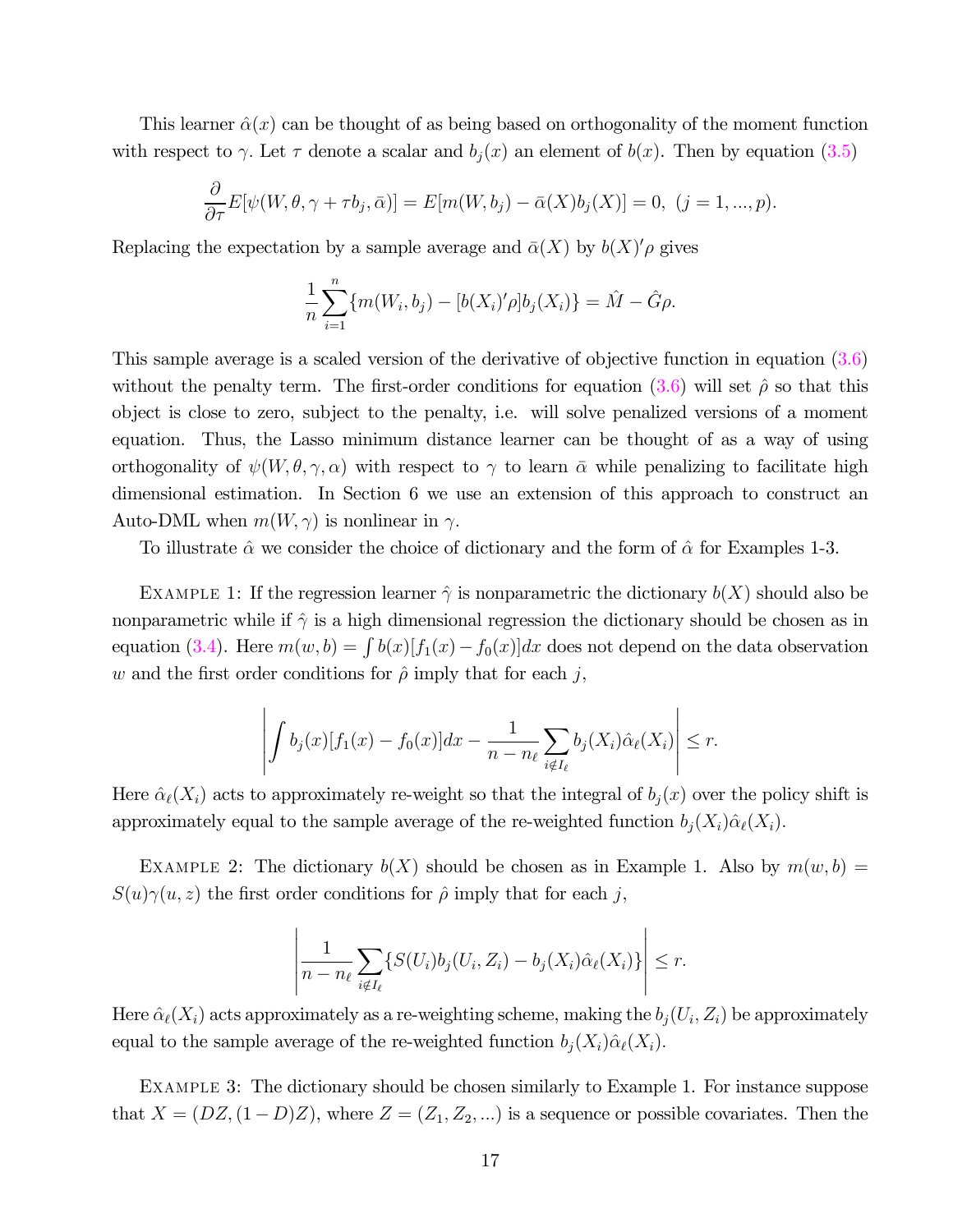This learner  $\hat{\alpha}(x)$  can be thought of as being based on orthogonality of the moment function with respect to  $\gamma$ . Let  $\tau$  denote a scalar and  $b_i(x)$  an element of  $b(x)$ . Then by equation (3.5)

$$
\frac{\partial}{\partial \tau}E[\psi(W,\theta,\gamma+\tau b_j,\bar{\alpha})]=E[m(W,b_j)-\bar{\alpha}(X)b_j(X)]=0, (j=1,...,p).
$$

Replacing the expectation by a sample average and  $\bar{\alpha}(X)$  by  $b(X)' \rho$  gives

$$
\frac{1}{n}\sum_{i=1}^{n} \{m(W_i, b_j) - [b(X_i)'\rho]b_j(X_i)\} = \hat{M} - \hat{G}\rho.
$$

This sample average is a scaled version of the derivative of objective function in equation (3.6) without the penalty term. The first-order conditions for equation (3.6) will set  $\hat{\rho}$  so that this object is close to zero, subject to the penalty, i.e. will solve penalized versions of a moment equation. Thus, the Lasso minimum distance learner can be thought of as a way of using orthogonality of  $\psi(W, \theta, \gamma, \alpha)$  with respect to  $\gamma$  to learn  $\bar{\alpha}$  while penalizing to facilitate high dimensional estimation. In Section 6 we use an extension of this approach to construct an Auto-DML when  $m(W, \gamma)$  is nonlinear in  $\gamma$ .

To illustrate  $\hat{\alpha}$  we consider the choice of dictionary and the form of  $\hat{\alpha}$  for Examples 1-3.

EXAMPLE 1: If the regression learner  $\hat{\gamma}$  is nonparametric the dictionary  $b(X)$  should also be nonparametric while if  $\hat{\gamma}$  is a high dimensional regression the dictionary should be chosen as in equation (3.4). Here  $m(w, b) = \int b(x)[f_1(x) - f_0(x)] dx$  does not depend on the data observation w and the first order conditions for  $\hat{\rho}$  imply that for each j,

$$
\left| \int b_j(x) [f_1(x) - f_0(x)] dx - \frac{1}{n - n_\ell} \sum_{i \notin I_\ell} b_j(X_i) \hat{\alpha}_\ell(X_i) \right| \leq r.
$$

Here  $\hat{\alpha}_{\ell}(X_i)$  acts to approximately re-weight so that the integral of  $b_j(x)$  over the policy shift is approximately equal to the sample average of the re-weighted function  $b_i(X_i)\hat{\alpha}_\ell(X_i)$ .

EXAMPLE 2: The dictionary  $b(X)$  should be chosen as in Example 1. Also by  $m(w, b) =$  $S(u)\gamma(u,z)$  the first order conditions for  $\hat{\rho}$  imply that for each j,

$$
\left|\frac{1}{n-n_{\ell}}\sum_{i\notin I_{\ell}}\{S(U_i)b_j(U_i,Z_i)-b_j(X_i)\hat{\alpha}_{\ell}(X_i)\}\right|\leq r.
$$

Here  $\hat{\alpha}_{\ell}(X_i)$  acts approximately as a re-weighting scheme, making the  $b_i(U_i, Z_i)$  be approximately equal to the sample average of the re-weighted function  $b_j(X_i)\hat{\alpha}_{\ell}(X_i)$ .

Example 3: The dictionary should be chosen similarly to Example 1. For instance suppose that  $X = (DZ, (1 - D)Z)$ , where  $Z = (Z_1, Z_2, ...)$  is a sequence or possible covariates. Then the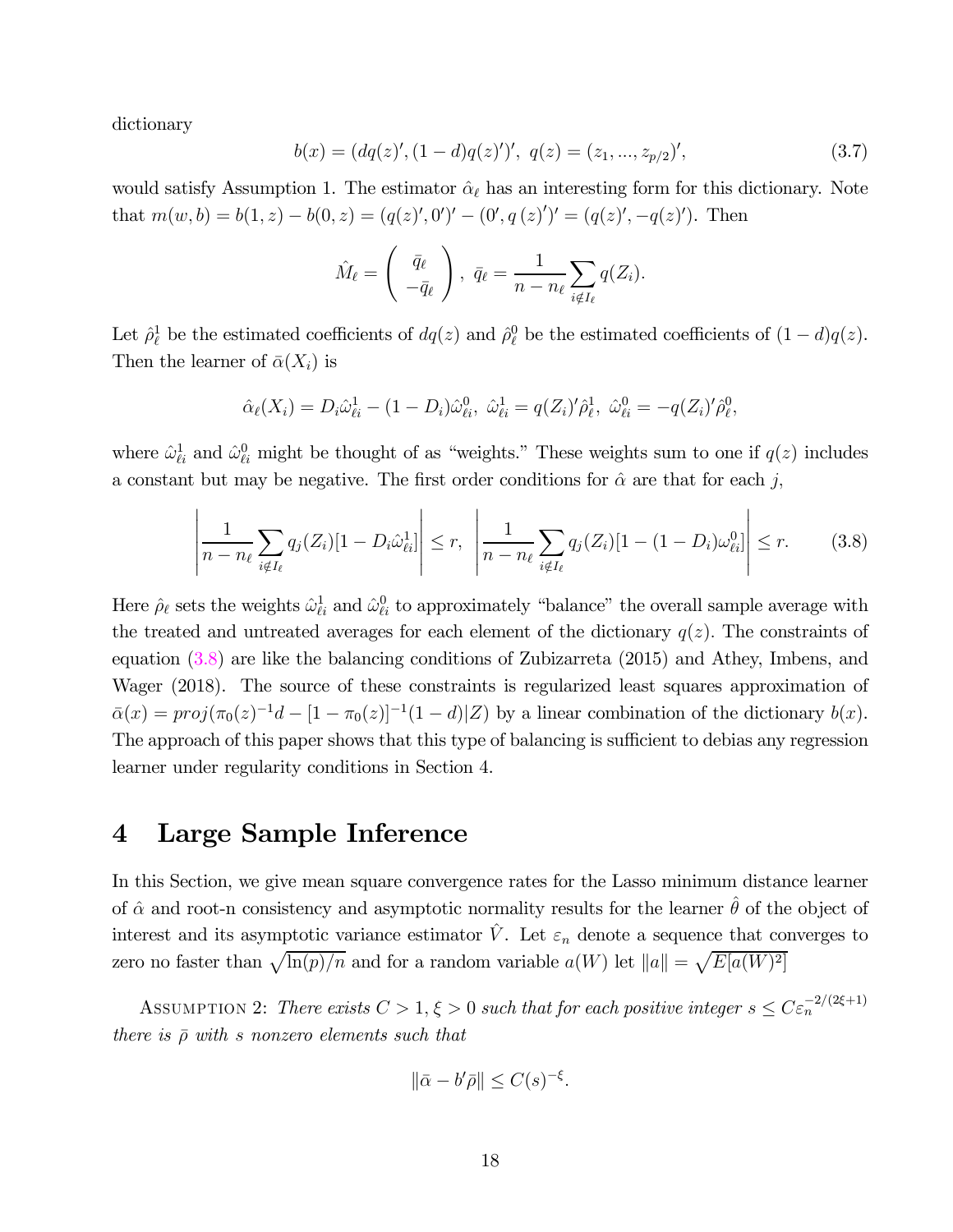dictionary

$$
b(x) = (dq(z)', (1-d)q(z)')', q(z) = (z_1, ..., z_{p/2})',
$$
\n(3.7)

would satisfy Assumption 1. The estimator  $\hat{\alpha}_{\ell}$  has an interesting form for this dictionary. Note that  $m(w, b) = b(1, z) - b(0, z) = (q(z)', 0')' - (0', q(z)')' = (q(z)', -q(z)')$ . Then

$$
\hat{M}_{\ell} = \begin{pmatrix} \bar{q}_{\ell} \\ -\bar{q}_{\ell} \end{pmatrix}, \ \bar{q}_{\ell} = \frac{1}{n - n_{\ell}} \sum_{i \notin I_{\ell}} q(Z_i).
$$

Let  $\hat{\rho}^1_{\ell}$  be the estimated coefficients of  $dq(z)$  and  $\hat{\rho}^0_{\ell}$  be the estimated coefficients of  $(1-d)q(z)$ . Then the learner of  $\bar{\alpha}(X_i)$  is

$$
\hat{\alpha}_{\ell}(X_i) = D_i \hat{\omega}_{\ell i}^1 - (1 - D_i) \hat{\omega}_{\ell i}^0, \ \hat{\omega}_{\ell i}^1 = q(Z_i)' \hat{\rho}_{\ell}^1, \ \hat{\omega}_{\ell i}^0 = -q(Z_i)' \hat{\rho}_{\ell}^0,
$$

where  $\hat{\omega}_{\ell i}^1$  and  $\hat{\omega}_{\ell i}^0$  might be thought of as "weights." These weights sum to one if  $q(z)$  includes a constant but may be negative. The first order conditions for  $\hat{\alpha}$  are that for each j.

$$
\left| \frac{1}{n - n_{\ell}} \sum_{i \notin I_{\ell}} q_j(Z_i) [1 - D_i \hat{\omega}_{\ell i}^1] \right| \le r, \left| \frac{1}{n - n_{\ell}} \sum_{i \notin I_{\ell}} q_j(Z_i) [1 - (1 - D_i) \omega_{\ell i}^0] \right| \le r.
$$
 (3.8)

Here  $\hat{\rho}_{\ell}$  sets the weights  $\hat{\omega}_{\ell i}^1$  and  $\hat{\omega}_{\ell i}^0$  to approximately "balance" the overall sample average with the treated and untreated averages for each element of the dictionary  $q(z)$ . The constraints of equation (3.8) are like the balancing conditions of Zubizarreta (2015) and Athey, Imbens, and Wager (2018). The source of these constraints is regularized least squares approximation of  $\bar{\alpha}(x) = proj(\pi_0(z)^{-1}d - [1 - \pi_0(z)]^{-1}(1 - d)|Z)$  by a linear combination of the dictionary  $b(x)$ . The approach of this paper shows that this type of balancing is sufficient to debias any regression learner under regularity conditions in Section 4.

### 4 Large Sample Inference

In this Section, we give mean square convergence rates for the Lasso minimum distance learner of  $\hat{\alpha}$  and root-n consistency and asymptotic normality results for the learner  $\hat{\theta}$  of the object of interest and its asymptotic variance estimator  $\hat{V}$ . Let  $\varepsilon_n$  denote a sequence that converges to zero no faster than  $\sqrt{\ln(p)/n}$  and for a random variable  $a(W)$  let  $||a|| = \sqrt{E[a(W)]^2}$ 

ASSUMPTION 2: There exists  $C > 1, \xi > 0$  such that for each positive integer  $s \leq C \varepsilon_n^{-2/(2\xi+1)}$ there is  $\bar{\rho}$  with s nonzero elements such that

$$
\|\bar{\alpha} - b'\bar{\rho}\| \le C(s)^{-\xi}.
$$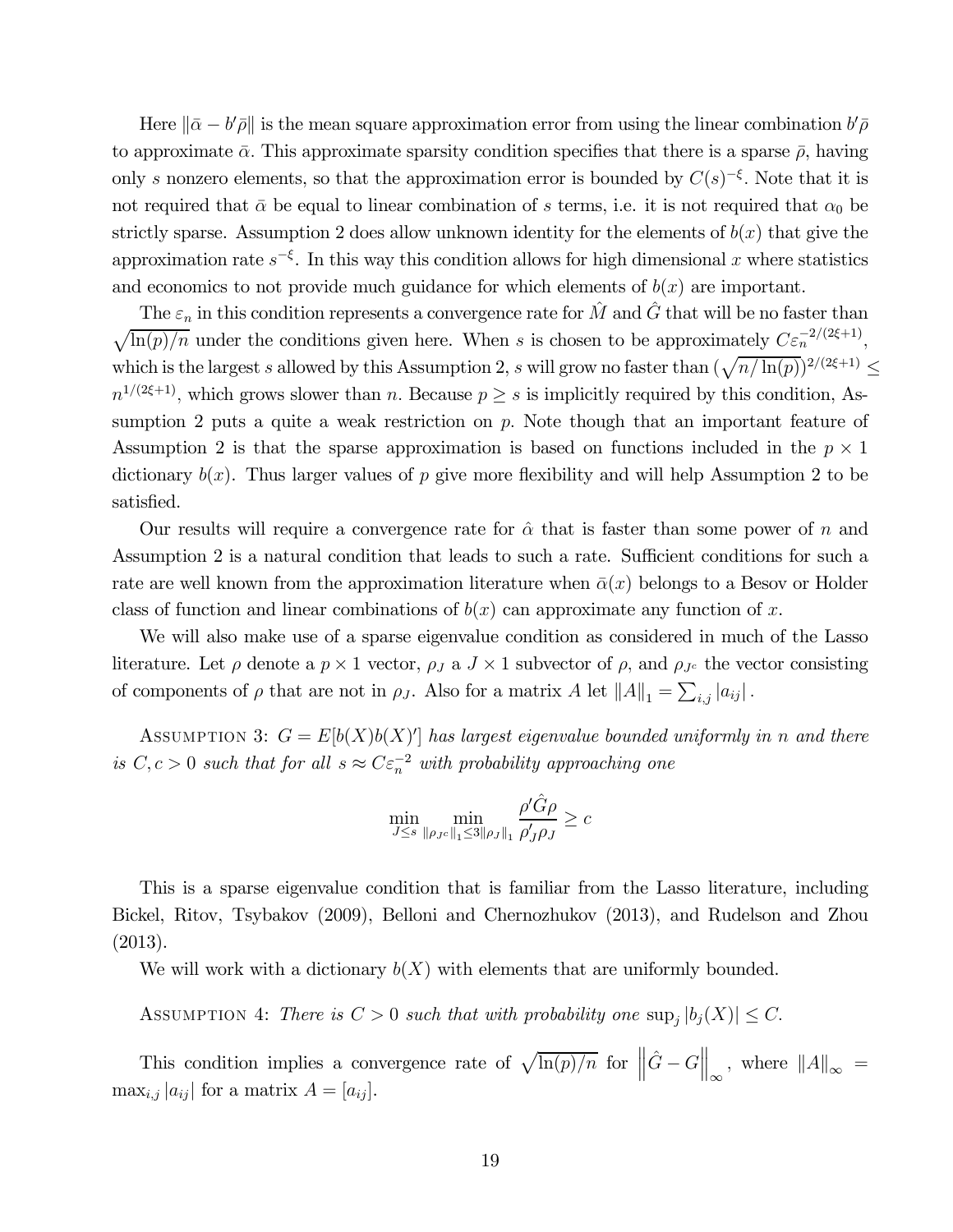Here  $\|\bar{\alpha} - b'\bar{\rho}\|$  is the mean square approximation error from using the linear combination  $b'\bar{\rho}$ to approximate  $\bar{\alpha}$ . This approximate sparsity condition specifies that there is a sparse  $\bar{\rho}$ , having only s nonzero elements, so that the approximation error is bounded by  $C(s)^{-\xi}$ . Note that it is not required that  $\bar{\alpha}$  be equal to linear combination of s terms, i.e. it is not required that  $\alpha_0$  be strictly sparse. Assumption 2 does allow unknown identity for the elements of  $b(x)$  that give the approximation rate  $s^{-\xi}$ . In this way this condition allows for high dimensional x where statistics and economics to not provide much guidance for which elements of  $b(x)$  are important.

The  $\varepsilon_n$  in this condition represents a convergence rate for  $\hat{M}$  and  $\hat{G}$  that will be no faster than  $\sqrt{\ln(p)/n}$  under the conditions given here. When s is chosen to be approximately  $C\varepsilon_n^{-2/(2\xi+1)}$ . which is the largest s allowed by this Assumption 2, s will grow no faster than  $(\sqrt{n/\ln(p)})^{2/(2\xi+1)} \le$  $n^{1/(2\xi+1)}$ , which grows slower than *n*. Because  $p \geq s$  is implicitly required by this condition, Assumption 2 puts a quite a weak restriction on  $p$ . Note though that an important feature of Assumption 2 is that the sparse approximation is based on functions included in the  $p \times 1$ dictionary  $b(x)$ . Thus larger values of p give more flexibility and will help Assumption 2 to be satisfied.

Our results will require a convergence rate for  $\hat{\alpha}$  that is faster than some power of n and Assumption 2 is a natural condition that leads to such a rate. Sufficient conditions for such a rate are well known from the approximation literature when  $\bar{\alpha}(x)$  belongs to a Besov or Holder class of function and linear combinations of  $b(x)$  can approximate any function of x.

We will also make use of a sparse eigenvalue condition as considered in much of the Lasso literature. Let  $\rho$  denote a  $p \times 1$  vector,  $\rho_J$  a  $J \times 1$  subvector of  $\rho$ , and  $\rho_{J^c}$  the vector consisting of components of  $\rho$  that are not in  $\rho_J$ . Also for a matrix  $A$  let  $||A||_1 = \sum_{i,j} |a_{ij}|$ .

ASSUMPTION 3:  $G = E[b(X)b(X)]$  has largest eigenvalue bounded uniformly in n and there is  $C, c > 0$  such that for all  $s \approx C \varepsilon_n^{-2}$  with probability approaching one

$$
\min_{J\leq s}\min_{\|\rho_{J^c}\|_1\leq 3\|\rho_J\|_1}\frac{\rho'\hat{G}\rho}{\rho'_J\rho_J}\geq c
$$

This is a sparse eigenvalue condition that is familiar from the Lasso literature, including Bickel, Ritov, Tsybakov (2009), Belloni and Chernozhukov (2013), and Rudelson and Zhou (2013).

We will work with a dictionary  $b(X)$  with elements that are uniformly bounded.

ASSUMPTION 4: There is  $C > 0$  such that with probability one  $\sup_i |b_i(X)| \leq C$ .

This condition implies a convergence rate of  $\sqrt{\ln(p)/n}$  for  $\left\|\hat{G} - G\right\|_{\infty}$ , where  $\|A\|_{\infty} =$  $\max_{i,j} |a_{ij}|$  for a matrix  $A = [a_{ij}].$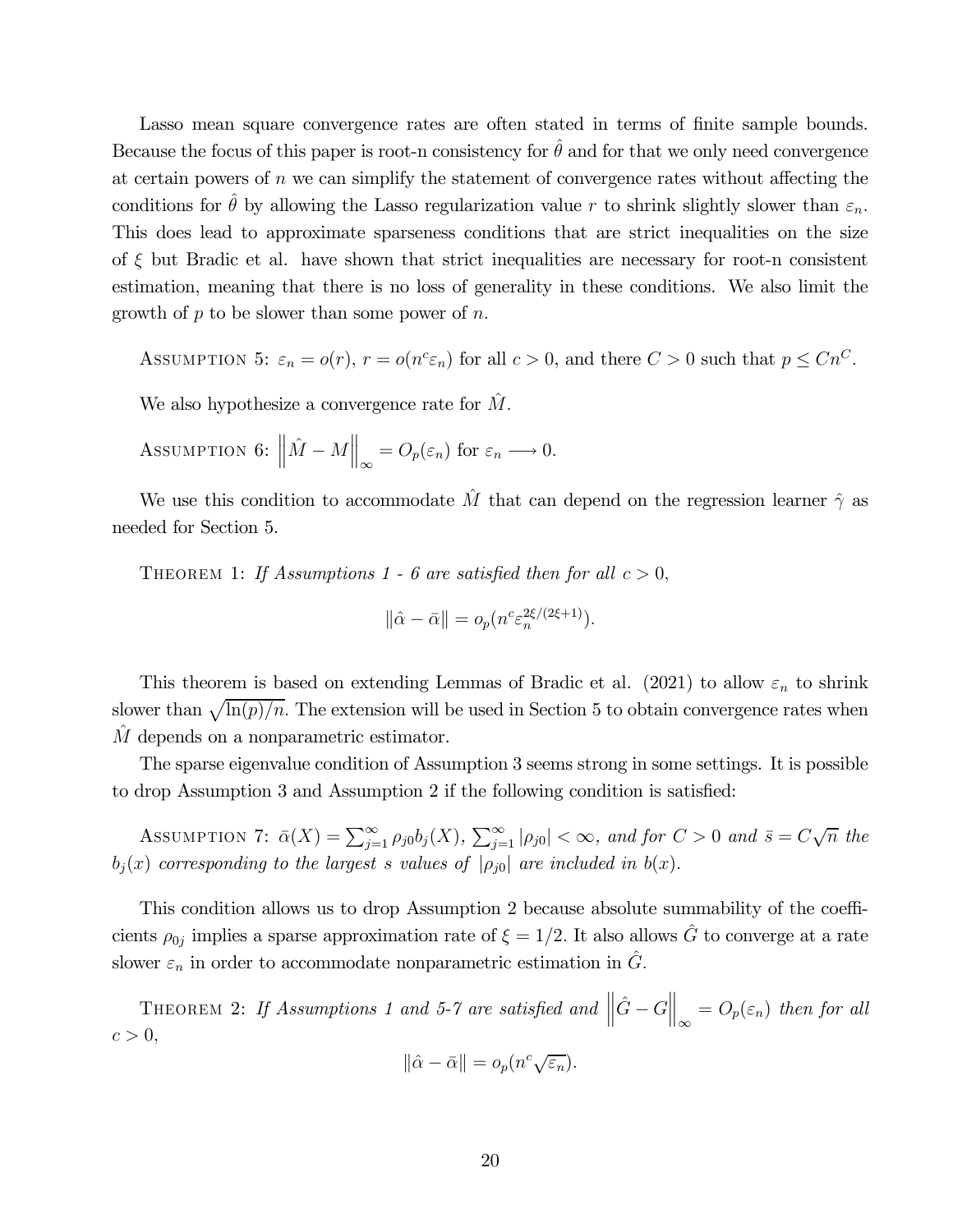Lasso mean square convergence rates are often stated in terms of finite sample bounds. Because the focus of this paper is root-n consistency for  $\hat{\theta}$  and for that we only need convergence at certain powers of  $n$  we can simplify the statement of convergence rates without affecting the conditions for  $\hat{\theta}$  by allowing the Lasso regularization value r to shrink slightly slower than  $\varepsilon_n$ . This does lead to approximate sparseness conditions that are strict inequalities on the size of  $\xi$  but Bradic et al. have shown that strict inequalities are necessary for root-n consistent estimation, meaning that there is no loss of generality in these conditions. We also limit the growth of  $p$  to be slower than some power of  $n$ .

ASSUMPTION 5:  $\varepsilon_n = o(r)$ ,  $r = o(n^c \varepsilon_n)$  for all  $c > 0$ , and there  $C > 0$  such that  $p \leq Cn^C$ .

We also hypothesize a convergence rate for  $\hat{M}$ .

Assumption 6: 
$$
\|\hat{M} - M\|_{\infty} = O_p(\varepsilon_n)
$$
 for  $\varepsilon_n \longrightarrow 0$ .

We use this condition to accommodate  $\hat{M}$  that can depend on the regression learner  $\hat{\gamma}$  as needed for Section 5.

THEOREM 1: If Assumptions 1 - 6 are satisfied then for all  $c > 0$ ,

$$
\|\hat{\alpha} - \bar{\alpha}\| = o_p(n^c \varepsilon_n^{2\xi/(2\xi+1)}).
$$

This theorem is based on extending Lemmas of Bradic et al. (2021) to allow  $\varepsilon_n$  to shrink slower than  $\sqrt{\ln(p)/n}$ . The extension will be used in Section 5 to obtain convergence rates when M depends on a nonparametric estimator.

The sparse eigenvalue condition of Assumption 3 seems strong in some settings. It is possible to drop Assumption 3 and Assumption 2 if the following condition is satisfied:

ASSUMPTION 7:  $\bar{\alpha}(X) = \sum_{j=1}^{\infty} \rho_{j0} b_j(X)$ ,  $\sum_{j=1}^{\infty} |\rho_{j0}| < \infty$ , and for  $C > 0$  and  $\bar{s} = C\sqrt{n}$  the  $b_i(x)$  corresponding to the largest s values of  $|\rho_{i0}|$  are included in  $b(x)$ .

This condition allows us to drop Assumption 2 because absolute summability of the coefficients  $\rho_{0j}$  implies a sparse approximation rate of  $\xi = 1/2$ . It also allows  $\hat{G}$  to converge at a rate slower  $\varepsilon_n$  in order to accommodate nonparametric estimation in  $\hat{G}$ .

THEOREM 2: If Assumptions 1 and 5-7 are satisfied and  $\left\|\hat{G} - G\right\|_{\infty}$  $= O_p(\varepsilon_n)$  then for all  $c>0,$ 

$$
\|\hat{\alpha} - \bar{\alpha}\| = o_p(n^c \sqrt{\varepsilon_n}).
$$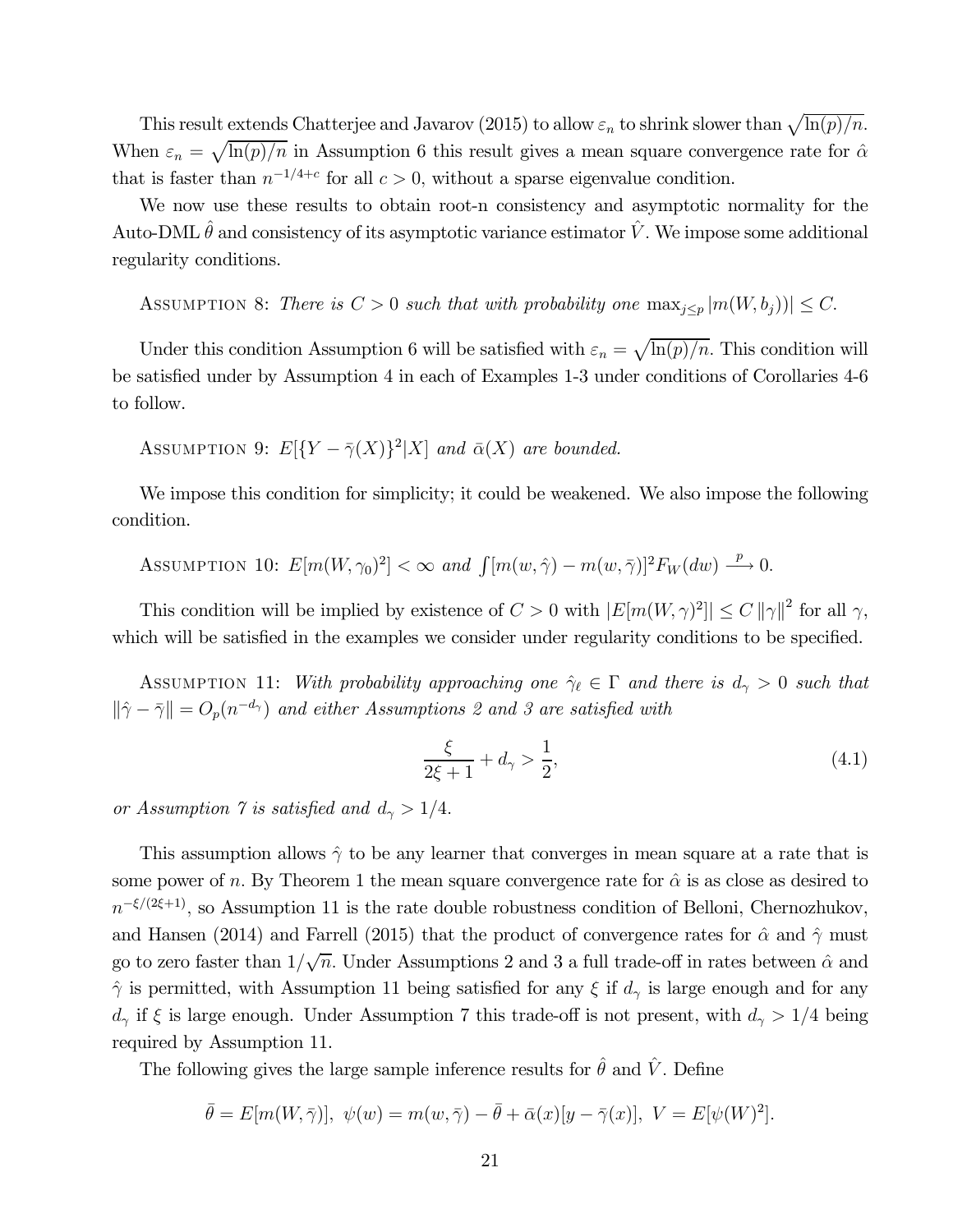This result extends Chatterjee and Javarov (2015) to allow  $\varepsilon_n$  to shrink slower than  $\sqrt{\ln(p)/n}$ . When  $\varepsilon_n = \sqrt{\ln(p)/n}$  in Assumption 6 this result gives a mean square convergence rate for  $\hat{\alpha}$ that is faster than  $n^{-1/4+c}$  for all  $c > 0$ , without a sparse eigenvalue condition.

We now use these results to obtain root-n consistency and asymptotic normality for the Auto-DML  $\hat{\theta}$  and consistency of its asymptotic variance estimator  $\hat{V}$ . We impose some additional regularity conditions.

ASSUMPTION 8: There is  $C > 0$  such that with probability one  $\max_{j \leq p} |m(W, b_j)| \leq C$ .

Under this condition Assumption 6 will be satisfied with  $\varepsilon_n = \sqrt{\ln(p)/n}$ . This condition will be satisfied under by Assumption 4 in each of Examples 1-3 under conditions of Corollaries 4-6 to follow.

ASSUMPTION 9:  $E[{Y - \overline{\gamma}(X)}^2|X]$  and  $\overline{\alpha}(X)$  are bounded.

We impose this condition for simplicity; it could be weakened. We also impose the following condition.

Assumption 10: 
$$
E[m(W, \gamma_0)^2] < \infty
$$
 and  $\int [m(w, \hat{\gamma}) - m(w, \bar{\gamma})]^2 F_W(dw) \xrightarrow{p} 0$ .

This condition will be implied by existence of  $C > 0$  with  $|E[m(W, \gamma)^2]| \leq C ||\gamma||^2$  for all  $\gamma$ , which will be satisfied in the examples we consider under regularity conditions to be specified.

ASSUMPTION 11: With probability approaching one  $\hat{\gamma}_\ell \in \Gamma$  and there is  $d_\gamma > 0$  such that  $\|\hat{\gamma} - \bar{\gamma}\| = O_p(n^{-d_{\gamma}})$  and either Assumptions 2 and 3 are satisfied with

$$
\frac{\xi}{2\xi + 1} + d_{\gamma} > \frac{1}{2},\tag{4.1}
$$

or Assumption 7 is satisfied and  $d_{\gamma} > 1/4$ .

This assumption allows  $\hat{\gamma}$  to be any learner that converges in mean square at a rate that is some power of  $n$ . By Theorem 1 the mean square convergence rate for  $\hat{\alpha}$  is as close as desired to  $n^{-\xi/(2\xi+1)}$ , so Assumption 11 is the rate double robustness condition of Belloni, Chernozhukov, and Hansen (2014) and Farrell (2015) that the product of convergence rates for  $\hat{\alpha}$  and  $\hat{\gamma}$  must go to zero faster than  $1/\sqrt{n}$ . Under Assumptions 2 and 3 a full trade-off in rates between  $\hat{\alpha}$  and  $\hat{\gamma}$  is permitted, with Assumption 11 being satisfied for any  $\xi$  if  $d_{\gamma}$  is large enough and for any  $d_{\gamma}$  if  $\xi$  is large enough. Under Assumption 7 this trade-off is not present, with  $d_{\gamma} > 1/4$  being required by Assumption 11.

The following gives the large sample inference results for  $\hat{\theta}$  and  $\hat{V}$ . Define

$$
\bar{\theta} = E[m(W,\bar{\gamma})], \ \psi(w) = m(w,\bar{\gamma}) - \bar{\theta} + \bar{\alpha}(x)[y - \bar{\gamma}(x)], \ V = E[\psi(W)^2].
$$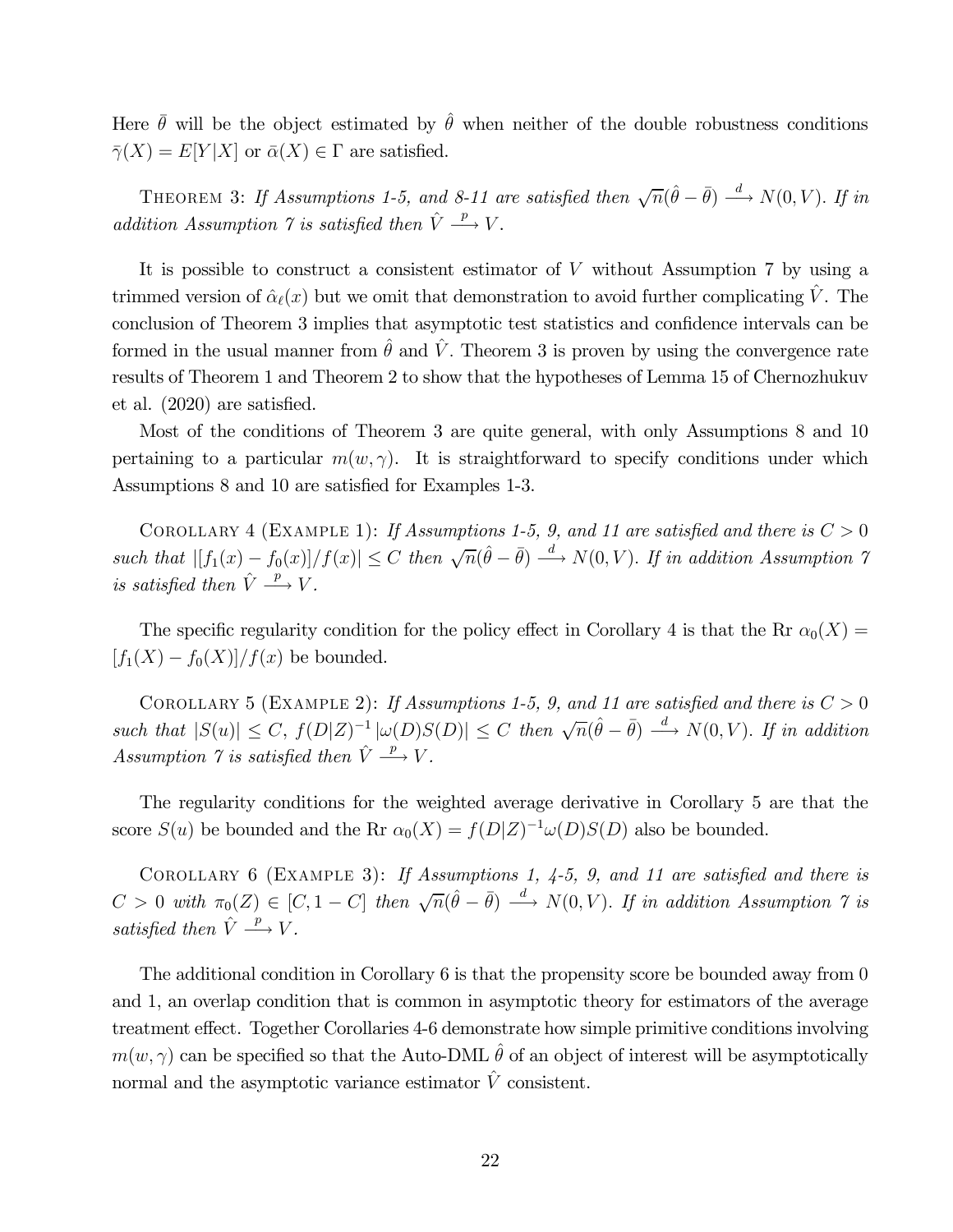Here  $\bar{\theta}$  will be the object estimated by  $\hat{\theta}$  when neither of the double robustness conditions  $\overline{\gamma}(X) = E[Y|X]$  or  $\overline{\alpha}(X) \in \Gamma$  are satisfied.

THEOREM 3: If Assumptions 1-5, and 8-11 are satisfied then  $\sqrt{n}(\hat{\theta} - \bar{\theta}) \stackrel{d}{\longrightarrow} N(0, V)$ . If in addition Assumption 7 is satisfied then  $\hat{V} \stackrel{p}{\longrightarrow} V$ .

It is possible to construct a consistent estimator of  $V$  without Assumption 7 by using a trimmed version of  $\hat{\alpha}_{\ell}(x)$  but we omit that demonstration to avoid further complicating  $\hat{V}$ . The conclusion of Theorem 3 implies that asymptotic test statistics and confidence intervals can be formed in the usual manner from  $\hat{\theta}$  and  $\hat{V}$ . Theorem 3 is proven by using the convergence rate results of Theorem 1 and Theorem 2 to show that the hypotheses of Lemma 15 of Chernozhukuv et al. (2020) are satisfied.

Most of the conditions of Theorem 3 are quite general, with only Assumptions 8 and 10 pertaining to a particular  $m(w, \gamma)$ . It is straightforward to specify conditions under which Assumptions 8 and 10 are satisfied for Examples 1-3.

COROLLARY 4 (EXAMPLE 1): If Assumptions 1-5, 9, and 11 are satisfied and there is  $C > 0$ such that  $|f_1(x) - f_0(x)|/f(x)| \leq C$  then  $\sqrt{n}(\hat{\theta} - \bar{\theta}) \stackrel{d}{\longrightarrow} N(0, V)$ . If in addition Assumption 7 is satisfied then  $\hat{V} \stackrel{p}{\longrightarrow} V$ .

The specific regularity condition for the policy effect in Corollary 4 is that the Rr  $\alpha_0(X)$  =  $[f_1(X) - f_0(X)]/f(x)$  be bounded.

COROLLARY 5 (EXAMPLE 2): If Assumptions 1-5, 9, and 11 are satisfied and there is  $C > 0$ such that  $|S(u)| \leq C$ ,  $f(D|Z)^{-1} |\omega(D)S(D)| \leq C$  then  $\sqrt{n}(\hat{\theta} - \bar{\theta}) \stackrel{d}{\longrightarrow} N(0, V)$ . If in addition Assumption  $\gamma$  is satisfied then  $\hat{V} \stackrel{p}{\longrightarrow} V$ .

The regularity conditions for the weighted average derivative in Corollary 5 are that the score  $S(u)$  be bounded and the Rr  $\alpha_0(X) = f(D|Z)^{-1}\omega(D)S(D)$  also be bounded.

COROLLARY 6 (EXAMPLE 3): If Assumptions 1,  $4-5$ , 9, and 11 are satisfied and there is  $C > 0$  with  $\pi_0(Z) \in [C, 1 - C]$  then  $\sqrt{n}(\hat{\theta} - \bar{\theta}) \stackrel{d}{\longrightarrow} N(0, V)$ . If in addition Assumption  $\gamma$  is satisfied then  $\hat{V} \stackrel{p}{\longrightarrow} V$ .

The additional condition in Corollary 6 is that the propensity score be bounded away from 0 and 1, an overlap condition that is common in asymptotic theory for estimators of the average treatment effect. Together Corollaries 4-6 demonstrate how simple primitive conditions involving  $m(w, \gamma)$  can be specified so that the Auto-DML  $\hat{\theta}$  of an object of interest will be asymptotically normal and the asymptotic variance estimator  $\hat{V}$  consistent.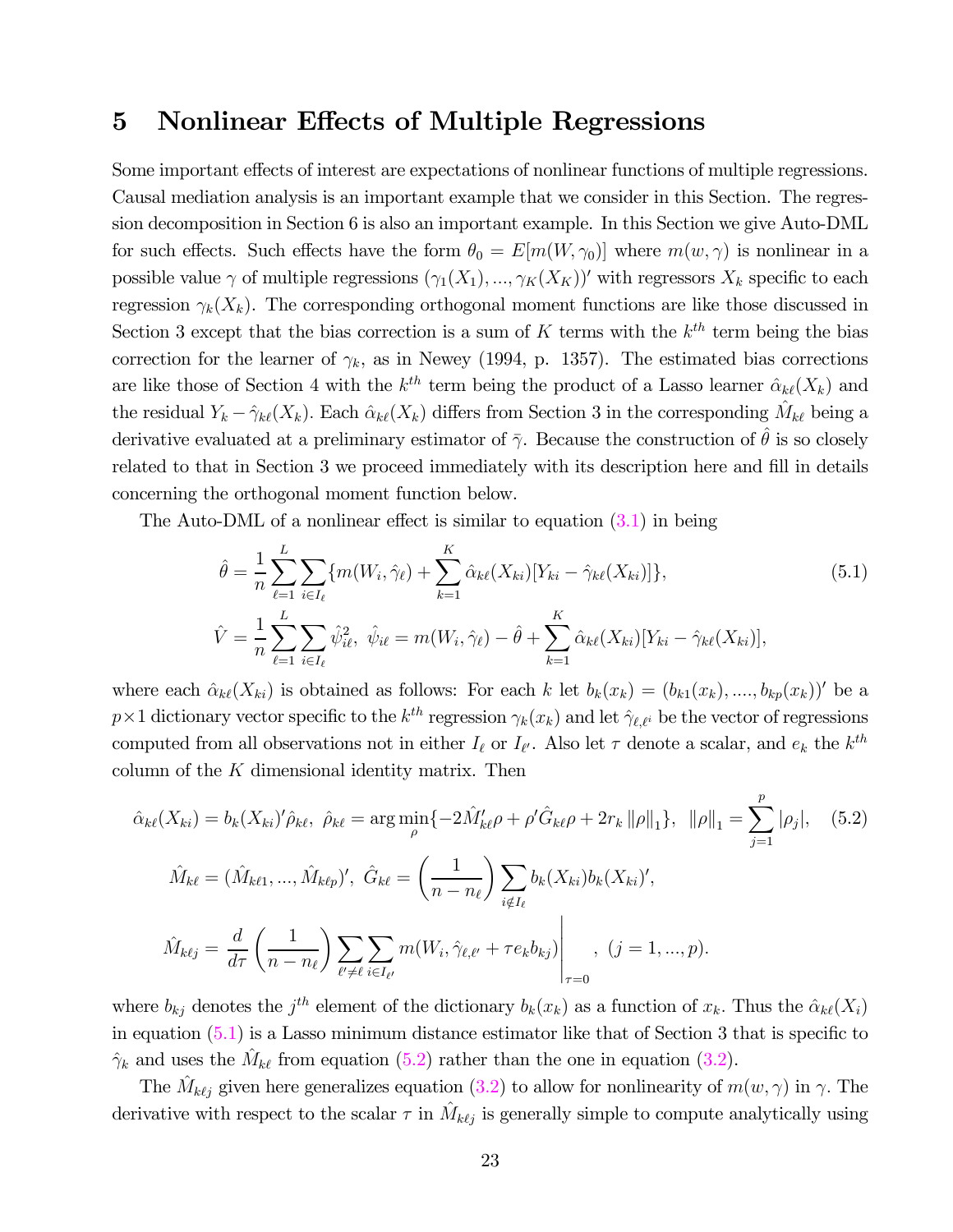### 5 Nonlinear Effects of Multiple Regressions

Some important effects of interest are expectations of nonlinear functions of multiple regressions. Causal mediation analysis is an important example that we consider in this Section. The regression decomposition in Section 6 is also an important example. In this Section we give Auto-DML for such effects. Such effects have the form  $\theta_0 = E[m(W, \gamma_0)]$  where  $m(w, \gamma)$  is nonlinear in a possible value  $\gamma$  of multiple regressions  $(\gamma_1(X_1), ..., \gamma_K(X_K))'$  with regressors  $X_k$  specific to each regression  $\gamma_k(X_k)$ . The corresponding orthogonal moment functions are like those discussed in Section 3 except that the bias correction is a sum of  $K$  terms with the  $k^{th}$  term being the bias correction for the learner of  $\gamma_k$ , as in Newey (1994, p. 1357). The estimated bias corrections are like those of Section 4 with the  $k^{th}$  term being the product of a Lasso learner  $\hat{\alpha}_{k\ell}(X_k)$  and the residual  $Y_k - \hat{\gamma}_{k\ell}(X_k)$ . Each  $\hat{\alpha}_{k\ell}(X_k)$  differs from Section 3 in the corresponding  $\hat{M}_{k\ell}$  being a derivative evaluated at a preliminary estimator of  $\bar{\gamma}$ . Because the construction of  $\bar{\theta}$  is so closely related to that in Section 3 we proceed immediately with its description here and fill in details concerning the orthogonal moment function below.

The Auto-DML of a nonlinear effect is similar to equation (3.1) in being

$$
\hat{\theta} = \frac{1}{n} \sum_{\ell=1}^{L} \sum_{i \in I_{\ell}} \{ m(W_i, \hat{\gamma}_{\ell}) + \sum_{k=1}^{K} \hat{\alpha}_{k\ell}(X_{ki}) [Y_{ki} - \hat{\gamma}_{k\ell}(X_{ki})] \},
$$
\n
$$
\hat{V} = \frac{1}{n} \sum_{\ell=1}^{L} \sum_{i \in I_{\ell}} \hat{\psi}_{i\ell}^2, \ \hat{\psi}_{i\ell} = m(W_i, \hat{\gamma}_{\ell}) - \hat{\theta} + \sum_{k=1}^{K} \hat{\alpha}_{k\ell}(X_{ki}) [Y_{ki} - \hat{\gamma}_{k\ell}(X_{ki})],
$$
\n(5.1)

where each  $\hat{\alpha}_{k\ell}(X_{ki})$  is obtained as follows: For each k let  $b_k(x_k)=(b_{k1}(x_k),...,b_{kp}(x_k))'$  be a  $p \times 1$  dictionary vector specific to the  $k^{th}$  regression  $\gamma_k(x_k)$  and let  $\hat{\gamma}_{\ell,\ell^i}$  be the vector of regressions computed from all observations not in either  $I_{\ell}$  or  $I_{\ell'}$ . Also let  $\tau$  denote a scalar, and  $e_k$  the  $k^{th}$ column of the  $K$  dimensional identity matrix. Then

$$
\hat{\alpha}_{k\ell}(X_{ki}) = b_k(X_{ki})'\hat{\rho}_{k\ell}, \ \hat{\rho}_{k\ell} = \arg\min_{\rho} \{-2\hat{M}'_{k\ell}\rho + \rho'\hat{G}_{k\ell}\rho + 2r_k ||\rho||_1\}, \ ||\rho||_1 = \sum_{j=1}^p |\rho_j|, \quad (5.2)
$$

$$
\hat{M}_{k\ell} = (\hat{M}_{k\ell 1}, ..., \hat{M}_{k\ell p})', \ \hat{G}_{k\ell} = \left(\frac{1}{n - n_\ell}\right) \sum_{i \notin I_\ell} b_k(X_{ki})b_k(X_{ki})',
$$

$$
\hat{M}_{k\ell j} = \frac{d}{d\tau} \left(\frac{1}{n - n_\ell}\right) \sum_{\ell' \neq \ell} \sum_{i \in I_{\ell'}} m(W_i, \hat{\gamma}_{\ell, \ell'} + \tau e_k b_{kj}) \Big|_{\tau = 0}, \quad (j = 1, ..., p).
$$

where  $b_{kj}$  denotes the  $j^{th}$  element of the dictionary  $b_k(x_k)$  as a function of  $x_k$ . Thus the  $\hat{\alpha}_{k\ell}(X_i)$ in equation (5.1) is a Lasso minimum distance estimator like that of Section 3 that is specific to  $\hat{\gamma}_k$  and uses the  $\hat{M}_{k\ell}$  from equation (5.2) rather than the one in equation (3.2).

The  $\hat{M}_{k\ell j}$  given here generalizes equation (3.2) to allow for nonlinearity of  $m(w, \gamma)$  in  $\gamma$ . The derivative with respect to the scalar  $\tau$  in  $\hat{M}_{k\ell j}$  is generally simple to compute analytically using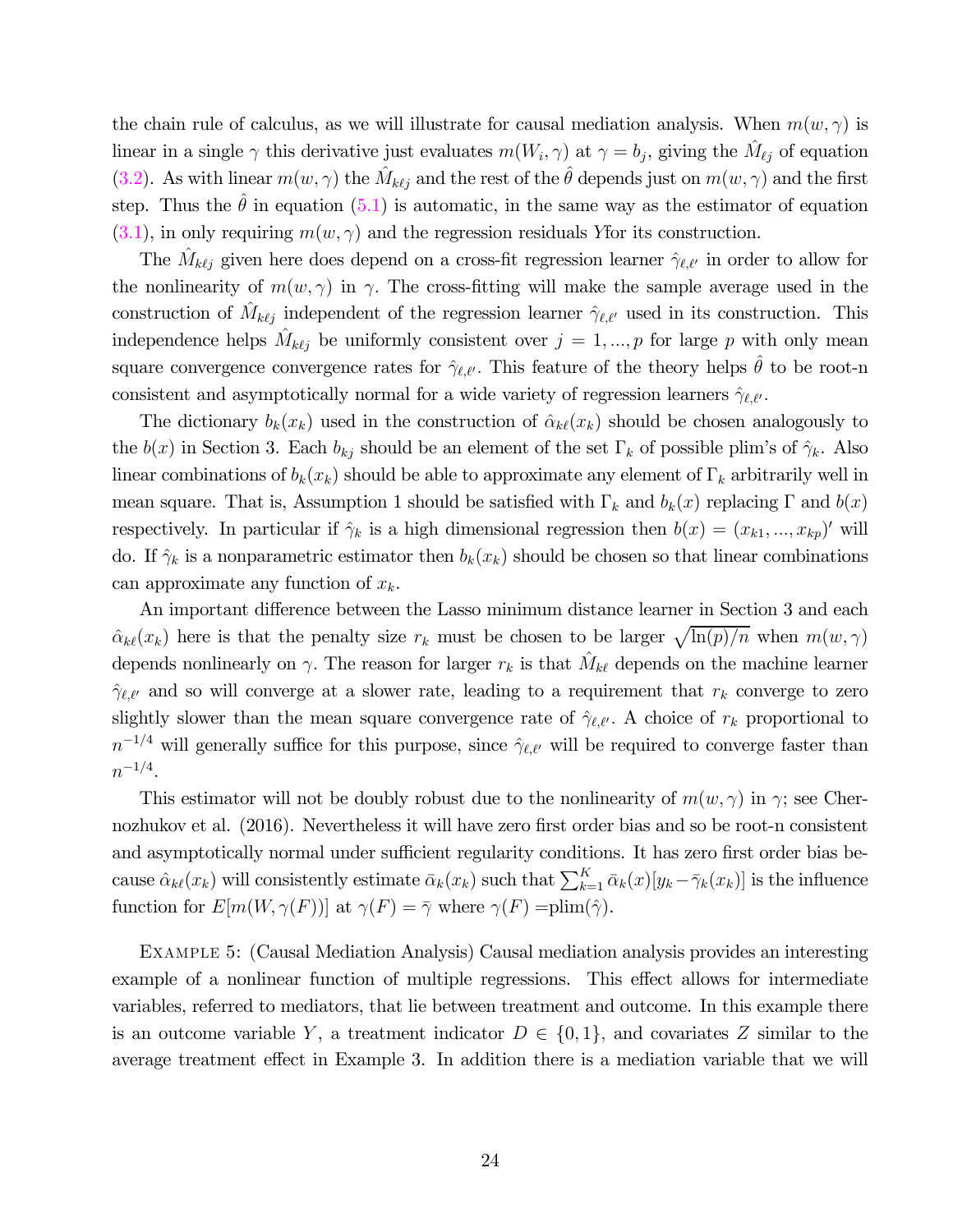the chain rule of calculus, as we will illustrate for causal mediation analysis. When  $m(w, \gamma)$  is linear in a single  $\gamma$  this derivative just evaluates  $m(W_i, \gamma)$  at  $\gamma = b_j$ , giving the  $\hat{M}_{\ell j}$  of equation (3.2). As with linear  $m(w, \gamma)$  the  $\hat{M}_{k\ell j}$  and the rest of the  $\hat{\theta}$  depends just on  $m(w, \gamma)$  and the first step. Thus the  $\hat{\theta}$  in equation (5.1) is automatic, in the same way as the estimator of equation  $(3.1)$ , in only requiring  $m(w, \gamma)$  and the regression residuals Y for its construction.

The  $\hat{M}_{k\ell j}$  given here does depend on a cross-fit regression learner  $\hat{\gamma}_{\ell,\ell'}$  in order to allow for the nonlinearity of  $m(w, \gamma)$  in  $\gamma$ . The cross-fitting will make the sample average used in the construction of  $\hat{M}_{k\ell j}$  independent of the regression learner  $\hat{\gamma}_{\ell,\ell'}$  used in its construction. This independence helps  $\hat{M}_{k\ell j}$  be uniformly consistent over  $j = 1, ..., p$  for large p with only mean square convergence convergence rates for  $\hat{\gamma}_{\ell,\ell'}$ . This feature of the theory helps  $\hat{\theta}$  to be root-n consistent and asymptotically normal for a wide variety of regression learners  $\hat{\gamma}_{\ell,\ell'}$ .

The dictionary  $b_k(x_k)$  used in the construction of  $\hat{\alpha}_{k\ell}(x_k)$  should be chosen analogously to the  $b(x)$  in Section 3. Each  $b_{kj}$  should be an element of the set  $\Gamma_k$  of possible plim's of  $\hat{\gamma}_k$ . Also linear combinations of  $b_k(x_k)$  should be able to approximate any element of  $\Gamma_k$  arbitrarily well in mean square. That is, Assumption 1 should be satisfied with  $\Gamma_k$  and  $b_k(x)$  replacing  $\Gamma$  and  $b(x)$ respectively. In particular if  $\hat{\gamma}_k$  is a high dimensional regression then  $b(x)=(x_{k1},...,x_{kp})'$  will do. If  $\hat{\gamma}_k$  is a nonparametric estimator then  $b_k(x_k)$  should be chosen so that linear combinations can approximate any function of  $x_k$ .

An important difference between the Lasso minimum distance learner in Section 3 and each  $\hat{\alpha}_{k\ell}(x_k)$  here is that the penalty size  $r_k$  must be chosen to be larger  $\sqrt{\ln(p)/n}$  when  $m(w, \gamma)$ depends nonlinearly on  $\gamma$ . The reason for larger  $r_k$  is that  $\hat{M}_{k\ell}$  depends on the machine learner  $\hat{\gamma}_{\ell,\ell'}$  and so will converge at a slower rate, leading to a requirement that  $r_k$  converge to zero slightly slower than the mean square convergence rate of  $\hat{\gamma}_{\ell,\ell'}$ . A choice of  $r_k$  proportional to  $n^{-1/4}$  will generally suffice for this purpose, since  $\hat{\gamma}_{\ell,\ell'}$  will be required to converge faster than  $n^{-1/4}.$ 

This estimator will not be doubly robust due to the nonlinearity of  $m(w, \gamma)$  in  $\gamma$ ; see Chernozhukov et al. (2016). Nevertheless it will have zero first order bias and so be root-n consistent and asymptotically normal under sufficient regularity conditions. It has zero first order bias because  $\hat{\alpha}_{k\ell}(x_k)$  will consistently estimate  $\bar{\alpha}_k(x_k)$  such that  $\sum_{k=1}^K \bar{\alpha}_k(x)[y_k - \bar{\gamma}_k(x_k)]$  is the influence function for  $E[m(W, \gamma(F))]$  at  $\gamma(F)=\overline{\gamma}$  where  $\gamma(F) =\text{plim}(\hat{\gamma})$ .

Example 5: (Causal Mediation Analysis) Causal mediation analysis provides an interesting example of a nonlinear function of multiple regressions. This effect allows for intermediate variables, referred to mediators, that lie between treatment and outcome. In this example there is an outcome variable Y, a treatment indicator  $D \in \{0,1\}$ , and covariates Z similar to the average treatment effect in Example 3. In addition there is a mediation variable that we will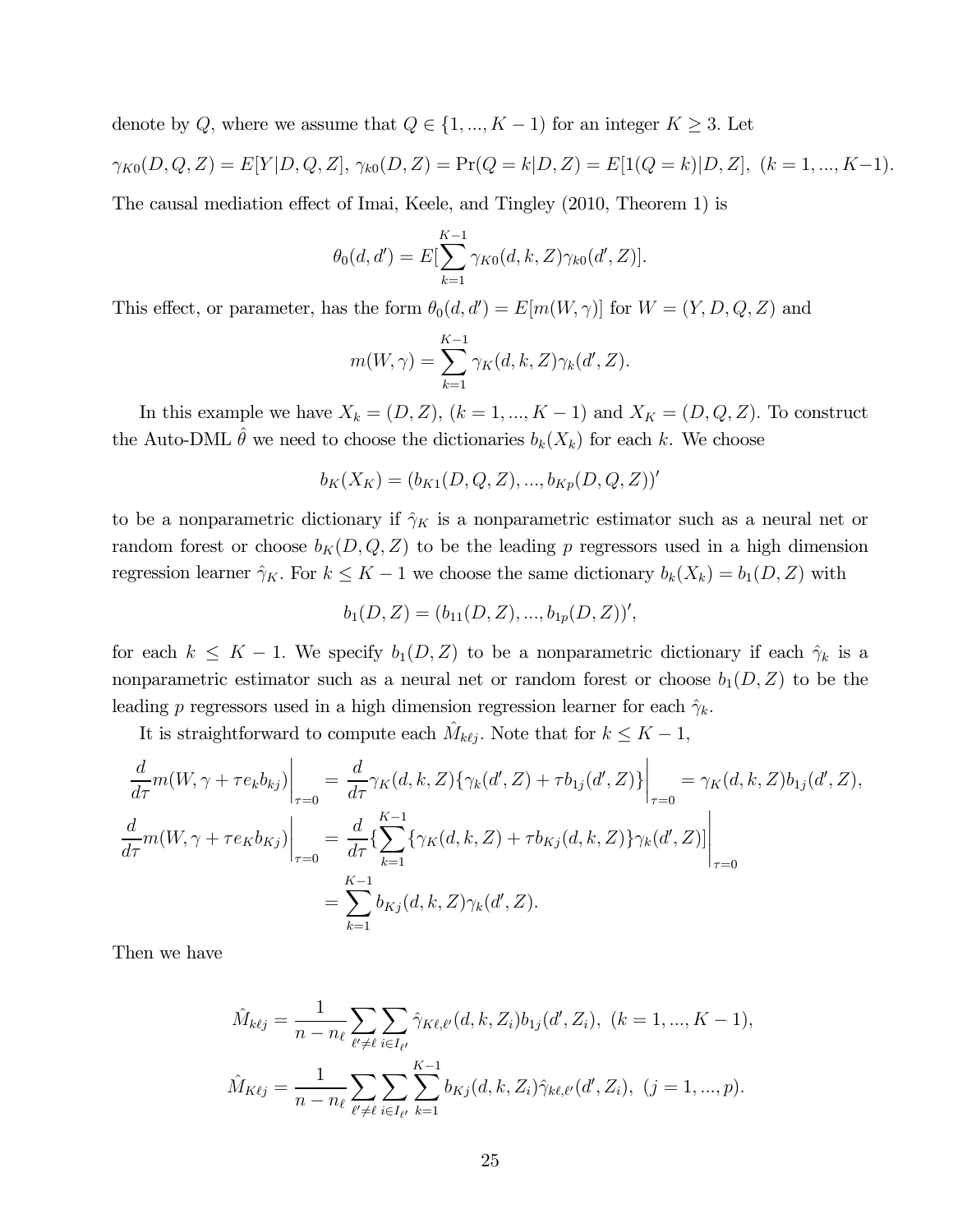denote by Q, where we assume that  $Q \in \{1, ..., K - 1\}$  for an integer  $K \geq 3$ . Let  $\gamma_{K0}(D, Q, Z) = E[Y|D, Q, Z], \gamma_{k0}(D, Z) = \Pr(Q = k|D, Z) = E[1(Q = k)|D, Z], (k = 1, ..., K-1).$ 

The causal mediation effect of Imai, Keele, and Tingley (2010, Theorem 1) is

$$
\theta_0(d, d') = E[\sum_{k=1}^{K-1} \gamma_{K0}(d, k, Z) \gamma_{k0}(d', Z)].
$$

This effect, or parameter, has the form  $\theta_0(d, d') = E[m(W, \gamma)]$  for  $W = (Y, D, Q, Z)$  and

$$
m(W, \gamma) = \sum_{k=1}^{K-1} \gamma_K(d, k, Z) \gamma_k(d', Z).
$$

In this example we have  $X_k = (D, Z)$ ,  $(k = 1, ..., K - 1)$  and  $X_K = (D, Q, Z)$ . To construct the Auto-DML  $\hat{\theta}$  we need to choose the dictionaries  $b_k(X_k)$  for each k. We choose

$$
b_K(X_K) = (b_{K1}(D, Q, Z), ..., b_{Kp}(D, Q, Z))'
$$

to be a nonparametric dictionary if  $\hat{\gamma}_K$  is a nonparametric estimator such as a neural net or random forest or choose  $b_K(D, Q, Z)$  to be the leading p regressors used in a high dimension regression learner  $\hat{\gamma}_K$ . For  $k \leq K - 1$  we choose the same dictionary  $b_k(X_k) = b_1(D, Z)$  with

$$
b_1(D, Z) = (b_{11}(D, Z), ..., b_{1p}(D, Z))'
$$

for each  $k \leq K - 1$ . We specify  $b_1(D, Z)$  to be a nonparametric dictionary if each  $\hat{\gamma}_k$  is a nonparametric estimator such as a neural net or random forest or choose  $b_1(D, Z)$  to be the leading p regressors used in a high dimension regression learner for each  $\hat{\gamma}_k$ .

It is straightforward to compute each  $\hat{M}_{k\ell j}$ . Note that for  $k \leq K - 1$ ,

$$
\frac{d}{d\tau}m(W,\gamma + \tau e_k b_{kj})\Big|_{\tau=0} = \frac{d}{d\tau}\gamma_K(d,k,Z)\{\gamma_k(d',Z) + \tau b_{1j}(d',Z)\}\Big|_{\tau=0} = \gamma_K(d,k,Z)b_{1j}(d',Z),
$$
\n
$$
\frac{d}{d\tau}m(W,\gamma + \tau e_K b_{Kj})\Big|_{\tau=0} = \frac{d}{d\tau}\left\{\sum_{k=1}^{K-1}\{\gamma_K(d,k,Z) + \tau b_{Kj}(d,k,Z)\}\gamma_k(d',Z)\right\}\Big|_{\tau=0}
$$
\n
$$
= \sum_{k=1}^{K-1}b_{Kj}(d,k,Z)\gamma_k(d',Z).
$$

Then we have

$$
\hat{M}_{k\ell j} = \frac{1}{n - n_{\ell}} \sum_{\ell' \neq \ell} \sum_{i \in I_{\ell'}} \hat{\gamma}_{K\ell,\ell'}(d, k, Z_i) b_{1j}(d', Z_i), \ (k = 1, ..., K - 1),
$$

$$
\hat{M}_{K\ell j} = \frac{1}{n - n_{\ell}} \sum_{\ell' \neq \ell} \sum_{i \in I_{\ell'}} \sum_{k=1}^{K-1} b_{Kj}(d, k, Z_i) \hat{\gamma}_{k\ell,\ell'}(d', Z_i), \ (j = 1, ..., p).
$$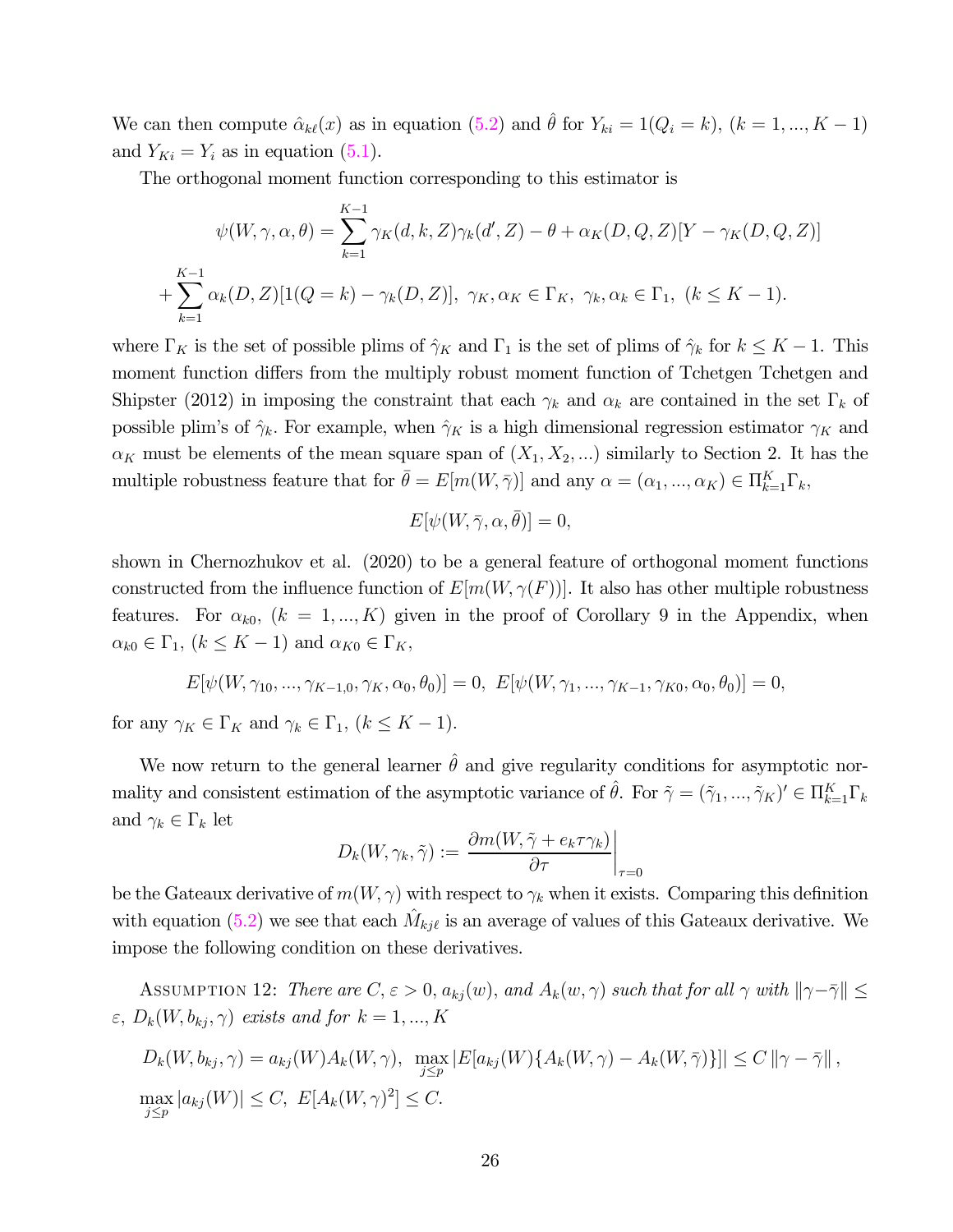We can then compute  $\hat{\alpha}_{k\ell}(x)$  as in equation  $(5.2)$  and  $\hat{\theta}$  for  $Y_{ki} = 1(Q_i = k)$ ,  $(k = 1, ..., K - 1)$ and  $Y_{Ki} = Y_i$  as in equation (5.1).

The orthogonal moment function corresponding to this estimator is

$$
\psi(W, \gamma, \alpha, \theta) = \sum_{k=1}^{K-1} \gamma_K(d, k, Z) \gamma_k(d', Z) - \theta + \alpha_K(D, Q, Z)[Y - \gamma_K(D, Q, Z)]
$$
  
+ 
$$
\sum_{k=1}^{K-1} \alpha_k(D, Z)[1(Q = k) - \gamma_k(D, Z)], \gamma_K, \alpha_K \in \Gamma_K, \gamma_k, \alpha_k \in \Gamma_1, (k \le K - 1).
$$

where  $\Gamma_K$  is the set of possible plims of  $\hat{\gamma}_K$  and  $\Gamma_1$  is the set of plims of  $\hat{\gamma}_k$  for  $k \leq K - 1$ . This moment function differs from the multiply robust moment function of Tchetgen Tchetgen and Shipster (2012) in imposing the constraint that each  $\gamma_k$  and  $\alpha_k$  are contained in the set  $\Gamma_k$  of possible plim's of  $\hat{\gamma}_k$ . For example, when  $\hat{\gamma}_K$  is a high dimensional regression estimator  $\gamma_K$  and  $\alpha_K$  must be elements of the mean square span of  $(X_1, X_2, ...)$  similarly to Section 2. It has the multiple robustness feature that for  $\bar{\theta} = E[m(W, \bar{\gamma})]$  and any  $\alpha = (\alpha_1, ..., \alpha_K) \in \Pi_{k=1}^K \Gamma_k$ ,

$$
E[\psi(W,\bar{\gamma},\alpha,\bar{\theta})] = 0,
$$

shown in Chernozhukov et al. (2020) to be a general feature of orthogonal moment functions constructed from the influence function of  $E[m(W, \gamma(F))]$ . It also has other multiple robustness features. For  $\alpha_{k0}$ ,  $(k = 1, ..., K)$  given in the proof of Corollary 9 in the Appendix, when  $\alpha_{k0} \in \Gamma_1, (k \leq K - 1)$  and  $\alpha_{K0} \in \Gamma_K$ ,

$$
E[\psi(W, \gamma_{10}, ..., \gamma_{K-1,0}, \gamma_K, \alpha_0, \theta_0)] = 0, \ E[\psi(W, \gamma_1, ..., \gamma_{K-1}, \gamma_{K0}, \alpha_0, \theta_0)] = 0,
$$

for any  $\gamma_K \in \Gamma_K$  and  $\gamma_k \in \Gamma_1$ ,  $(k \leq K - 1)$ .

We now return to the general learner  $\hat{\theta}$  and give regularity conditions for asymptotic normality and consistent estimation of the asymptotic variance of  $\hat{\theta}$ . For  $\tilde{\gamma} = (\tilde{\gamma}_1, ..., \tilde{\gamma}_K)' \in \Pi_{k=1}^K \Gamma_k$ and  $\gamma_k \in \Gamma_k$  let

$$
D_k(W, \gamma_k, \tilde{\gamma}) := \frac{\partial m(W, \tilde{\gamma} + e_k \tau \gamma_k)}{\partial \tau} \bigg|_{\tau=0}
$$

be the Gateaux derivative of  $m(W, \gamma)$  with respect to  $\gamma_k$  when it exists. Comparing this definition with equation (5.2) we see that each  $M_{kj\ell}$  is an average of values of this Gateaux derivative. We impose the following condition on these derivatives.

ASSUMPTION 12: There are  $C, \varepsilon > 0, a_{kj}(w),$  and  $A_k(w, \gamma)$  such that for all  $\gamma$  with  $\|\gamma-\bar{\gamma}\| \leq$  $\varepsilon, D_k(W, b_{kj}, \gamma)$  exists and for  $k = 1, ..., K$ 

$$
D_k(W, b_{kj}, \gamma) = a_{kj}(W)A_k(W, \gamma), \max_{j \le p} |E[a_{kj}(W)\{A_k(W, \gamma) - A_k(W, \overline{\gamma})\}]| \le C \|\gamma - \overline{\gamma}\|,
$$
  

$$
\max_{j \le p} |a_{kj}(W)| \le C, E[A_k(W, \gamma)^2] \le C.
$$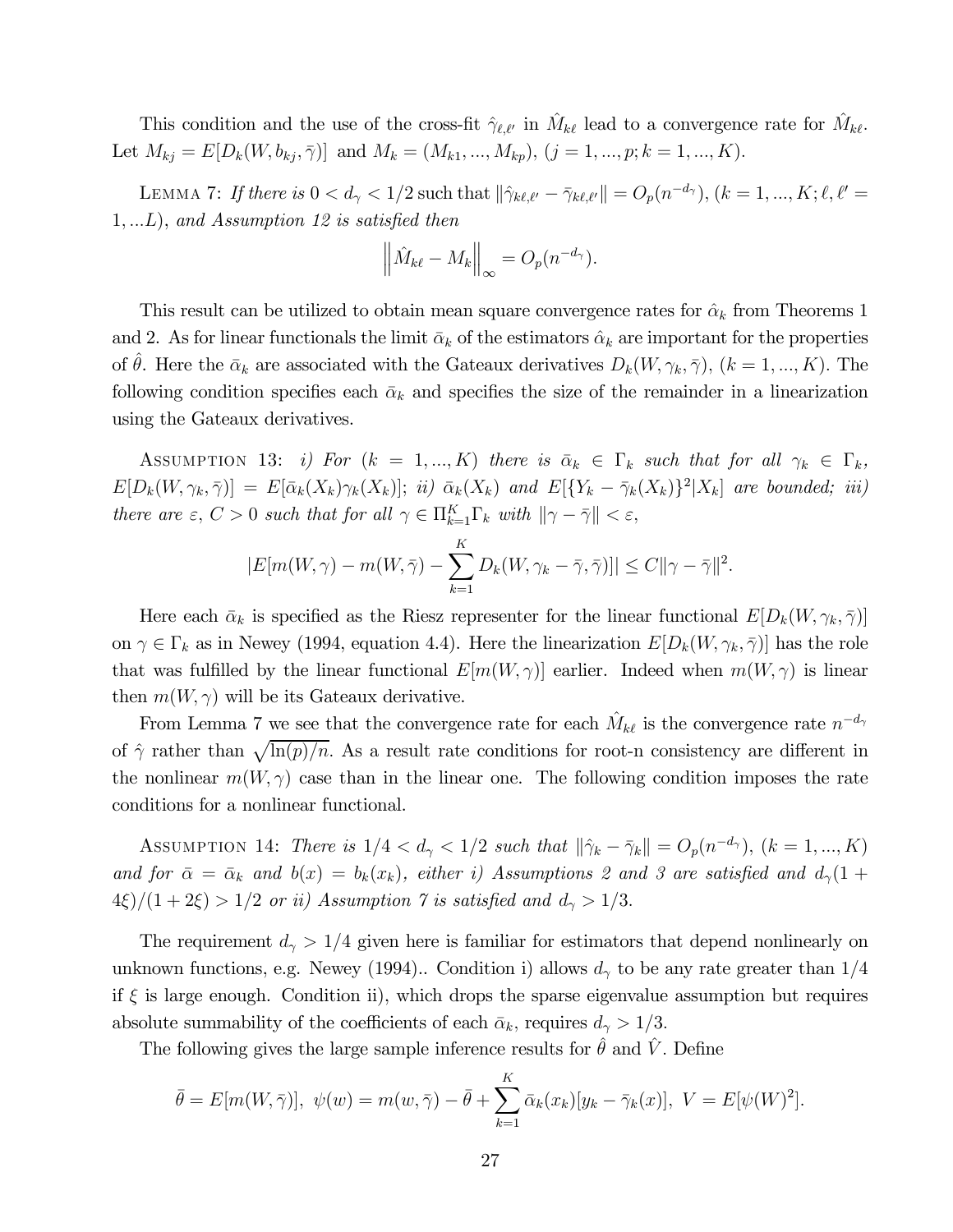This condition and the use of the cross-fit  $\hat{\gamma}_{\ell,\ell'}$  in  $M_{k\ell}$  lead to a convergence rate for  $M_{k\ell}$ . Let  $M_{kj} = E[D_k(W, b_{kj}, \bar{\gamma})]$  and  $M_k = (M_{k1}, ..., M_{kp}), (j = 1, ..., p; k = 1, ..., K)$ .

LEMMA 7: If there is  $0 < d_{\gamma} < 1/2$  such that  $\|\hat{\gamma}_{k\ell,\ell'} - \bar{\gamma}_{k\ell,\ell'}\| = O_p(n^{-d_{\gamma}}), (k = 1, ..., K; \ell, \ell' =$  $1, \ldots L$ , and Assumption 12 is satisfied then

$$
\left\|\hat{M}_{k\ell} - M_k\right\|_{\infty} = O_p(n^{-d_\gamma}).
$$

This result can be utilized to obtain mean square convergence rates for  $\hat{\alpha}_k$  from Theorems 1 and 2. As for linear functionals the limit  $\bar{\alpha}_k$  of the estimators  $\hat{\alpha}_k$  are important for the properties of  $\theta$ . Here the  $\bar{\alpha}_k$  are associated with the Gateaux derivatives  $D_k(W, \gamma_k, \bar{\gamma})$ ,  $(k = 1, ..., K)$ . The following condition specifies each  $\bar{\alpha}_k$  and specifies the size of the remainder in a linearization using the Gateaux derivatives.

ASSUMPTION 13: i) For  $(k = 1, ..., K)$  there is  $\bar{\alpha}_k \in \Gamma_k$  such that for all  $\gamma_k \in \Gamma_k$ ,  $E[D_k(W, \gamma_k, \overline{\gamma})] = E[\overline{\alpha}_k(X_k)\gamma_k(X_k)];$  ii)  $\overline{\alpha}_k(X_k)$  and  $E[\{Y_k - \overline{\gamma}_k(X_k)\}^2|X_k]$  are bounded; iii) there are  $\varepsilon$ ,  $C > 0$  such that for all  $\gamma \in \Pi_{k=1}^K \Gamma_k$  with  $\|\gamma - \bar{\gamma}\| < \varepsilon$ ,

$$
|E[m(W,\gamma)-m(W,\bar{\gamma})-\sum_{k=1}^K D_k(W,\gamma_k-\bar{\gamma},\bar{\gamma})]|\leq C||\gamma-\bar{\gamma}||^2.
$$

Here each  $\bar{\alpha}_k$  is specified as the Riesz representer for the linear functional  $E[D_k(W, \gamma_k, \bar{\gamma})]$ on  $\gamma \in \Gamma_k$  as in Newey (1994, equation 4.4). Here the linearization  $E[D_k(W, \gamma_k, \overline{\gamma})]$  has the role that was fulfilled by the linear functional  $E[m(W, \gamma)]$  earlier. Indeed when  $m(W, \gamma)$  is linear then  $m(W, \gamma)$  will be its Gateaux derivative.

From Lemma 7 we see that the convergence rate for each  $\hat{M}_{k\ell}$  is the convergence rate  $n^{-d_{\gamma}}$ of  $\hat{\gamma}$  rather than  $\sqrt{\ln(p)/n}$ . As a result rate conditions for root-n consistency are different in the nonlinear  $m(W, \gamma)$  case than in the linear one. The following condition imposes the rate conditions for a nonlinear functional.

ASSUMPTION 14: There is  $1/4 < d_{\gamma} < 1/2$  such that  $\|\hat{\gamma}_k - \bar{\gamma}_k\| = O_p(n^{-d_{\gamma}}), (k = 1, ..., K)$ and for  $\bar{\alpha} = \bar{\alpha}_k$  and  $b(x) = b_k(x_k)$ , either i) Assumptions 2 and 3 are satisfied and  $d_{\gamma}(1 +$  $4\xi/(1+2\xi) > 1/2$  or ii) Assumption 7 is satisfied and  $d_{\gamma} > 1/3$ .

The requirement  $d_{\gamma} > 1/4$  given here is familiar for estimators that depend nonlinearly on unknown functions, e.g. Newey (1994).. Condition i) allows  $d_{\gamma}$  to be any rate greater than  $1/4$ if  $\xi$  is large enough. Condition ii), which drops the sparse eigenvalue assumption but requires absolute summability of the coefficients of each  $\bar{\alpha}_k$ , requires  $d_{\gamma} > 1/3$ .

The following gives the large sample inference results for  $\theta$  and  $V$ . Define

$$
\bar{\theta} = E[m(W, \bar{\gamma})], \ \psi(w) = m(w, \bar{\gamma}) - \bar{\theta} + \sum_{k=1}^{K} \bar{\alpha}_k(x_k)[y_k - \bar{\gamma}_k(x)], \ V = E[\psi(W)^2].
$$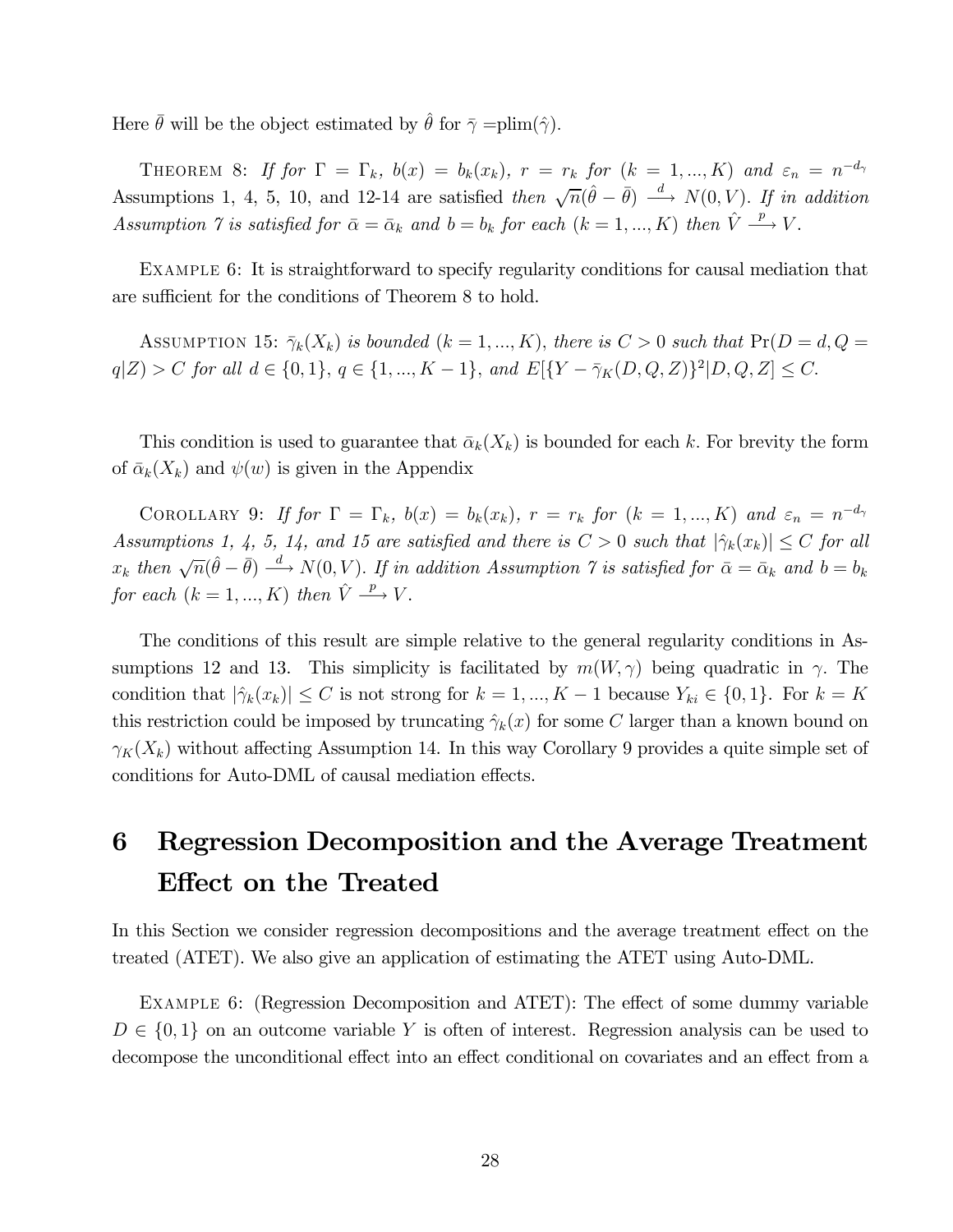Here  $\bar{\theta}$  will be the object estimated by  $\hat{\theta}$  for  $\bar{\gamma}$  =plim( $\hat{\gamma}$ ).

THEOREM 8: If for  $\Gamma = \Gamma_k$ ,  $b(x) = b_k(x_k)$ ,  $r = r_k$  for  $(k = 1, ..., K)$  and  $\varepsilon_n = n^{-d_{\gamma}}$ Assumptions 1, 4, 5, 10, and 12-14 are satisfied then  $\sqrt{n}(\hat{\theta} - \bar{\theta}) \stackrel{d}{\longrightarrow} N(0, V)$ . If in addition Assumption 7 is satisfied for  $\bar{\alpha} = \bar{\alpha}_k$  and  $b = b_k$  for each  $(k = 1, ..., K)$  then  $\hat{V} \stackrel{p}{\longrightarrow} V$ .

Example 6: It is straightforward to specify regularity conditions for causal mediation that are sufficient for the conditions of Theorem 8 to hold.

ASSUMPTION 15:  $\bar{\gamma}_k(X_k)$  is bounded  $(k = 1, ..., K)$ , there is  $C > 0$  such that  $Pr(D = d, Q =$  $|q|Z| > C$  for all  $d \in \{0, 1\}, q \in \{1, ..., K - 1\},$  and  $E[\{Y - \bar{\gamma}_K(D, Q, Z)\}^2 | D, Q, Z] \leq C.$ 

This condition is used to guarantee that  $\bar{\alpha}_k(X_k)$  is bounded for each k. For brevity the form of  $\bar{\alpha}_k(X_k)$  and  $\psi(w)$  is given in the Appendix

COROLLARY 9: If for  $\Gamma = \Gamma_k$ ,  $b(x) = b_k(x_k)$ ,  $r = r_k$  for  $(k = 1, ..., K)$  and  $\varepsilon_n = n^{-d_{\gamma}}$ Assumptions 1, 4, 5, 14, and 15 are satisfied and there is  $C > 0$  such that  $|\hat{\gamma}_k(x_k)| \leq C$  for all  $x_k$  then  $\sqrt{n}(\hat{\theta}-\bar{\theta}) \stackrel{d}{\longrightarrow} N(0, V)$ . If in addition Assumption  $\gamma$  is satisfied for  $\bar{\alpha} = \bar{\alpha}_k$  and  $b = b_k$ for each  $(k = 1, ..., K)$  then  $\hat{V} \stackrel{p}{\longrightarrow} V$ .

The conditions of this result are simple relative to the general regularity conditions in Assumptions 12 and 13. This simplicity is facilitated by  $m(W, \gamma)$  being quadratic in  $\gamma$ . The condition that  $|\hat{\gamma}_k(x_k)| \leq C$  is not strong for  $k = 1, ..., K-1$  because  $Y_{ki} \in \{0, 1\}$ . For  $k = K$ this restriction could be imposed by truncating  $\hat{\gamma}_k(x)$  for some C larger than a known bound on  $\gamma_K(X_k)$  without affecting Assumption 14. In this way Corollary 9 provides a quite simple set of conditions for Auto-DML of causal mediation effects.

## 6 Regression Decomposition and the Average Treatment Effect on the Treated

In this Section we consider regression decompositions and the average treatment effect on the treated (ATET). We also give an application of estimating the ATET using Auto-DML.

Example 6: (Regression Decomposition and ATET): The effect of some dummy variable  $D \in \{0,1\}$  on an outcome variable Y is often of interest. Regression analysis can be used to decompose the unconditional effect into an effect conditional on covariates and an effect from a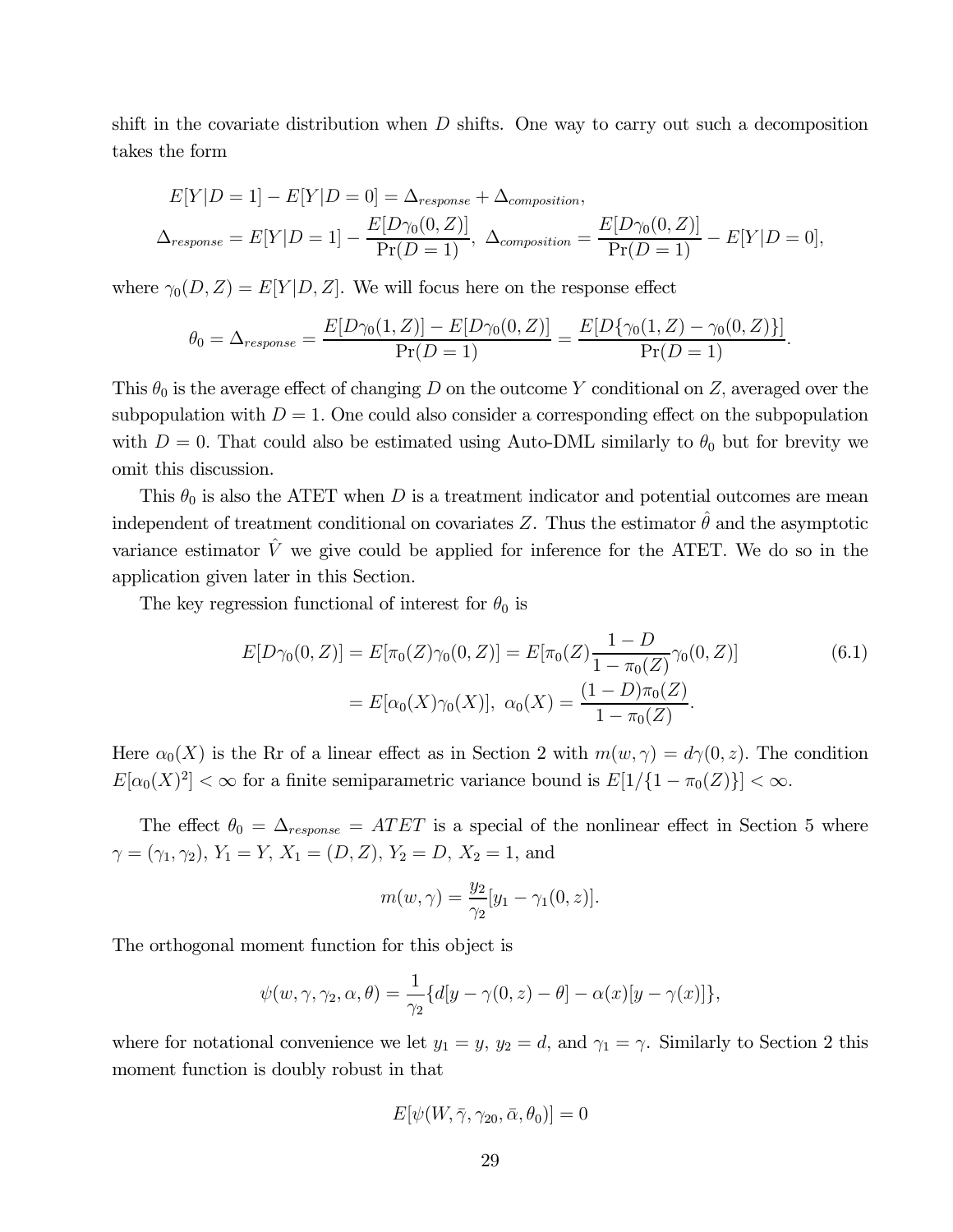shift in the covariate distribution when  $D$  shifts. One way to carry out such a decomposition takes the form

$$
E[Y|D=1] - E[Y|D=0] = \Delta_{response} + \Delta_{composition},
$$
  

$$
\Delta_{response} = E[Y|D=1] - \frac{E[D\gamma_0(0,Z)]}{Pr(D=1)}, \ \Delta_{composition} = \frac{E[D\gamma_0(0,Z)]}{Pr(D=1)} - E[Y|D=0],
$$

where  $\gamma_0(D, Z) = E[Y|D, Z]$ . We will focus here on the response effect

$$
\theta_0 = \Delta_{response} = \frac{E[D\gamma_0(1,Z)] - E[D\gamma_0(0,Z)]}{\Pr(D=1)} = \frac{E[D\{\gamma_0(1,Z) - \gamma_0(0,Z)\}]}{\Pr(D=1)}.
$$

This  $\theta_0$  is the average effect of changing D on the outcome Y conditional on Z, averaged over the subpopulation with  $D = 1$ . One could also consider a corresponding effect on the subpopulation with  $D = 0$ . That could also be estimated using Auto-DML similarly to  $\theta_0$  but for brevity we omit this discussion.

This  $\theta_0$  is also the ATET when D is a treatment indicator and potential outcomes are mean independent of treatment conditional on covariates Z. Thus the estimator  $\hat{\theta}$  and the asymptotic variance estimator  $\hat{V}$  we give could be applied for inference for the ATET. We do so in the application given later in this Section.

The key regression functional of interest for  $\theta_0$  is

$$
E[D\gamma_0(0,Z)] = E[\pi_0(Z)\gamma_0(0,Z)] = E[\pi_0(Z)\frac{1-D}{1-\pi_0(Z)}\gamma_0(0,Z)]
$$
\n
$$
= E[\alpha_0(X)\gamma_0(X)], \ \alpha_0(X) = \frac{(1-D)\pi_0(Z)}{1-\pi_0(Z)}.
$$
\n(6.1)

Here  $\alpha_0(X)$  is the Rr of a linear effect as in Section 2 with  $m(w, \gamma) = d\gamma(0, z)$ . The condition  $E[\alpha_0(X)^2] < \infty$  for a finite semiparametric variance bound is  $E[1/\{1 - \pi_0(Z)\}] < \infty$ .

The effect  $\theta_0 = \Delta_{response} = ATET$  is a special of the nonlinear effect in Section 5 where  $\gamma = (\gamma_1, \gamma_2), Y_1 = Y, X_1 = (D, Z), Y_2 = D, X_2 = 1, \text{ and }$ 

$$
m(w, \gamma) = \frac{y_2}{\gamma_2} [y_1 - \gamma_1(0, z)].
$$

The orthogonal moment function for this object is

$$
\psi(w, \gamma, \gamma_2, \alpha, \theta) = \frac{1}{\gamma_2} \{d[y - \gamma(0, z) - \theta] - \alpha(x)[y - \gamma(x)]\},\
$$

where for notational convenience we let  $y_1 = y$ ,  $y_2 = d$ , and  $\gamma_1 = \gamma$ . Similarly to Section 2 this moment function is doubly robust in that

$$
E[\psi(W,\bar{\gamma},\gamma_{20},\bar{\alpha},\theta_0)]=0
$$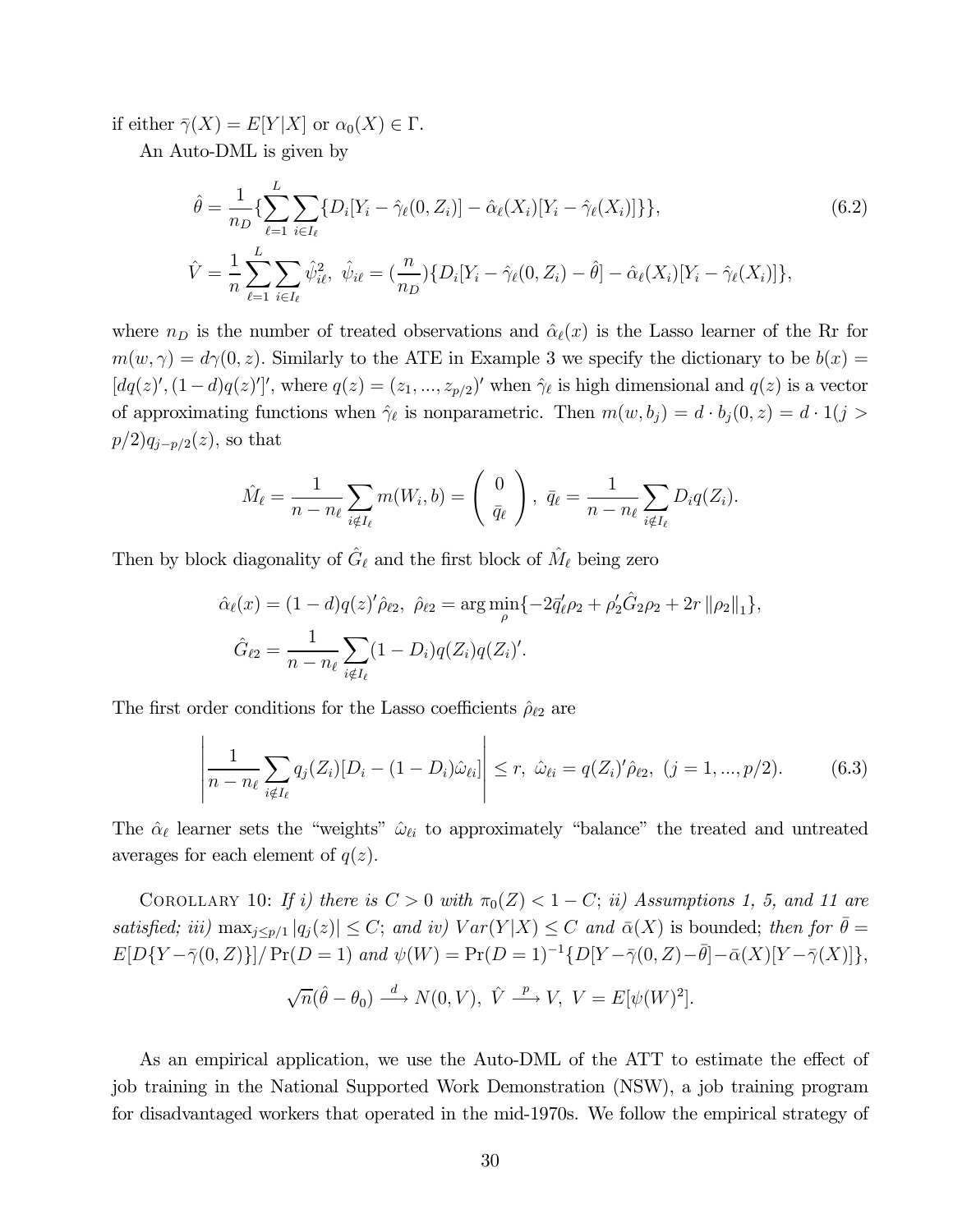if either  $\overline{\gamma}(X) = E[Y|X]$  or  $\alpha_0(X) \in \Gamma$ .

An Auto-DML is given by

$$
\hat{\theta} = \frac{1}{n_D} \{ \sum_{\ell=1}^{L} \sum_{i \in I_{\ell}} \{ D_i [Y_i - \hat{\gamma}_{\ell}(0, Z_i)] - \hat{\alpha}_{\ell}(X_i) [Y_i - \hat{\gamma}_{\ell}(X_i)] \} \},
$$
\n
$$
\hat{V} = \frac{1}{n} \sum_{\ell=1}^{L} \sum_{i \in I_{\ell}} \hat{\psi}_{i\ell}^2, \ \hat{\psi}_{i\ell} = (\frac{n}{n_D}) \{ D_i [Y_i - \hat{\gamma}_{\ell}(0, Z_i) - \hat{\theta}] - \hat{\alpha}_{\ell}(X_i) [Y_i - \hat{\gamma}_{\ell}(X_i)] \},
$$
\n(6.2)

where  $n_D$  is the number of treated observations and  $\hat{\alpha}_{\ell}(x)$  is the Lasso learner of the Rr for  $m(w, \gamma) = d\gamma(0, z)$ . Similarly to the ATE in Example 3 we specify the dictionary to be  $b(x) =$  $[dq(z)', (1-d)q(z)']',$  where  $q(z) = (z_1, ..., z_{p/2})'$  when  $\hat{\gamma}_{\ell}$  is high dimensional and  $q(z)$  is a vector of approximating functions when  $\hat{\gamma}_{\ell}$  is nonparametric. Then  $m(w, b_j) = d \cdot b_j(0, z) = d \cdot 1(j > j)$  $p/2)q_{i-p/2}(z)$ , so that

$$
\hat{M}_{\ell} = \frac{1}{n - n_{\ell}} \sum_{i \notin I_{\ell}} m(W_i, b) = \begin{pmatrix} 0 \\ \overline{q}_{\ell} \end{pmatrix}, \ \overline{q}_{\ell} = \frac{1}{n - n_{\ell}} \sum_{i \notin I_{\ell}} D_i q(Z_i).
$$

Then by block diagonality of  $\hat{G}_{\ell}$  and the first block of  $\hat{M}_{\ell}$  being zero

$$
\hat{\alpha}_{\ell}(x) = (1 - d)q(z)'\hat{\rho}_{\ell2}, \ \hat{\rho}_{\ell2} = \arg\min_{\rho} \{-2\bar{q}'_{\ell}\rho_2 + \rho'_2\hat{G}_2\rho_2 + 2r \|\rho_2\|_1\},
$$
  

$$
\hat{G}_{\ell2} = \frac{1}{n - n_{\ell}} \sum_{i \notin I_{\ell}} (1 - D_i)q(Z_i)q(Z_i)'.
$$

The first order conditions for the Lasso coefficients  $\rho_{\ell 2}$  are

$$
\left| \frac{1}{n - n_{\ell}} \sum_{i \notin I_{\ell}} q_j(Z_i) [D_i - (1 - D_i) \hat{\omega}_{\ell i}] \right| \le r, \ \hat{\omega}_{\ell i} = q(Z_i)' \hat{\rho}_{\ell 2}, \ (j = 1, ..., p/2). \tag{6.3}
$$

The  $\hat{\alpha}_{\ell}$  learner sets the "weights"  $\hat{\omega}_{\ell i}$  to approximately "balance" the treated and untreated averages for each element of  $q(z)$ .

COROLLARY 10: If i) there is  $C > 0$  with  $\pi_0(Z) < 1 - C$ ; ii) Assumptions 1, 5, and 11 are satisfied; iii)  $\max_{j \leq p/1} |q_j(z)| \leq C$ ; and iv)  $Var(Y|X) \leq C$  and  $\bar{\alpha}(X)$  is bounded; then for  $\bar{\theta} =$  $E[D{Y - \bar{\gamma}(0, Z)}] / Pr(D = 1)$  and  $\psi(W) = Pr(D = 1)^{-1}{D[Y - \bar{\gamma}(0, Z) - \bar{\theta}] - \bar{\alpha}(X)[Y - \bar{\gamma}(X)]},$ 

$$
\sqrt{n}(\hat{\theta}-\theta_0) \stackrel{d}{\longrightarrow} N(0,V), \ \hat{V} \stackrel{p}{\longrightarrow} V, \ V = E[\psi(W)^2].
$$

As an empirical application, we use the Auto-DML of the ATT to estimate the effect of job training in the National Supported Work Demonstration (NSW), a job training program for disadvantaged workers that operated in the mid-1970s. We follow the empirical strategy of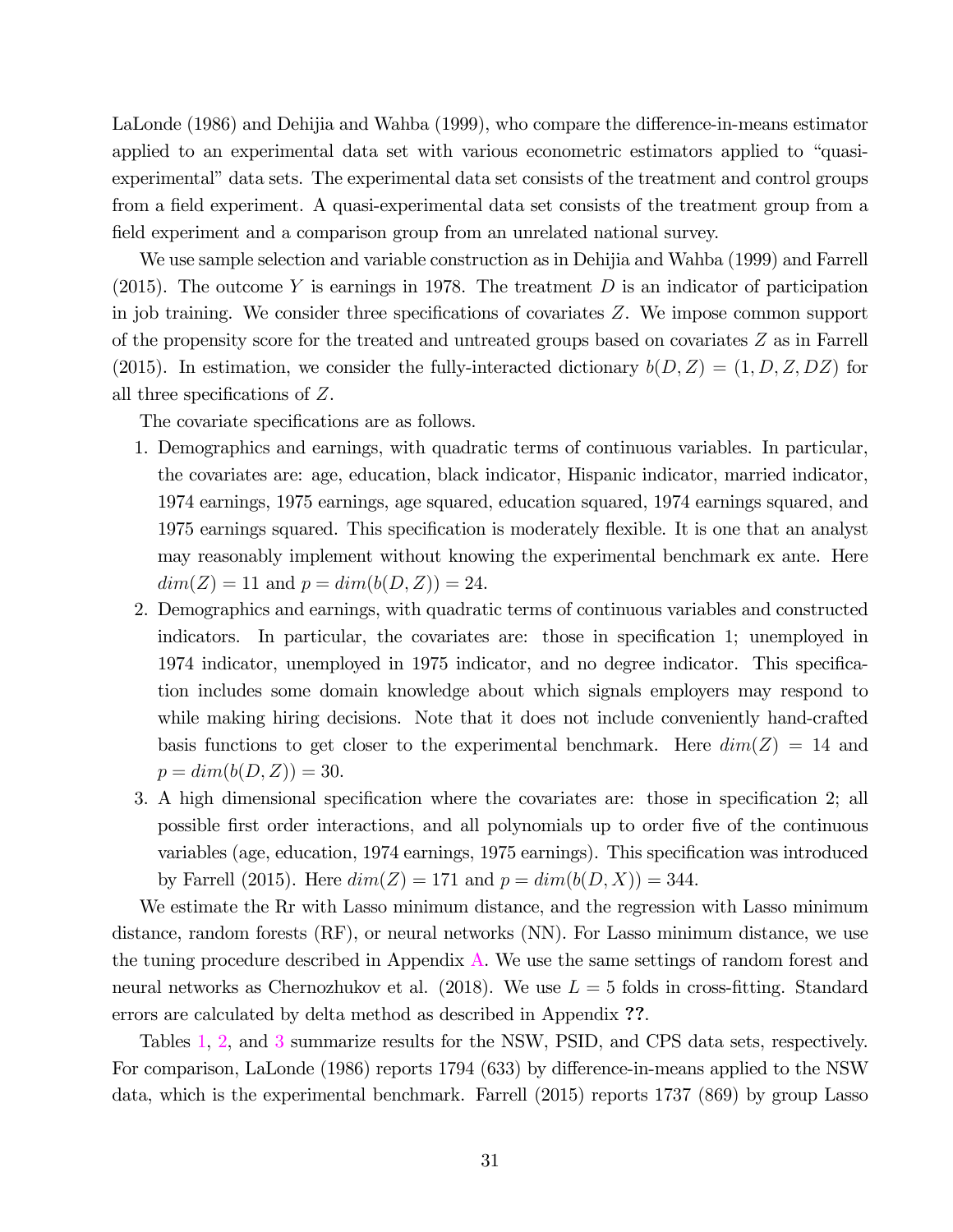LaLonde (1986) and Dehijia and Wahba (1999), who compare the difference-in-means estimator applied to an experimental data set with various econometric estimators applied to "quasiexperimental" data sets. The experimental data set consists of the treatment and control groups from a field experiment. A quasi-experimental data set consists of the treatment group from a field experiment and a comparison group from an unrelated national survey.

We use sample selection and variable construction as in Dehijia and Wahba (1999) and Farrell (2015). The outcome Y is earnings in 1978. The treatment  $D$  is an indicator of participation in job training. We consider three specifications of covariates  $Z$ . We impose common support of the propensity score for the treated and untreated groups based on covariates  $Z$  as in Farrell (2015). In estimation, we consider the fully-interacted dictionary  $b(D, Z) = (1, D, Z, DZ)$  for all three specifications of  $Z$ .

The covariate specifications are as follows.

- 1. Demographics and earnings, with quadratic terms of continuous variables. In particular, the covariates are: age, education, black indicator, Hispanic indicator, married indicator, 1974 earnings, 1975 earnings, age squared, education squared, 1974 earnings squared, and 1975 earnings squared. This specification is moderately flexible. It is one that an analyst may reasonably implement without knowing the experimental benchmark ex ante. Here  $dim(Z) = 11$  and  $p = dim(b(D, Z)) = 24$ .
- 2. Demographics and earnings, with quadratic terms of continuous variables and constructed indicators. In particular, the covariates are: those in specification 1; unemployed in 1974 indicator, unemployed in 1975 indicator, and no degree indicator. This specification includes some domain knowledge about which signals employers may respond to while making hiring decisions. Note that it does not include conveniently hand-crafted basis functions to get closer to the experimental benchmark. Here  $dim(Z) = 14$  and  $p = dim(b(D, Z)) = 30.$
- 3. A high dimensional specification where the covariates are: those in specification 2; all possible first order interactions, and all polynomials up to order five of the continuous variables (age, education, 1974 earnings, 1975 earnings). This specification was introduced by Farrell (2015). Here  $dim(Z) = 171$  and  $p = dim(b(D, X)) = 344$ .

We estimate the Rr with Lasso minimum distance, and the regression with Lasso minimum distance, random forests (RF), or neural networks (NN). For Lasso minimum distance, we use the tuning procedure described in Appendix A. We use the same settings of random forest and neural networks as Chernozhukov et al. (2018). We use  $L = 5$  folds in cross-fitting. Standard errors are calculated by delta method as described in Appendix ??.

Tables 1, 2, and 3 summarize results for the NSW, PSID, and CPS data sets, respectively. For comparison, LaLonde (1986) reports 1794 (633) by difference-in-means applied to the NSW data, which is the experimental benchmark. Farrell (2015) reports 1737 (869) by group Lasso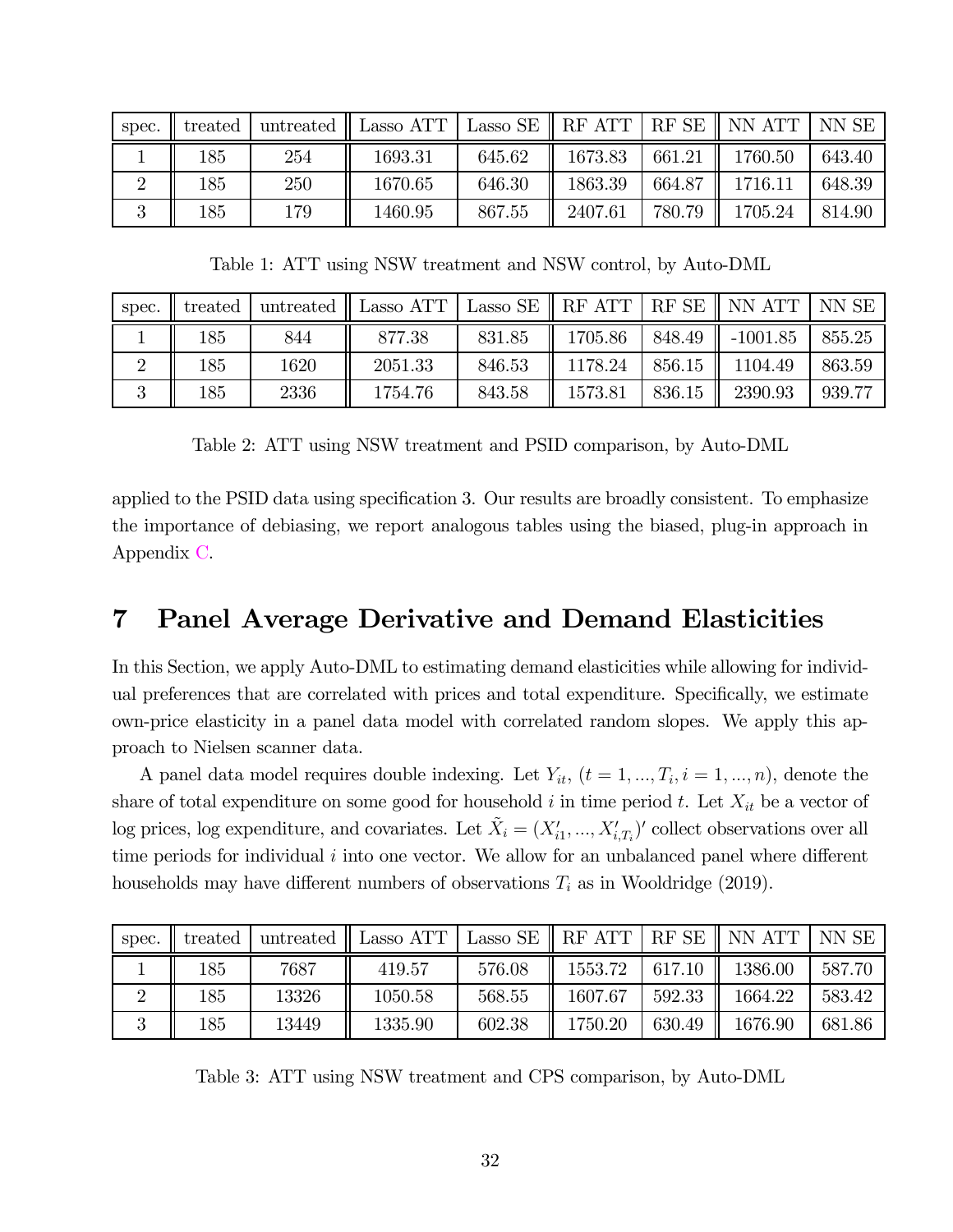| spec. | treated | untreated | Lasso ATT |        | Lasso SE $\parallel$ RF ATT $\parallel$ |        | $RF SE \parallel NN ATT$ | NN SE  |
|-------|---------|-----------|-----------|--------|-----------------------------------------|--------|--------------------------|--------|
|       | 185     | 254       | 1693.31   | 645.62 | 1673.83                                 | 661.21 | 1760.50                  | 643.40 |
|       | 185     | 250       | 1670.65   | 646.30 | 1863.39                                 | 664.87 | 1716.11                  | 648.39 |
| ಀ     | 185     | 179       | 1460.95   | 867.55 | 2407.61                                 | 780.79 | 1705.24                  | 814.90 |

Table 1: ATT using NSW treatment and NSW control, by Auto-DML

| spec. | treated |      | untreated $\parallel$ Lasso ATT $\parallel$ |        |         |        | Lasso SE $\parallel$ RF ATT $\mid$ RF SE $\parallel$ NN ATT | NN SE  |
|-------|---------|------|---------------------------------------------|--------|---------|--------|-------------------------------------------------------------|--------|
|       | 185     | 844  | 877.38                                      | 831.85 | 1705.86 | 848.49 | $-1001.85$                                                  | 855.25 |
|       | 185     | 1620 | 2051.33                                     | 846.53 | 1178.24 | 856.15 | 1104.49                                                     | 863.59 |
|       | 185     | 2336 | 1754.76                                     | 843.58 | 1573.81 | 836.15 | 2390.93                                                     | 939.77 |

Table 2: ATT using NSW treatment and PSID comparison, by Auto-DML

applied to the PSID data using specification 3. Our results are broadly consistent. To emphasize the importance of debiasing, we report analogous tables using the biased, plug-in approach in Appendix C.

### 7 Panel Average Derivative and Demand Elasticities

In this Section, we apply Auto-DML to estimating demand elasticities while allowing for individual preferences that are correlated with prices and total expenditure. Specifically, we estimate own-price elasticity in a panel data model with correlated random slopes. We apply this approach to Nielsen scanner data.

A panel data model requires double indexing. Let  $Y_{it}$ ,  $(t = 1, ..., T_i, i = 1, ..., n)$ , denote the share of total expenditure on some good for household  $i$  in time period  $t$ . Let  $X_{it}$  be a vector of log prices, log expenditure, and covariates. Let  $\tilde{X}_i = (X'_{i1}, ..., X'_{i,T_i})'$  collect observations over all time periods for individual  $i$  into one vector. We allow for an unbalanced panel where different households may have different numbers of observations  $T_i$  as in Wooldridge (2019).

| spec. | treated | untreated | Lasso ATT | Lasso SE | RF ATT  | RF SE  | NN ATT  | NN SE  |
|-------|---------|-----------|-----------|----------|---------|--------|---------|--------|
|       | 185     | 7687      | 419.57    | 576.08   | 1553.72 | 617.10 | 1386.00 | 587.70 |
|       | 185     | 13326     | 1050.58   | 568.55   | 1607.67 | 592.33 | 1664.22 | 583.42 |
| ಀ     | 185     | 13449     | 1335.90   | 602.38   | 1750.20 | 630.49 | 1676.90 | 681.86 |

Table 3: ATT using NSW treatment and CPS comparison, by Auto-DML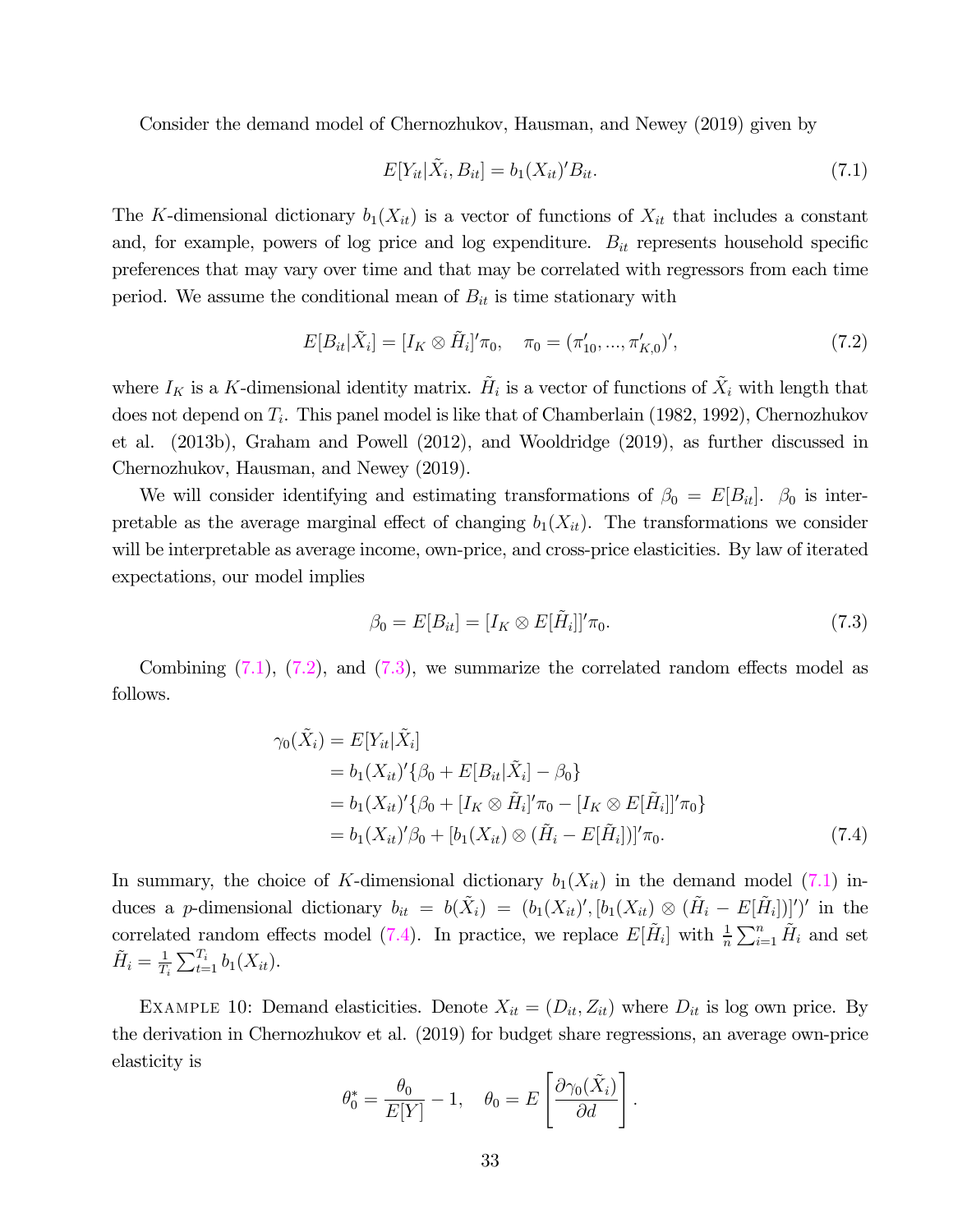Consider the demand model of Chernozhukov, Hausman, and Newey (2019) given by

$$
E[Y_{it}|\tilde{X}_i, B_{it}] = b_1(X_{it})' B_{it}.
$$
\n(7.1)

The K-dimensional dictionary  $b_1(X_{it})$  is a vector of functions of  $X_{it}$  that includes a constant and, for example, powers of log price and log expenditure.  $B_{it}$  represents household specific preferences that may vary over time and that may be correlated with regressors from each time period. We assume the conditional mean of  $B_{it}$  is time stationary with

$$
E[B_{it}|\tilde{X}_i] = [I_K \otimes \tilde{H}_i]' \pi_0, \quad \pi_0 = (\pi'_{10}, ..., \pi'_{K,0})', \tag{7.2}
$$

where  $I_K$  is a K-dimensional identity matrix.  $\tilde{H}_i$  is a vector of functions of  $\tilde{X}_i$  with length that does not depend on  $T_i$ . This panel model is like that of Chamberlain (1982, 1992), Chernozhukov et al. (2013b), Graham and Powell (2012), and Wooldridge (2019), as further discussed in Chernozhukov, Hausman, and Newey (2019).

We will consider identifying and estimating transformations of  $\beta_0 = E[B_{it}]$ .  $\beta_0$  is interpretable as the average marginal effect of changing  $b_1(X_{it})$ . The transformations we consider will be interpretable as average income, own-price, and cross-price elasticities. By law of iterated expectations, our model implies

$$
\beta_0 = E[B_{it}] = [I_K \otimes E[\tilde{H}_i]]' \pi_0. \tag{7.3}
$$

Combining  $(7.1)$ ,  $(7.2)$ , and  $(7.3)$ , we summarize the correlated random effects model as follows.

$$
\gamma_0(\tilde{X}_i) = E[Y_{it}|\tilde{X}_i]
$$
  
=  $b_1(X_{it})'\{\beta_0 + E[B_{it}|\tilde{X}_i] - \beta_0\}$   
=  $b_1(X_{it})'\{\beta_0 + [I_K \otimes \tilde{H}_i]'\pi_0 - [I_K \otimes E[\tilde{H}_i]]'\pi_0\}$   
=  $b_1(X_{it})'\beta_0 + [b_1(X_{it}) \otimes (\tilde{H}_i - E[\tilde{H}_i])]'\pi_0.$  (7.4)

In summary, the choice of K-dimensional dictionary  $b_1(X_{it})$  in the demand model (7.1) induces a p-dimensional dictionary  $b_{it} = b(\tilde{X}_i) = (b_1(X_{it})', [b_1(X_{it}) \otimes (\tilde{H}_i - E[\tilde{H}_i])]')'$  in the correlated random effects model (7.4). In practice, we replace  $E[\tilde{H}_i]$  with  $\frac{1}{n}\sum_{i=1}^n \tilde{H}_i$  and set  $\tilde{H}_i = \frac{1}{T_i} \sum_{t=1}^{T_i} b_1(X_{it}).$ 

EXAMPLE 10: Demand elasticities. Denote  $X_{it} = (D_{it}, Z_{it})$  where  $D_{it}$  is log own price. By the derivation in Chernozhukov et al. (2019) for budget share regressions, an average own-price elasticity is

$$
\theta_0^* = \frac{\theta_0}{E[Y]} - 1, \quad \theta_0 = E\left[\frac{\partial \gamma_0(\tilde{X}_i)}{\partial d}\right].
$$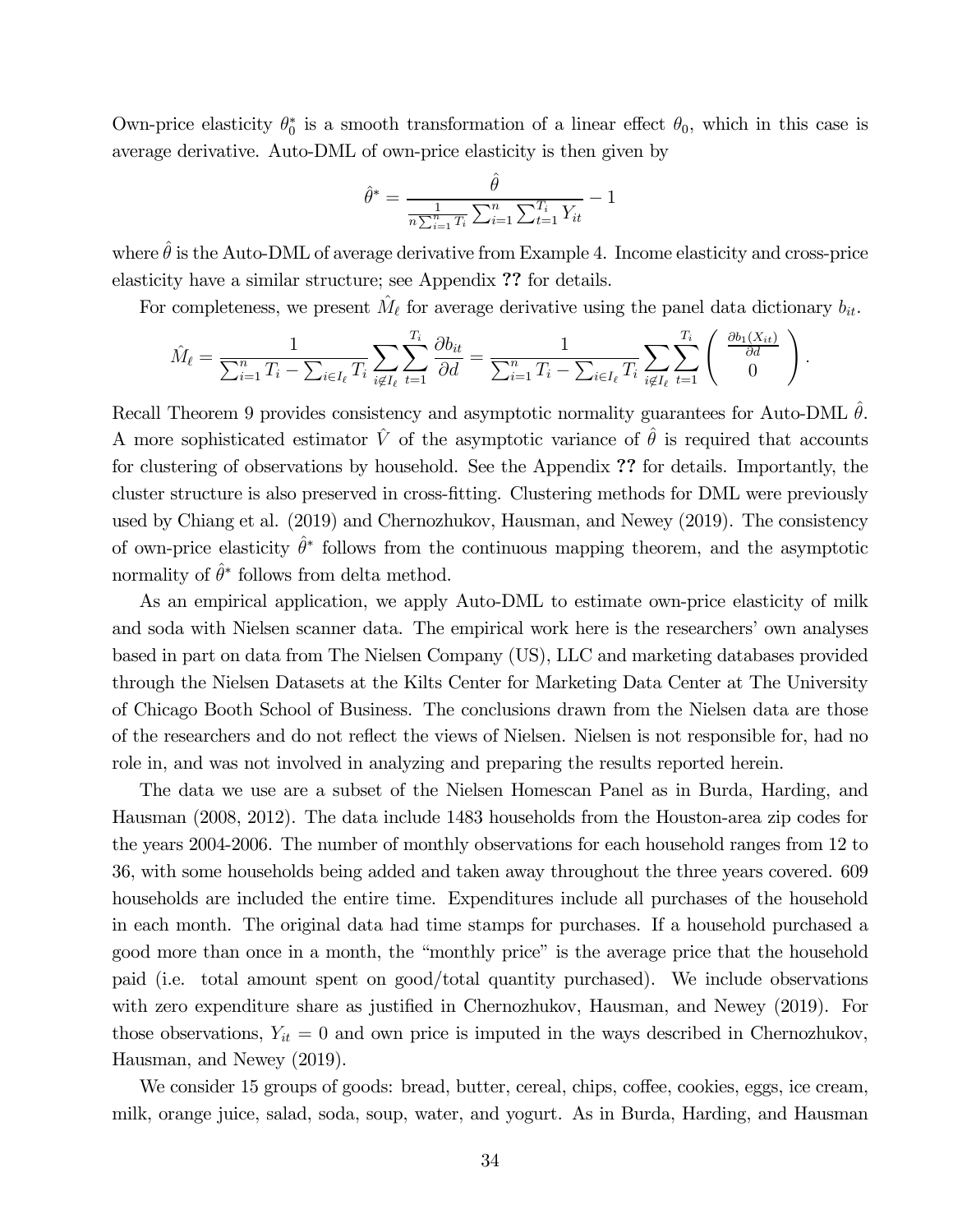Own-price elasticity  $\theta_0^*$  is a smooth transformation of a linear effect  $\theta_0$ , which in this case is average derivative. Auto-DML of own-price elasticity is then given by

$$
\hat{\theta}^* = \frac{\hat{\theta}}{\frac{1}{n \sum_{i=1}^n T_i} \sum_{i=1}^n \sum_{t=1}^{T_i} Y_{it}} - 1
$$

where  $\hat{\theta}$  is the Auto-DML of average derivative from Example 4. Income elasticity and cross-price elasticity have a similar structure; see Appendix ?? for details.

For completeness, we present  $\hat{M}_{\ell}$  for average derivative using the panel data dictionary  $b_{it}$ .

$$
\hat{M}_{\ell} = \frac{1}{\sum_{i=1}^{n} T_i - \sum_{i \in I_{\ell}} T_i} \sum_{i \notin I_{\ell}} \sum_{t=1}^{T_i} \frac{\partial b_{it}}{\partial d} = \frac{1}{\sum_{i=1}^{n} T_i - \sum_{i \in I_{\ell}} T_i} \sum_{i \notin I_{\ell}} \sum_{t=1}^{T_i} \begin{pmatrix} \frac{\partial b_1(X_{it})}{\partial d} \\ 0 \end{pmatrix}.
$$

Recall Theorem 9 provides consistency and asymptotic normality guarantees for Auto-DML  $\hat{\theta}$ . A more sophisticated estimator  $\hat{V}$  of the asymptotic variance of  $\hat{\theta}$  is required that accounts for clustering of observations by household. See the Appendix ?? for details. Importantly, the cluster structure is also preserved in cross-fitting. Clustering methods for DML were previously used by Chiang et al. (2019) and Chernozhukov, Hausman, and Newey (2019). The consistency of own-price elasticity  $\hat{\theta}^*$  follows from the continuous mapping theorem, and the asymptotic normality of  $\hat{\theta}^*$  follows from delta method.

As an empirical application, we apply Auto-DML to estimate own-price elasticity of milk and soda with Nielsen scanner data. The empirical work here is the researchers' own analyses based in part on data from The Nielsen Company (US), LLC and marketing databases provided through the Nielsen Datasets at the Kilts Center for Marketing Data Center at The University of Chicago Booth School of Business. The conclusions drawn from the Nielsen data are those of the researchers and do not reflect the views of Nielsen. Nielsen is not responsible for, had no role in, and was not involved in analyzing and preparing the results reported herein.

The data we use are a subset of the Nielsen Homescan Panel as in Burda, Harding, and Hausman (2008, 2012). The data include 1483 households from the Houston-area zip codes for the years 2004-2006. The number of monthly observations for each household ranges from 12 to 36, with some households being added and taken away throughout the three years covered. 609 households are included the entire time. Expenditures include all purchases of the household in each month. The original data had time stamps for purchases. If a household purchased a good more than once in a month, the "monthly price" is the average price that the household paid (i.e. total amount spent on good/total quantity purchased). We include observations with zero expenditure share as justified in Chernozhukov, Hausman, and Newey (2019). For those observations,  $Y_{it} = 0$  and own price is imputed in the ways described in Chernozhukov, Hausman, and Newey (2019).

We consider 15 groups of goods: bread, butter, cereal, chips, coffee, cookies, eggs, ice cream, milk, orange juice, salad, soda, soup, water, and yogurt. As in Burda, Harding, and Hausman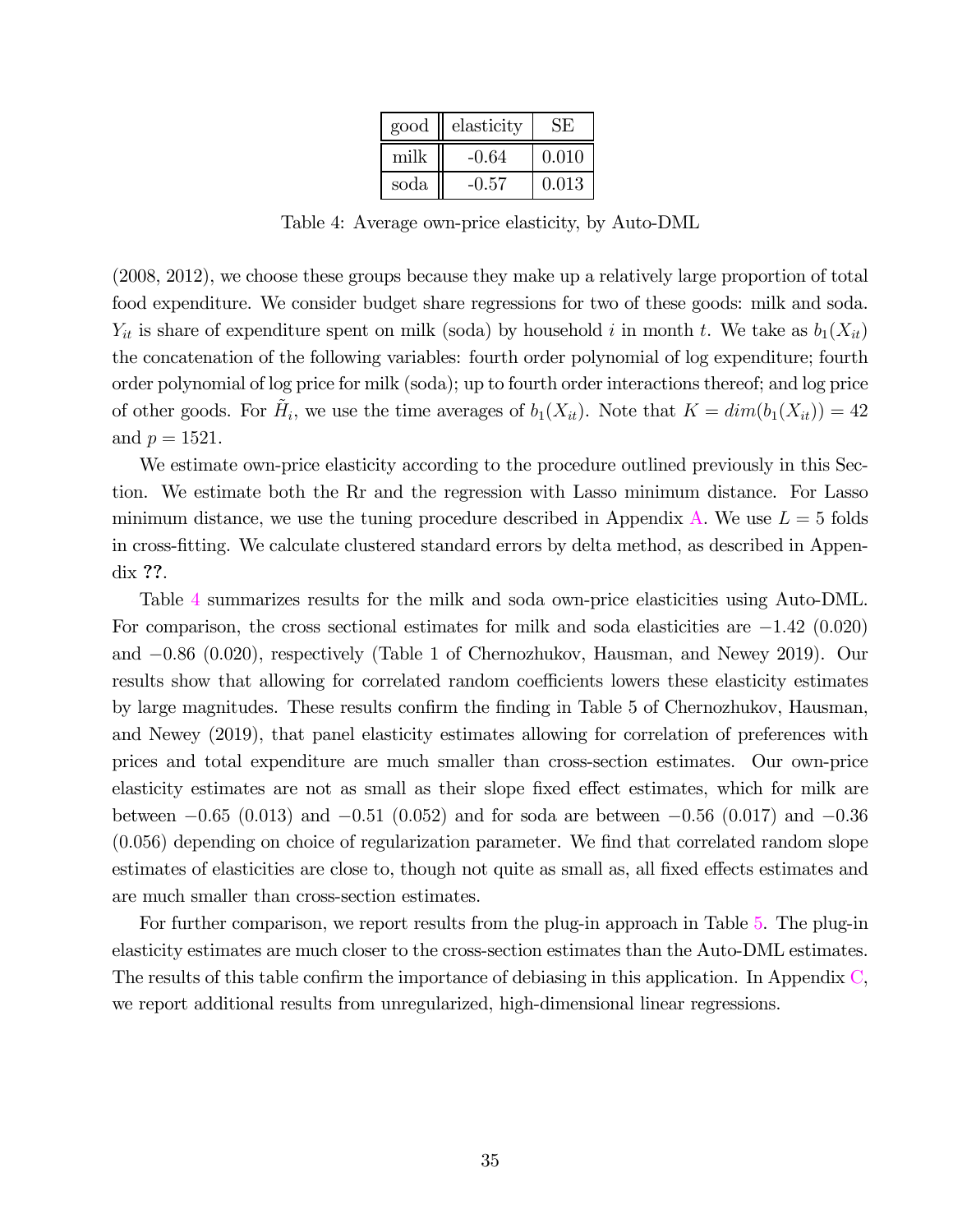| good | elasticity |       |
|------|------------|-------|
| milk | $-0.64$    | 0.010 |
| soda | $-0.57$    | 0.013 |

Table 4: Average own-price elasticity, by Auto-DML

(2008, 2012), we choose these groups because they make up a relatively large proportion of total food expenditure. We consider budget share regressions for two of these goods: milk and soda.  $Y_{it}$  is share of expenditure spent on milk (soda) by household i in month t. We take as  $b_1(X_{it})$ the concatenation of the following variables: fourth order polynomial of log expenditure; fourth order polynomial of log price for milk (soda); up to fourth order interactions thereof; and log price of other goods. For  $\tilde{H}_i$ , we use the time averages of  $b_1(X_{it})$ . Note that  $K = dim(b_1(X_{it})) = 42$ and  $p = 1521$ .

We estimate own-price elasticity according to the procedure outlined previously in this Section. We estimate both the Rr and the regression with Lasso minimum distance. For Lasso minimum distance, we use the tuning procedure described in Appendix A. We use  $L = 5$  folds in cross-fitting. We calculate clustered standard errors by delta method, as described in Appendix ??.

Table 4 summarizes results for the milk and soda own-price elasticities using Auto-DML. For comparison, the cross sectional estimates for milk and soda elasticities are  $-1.42$  (0.020) and −086 (0020), respectively (Table 1 of Chernozhukov, Hausman, and Newey 2019). Our results show that allowing for correlated random coefficients lowers these elasticity estimates by large magnitudes. These results confirm the finding in Table 5 of Chernozhukov, Hausman, and Newey (2019), that panel elasticity estimates allowing for correlation of preferences with prices and total expenditure are much smaller than cross-section estimates. Our own-price elasticity estimates are not as small as their slope fixed effect estimates, which for milk are between  $-0.65$  (0.013) and  $-0.51$  (0.052) and for soda are between  $-0.56$  (0.017) and  $-0.36$ (0056) depending on choice of regularization parameter. We find that correlated random slope estimates of elasticities are close to, though not quite as small as, all fixed effects estimates and are much smaller than cross-section estimates.

For further comparison, we report results from the plug-in approach in Table 5. The plug-in elasticity estimates are much closer to the cross-section estimates than the Auto-DML estimates. The results of this table confirm the importance of debiasing in this application. In Appendix C, we report additional results from unregularized, high-dimensional linear regressions.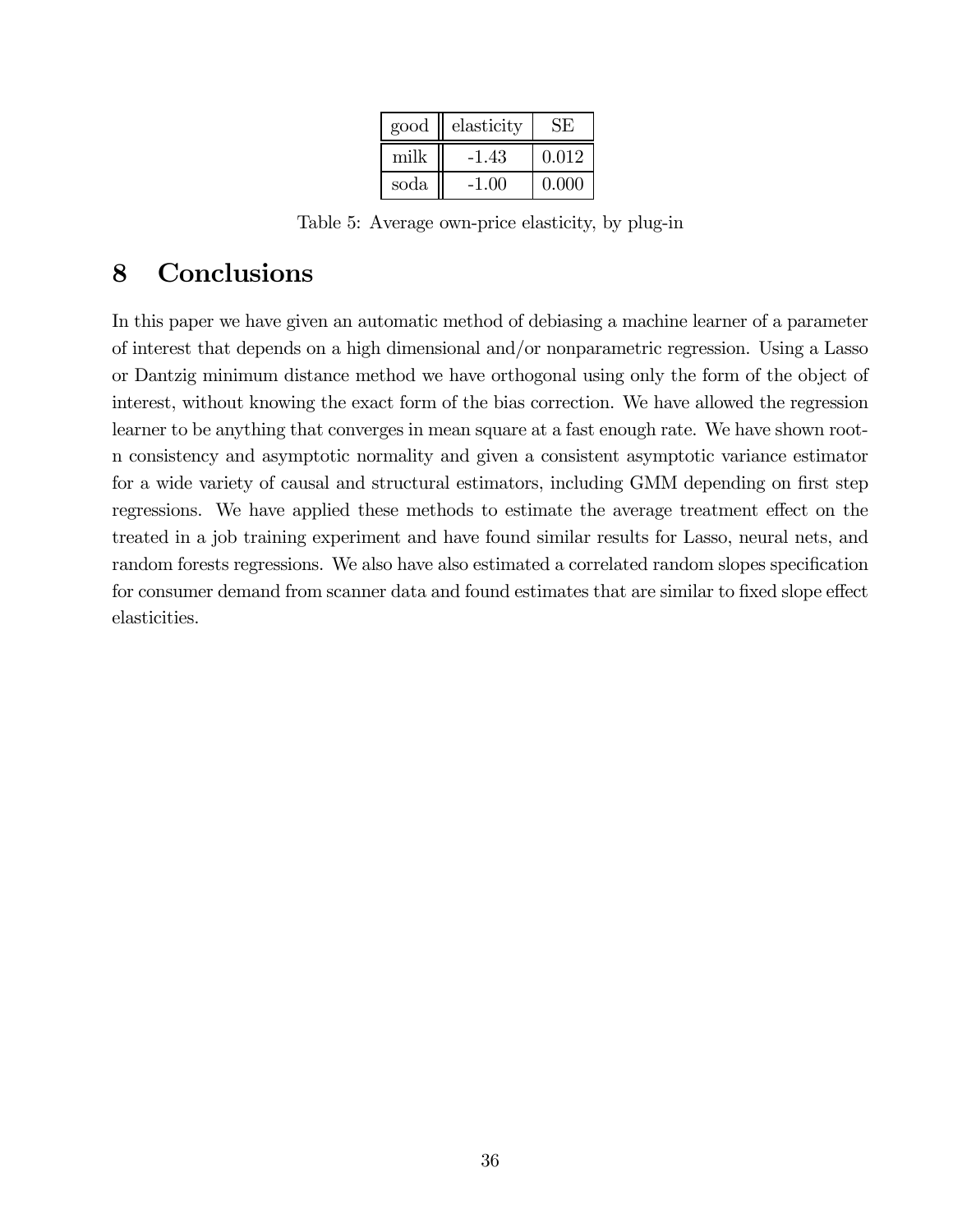| good | elasticity | SE)   |
|------|------------|-------|
| milk | $-1.43$    | 0.012 |
| soda | $-1.00$    | 0.000 |

Table 5: Average own-price elasticity, by plug-in

### 8 Conclusions

In this paper we have given an automatic method of debiasing a machine learner of a parameter of interest that depends on a high dimensional and/or nonparametric regression. Using a Lasso or Dantzig minimum distance method we have orthogonal using only the form of the object of interest, without knowing the exact form of the bias correction. We have allowed the regression learner to be anything that converges in mean square at a fast enough rate. We have shown rootn consistency and asymptotic normality and given a consistent asymptotic variance estimator for a wide variety of causal and structural estimators, including GMM depending on first step regressions. We have applied these methods to estimate the average treatment effect on the treated in a job training experiment and have found similar results for Lasso, neural nets, and random forests regressions. We also have also estimated a correlated random slopes specification for consumer demand from scanner data and found estimates that are similar to fixed slope effect elasticities.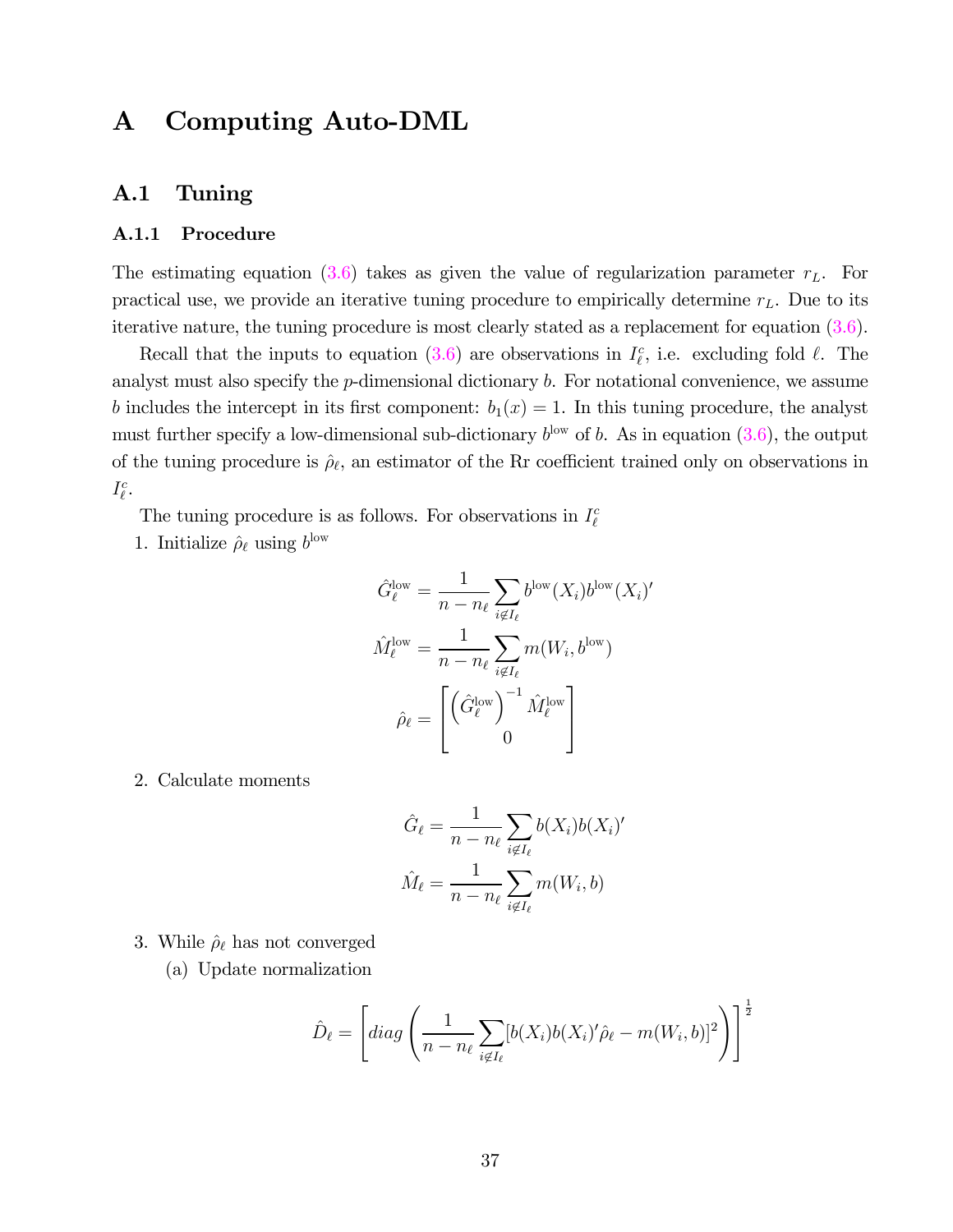### A Computing Auto-DML

#### A.1 Tuning

#### A.1.1 Procedure

The estimating equation  $(3.6)$  takes as given the value of regularization parameter  $r<sub>L</sub>$ . For practical use, we provide an iterative tuning procedure to empirically determine  $r<sub>L</sub>$ . Due to its iterative nature, the tuning procedure is most clearly stated as a replacement for equation (3.6).

Recall that the inputs to equation (3.6) are observations in  $I_{\ell}^c$ , i.e. excluding fold  $\ell$ . The analyst must also specify the  $p$ -dimensional dictionary  $b$ . For notational convenience, we assume b includes the intercept in its first component:  $b_1(x)=1$ . In this tuning procedure, the analyst must further specify a low-dimensional sub-dictionary  $b^{\text{low}}$  of b. As in equation (3.6), the output of the tuning procedure is  $\rho_{\ell}$ , an estimator of the Rr coefficient trained only on observations in  $I_{\ell}^{c}$ .

The tuning procedure is as follows. For observations in  $I_\ell^c$ 

1. Initialize  $\rho_{\ell}$  using  $b^{\text{low}}$ 

$$
\hat{G}_{\ell}^{\text{low}} = \frac{1}{n - n_{\ell}} \sum_{i \notin I_{\ell}} b^{\text{low}} (X_i) b^{\text{low}} (X_i)'
$$

$$
\hat{M}_{\ell}^{\text{low}} = \frac{1}{n - n_{\ell}} \sum_{i \notin I_{\ell}} m(W_i, b^{\text{low}})
$$

$$
\hat{\rho}_{\ell} = \begin{bmatrix} (\hat{G}_{\ell}^{\text{low}})^{-1} \hat{M}_{\ell}^{\text{low}} \\ 0 \end{bmatrix}
$$

2. Calculate moments

$$
\hat{G}_{\ell} = \frac{1}{n - n_{\ell}} \sum_{i \notin I_{\ell}} b(X_i) b(X_i)'
$$

$$
\hat{M}_{\ell} = \frac{1}{n - n_{\ell}} \sum_{i \notin I_{\ell}} m(W_i, b)
$$

- 3. While  $\hat{\rho}_{\ell}$  has not converged
	- (a) Update normalization

$$
\hat{D}_{\ell} = \left[ diag \left( \frac{1}{n - n_{\ell}} \sum_{i \notin I_{\ell}} [b(X_i)b(X_i)'\hat{\rho}_{\ell} - m(W_i, b)]^2 \right) \right]^{\frac{1}{2}}
$$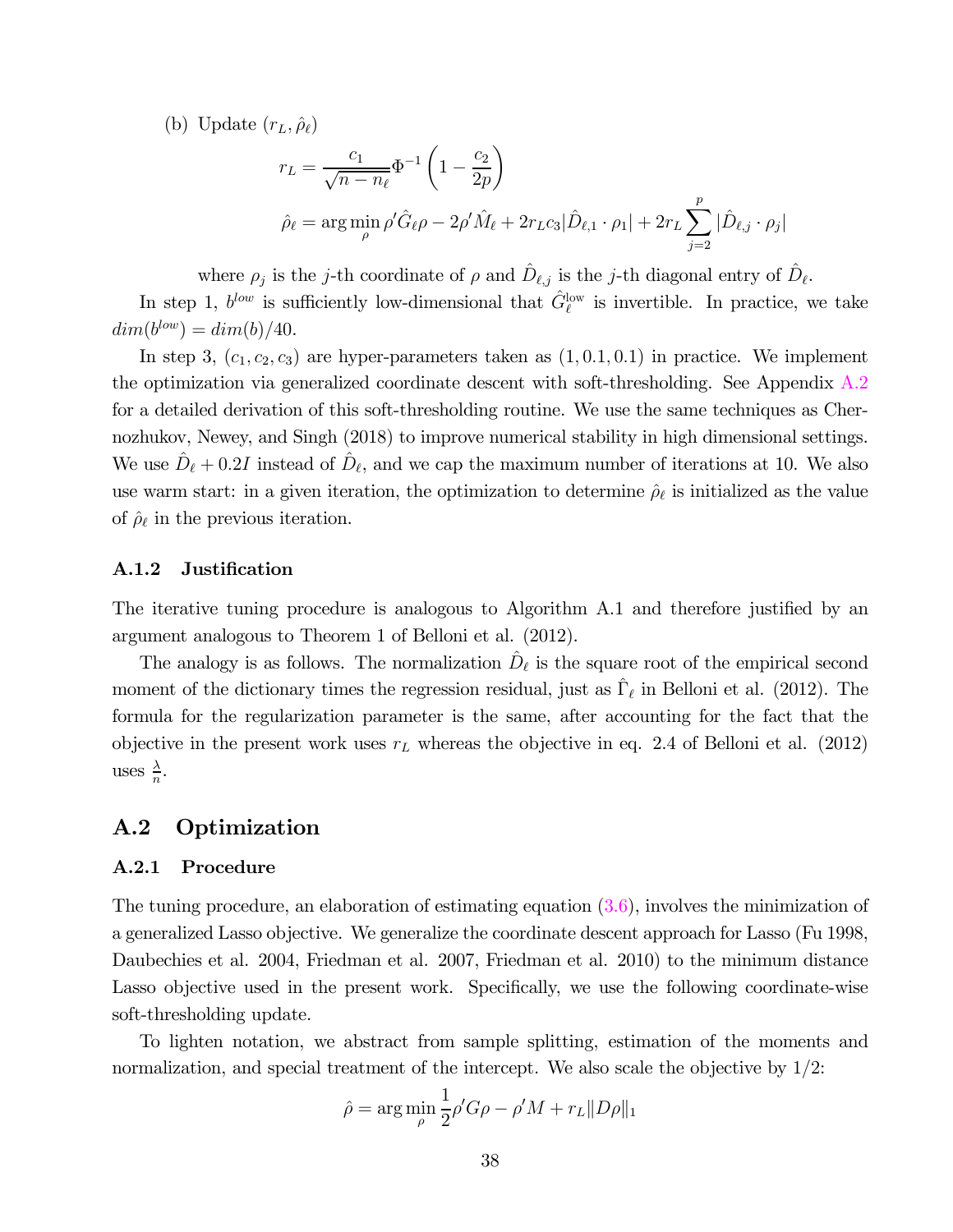(b) Update  $(r_L, \hat{\rho}_\ell)$ 

$$
r_L = \frac{c_1}{\sqrt{n - n_\ell}} \Phi^{-1} \left( 1 - \frac{c_2}{2p} \right)
$$
  

$$
\hat{\rho}_\ell = \arg \min_{\rho} \rho' \hat{G}_{\ell} \rho - 2\rho' \hat{M}_\ell + 2r_L c_3 |\hat{D}_{\ell,1} \cdot \rho_1| + 2r_L \sum_{j=2}^p |\hat{D}_{\ell,j} \cdot \rho_j|
$$

where  $\rho_j$  is the j-th coordinate of  $\rho$  and  $\hat{D}_{\ell,j}$  is the j-th diagonal entry of  $\hat{D}_{\ell}$ .

In step 1,  $b^{low}$  is sufficiently low-dimensional that  $\hat{G}_{\ell}^{\text{low}}$  is invertible. In practice, we take  $dim(b^{low}) = dim(b)/40.$ 

In step 3,  $(c_1, c_2, c_3)$  are hyper-parameters taken as  $(1, 0.1, 0.1)$  in practice. We implement the optimization via generalized coordinate descent with soft-thresholding. See Appendix A.2 for a detailed derivation of this soft-thresholding routine. We use the same techniques as Chernozhukov, Newey, and Singh (2018) to improve numerical stability in high dimensional settings. We use  $\hat{D}_{\ell}$  + 0.2*I* instead of  $\hat{D}_{\ell}$ , and we cap the maximum number of iterations at 10. We also use warm start: in a given iteration, the optimization to determine  $\rho_{\ell}$  is initialized as the value of  $\hat{\rho}_{\ell}$  in the previous iteration.

#### A.1.2 Justification

The iterative tuning procedure is analogous to Algorithm A.1 and therefore justified by an argument analogous to Theorem 1 of Belloni et al. (2012).

The analogy is as follows. The normalization  $\hat{D}_{\ell}$  is the square root of the empirical second moment of the dictionary times the regression residual, just as  $\hat{\Gamma}_{\ell}$  in Belloni et al. (2012). The formula for the regularization parameter is the same, after accounting for the fact that the objective in the present work uses  $r<sub>L</sub>$  whereas the objective in eq. 2.4 of Belloni et al. (2012) uses  $\frac{\lambda}{n}$ .

#### A.2 Optimization

#### A.2.1 Procedure

The tuning procedure, an elaboration of estimating equation  $(3.6)$ , involves the minimization of a generalized Lasso objective. We generalize the coordinate descent approach for Lasso (Fu 1998, Daubechies et al. 2004, Friedman et al. 2007, Friedman et al. 2010) to the minimum distance Lasso objective used in the present work. Specifically, we use the following coordinate-wise soft-thresholding update.

To lighten notation, we abstract from sample splitting, estimation of the moments and normalization, and special treatment of the intercept. We also scale the objective by  $1/2$ :

$$
\hat{\rho} = \arg\min_{\rho} \frac{1}{2} \rho' G\rho - \rho'M + r_L ||D\rho||_1
$$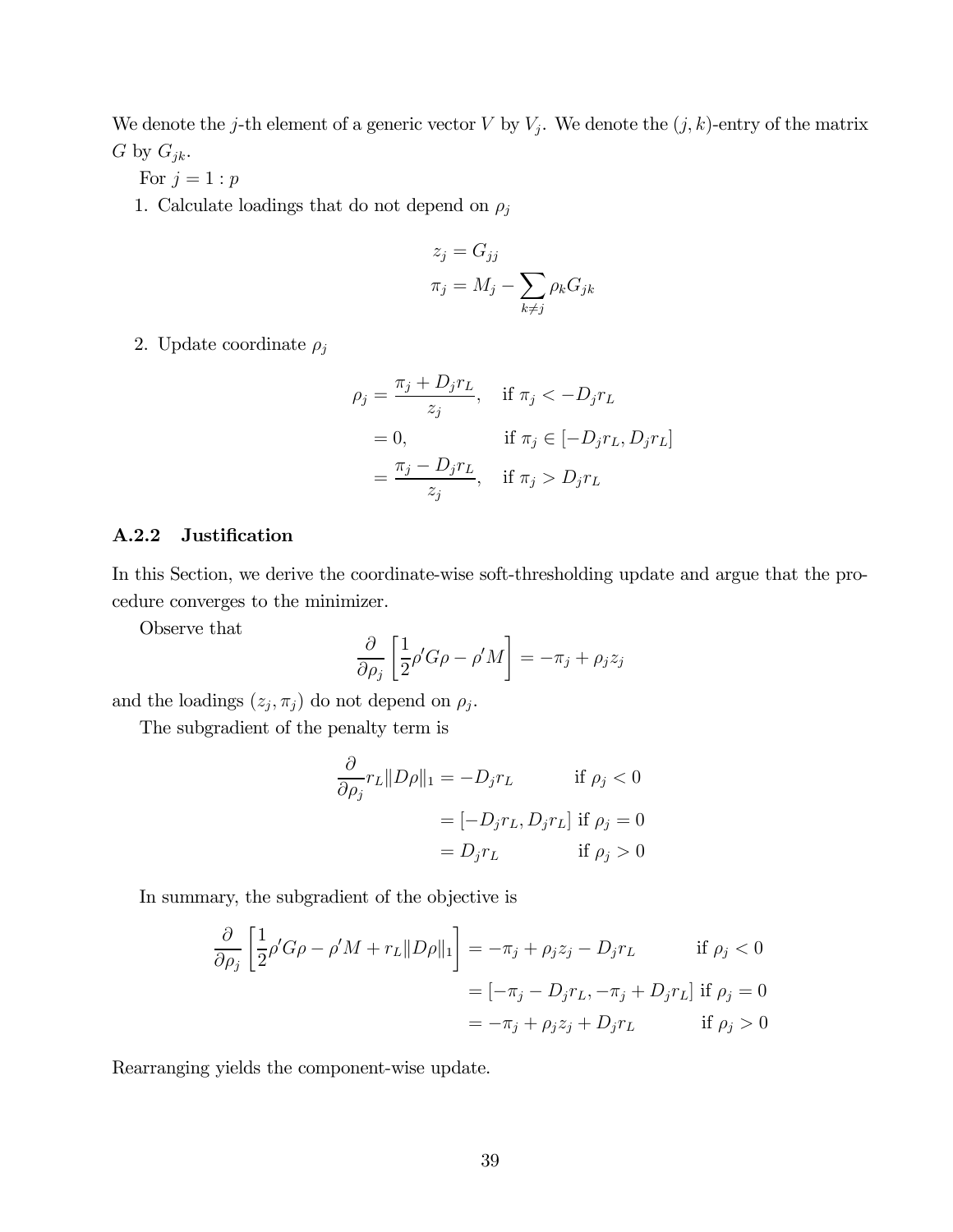We denote the j-th element of a generic vector  $V$  by  $V_j$ . We denote the  $(j, k)$ -entry of the matrix  $G$  by  $G_{jk}$ .

For  $j=1:p$ 

1. Calculate loadings that do not depend on  $\rho_j$ 

$$
z_j = G_{jj}
$$

$$
\pi_j = M_j - \sum_{k \neq j} \rho_k G_{jk}
$$

2. Update coordinate  $\rho_j$ 

$$
\rho_j = \frac{\pi_j + D_j r_L}{z_j}, \quad \text{if } \pi_j < -D_j r_L
$$
\n
$$
= 0, \qquad \qquad \text{if } \pi_j \in [-D_j r_L, D_j r_L]
$$
\n
$$
= \frac{\pi_j - D_j r_L}{z_j}, \quad \text{if } \pi_j > D_j r_L
$$

#### A.2.2 Justification

In this Section, we derive the coordinate-wise soft-thresholding update and argue that the procedure converges to the minimizer.

Observe that

$$
\frac{\partial}{\partial \rho_j} \left[ \frac{1}{2} \rho' G \rho - \rho' M \right] = -\pi_j + \rho_j z_j
$$

and the loadings  $(z_j, \pi_j)$  do not depend on  $\rho_j$ .

The subgradient of the penalty term is

$$
\frac{\partial}{\partial \rho_j} r_L \|D\rho\|_1 = -D_j r_L \quad \text{if } \rho_j < 0
$$
\n
$$
= [-D_j r_L, D_j r_L] \text{ if } \rho_j = 0
$$
\n
$$
= D_j r_L \quad \text{if } \rho_j > 0
$$

In summary, the subgradient of the objective is

$$
\frac{\partial}{\partial \rho_j} \left[ \frac{1}{2} \rho' G \rho - \rho' M + r_L ||D\rho||_1 \right] = -\pi_j + \rho_j z_j - D_j r_L \quad \text{if } \rho_j < 0
$$
\n
$$
= \left[ -\pi_j - D_j r_L, -\pi_j + D_j r_L \right] \text{ if } \rho_j = 0
$$
\n
$$
= -\pi_j + \rho_j z_j + D_j r_L \quad \text{if } \rho_j > 0
$$

Rearranging yields the component-wise update.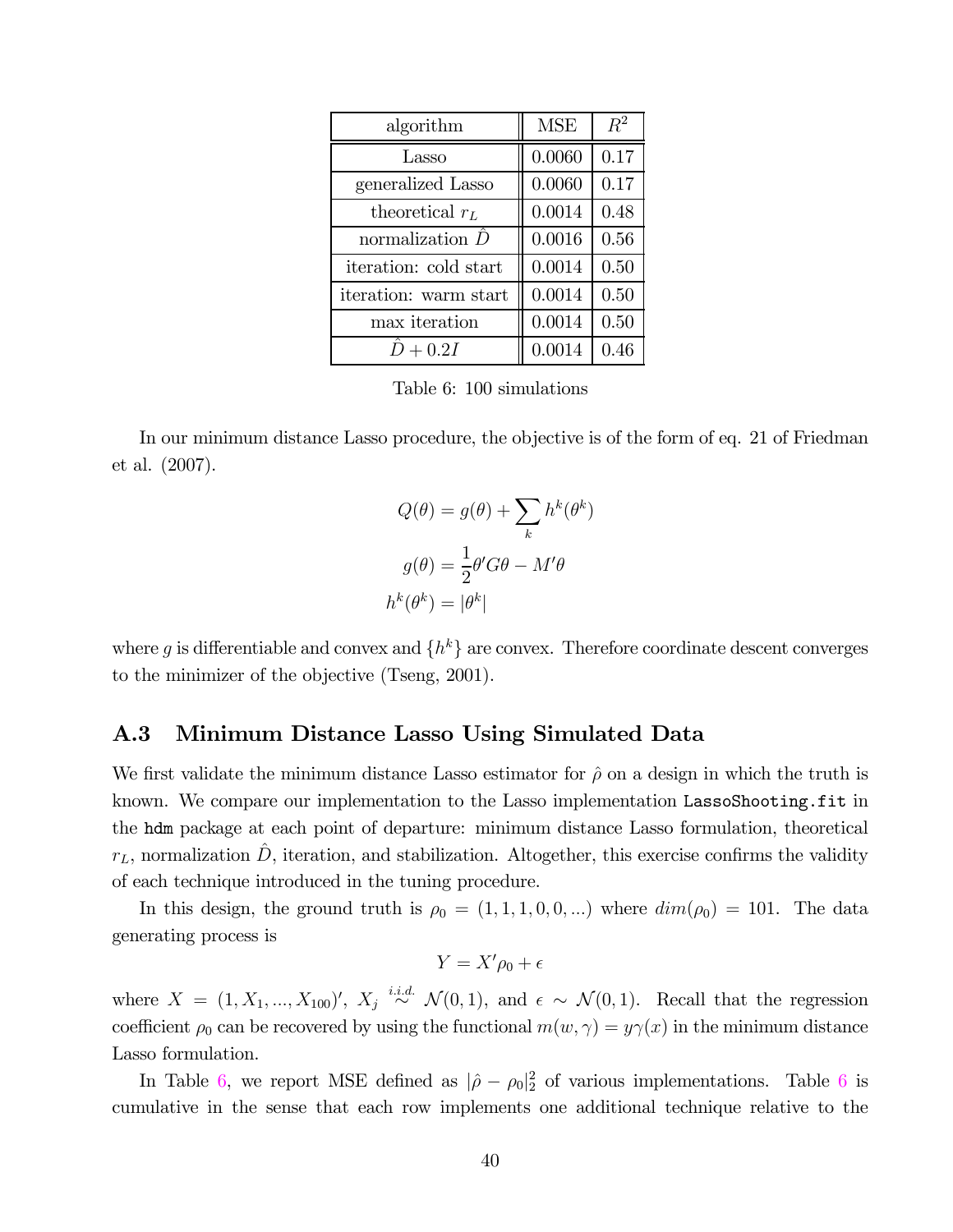| algorithm             | <b>MSE</b> | $R^2$ |
|-----------------------|------------|-------|
| Lasso                 | 0.0060     | 0.17  |
| generalized Lasso     | 0.0060     | 0.17  |
| theoretical $r_L$     | 0.0014     | 0.48  |
| normalization $D$     | 0.0016     | 0.56  |
| iteration: cold start | 0.0014     | 0.50  |
| iteration: warm start | 0.0014     | 0.50  |
| max iteration         | 0.0014     | 0.50  |
| $D+0.2I$              | 0.0014     | 0.46  |

Table 6: 100 simulations

In our minimum distance Lasso procedure, the objective is of the form of eq. 21 of Friedman et al. (2007).

$$
Q(\theta) = g(\theta) + \sum_{k} h^{k}(\theta^{k})
$$

$$
g(\theta) = \frac{1}{2}\theta'G\theta - M'\theta
$$

$$
h^{k}(\theta^{k}) = |\theta^{k}|
$$

where g is differentiable and convex and  $\{h^k\}$  are convex. Therefore coordinate descent converges to the minimizer of the objective (Tseng, 2001).

#### A.3 Minimum Distance Lasso Using Simulated Data

We first validate the minimum distance Lasso estimator for  $\hat{\rho}$  on a design in which the truth is known. We compare our implementation to the Lasso implementation LassoShooting.fit in the hdm package at each point of departure: minimum distance Lasso formulation, theoretical  $r_L$ , normalization  $\hat{D}$ , iteration, and stabilization. Altogether, this exercise confirms the validity of each technique introduced in the tuning procedure.

In this design, the ground truth is  $\rho_0 = (1, 1, 1, 0, 0, ...)$  where  $dim(\rho_0) = 101$ . The data generating process is

$$
Y = X'\rho_0 + \epsilon
$$

where  $X = (1, X_1, ..., X_{100})'$ ,  $X_j \stackrel{i.i.d.}{\sim} \mathcal{N}(0, 1)$ , and  $\epsilon \sim \mathcal{N}(0, 1)$ . Recall that the regression coefficient  $\rho_0$  can be recovered by using the functional  $m(w, \gamma) = y\gamma(x)$  in the minimum distance Lasso formulation.

In Table 6, we report MSE defined as  $|\hat{\rho} - \rho_0|^2$  of various implementations. Table 6 is cumulative in the sense that each row implements one additional technique relative to the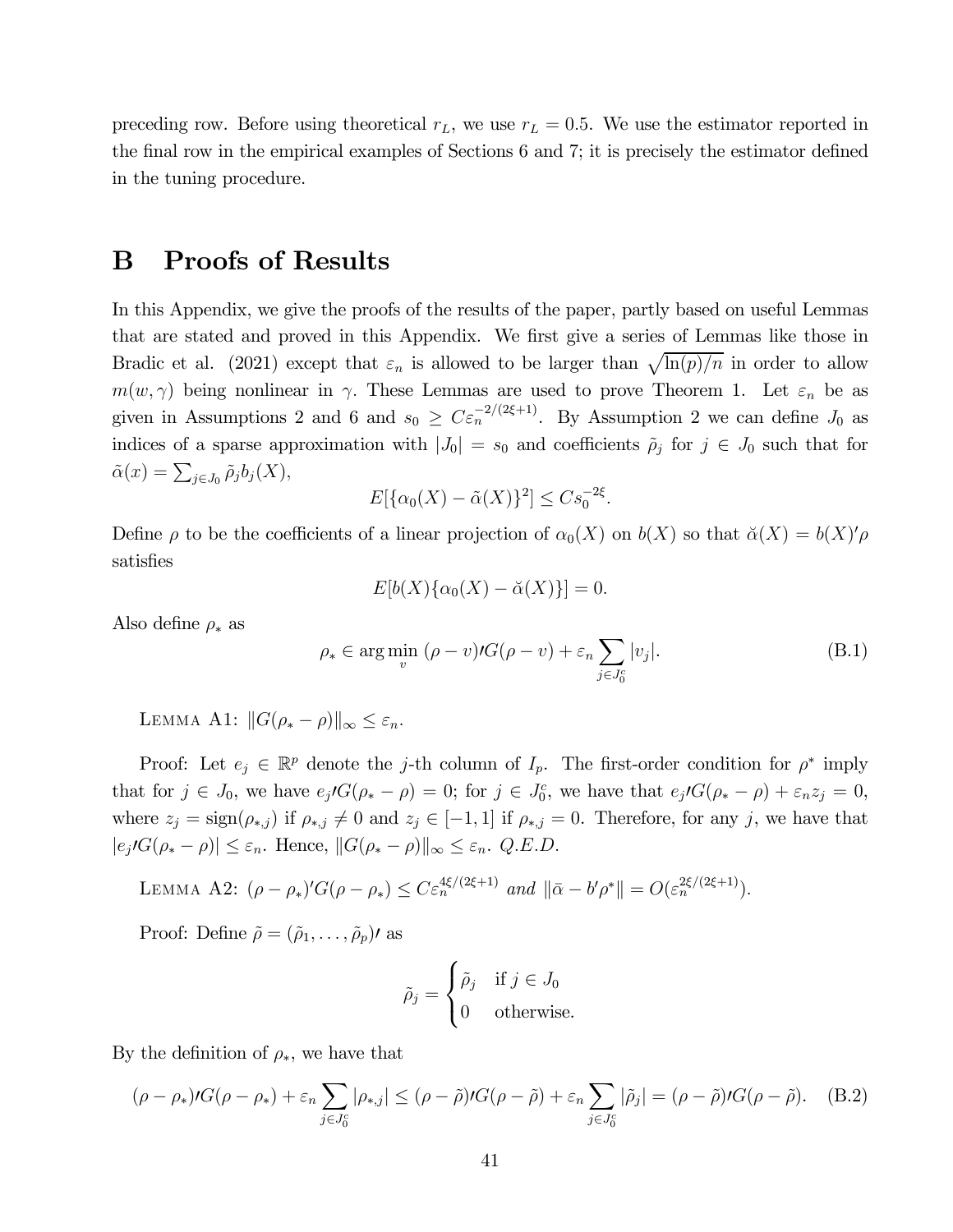preceding row. Before using theoretical  $r_L$ , we use  $r_L = 0.5$ . We use the estimator reported in the final row in the empirical examples of Sections 6 and 7; it is precisely the estimator defined in the tuning procedure.

### B Proofs of Results

In this Appendix, we give the proofs of the results of the paper, partly based on useful Lemmas that are stated and proved in this Appendix. We first give a series of Lemmas like those in Bradic et al. (2021) except that  $\varepsilon_n$  is allowed to be larger than  $\sqrt{\ln(p)/n}$  in order to allow  $m(w, \gamma)$  being nonlinear in  $\gamma$ . These Lemmas are used to prove Theorem 1. Let  $\varepsilon_n$  be as given in Assumptions 2 and 6 and  $s_0 \geq C \epsilon_n^{-2/(2\xi+1)}$ . By Assumption 2 we can define  $J_0$  as indices of a sparse approximation with  $|J_0| = s_0$  and coefficients  $\tilde{\rho}_j$  for  $j \in J_0$  such that for  $\tilde{\alpha}(x) = \sum_{j \in J_0} \tilde{\rho}_j b_j(X),$ 

$$
E[\{\alpha_0(X) - \tilde{\alpha}(X)\}^2] \leq Cs_0^{-2\xi}.
$$

Define  $\rho$  to be the coefficients of a linear projection of  $\alpha_0(X)$  on  $b(X)$  so that  $\breve{\alpha}(X) = b(X)'\rho$ satisfies

$$
E[b(X)\{\alpha_0(X) - \breve{\alpha}(X)\}] = 0.
$$

Also define  $\rho_*$  as

$$
\rho_* \in \arg\min_v \left( \rho - v \right) / G(\rho - v) + \varepsilon_n \sum_{j \in J_0^c} |v_j|.
$$
\n(B.1)

LEMMA A1:  $||G(\rho_* - \rho)||_{\infty} < \varepsilon_n$ .

Proof: Let  $e_i \in \mathbb{R}^p$  denote the *j*-th column of  $I_p$ . The first-order condition for  $\rho^*$  imply that for  $j \in J_0$ , we have  $e_j G(\rho_* - \rho) = 0$ ; for  $j \in J_0^c$ , we have that  $e_j G(\rho_* - \rho) + \varepsilon_n z_j = 0$ , where  $z_j = \text{sign}(\rho_{*,j})$  if  $\rho_{*,j} \neq 0$  and  $z_j \in [-1,1]$  if  $\rho_{*,j} = 0$ . Therefore, for any j, we have that  $|e_j\prime G(\rho_* - \rho)| \leq \varepsilon_n$ . Hence,  $||G(\rho_* - \rho)||_{\infty} \leq \varepsilon_n$ . Q.E.D.

LEMMA A2: 
$$
(\rho - \rho_*)'G(\rho - \rho_*) \leq C \varepsilon_n^{4\xi/(2\xi+1)}
$$
 and  $\|\bar{\alpha} - b'\rho^*\| = O(\varepsilon_n^{2\xi/(2\xi+1)})$ .

Proof: Define  $\tilde{\rho} = (\tilde{\rho}_1, \ldots, \tilde{\rho}_p)$  as

$$
\tilde{\rho}_j = \begin{cases}\n\tilde{\rho}_j & \text{if } j \in J_0 \\
0 & \text{otherwise.} \n\end{cases}
$$

By the definition of  $\rho_*,$  we have that

$$
(\rho - \rho_*)tG(\rho - \rho_*) + \varepsilon_n \sum_{j \in J_0^c} |\rho_{*,j}| \leq (\rho - \tilde{\rho})tG(\rho - \tilde{\rho}) + \varepsilon_n \sum_{j \in J_0^c} |\tilde{\rho}_j| = (\rho - \tilde{\rho})tG(\rho - \tilde{\rho}). \tag{B.2}
$$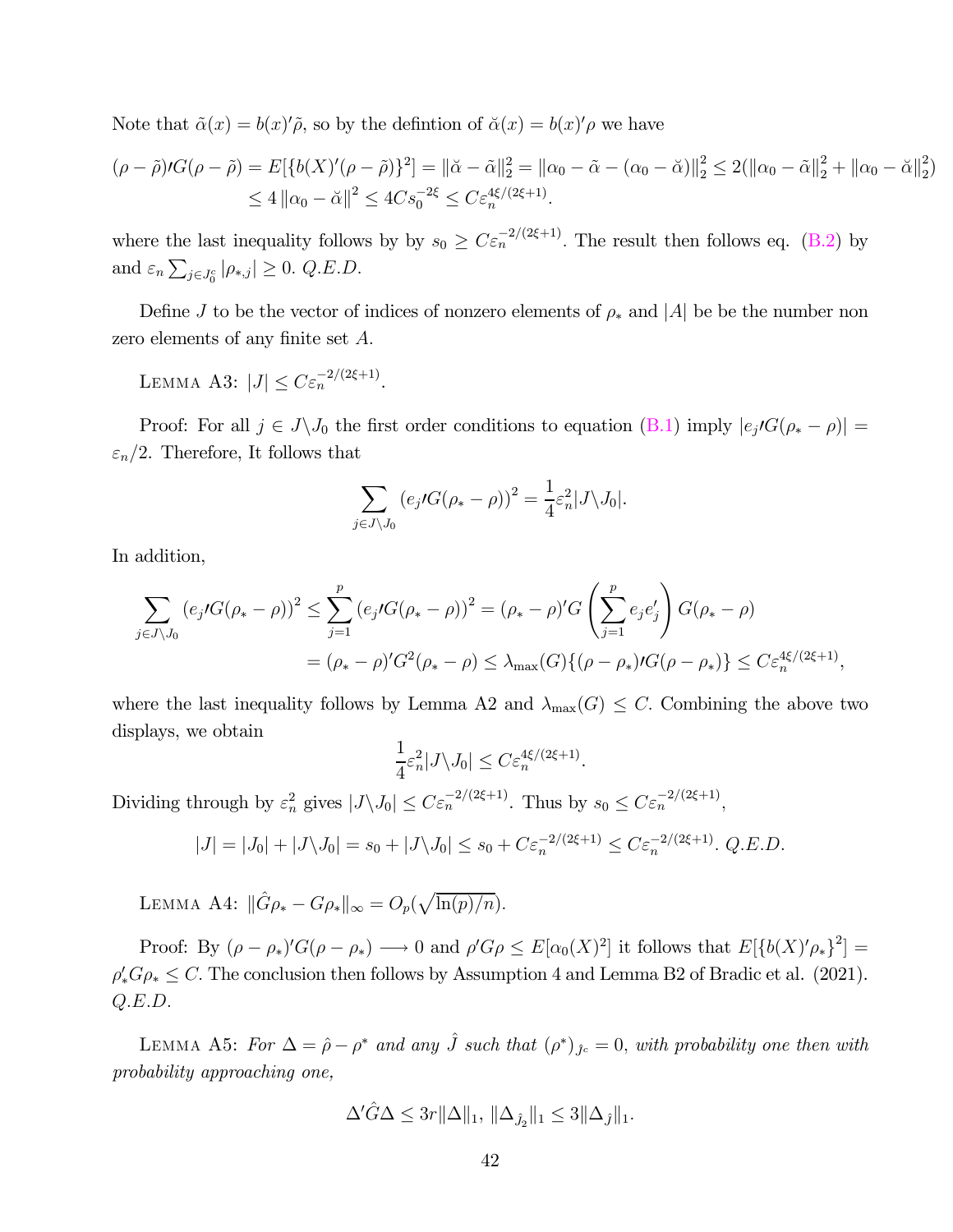Note that  $\tilde{\alpha}(x) = b(x)'\tilde{\rho}$ , so by the defintion of  $\tilde{\alpha}(x) = b(x)'\rho$  we have

$$
(\rho - \tilde{\rho})\prime G(\rho - \tilde{\rho}) = E[\{b(X)'(\rho - \tilde{\rho})\}^2] = ||\tilde{\alpha} - \tilde{\alpha}||_2^2 = ||\alpha_0 - \tilde{\alpha} - (\alpha_0 - \tilde{\alpha})||_2^2 \le 2(||\alpha_0 - \tilde{\alpha}||_2^2 + ||\alpha_0 - \tilde{\alpha}||_2^2)
$$
  

$$
\le 4 ||\alpha_0 - \tilde{\alpha}||^2 \le 4C s_0^{-2\xi} \le C \varepsilon_n^{4\xi/(2\xi+1)}.
$$

where the last inequality follows by by  $s_0 \geq C \varepsilon_n^{-2/(2\xi+1)}$ . The result then follows eq. (B.2) by and  $\varepsilon_n \sum_{j \in J_0^c} |\rho_{*,j}| \ge 0$ . Q.E.D.

Define  $J$  to be the vector of indices of nonzero elements of  $\rho_*$  and  $|A|$  be be the number non zero elements of any finite set A.

LEMMA A3:  $|J| \leq C \varepsilon_n^{-2/(2\xi+1)}$ .

Proof: For all  $j \in J \backslash J_0$  the first order conditions to equation (B.1) imply  $|e_j/G(\rho_* - \rho)| =$  $\varepsilon_n/2$ . Therefore, It follows that

$$
\sum_{j \in J \setminus J_0} \left( e_j \mathcal{G}(\rho_* - \rho) \right)^2 = \frac{1}{4} \varepsilon_n^2 |J \setminus J_0|.
$$

In addition,

$$
\sum_{j \in J \setminus J_0} (e_j \iota G(\rho_* - \rho))^2 \le \sum_{j=1}^p (e_j \iota G(\rho_* - \rho))^2 = (\rho_* - \rho)'G\left(\sum_{j=1}^p e_j e_j'\right) G(\rho_* - \rho)
$$
  
=  $(\rho_* - \rho)'G^2(\rho_* - \rho) \le \lambda_{\max}(G)\{(\rho - \rho_*)\iota G(\rho - \rho_*)\} \le C \varepsilon_n^{4\xi/(2\xi+1)},$ 

where the last inequality follows by Lemma A2 and  $\lambda_{\max}(G) \leq C$ . Combining the above two displays, we obtain

$$
\frac{1}{4}\varepsilon_n^2|J\backslash J_0|\leq C\varepsilon_n^{4\xi/(2\xi+1)}.
$$

Dividing through by  $\varepsilon_n^2$  gives  $|J \setminus J_0| \leq C \varepsilon_n^{-2/(2\xi+1)}$ . Thus by  $s_0 \leq C \varepsilon_n^{-2/(2\xi+1)}$ ,

$$
|J| = |J_0| + |J \setminus J_0| = s_0 + |J \setminus J_0| \le s_0 + C \varepsilon_n^{-2/(2\xi+1)} \le C \varepsilon_n^{-2/(2\xi+1)}.
$$
 Q.E.D.

LEMMA A4:  $\|\hat{G}\rho_* - G\rho_*\|_{\infty} = O_p(\sqrt{\ln(p)/n}).$ 

Proof: By  $(\rho - \rho_*)'G(\rho - \rho_*) \longrightarrow 0$  and  $\rho'G\rho \leq E[\alpha_0(X)^2]$  it follows that  $E[\{b(X)'\rho_*\}^2] =$  $\rho'_* G \rho_* \leq C$ . The conclusion then follows by Assumption 4 and Lemma B2 of Bradic et al. (2021).  $Q.E.D.$ 

LEMMA A5: For  $\Delta = \hat{\rho} - \rho^*$  and any  $\hat{J}$  such that  $(\rho^*)_{\hat{J}^c} = 0$ , with probability one then with probability approaching one,

$$
\Delta' \hat{G} \Delta \leq 3r ||\Delta||_1, ||\Delta_{\hat{J}_2}||_1 \leq 3 ||\Delta_{\hat{J}}||_1.
$$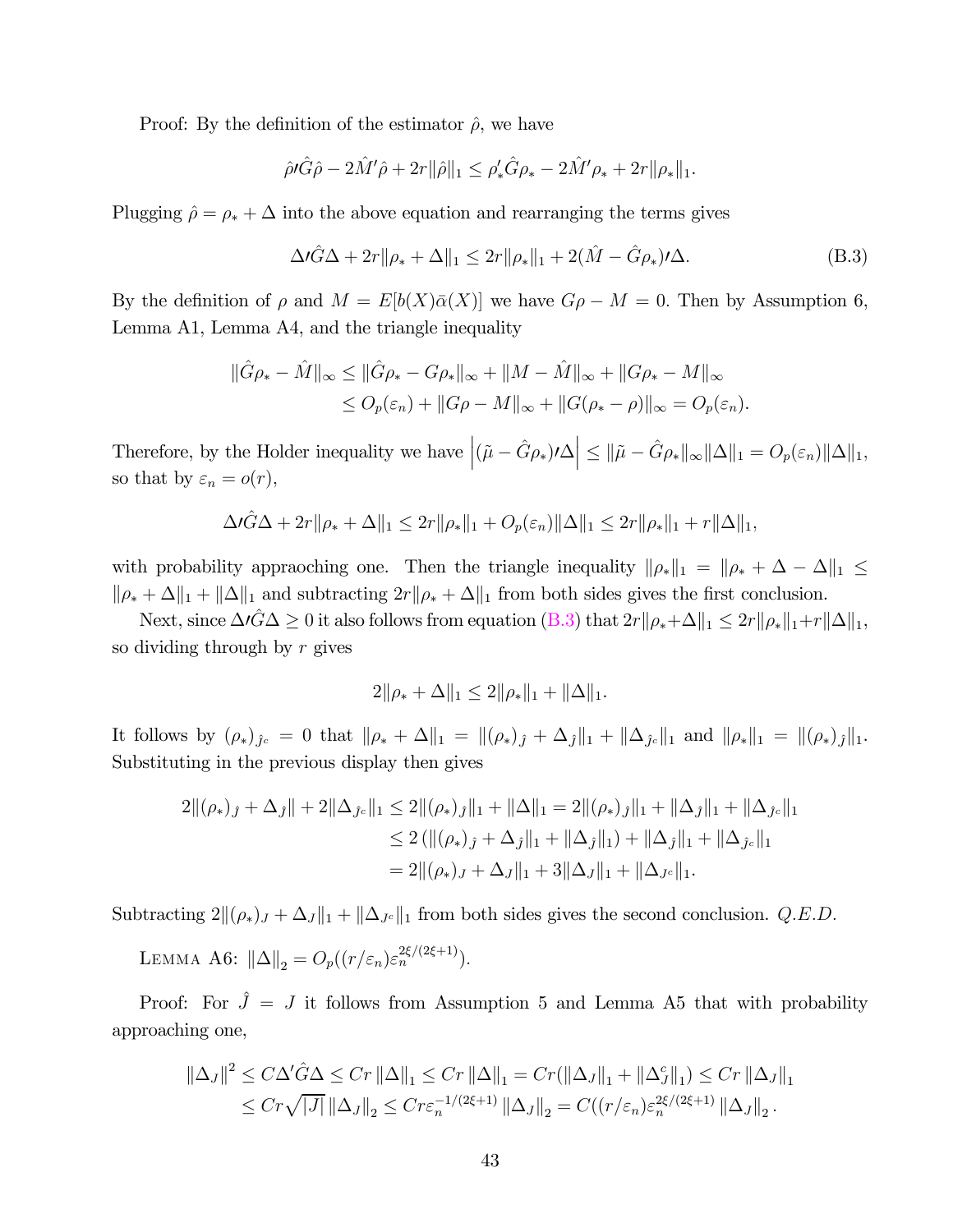Proof: By the definition of the estimator  $\hat{\rho}$ , we have

$$
\hat{\rho}\hat{\theta}^{\prime}\hat{G}\hat{\rho} - 2\hat{M}^{\prime}\hat{\rho} + 2r\|\hat{\rho}\|_{1} \leq \rho_{*}^{\prime}\hat{G}\rho_{*} - 2\hat{M}^{\prime}\rho_{*} + 2r\|\rho_{*}\|_{1}.
$$

Plugging  $\hat{\rho} = \rho_* + \Delta$  into the above equation and rearranging the terms gives

$$
\Delta t \hat{G} \Delta + 2r \|\rho_* + \Delta\|_1 \le 2r \|\rho_*\|_1 + 2(\hat{M} - \hat{G}\rho_*)t \Delta.
$$
 (B.3)

By the definition of  $\rho$  and  $M = E[b(X)\bar{\alpha}(X)]$  we have  $G\rho - M = 0$ . Then by Assumption 6, Lemma A1, Lemma A4, and the triangle inequality

$$
\|\hat{G}\rho_* - \hat{M}\|_{\infty} \le \|\hat{G}\rho_* - G\rho_*\|_{\infty} + \|M - \hat{M}\|_{\infty} + \|G\rho_* - M\|_{\infty}
$$
  

$$
\le O_p(\varepsilon_n) + \|G\rho - M\|_{\infty} + \|G(\rho_* - \rho)\|_{\infty} = O_p(\varepsilon_n).
$$

Therefore, by the Holder inequality we have  $\left|(\tilde{\mu} - \hat{G}\rho_{*})\prime\Delta\right| \leq \|\tilde{\mu} - \hat{G}\rho_{*}\|_{\infty}\|\Delta\|_{1} = O_{p}(\varepsilon_{n})\|\Delta\|_{1}$ , so that by  $\varepsilon_n = o(r)$ ,

$$
\Delta t \hat{G} \Delta + 2r \|\rho_* + \Delta\|_1 \leq 2r \|\rho_*\|_1 + O_p(\varepsilon_n) \|\Delta\|_1 \leq 2r \|\rho_*\|_1 + r \|\Delta\|_1,
$$

with probability appraoching one. Then the triangle inequality  $\|\rho_*\|_1 = \|\rho_* + \Delta - \Delta\|_1 \leq$  $\|\rho_* + \Delta\|_1 + \|\Delta\|_1$  and subtracting  $2r\|\rho_* + \Delta\|_1$  from both sides gives the first conclusion.

Next, since  $\Delta\ell\hat{G}\Delta\geq 0$  it also follows from equation  $(B.3)$  that  $2r||\rho_*+\Delta||_1\leq 2r||\rho_*||_1+r||\Delta||_1$ , so dividing through by  $r$  gives

$$
2\|\rho_* + \Delta\|_1 \le 2\|\rho_*\|_1 + \|\Delta\|_1.
$$

It follows by  $(\rho_*)_{\hat{J}^c} = 0$  that  $\|\rho_* + \Delta\|_1 = \|(\rho_*)_{\hat{J}} + \Delta_{\hat{J}}\|_1 + \|\Delta_{\hat{J}^c}\|_1$  and  $\|\rho_*\|_1 = \|(\rho_*)_{\hat{J}}\|_1$ . Substituting in the previous display then gives

$$
2\|(\rho_{*})_{\hat{J}} + \Delta_{\hat{J}}\| + 2\|\Delta_{\hat{J}c}\|_{1} \leq 2\|(\rho_{*})_{\hat{J}}\|_{1} + \|\Delta\|_{1} = 2\|(\rho_{*})_{\hat{J}}\|_{1} + \|\Delta_{\hat{J}}\|_{1} + \|\Delta_{\hat{J}c}\|_{1}
$$
  
\n
$$
\leq 2(\|(\rho_{*})_{\hat{J}} + \Delta_{\hat{J}}\|_{1} + \|\Delta_{\hat{J}}\|_{1}) + \|\Delta_{\hat{J}}\|_{1} + \|\Delta_{\hat{J}c}\|_{1}
$$
  
\n
$$
= 2\|(\rho_{*})_{J} + \Delta_{J}\|_{1} + 3\|\Delta_{J}\|_{1} + \|\Delta_{Jc}\|_{1}.
$$

Subtracting  $2\|(\rho_*)_J + \Delta_J\|_1 + \|\Delta_{J^c}\|_1$  from both sides gives the second conclusion. Q.E.D.

LEMMA A6:  $\|\Delta\|_2 = O_p((r/\varepsilon_n)\varepsilon_n^{2\xi/(2\xi+1)}).$ 

Proof: For  $\hat{J} = J$  it follows from Assumption 5 and Lemma A5 that with probability approaching one,

$$
\|\Delta_{J}\|^{2} \leq C\Delta'\hat{G}\Delta \leq Cr\|\Delta\|_{1} \leq Cr\|\Delta\|_{1} = Cr(\|\Delta_{J}\|_{1} + \|\Delta_{J}^{c}\|_{1}) \leq Cr\|\Delta_{J}\|_{1}
$$
  

$$
\leq Cr\sqrt{|J|}\|\Delta_{J}\|_{2} \leq Cr\varepsilon_{n}^{-1/(2\xi+1)}\|\Delta_{J}\|_{2} = C((r/\varepsilon_{n})\varepsilon_{n}^{2\xi/(2\xi+1)}\|\Delta_{J}\|_{2}).
$$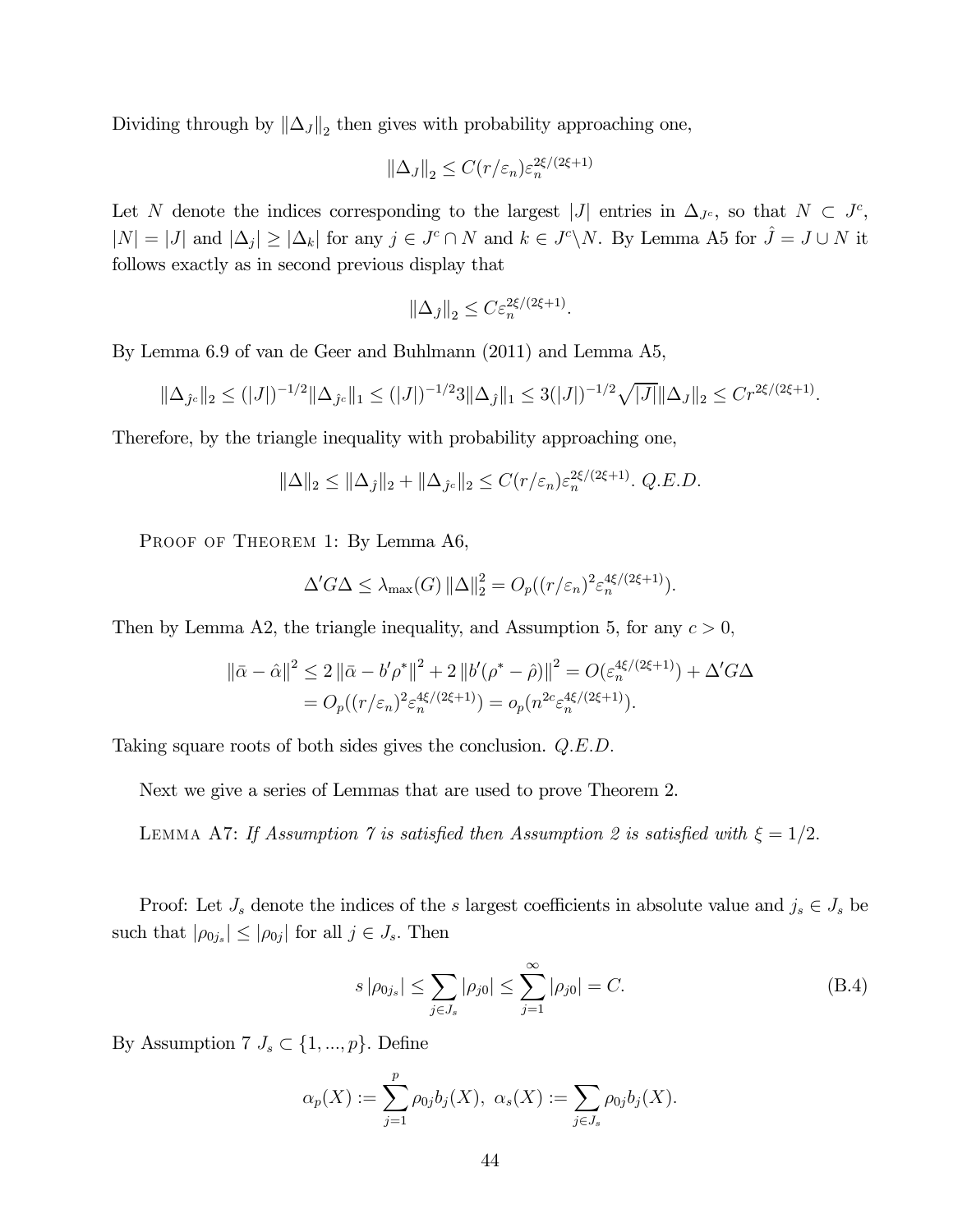Dividing through by  $\|\Delta_j\|_2$  then gives with probability approaching one,

$$
\|\Delta_J\|_2 \le C(r/\varepsilon_n)\varepsilon_n^{2\xi/(2\xi+1)}
$$

Let N denote the indices corresponding to the largest |J| entries in  $\Delta_{J^c}$ , so that  $N \subset J^c$ ,  $|N| = |J|$  and  $|\Delta_j| \geq |\Delta_k|$  for any  $j \in J^c \cap N$  and  $k \in J^c \backslash N$ . By Lemma A5 for  $\hat{J} = J \cup N$  it follows exactly as in second previous display that

$$
\|\Delta_j\|_2 \le C\varepsilon_n^{2\xi/(2\xi+1)}.
$$

By Lemma 6.9 of van de Geer and Buhlmann (2011) and Lemma A5,

$$
\|\Delta_{\hat{J}^c}\|_2 \le (|J|)^{-1/2} \|\Delta_{\hat{J}^c}\|_1 \le (|J|)^{-1/2} 3 \|\Delta_{\hat{J}}\|_1 \le 3(|J|)^{-1/2} \sqrt{|J|} \|\Delta_{J}\|_2 \le Cr^{2\xi/(2\xi+1)}.
$$

Therefore, by the triangle inequality with probability approaching one,

$$
\|\Delta\|_2 \le \|\Delta_{\hat{J}}\|_2 + \|\Delta_{\hat{J}^c}\|_2 \le C(r/\varepsilon_n)\varepsilon_n^{2\xi/(2\xi+1)}.
$$
 Q.E.D.

PROOF OF THEOREM 1: By Lemma A6,

$$
\Delta' G \Delta \leq \lambda_{\max}(G) \left\| \Delta \right\|_2^2 = O_p((r/\varepsilon_n)^2 \varepsilon_n^{4\xi/(2\xi+1)}).
$$

Then by Lemma A2, the triangle inequality, and Assumption 5, for any  $c > 0$ ,

$$
\|\bar{\alpha} - \hat{\alpha}\|^2 \le 2 \|\bar{\alpha} - b' \rho^*\|^2 + 2 \|b'(\rho^* - \hat{\rho})\|^2 = O(\varepsilon_n^{4\xi/(2\xi+1)}) + \Delta' G \Delta
$$
  
=  $O_p((r/\varepsilon_n)^2 \varepsilon_n^{4\xi/(2\xi+1)}) = o_p(n^{2c} \varepsilon_n^{4\xi/(2\xi+1)}).$ 

Taking square roots of both sides gives the conclusion. Q.E.D.

Next we give a series of Lemmas that are used to prove Theorem 2.

LEMMA A7: If Assumption 7 is satisfied then Assumption 2 is satisfied with  $\xi = 1/2$ .

Proof: Let  $J_s$  denote the indices of the s largest coefficients in absolute value and  $j_s \in J_s$  be such that  $|\rho_{0j_s}| \leq |\rho_{0j}|$  for all  $j \in J_s$ . Then

$$
s |\rho_{0j_s}| \le \sum_{j \in J_s} |\rho_{j0}| \le \sum_{j=1}^{\infty} |\rho_{j0}| = C.
$$
 (B.4)

By Assumption 7  $J_s \subset \{1, ..., p\}$ . Define

$$
\alpha_p(X) := \sum_{j=1}^p \rho_{0j} b_j(X), \ \alpha_s(X) := \sum_{j \in J_s} \rho_{0j} b_j(X).
$$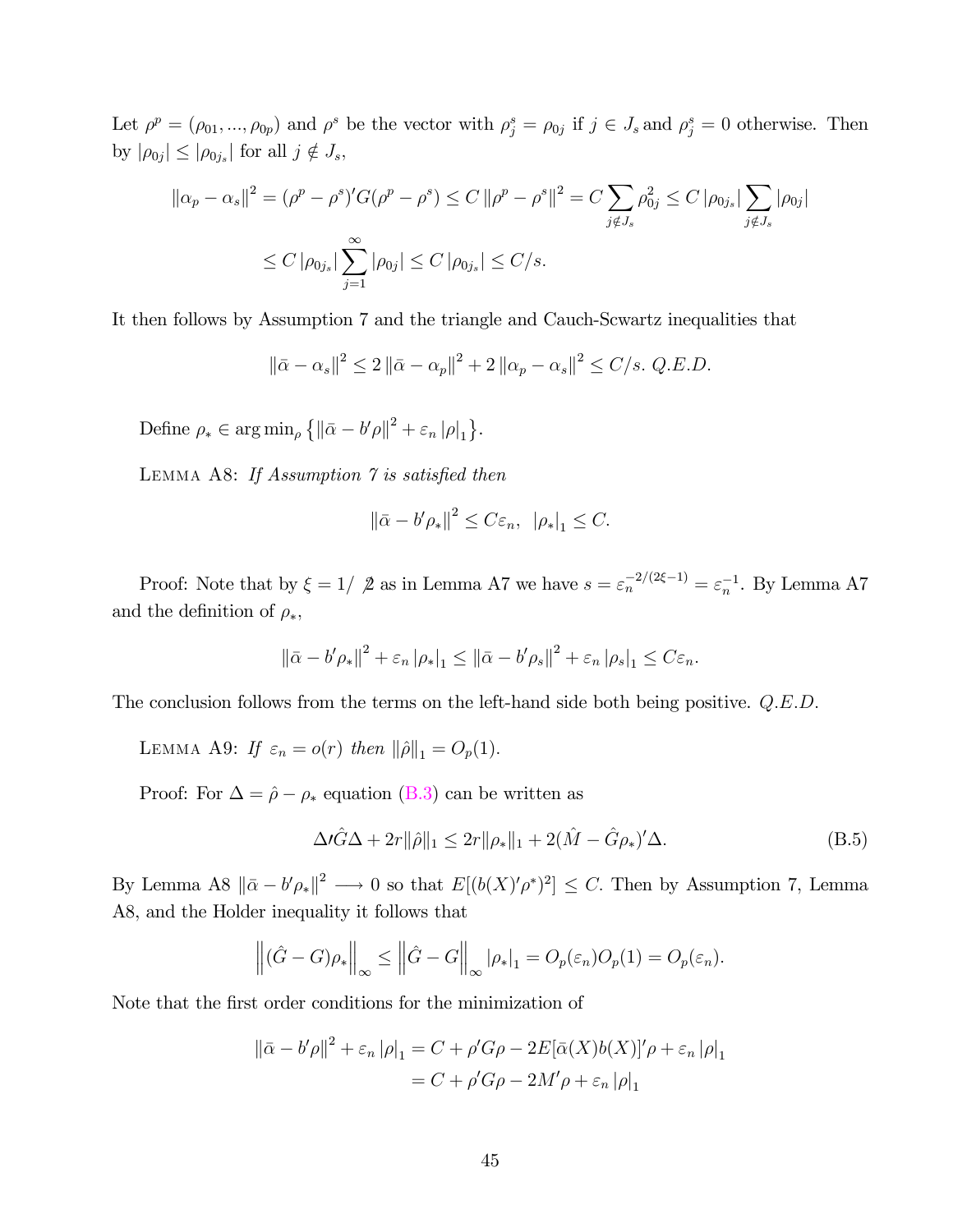Let  $\rho^p = (\rho_{01}, ..., \rho_{0p})$  and  $\rho^s$  be the vector with  $\rho_j^s = \rho_{0j}$  if  $j \in J_s$  and  $\rho_j^s = 0$  otherwise. Then by  $|\rho_{0j}| \leq |\rho_{0j_s}|$  for all  $j \notin J_s$ ,

$$
\|\alpha_p - \alpha_s\|^2 = (\rho^p - \rho^s)'G(\rho^p - \rho^s) \le C \|\rho^p - \rho^s\|^2 = C \sum_{j \notin J_s} \rho_{0j}^2 \le C |\rho_{0j_s}| \sum_{j \notin J_s} |\rho_{0j}|
$$
  

$$
\le C |\rho_{0j_s}| \sum_{j=1}^{\infty} |\rho_{0j}| \le C |\rho_{0j_s}| \le C/s.
$$

It then follows by Assumption 7 and the triangle and Cauch-Scwartz inequalities that

$$
\|\bar{\alpha} - \alpha_s\|^2 \le 2 \|\bar{\alpha} - \alpha_p\|^2 + 2 \|\alpha_p - \alpha_s\|^2 \le C/s. \ Q.E.D.
$$

Define  $\rho_* \in \arg \min_{\rho} \{ ||\bar{\alpha} - b'\rho||^2 + \varepsilon_n |\rho|_1 \}.$ 

LEMMA A8: If Assumption  $\gamma$  is satisfied then

$$
\|\bar{\alpha} - b'\rho_*\|^2 \le C\varepsilon_n, \|\rho_*\|_1 \le C.
$$

Proof: Note that by  $\xi = 1/2$  as in Lemma A7 we have  $s = \varepsilon_n^{-2/(2\xi - 1)} = \varepsilon_n^{-1}$ . By Lemma A7 and the definition of  $\rho_*,$ 

$$
\left\|\bar{\alpha} - b'\rho_*\right\|^2 + \varepsilon_n \left|\rho_*\right|_1 \leq \left\|\bar{\alpha} - b'\rho_s\right\|^2 + \varepsilon_n \left|\rho_s\right|_1 \leq C\varepsilon_n.
$$

The conclusion follows from the terms on the left-hand side both being positive.  $Q.E.D.$ 

LEMMA A9: If  $\varepsilon_n = o(r)$  then  $\|\hat{\rho}\|_1 = O_p(1)$ .

Proof: For  $\Delta = \hat{\rho} - \rho_*$  equation (B.3) can be written as

$$
\Delta t \hat{G} \Delta + 2r \|\hat{\rho}\|_1 \le 2r \|\rho_*\|_1 + 2(\hat{M} - \hat{G}\rho_*)' \Delta.
$$
 (B.5)

By Lemma A8  $\|\bar{\alpha} - b'\rho_*\|^2 \longrightarrow 0$  so that  $E[(b(X)/\rho^*)^2] \leq C$ . Then by Assumption 7, Lemma A8, and the Holder inequality it follows that

$$
\left\| (\hat{G} - G)\rho_* \right\|_{\infty} \le \left\| \hat{G} - G \right\|_{\infty} |\rho_*|_1 = O_p(\varepsilon_n) O_p(1) = O_p(\varepsilon_n).
$$

Note that the first order conditions for the minimization of

$$
\|\bar{\alpha} - b'\rho\|^2 + \varepsilon_n \|\rho\|_1 = C + \rho' G\rho - 2E[\bar{\alpha}(X)b(X)]'\rho + \varepsilon_n \|\rho\|_1
$$

$$
= C + \rho' G\rho - 2M'\rho + \varepsilon_n \|\rho\|_1
$$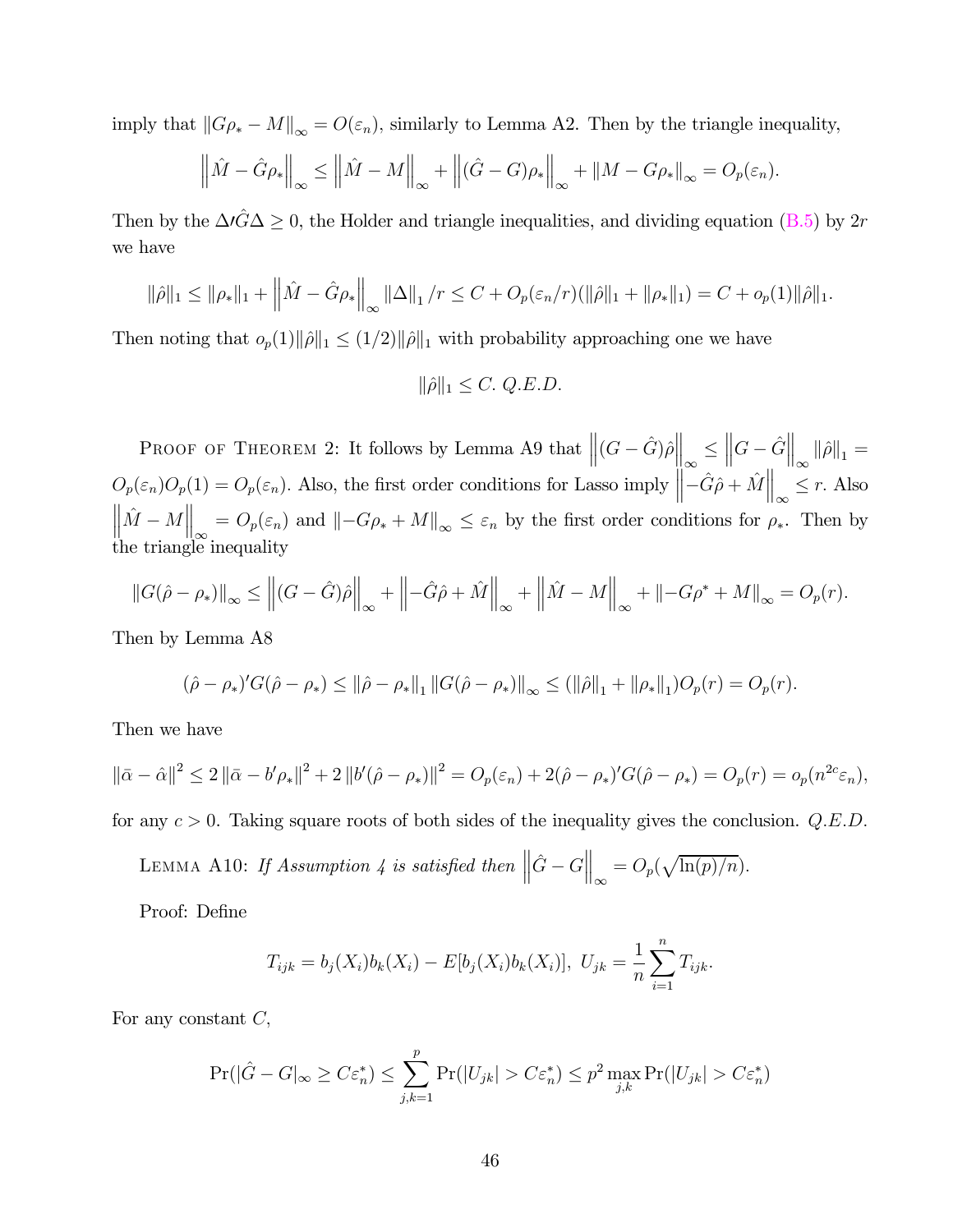imply that  $||G\rho_* - M||_{\infty} = O(\varepsilon_n)$ , similarly to Lemma A2. Then by the triangle inequality,

$$
\left\|\hat{M} - \hat{G}\rho_*\right\|_{\infty} \le \left\|\hat{M} - M\right\|_{\infty} + \left\|\hat{G} - G\right)\rho_*\right\|_{\infty} + \left\|M - G\rho_*\right\|_{\infty} = O_p(\varepsilon_n).
$$

Then by the  $\Delta\hat{G}\Delta\geq 0$ , the Holder and triangle inequalities, and dividing equation (B.5) by 2r we have

$$
\|\hat{\rho}\|_1 \le \|\rho_*\|_1 + \left\|\hat{M} - \hat{G}\rho_*\right\|_{\infty} \|\Delta\|_1 / r \le C + O_p(\varepsilon_n/r) (\|\hat{\rho}\|_1 + \|\rho_*\|_1) = C + o_p(1) \|\hat{\rho}\|_1.
$$

Then noting that  $o_p(1)\|\hat{\rho}\|_1 \leq (1/2)\|\hat{\rho}\|_1$  with probability approaching one we have

$$
\|\hat{\rho}\|_1 \le C. \ Q.E.D.
$$

PROOF OF THEOREM 2: It follows by Lemma A9 that  $\left\| (G - \hat{G}) \hat{\rho} \right\|_{\infty} \leq$  $\left\|G - \hat{G}\right\|_{\infty} \left\|\hat{\rho}\right\|_{1} =$  $O_p(\varepsilon_n)O_p(1) = O_p(\varepsilon_n)$ . Also, the first order conditions for Lasso imply  $\left\|\tilde{-}\hat{G}\hat{\rho} + \hat{M}\right\|_{\infty} \leq r$ . Also  $\|\hat{M} - M\|_{\infty} = O_p(\varepsilon_n)$  and  $\|-G\rho_* + M\|_{\infty} \le \varepsilon_n$  by the first order conditions for  $\rho_*$ . Then by the triangle inequality

$$
||G(\hat{\rho} - \rho_*)||_{\infty} \le ||(G - \hat{G})\hat{\rho}||_{\infty} + ||-\hat{G}\hat{\rho} + \hat{M}||_{\infty} + ||\hat{M} - M||_{\infty} + ||-G\rho^* + M||_{\infty} = O_p(r).
$$

Then by Lemma A8

$$
(\hat{\rho} - \rho_*)'G(\hat{\rho} - \rho_*) \le ||\hat{\rho} - \rho_*||_1 ||G(\hat{\rho} - \rho_*)||_{\infty} \le (||\hat{\rho}||_1 + ||\rho_*||_1)O_p(r) = O_p(r).
$$

Then we have

$$
\|\bar{\alpha} - \hat{\alpha}\|^2 \le 2 \|\bar{\alpha} - b'\rho_*\|^2 + 2 \left\|b'(\hat{\rho} - \rho_*)\right\|^2 = O_p(\varepsilon_n) + 2(\hat{\rho} - \rho_*)'G(\hat{\rho} - \rho_*) = O_p(r) = o_p(n^{2c}\varepsilon_n),
$$

for any  $c > 0$ . Taking square roots of both sides of the inequality gives the conclusion. Q.E.D.

LEMMA A10: If Assumption 4 is satisfied then  $\left\|\hat{G} - G\right\|_{\infty}$  $= O_p(\sqrt{\ln(p)/n}).$ 

Proof: Define

$$
T_{ijk} = b_j(X_i)b_k(X_i) - E[b_j(X_i)b_k(X_i)], \ U_{jk} = \frac{1}{n}\sum_{i=1}^n T_{ijk}.
$$

For any constant  $C$ ,

$$
\Pr(|\hat{G} - G|_{\infty} \ge C\varepsilon_n^*) \le \sum_{j,k=1}^p \Pr(|U_{jk}| > C\varepsilon_n^*) \le p^2 \max_{j,k} \Pr(|U_{jk}| > C\varepsilon_n^*)
$$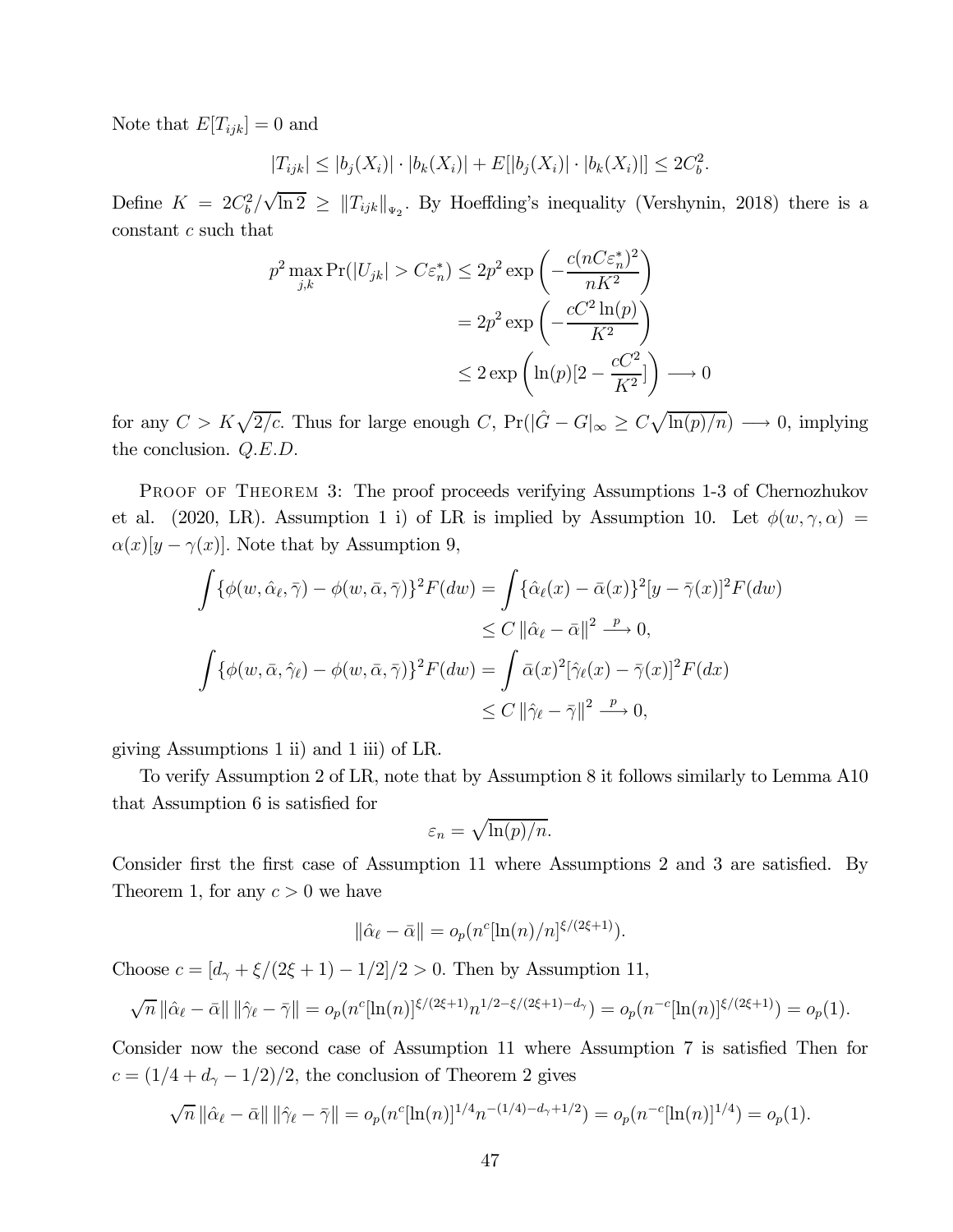Note that  $E[T_{ijk}] = 0$  and

$$
|T_{ijk}| \le |b_j(X_i)| \cdot |b_k(X_i)| + E[|b_j(X_i)| \cdot |b_k(X_i)|] \le 2C_b^2.
$$

Define  $K = 2C_b^2/\sqrt{\ln 2} \geq ||T_{ijk}||_{\Psi_2}$ . By Hoeffding's inequality (Vershynin, 2018) there is a constant  $c$  such that

$$
p^2 \max_{j,k} \Pr(|U_{jk}| > C\varepsilon_n^*) \le 2p^2 \exp\left(-\frac{c(nC\varepsilon_n^*)^2}{nK^2}\right)
$$
  
=  $2p^2 \exp\left(-\frac{cC^2 \ln(p)}{K^2}\right)$   
 $\le 2 \exp\left(\ln(p)[2 - \frac{cC^2}{K^2}]\right) \longrightarrow 0$ 

for any  $C > K\sqrt{2/c}$ . Thus for large enough C,  $Pr(|\hat{G} - G|_{\infty} \geq C\sqrt{\ln(p)/n}) \longrightarrow 0$ , implying the conclusion.  $Q.E.D.$ 

PROOF OF THEOREM 3: The proof proceeds verifying Assumptions 1-3 of Chernozhukov et al. (2020, LR). Assumption 1 i) of LR is implied by Assumption 10. Let  $\phi(w, \gamma, \alpha) =$  $\alpha(x)[y - \gamma(x)]$ . Note that by Assumption 9,

$$
\int {\phi(w, \hat{\alpha}_{\ell}, \bar{\gamma}) - \phi(w, \bar{\alpha}, \bar{\gamma})}^2 F(dw) = \int {\hat{\alpha}_{\ell}(x) - \bar{\alpha}(x)}^2 [y - \bar{\gamma}(x)]^2 F(dw)
$$
  
\n
$$
\leq C ||\hat{\alpha}_{\ell} - \bar{\alpha}||^2 \stackrel{p}{\longrightarrow} 0,
$$
  
\n
$$
\int {\phi(w, \bar{\alpha}, \hat{\gamma}_{\ell}) - \phi(w, \bar{\alpha}, \bar{\gamma})}^2 F(dw) = \int \bar{\alpha}(x)^2 [\hat{\gamma}_{\ell}(x) - \bar{\gamma}(x)]^2 F(dx)
$$
  
\n
$$
\leq C ||\hat{\gamma}_{\ell} - \bar{\gamma}||^2 \stackrel{p}{\longrightarrow} 0,
$$

giving Assumptions 1 ii) and 1 iii) of LR.

To verify Assumption 2 of LR, note that by Assumption 8 it follows similarly to Lemma A10 that Assumption 6 is satisfied for

$$
\varepsilon_n = \sqrt{\ln(p)/n}.
$$

Consider first the first case of Assumption 11 where Assumptions 2 and 3 are satisfied. By Theorem 1, for any  $c > 0$  we have

$$
\|\hat{\alpha}_{\ell}-\bar{\alpha}\|=o_p(n^c[\ln(n)/n]^{\xi/(2\xi+1)}).
$$

Choose  $c = [d_{\gamma} + \xi/(2\xi + 1) - 1/2]/2 > 0$ . Then by Assumption 11,

$$
\sqrt{n} \|\hat{\alpha}_{\ell} - \bar{\alpha}\| \| \hat{\gamma}_{\ell} - \bar{\gamma} \| = o_p(n^c [\ln(n)]^{\xi/(2\xi+1)} n^{1/2 - \xi/(2\xi+1) - d_{\gamma}}) = o_p(n^{-c} [\ln(n)]^{\xi/(2\xi+1)}) = o_p(1).
$$

Consider now the second case of Assumption 11 where Assumption 7 is satisfied Then for  $c = (1/4 + d_{\gamma} - 1/2)/2$ , the conclusion of Theorem 2 gives

$$
\sqrt{n} \|\hat{\alpha}_{\ell} - \bar{\alpha}\| \|\hat{\gamma}_{\ell} - \bar{\gamma}\| = o_p(n^c [\ln(n)]^{1/4} n^{-(1/4) - d_{\gamma} + 1/2}) = o_p(n^{-c} [\ln(n)]^{1/4}) = o_p(1).
$$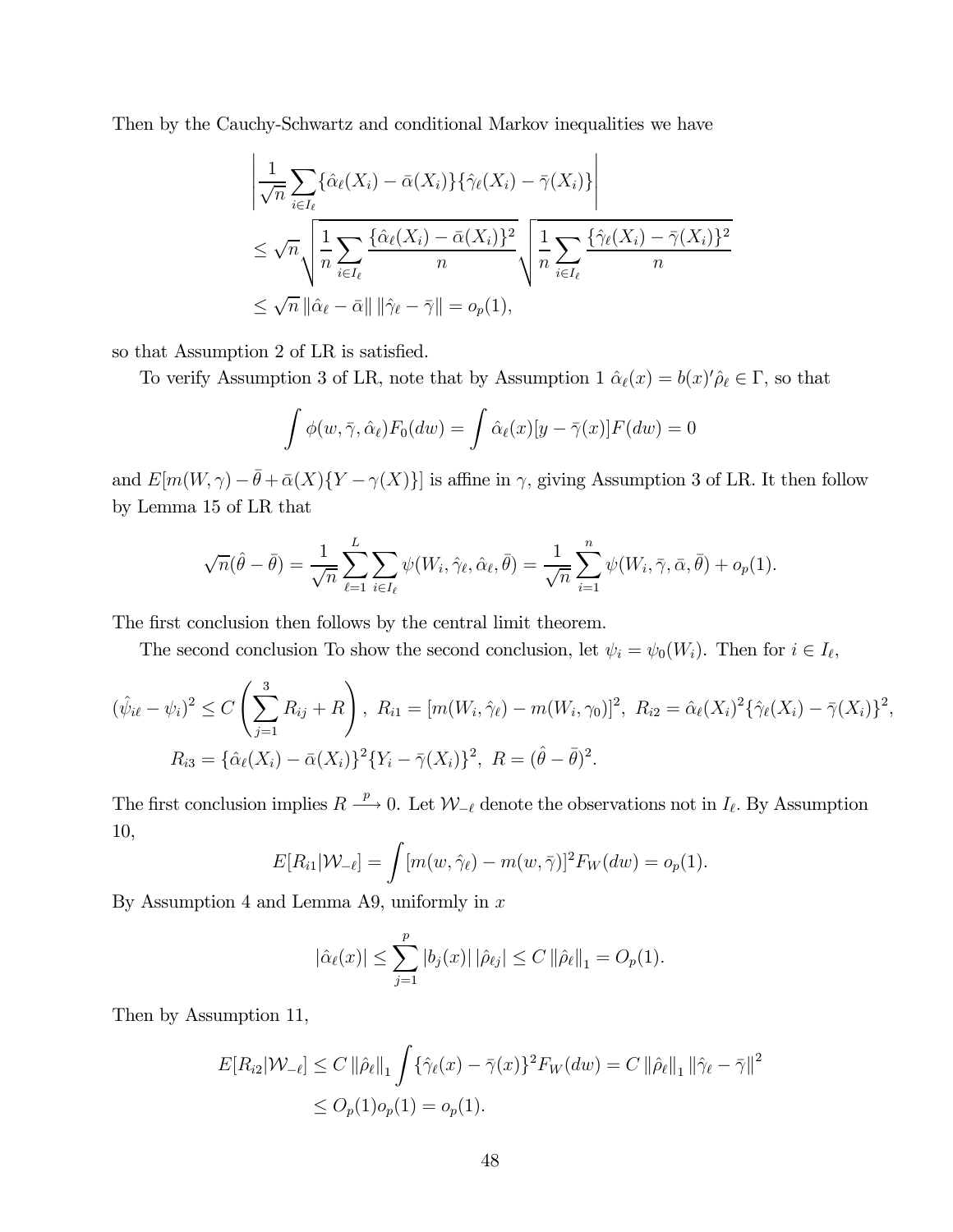Then by the Cauchy-Schwartz and conditional Markov inequalities we have

$$
\left| \frac{1}{\sqrt{n}} \sum_{i \in I_{\ell}} \{\hat{\alpha}_{\ell}(X_i) - \bar{\alpha}(X_i)\} \{\hat{\gamma}_{\ell}(X_i) - \bar{\gamma}(X_i)\} \right|
$$
  
\n
$$
\leq \sqrt{n} \sqrt{\frac{1}{n} \sum_{i \in I_{\ell}} \frac{\{\hat{\alpha}_{\ell}(X_i) - \bar{\alpha}(X_i)\}^2}{n}} \sqrt{\frac{1}{n} \sum_{i \in I_{\ell}} \frac{\{\hat{\gamma}_{\ell}(X_i) - \bar{\gamma}(X_i)\}^2}{n}}
$$
  
\n
$$
\leq \sqrt{n} \|\hat{\alpha}_{\ell} - \bar{\alpha}\| \|\hat{\gamma}_{\ell} - \bar{\gamma}\| = o_p(1),
$$

so that Assumption 2 of LR is satisfied.

To verify Assumption 3 of LR, note that by Assumption 1  $\hat{\alpha}_{\ell}(x) = b(x)'\hat{\rho}_{\ell} \in \Gamma$ , so that

$$
\int \phi(w, \bar{\gamma}, \hat{\alpha}_{\ell}) F_0(dw) = \int \hat{\alpha}_{\ell}(x) [y - \bar{\gamma}(x)] F(dw) = 0
$$

and  $E[m(W, \gamma) - \bar{\theta} + \bar{\alpha}(X)\{Y - \gamma(X)\}]$  is affine in  $\gamma$ , giving Assumption 3 of LR. It then follow by Lemma 15 of LR that

$$
\sqrt{n}(\hat{\theta}-\bar{\theta})=\frac{1}{\sqrt{n}}\sum_{\ell=1}^L\sum_{i\in I_\ell}\psi(W_i,\hat{\gamma}_\ell,\hat{\alpha}_\ell,\bar{\theta})=\frac{1}{\sqrt{n}}\sum_{i=1}^n\psi(W_i,\bar{\gamma},\bar{\alpha},\bar{\theta})+o_p(1).
$$

The first conclusion then follows by the central limit theorem.

The second conclusion To show the second conclusion, let  $\psi_i = \psi_0(W_i)$ . Then for  $i \in I_\ell$ ,

$$
(\hat{\psi}_{i\ell} - \psi_i)^2 \le C \left( \sum_{j=1}^3 R_{ij} + R \right), \ R_{i1} = [m(W_i, \hat{\gamma}_{\ell}) - m(W_i, \gamma_0)]^2, \ R_{i2} = \hat{\alpha}_{\ell}(X_i)^2 \{ \hat{\gamma}_{\ell}(X_i) - \bar{\gamma}(X_i) \}^2,
$$
  

$$
R_{i3} = \{ \hat{\alpha}_{\ell}(X_i) - \bar{\alpha}(X_i) \}^2 \{ Y_i - \bar{\gamma}(X_i) \}^2, \ R = (\hat{\theta} - \bar{\theta})^2.
$$

The first conclusion implies  $R \stackrel{p}{\longrightarrow} 0$ . Let  $\mathcal{W}_{-\ell}$  denote the observations not in  $I_{\ell}$ . By Assumption 10,

$$
E[R_{i1}|\mathcal{W}_{-\ell}] = \int [m(w, \hat{\gamma}_{\ell}) - m(w, \bar{\gamma})]^2 F_W(dw) = o_p(1).
$$

By Assumption 4 and Lemma A9, uniformly in  $x$ 

$$
|\hat{\alpha}_{\ell}(x)| \leq \sum_{j=1}^{p} |b_j(x)| |\hat{\rho}_{\ell j}| \leq C ||\hat{\rho}_{\ell}||_1 = O_p(1).
$$

Then by Assumption 11,

$$
E[R_{i2}|\mathcal{W}_{-\ell}] \le C \|\hat{\rho}_{\ell}\|_1 \int {\{\hat{\gamma}_{\ell}(x) - \bar{\gamma}(x)\}}^2 F_W(dw) = C \|\hat{\rho}_{\ell}\|_1 \|\hat{\gamma}_{\ell} - \bar{\gamma}\|^2
$$
  

$$
\le O_p(1) o_p(1) = o_p(1).
$$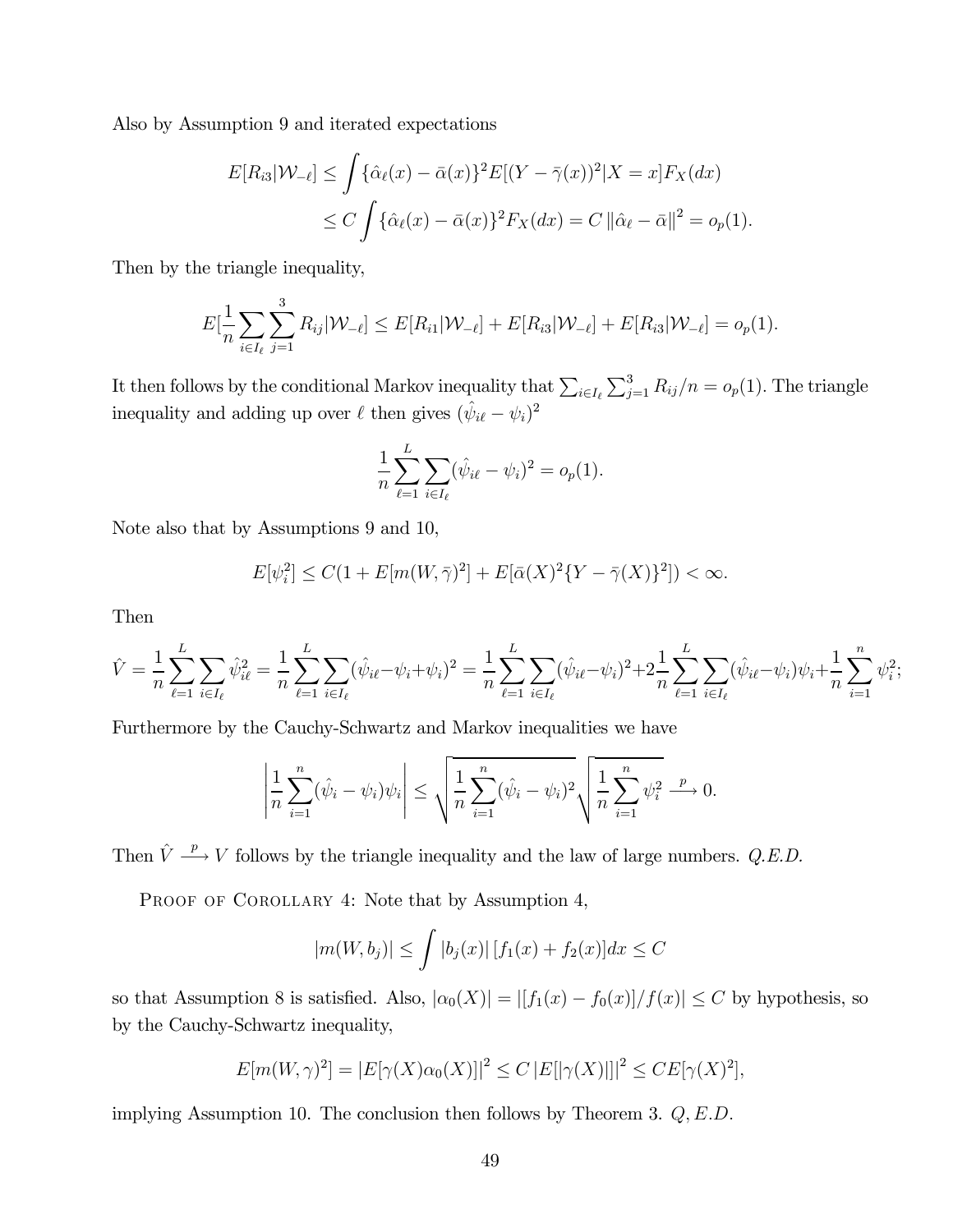Also by Assumption 9 and iterated expectations

$$
E[R_{i3}|\mathcal{W}_{-\ell}] \le \int {\hat{\alpha}_{\ell}(x) - \bar{\alpha}(x)}^2 E[(Y - \bar{\gamma}(x))^2 | X = x] F_X(dx)
$$
  
 
$$
\le C \int {\hat{\alpha}_{\ell}(x) - \bar{\alpha}(x)}^2 F_X(dx) = C ||\hat{\alpha}_{\ell} - \bar{\alpha}||^2 = o_p(1).
$$

Then by the triangle inequality,

$$
E[\frac{1}{n}\sum_{i\in I_{\ell}}\sum_{j=1}^{3}R_{ij}|\mathcal{W}_{-\ell}]\leq E[R_{i1}|\mathcal{W}_{-\ell}]+E[R_{i3}|\mathcal{W}_{-\ell}]+E[R_{i3}|\mathcal{W}_{-\ell}]=o_p(1).
$$

It then follows by the conditional Markov inequality that  $\sum_{i\in I_{\ell}}\sum_{j=1}^{3}R_{ij}/n = o_p(1)$ . The triangle inequality and adding up over  $\ell$  then gives  $(\hat{\psi}_{i\ell} - \psi_i)^2$ 

$$
\frac{1}{n} \sum_{\ell=1}^{L} \sum_{i \in I_{\ell}} (\hat{\psi}_{i\ell} - \psi_i)^2 = o_p(1).
$$

Note also that by Assumptions 9 and 10,

$$
E[\psi_i^2] \le C(1 + E[m(W, \bar{\gamma})^2] + E[\bar{\alpha}(X)^2 \{ Y - \bar{\gamma}(X) \}^2]) < \infty.
$$

Then

$$
\hat{V} = \frac{1}{n} \sum_{\ell=1}^{L} \sum_{i \in I_{\ell}} \hat{\psi}_{i\ell}^{2} = \frac{1}{n} \sum_{\ell=1}^{L} \sum_{i \in I_{\ell}} (\hat{\psi}_{i\ell} - \psi_{i} + \psi_{i})^{2} = \frac{1}{n} \sum_{\ell=1}^{L} \sum_{i \in I_{\ell}} (\hat{\psi}_{i\ell} - \psi_{i})^{2} + 2\frac{1}{n} \sum_{\ell=1}^{L} \sum_{i \in I_{\ell}} (\hat{\psi}_{i\ell} - \psi_{i}) \psi_{i} + \frac{1}{n} \sum_{i=1}^{n} \psi_{i}^{2};
$$

Furthermore by the Cauchy-Schwartz and Markov inequalities we have

$$
\left| \frac{1}{n} \sum_{i=1}^{n} (\hat{\psi}_i - \psi_i) \psi_i \right| \leq \sqrt{\frac{1}{n} \sum_{i=1}^{n} (\hat{\psi}_i - \psi_i)^2} \sqrt{\frac{1}{n} \sum_{i=1}^{n} \psi_i^2} \xrightarrow{p} 0.
$$

Then  $\hat{V} \stackrel{p}{\longrightarrow} V$  follows by the triangle inequality and the law of large numbers. Q.E.D.

PROOF OF COROLLARY 4: Note that by Assumption 4,

$$
|m(W, b_j)| \le \int |b_j(x)| [f_1(x) + f_2(x)] dx \le C
$$

so that Assumption 8 is satisfied. Also,  $|\alpha_0(X)| = |[f_1(x) - f_0(x)]/f(x)| \leq C$  by hypothesis, so by the Cauchy-Schwartz inequality,

$$
E[m(W,\gamma)^{2}] = |E[\gamma(X)\alpha_{0}(X)]|^{2} \leq C |E[|\gamma(X)|]^{2} \leq CE[\gamma(X)^{2}],
$$

implying Assumption 10. The conclusion then follows by Theorem 3.  $Q, E.D.$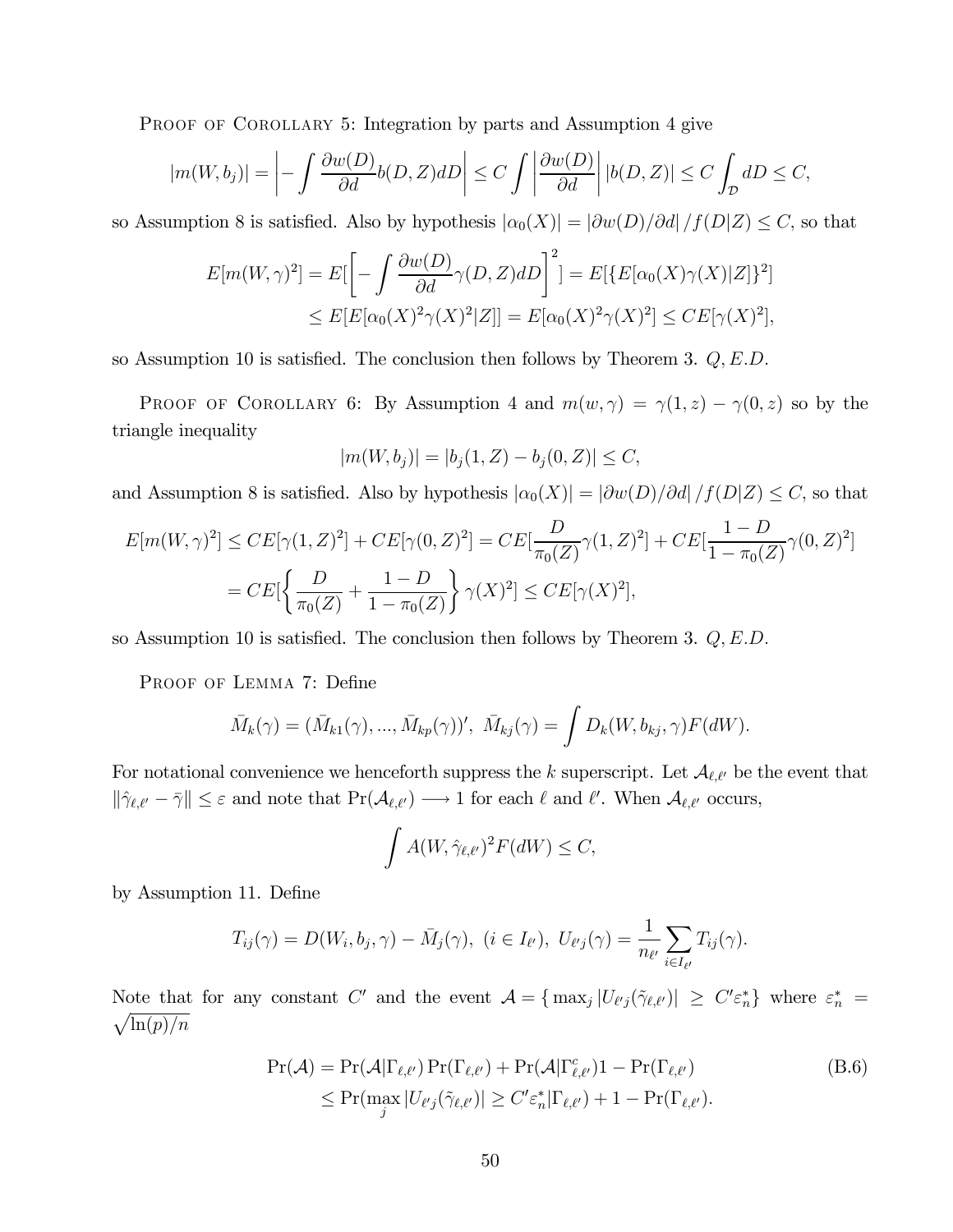PROOF OF COROLLARY 5: Integration by parts and Assumption 4 give

$$
|m(W, b_j)| = \left| - \int \frac{\partial w(D)}{\partial d} b(D, Z) dD \right| \le C \int \left| \frac{\partial w(D)}{\partial d} \right| |b(D, Z)| \le C \int_{\mathcal{D}} dD \le C,
$$

so Assumption 8 is satisfied. Also by hypothesis  $|\alpha_0(X)| = |\partial w(D)/\partial d| / f(D|Z) \leq C$ , so that

$$
E[m(W,\gamma)^2] = E\left[-\int \frac{\partial w(D)}{\partial d} \gamma(D,Z) dD\right]^2] = E\left[E[\alpha_0(X)\gamma(X)|Z]\right]^2
$$
  

$$
\leq E[E[\alpha_0(X)^2 \gamma(X)^2|Z]] = E[\alpha_0(X)^2 \gamma(X)^2] \leq CE[\gamma(X)^2],
$$

so Assumption 10 is satisfied. The conclusion then follows by Theorem 3.  $Q, E.D$ .

PROOF OF COROLLARY 6: By Assumption 4 and  $m(w, \gamma) = \gamma(1, z) - \gamma(0, z)$  so by the triangle inequality

$$
|m(W, b_j)| = |b_j(1, Z) - b_j(0, Z)| \le C,
$$

and Assumption 8 is satisfied. Also by hypothesis  $|\alpha_0(X)| = |\partial w(D)/\partial d|/f(D|Z) \leq C$ , so that

$$
E[m(W,\gamma)^{2}] \leq CE[\gamma(1,Z)^{2}] + CE[\gamma(0,Z)^{2}] = CE[\frac{D}{\pi_{0}(Z)}\gamma(1,Z)^{2}] + CE[\frac{1-D}{1-\pi_{0}(Z)}\gamma(0,Z)^{2}]
$$
  
=  $CE[\left\{\frac{D}{\pi_{0}(Z)} + \frac{1-D}{1-\pi_{0}(Z)}\right\}\gamma(X)^{2}] \leq CE[\gamma(X)^{2}],$ 

so Assumption 10 is satisfied. The conclusion then follows by Theorem 3.  $Q, E.D$ .

PROOF OF LEMMA 7: Define

$$
\bar{M}_k(\gamma) = (\bar{M}_{k1}(\gamma), ..., \bar{M}_{kp}(\gamma))', \ \ \bar{M}_{kj}(\gamma) = \int D_k(W, b_{kj}, \gamma) F(dW).
$$

For notational convenience we henceforth suppress the  $k$  superscript. Let  $\mathcal{A}_{\ell,\ell'}$  be the event that  $\|\hat{\gamma}_{\ell,\ell'}-\bar{\gamma}\|\leq \varepsilon$  and note that  $\Pr(\mathcal{A}_{\ell,\ell'})\longrightarrow 1$  for each  $\ell$  and  $\ell'$ . When  $\mathcal{A}_{\ell,\ell'}$  occurs,

$$
\int A(W, \hat{\gamma}_{\ell,\ell'})^2 F(dW) \leq C,
$$

by Assumption 11. Define

$$
T_{ij}(\gamma) = D(W_i, b_j, \gamma) - \bar{M}_j(\gamma), \ (i \in I_{\ell'}), \ U_{\ell'j}(\gamma) = \frac{1}{n_{\ell'}} \sum_{i \in I_{\ell'}} T_{ij}(\gamma).
$$

Note that for any constant C' and the event  $\mathcal{A} = \{ \max_j |U_{\ell'j}(\tilde{\gamma}_{\ell,\ell'})| \geq C' \varepsilon_n^* \}$  where  $\varepsilon_n^* = \sqrt{\ln(p)/n}$ 

$$
\Pr(\mathcal{A}) = \Pr(\mathcal{A}|\Gamma_{\ell,\ell'}) \Pr(\Gamma_{\ell,\ell'}) + \Pr(\mathcal{A}|\Gamma_{\ell,\ell'}^c) \mathbf{1} - \Pr(\Gamma_{\ell,\ell'})
$$
\n
$$
\leq \Pr(\max_j |U_{\ell'j}(\tilde{\gamma}_{\ell,\ell'})| \geq C' \varepsilon_n^* |\Gamma_{\ell,\ell'}) + \mathbf{1} - \Pr(\Gamma_{\ell,\ell'}).
$$
\n(B.6)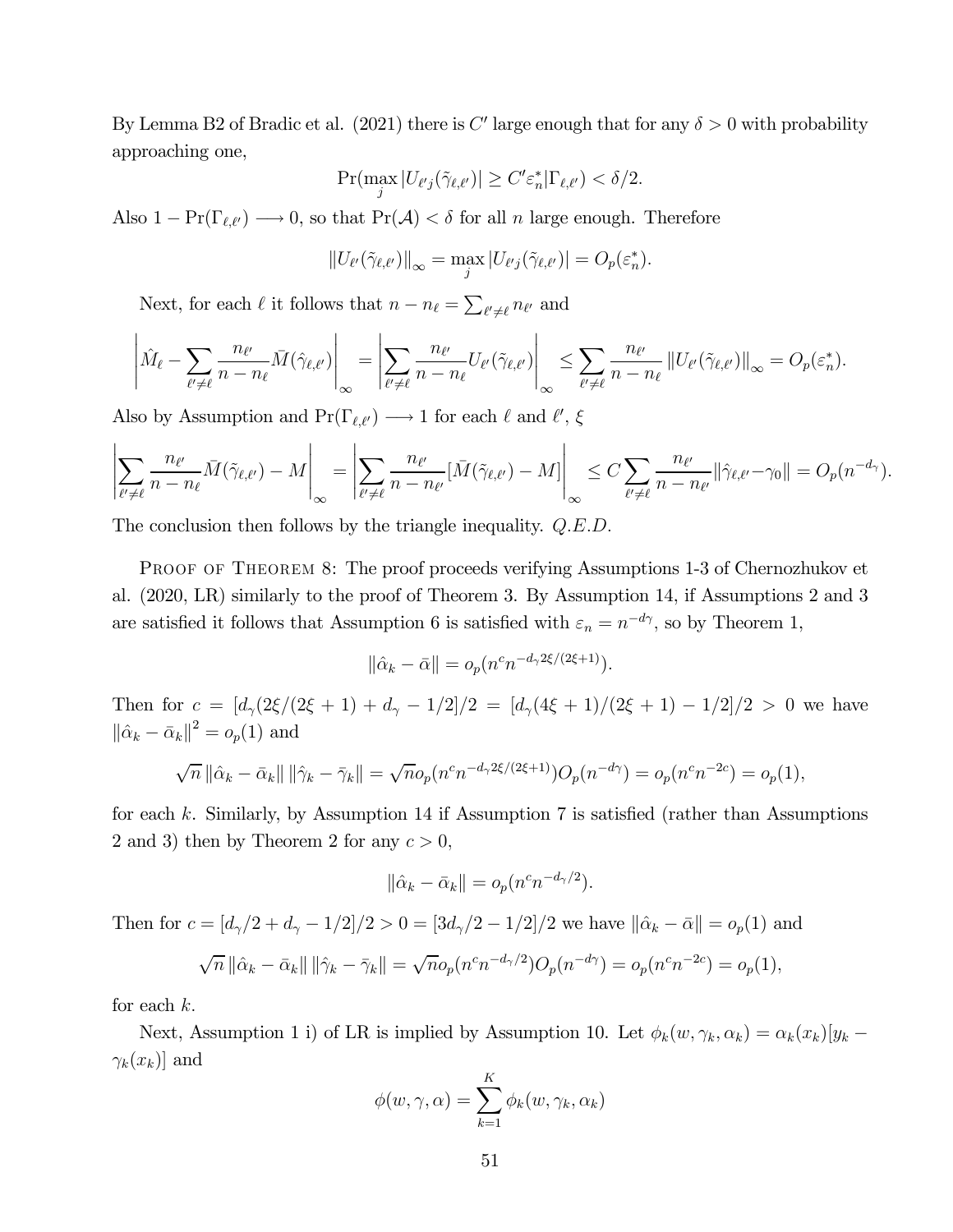By Lemma B2 of Bradic et al. (2021) there is C' large enough that for any  $\delta > 0$  with probability approaching one,

$$
\Pr(\max_j |U_{\ell'j}(\tilde{\gamma}_{\ell,\ell'})| \ge C' \varepsilon_n^* |\Gamma_{\ell,\ell'}) < \delta/2.
$$

Also  $1 - \Pr(\Gamma_{\ell,\ell'}) \longrightarrow 0$ , so that  $\Pr(\mathcal{A}) < \delta$  for all  $n$  large enough. Therefore

$$
||U_{\ell'}(\tilde{\gamma}_{\ell,\ell'})||_{\infty} = \max_{j} |U_{\ell'j}(\tilde{\gamma}_{\ell,\ell'})| = O_p(\varepsilon_n^*).
$$

Next, for each  $\ell$  it follows that  $n-n_{\ell}=\sum_{\ell'\neq \ell}n_{\ell'}$  and

$$
\left| \hat{M}_{\ell} - \sum_{\ell' \neq \ell} \frac{n_{\ell'}}{n - n_{\ell}} \bar{M}(\hat{\gamma}_{\ell,\ell'}) \right|_{\infty} = \left| \sum_{\ell' \neq \ell} \frac{n_{\ell'}}{n - n_{\ell}} U_{\ell'}(\tilde{\gamma}_{\ell,\ell'}) \right|_{\infty} \leq \sum_{\ell' \neq \ell} \frac{n_{\ell'}}{n - n_{\ell}} \left\| U_{\ell'}(\tilde{\gamma}_{\ell,\ell'}) \right\|_{\infty} = O_p(\varepsilon_n^*).
$$

Also by Assumption and  $Pr(\Gamma_{\ell,\ell'}) \longrightarrow 1$  for each  $\ell$  and  $\ell'$ ,  $\xi$ 

$$
\left|\sum_{\ell'\neq\ell}\frac{n_{\ell'}}{n-n_{\ell}}\bar{M}(\tilde{\gamma}_{\ell,\ell'})-M\right|_{\infty}=\left|\sum_{\ell'\neq\ell}\frac{n_{\ell'}}{n-n_{\ell'}}[\bar{M}(\tilde{\gamma}_{\ell,\ell'})-M]\right|_{\infty}\leq C\sum_{\ell'\neq\ell}\frac{n_{\ell'}}{n-n_{\ell'}}\|\hat{\gamma}_{\ell,\ell'}-\gamma_0\|=O_p(n^{-d_\gamma}).
$$

The conclusion then follows by the triangle inequality.  $Q.E.D.$ 

PROOF OF THEOREM 8: The proof proceeds verifying Assumptions 1-3 of Chernozhukov et al. (2020, LR) similarly to the proof of Theorem 3. By Assumption 14, if Assumptions 2 and 3 are satisfied it follows that Assumption 6 is satisfied with  $\varepsilon_n = n^{-d\gamma}$ , so by Theorem 1,

$$
\|\hat{\alpha}_k - \bar{\alpha}\| = o_p(n^c n^{-d_\gamma 2\xi/(2\xi+1)}).
$$

Then for  $c = [d_{\gamma}(2\xi/(2\xi + 1) + d_{\gamma} - 1/2]/2 = [d_{\gamma}(4\xi + 1)/(2\xi + 1) - 1/2]/2 > 0$  we have  $\|\hat{\alpha}_k - \bar{\alpha}_k\|^2 = o_p(1)$  and

$$
\sqrt{n} \|\hat{\alpha}_k - \bar{\alpha}_k\| \|\hat{\gamma}_k - \bar{\gamma}_k\| = \sqrt{n}o_p(n^c n^{-d_2 2\xi/(2\xi+1)})O_p(n^{-d_2}) = o_p(n^c n^{-2c}) = o_p(1),
$$

for each  $k$ . Similarly, by Assumption 14 if Assumption 7 is satisfied (rather than Assumptions 2 and 3) then by Theorem 2 for any  $c > 0$ ,

$$
\|\hat{\alpha}_k - \bar{\alpha}_k\| = o_p(n^c n^{-d_\gamma/2}).
$$

Then for  $c = [d_{\gamma}/2 + d_{\gamma} - 1/2]/2 > 0 = [3d_{\gamma}/2 - 1/2]/2$  we have  $\|\hat{\alpha}_k - \bar{\alpha}\| = o_p(1)$  and

$$
\sqrt{n} \|\hat{\alpha}_k - \bar{\alpha}_k\| \|\hat{\gamma}_k - \bar{\gamma}_k\| = \sqrt{n}o_p(n^cn^{-d_\gamma/2})O_p(n^{-d_\gamma}) = o_p(n^cn^{-2c}) = o_p(1),
$$

for each  $k$ .

Next, Assumption 1 i) of LR is implied by Assumption 10. Let  $\phi_k(w, \gamma_k, \alpha_k) = \alpha_k(x_k)[y_k - \alpha_k(x_k)]$  $\gamma_k(x_k)$  and

$$
\phi(w, \gamma, \alpha) = \sum_{k=1}^{K} \phi_k(w, \gamma_k, \alpha_k)
$$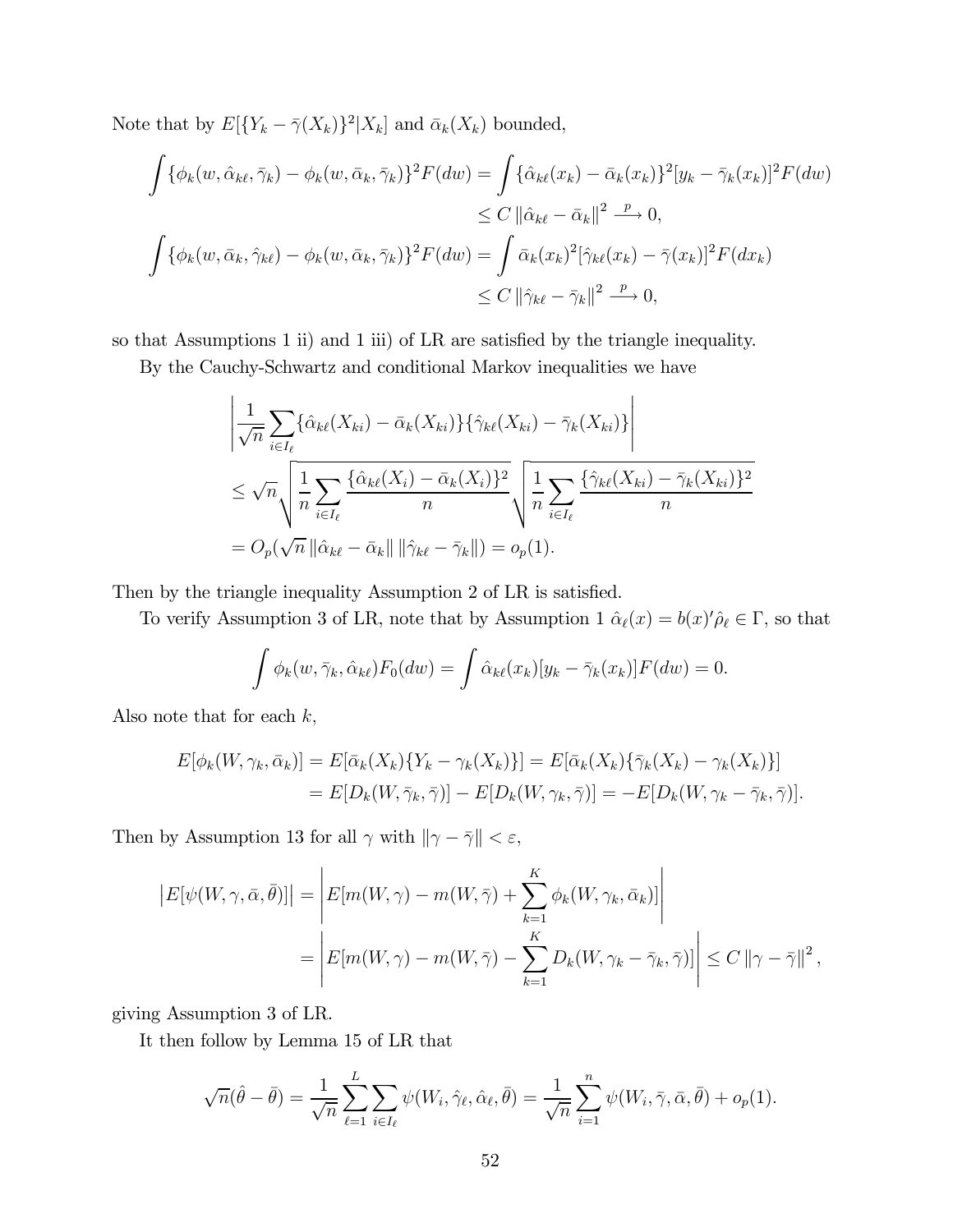Note that by  $E[{Y_k - \bar{\gamma}(X_k)}^2|X_k]$  and  $\bar{\alpha}_k(X_k)$  bounded,

$$
\int {\phi_k(w, \hat{\alpha}_{k\ell}, \bar{\gamma}_k) - \phi_k(w, \bar{\alpha}_k, \bar{\gamma}_k)}^2 F(dw) = \int {\hat{\alpha}_{k\ell}(x_k) - \bar{\alpha}_k(x_k)}^2 [y_k - \bar{\gamma}_k(x_k)]^2 F(dw)
$$
  
\n
$$
\leq C ||\hat{\alpha}_{k\ell} - \bar{\alpha}_k||^2 \xrightarrow{p} 0,
$$
  
\n
$$
\int {\phi_k(w, \bar{\alpha}_k, \hat{\gamma}_{k\ell}) - \phi_k(w, \bar{\alpha}_k, \bar{\gamma}_k)}^2 F(dw) = \int {\bar{\alpha}_k(x_k)}^2 [\hat{\gamma}_{k\ell}(x_k) - \bar{\gamma}(x_k)]^2 F(dx_k)
$$
  
\n
$$
\leq C ||\hat{\gamma}_{k\ell} - \bar{\gamma}_k||^2 \xrightarrow{p} 0,
$$

so that Assumptions 1 ii) and 1 iii) of LR are satisfied by the triangle inequality.

By the Cauchy-Schwartz and conditional Markov inequalities we have

$$
\left| \frac{1}{\sqrt{n}} \sum_{i \in I_{\ell}} \{\hat{\alpha}_{k\ell}(X_{ki}) - \bar{\alpha}_{k}(X_{ki})\} \{\hat{\gamma}_{k\ell}(X_{ki}) - \bar{\gamma}_{k}(X_{ki})\} \right|
$$
  
\n
$$
\leq \sqrt{n} \sqrt{\frac{1}{n} \sum_{i \in I_{\ell}} \frac{\{\hat{\alpha}_{k\ell}(X_i) - \bar{\alpha}_{k}(X_i)\}^2}{n}} \sqrt{\frac{1}{n} \sum_{i \in I_{\ell}} \frac{\{\hat{\gamma}_{k\ell}(X_{ki}) - \bar{\gamma}_{k}(X_{ki})\}^2}{n}}
$$
  
\n
$$
= O_p(\sqrt{n} \|\hat{\alpha}_{k\ell} - \bar{\alpha}_{k}\| \|\hat{\gamma}_{k\ell} - \bar{\gamma}_{k}\|) = o_p(1).
$$

Then by the triangle inequality Assumption 2 of LR is satisfied.

To verify Assumption 3 of LR, note that by Assumption 1  $\hat{\alpha}_{\ell}(x) = b(x)'\hat{\rho}_{\ell} \in \Gamma$ , so that

$$
\int \phi_k(w, \bar{\gamma}_k, \hat{\alpha}_{k\ell}) F_0(dw) = \int \hat{\alpha}_{k\ell}(x_k)[y_k - \bar{\gamma}_k(x_k)] F(dw) = 0.
$$

Also note that for each  $k$ ,

$$
E[\phi_k(W, \gamma_k, \bar{\alpha}_k)] = E[\bar{\alpha}_k(X_k)\{Y_k - \gamma_k(X_k)\}] = E[\bar{\alpha}_k(X_k)\{\bar{\gamma}_k(X_k) - \gamma_k(X_k)\}]
$$
  
= 
$$
E[D_k(W, \bar{\gamma}_k, \bar{\gamma})] - E[D_k(W, \gamma_k, \bar{\gamma})] = -E[D_k(W, \gamma_k - \bar{\gamma}_k, \bar{\gamma})].
$$

Then by Assumption 13 for all  $\gamma$  with  $\|\gamma - \bar{\gamma}\| < \varepsilon,$ 

$$
\begin{aligned} \left| E[\psi(W, \gamma, \bar{\alpha}, \bar{\theta})] \right| &= \left| E[m(W, \gamma) - m(W, \bar{\gamma}) + \sum_{k=1}^{K} \phi_k(W, \gamma_k, \bar{\alpha}_k)] \right| \\ &= \left| E[m(W, \gamma) - m(W, \bar{\gamma}) - \sum_{k=1}^{K} D_k(W, \gamma_k - \bar{\gamma}_k, \bar{\gamma})] \right| \leq C \left\| \gamma - \bar{\gamma} \right\|^2, \end{aligned}
$$

giving Assumption 3 of LR.

It then follow by Lemma 15 of LR that

$$
\sqrt{n}(\hat{\theta}-\bar{\theta})=\frac{1}{\sqrt{n}}\sum_{\ell=1}^L\sum_{i\in I_\ell}\psi(W_i,\hat{\gamma}_\ell,\hat{\alpha}_\ell,\bar{\theta})=\frac{1}{\sqrt{n}}\sum_{i=1}^n\psi(W_i,\bar{\gamma},\bar{\alpha},\bar{\theta})+o_p(1).
$$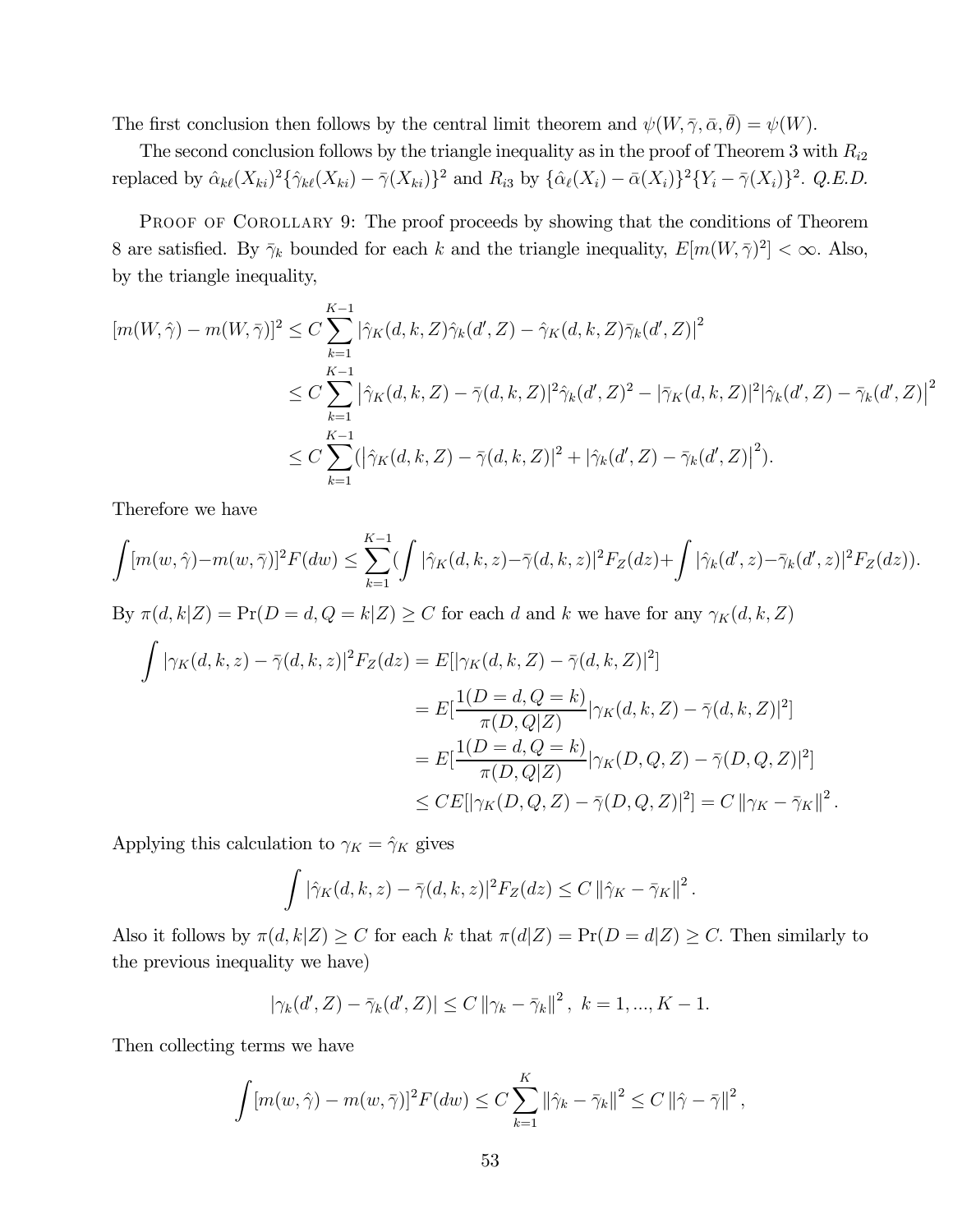The first conclusion then follows by the central limit theorem and  $\psi(W, \bar{\gamma}, \bar{\alpha}, \bar{\theta}) = \psi(W)$ .

The second conclusion follows by the triangle inequality as in the proof of Theorem 3 with  $R_{i2}$ replaced by  $\hat{\alpha}_{k\ell}(X_{ki})^2 \{\hat{\gamma}_{k\ell}(X_{ki}) - \bar{\gamma}(X_{ki})\}^2$  and  $R_{i3}$  by  $\{\hat{\alpha}_{\ell}(X_i) - \bar{\alpha}(X_i)\}^2 \{Y_i - \bar{\gamma}(X_i)\}^2$ . Q.E.D.

PROOF OF COROLLARY 9: The proof proceeds by showing that the conditions of Theorem 8 are satisfied. By  $\bar{\gamma}_k$  bounded for each k and the triangle inequality,  $E[m(W,\bar{\gamma})^2]<\infty$ . Also, by the triangle inequality,

$$
[m(W, \hat{\gamma}) - m(W, \bar{\gamma})]^2 \le C \sum_{k=1}^{K-1} |\hat{\gamma}_K(d, k, Z)\hat{\gamma}_k(d', Z) - \hat{\gamma}_K(d, k, Z)\bar{\gamma}_k(d', Z)|^2
$$
  

$$
\le C \sum_{k=1}^{K-1} |\hat{\gamma}_K(d, k, Z) - \bar{\gamma}(d, k, Z)|^2 \hat{\gamma}_k(d', Z)^2 - |\bar{\gamma}_K(d, k, Z)|^2 |\hat{\gamma}_k(d', Z) - \bar{\gamma}_k(d', Z)|^2
$$
  

$$
\le C \sum_{k=1}^{K-1} (|\hat{\gamma}_K(d, k, Z) - \bar{\gamma}(d, k, Z)|^2 + |\hat{\gamma}_k(d', Z) - \bar{\gamma}_k(d', Z)|^2).
$$

Therefore we have

$$
\int [m(w,\hat{\gamma}) - m(w,\bar{\gamma})]^2 F(dw) \leq \sum_{k=1}^{K-1} (\int |\hat{\gamma}_K(d,k,z) - \bar{\gamma}(d,k,z)|^2 F_Z(dz) + \int |\hat{\gamma}_k(d',z) - \bar{\gamma}_k(d',z)|^2 F_Z(dz)).
$$

By  $\pi(d, k | Z) = \Pr(D = d, Q = k | Z) \ge C$  for each d and k we have for any  $\gamma_K(d, k, Z)$ 

$$
\int |\gamma_K(d,k,z) - \bar{\gamma}(d,k,z)|^2 F_Z(dz) = E[|\gamma_K(d,k,Z) - \bar{\gamma}(d,k,Z)|^2]
$$
  
\n
$$
= E[\frac{1(D=d,Q=k)}{\pi(D,Q|Z)}|\gamma_K(d,k,Z) - \bar{\gamma}(d,k,Z)|^2]
$$
  
\n
$$
= E[\frac{1(D=d,Q=k)}{\pi(D,Q|Z)}|\gamma_K(D,Q,Z) - \bar{\gamma}(D,Q,Z)|^2]
$$
  
\n
$$
\leq CE[|\gamma_K(D,Q,Z) - \bar{\gamma}(D,Q,Z)|^2] = C \|\gamma_K - \bar{\gamma}_K\|^2.
$$

Applying this calculation to  $\gamma_K = \hat{\gamma}_K$  gives

$$
\int |\hat{\gamma}_K(d,k,z) - \bar{\gamma}(d,k,z)|^2 F_Z(dz) \leq C ||\hat{\gamma}_K - \bar{\gamma}_K||^2.
$$

Also it follows by  $\pi(d, k|Z) \ge C$  for each k that  $\pi(d|Z) = Pr(D = d|Z) \ge C$ . Then similarly to the previous inequality we have)

$$
|\gamma_k(d', Z) - \bar{\gamma}_k(d', Z)| \le C ||\gamma_k - \bar{\gamma}_k||^2, \ k = 1, ..., K - 1.
$$

Then collecting terms we have

$$
\int [m(w, \hat{\gamma}) - m(w, \bar{\gamma})]^2 F(dw) \leq C \sum_{k=1}^K ||\hat{\gamma}_k - \bar{\gamma}_k||^2 \leq C ||\hat{\gamma} - \bar{\gamma}||^2,
$$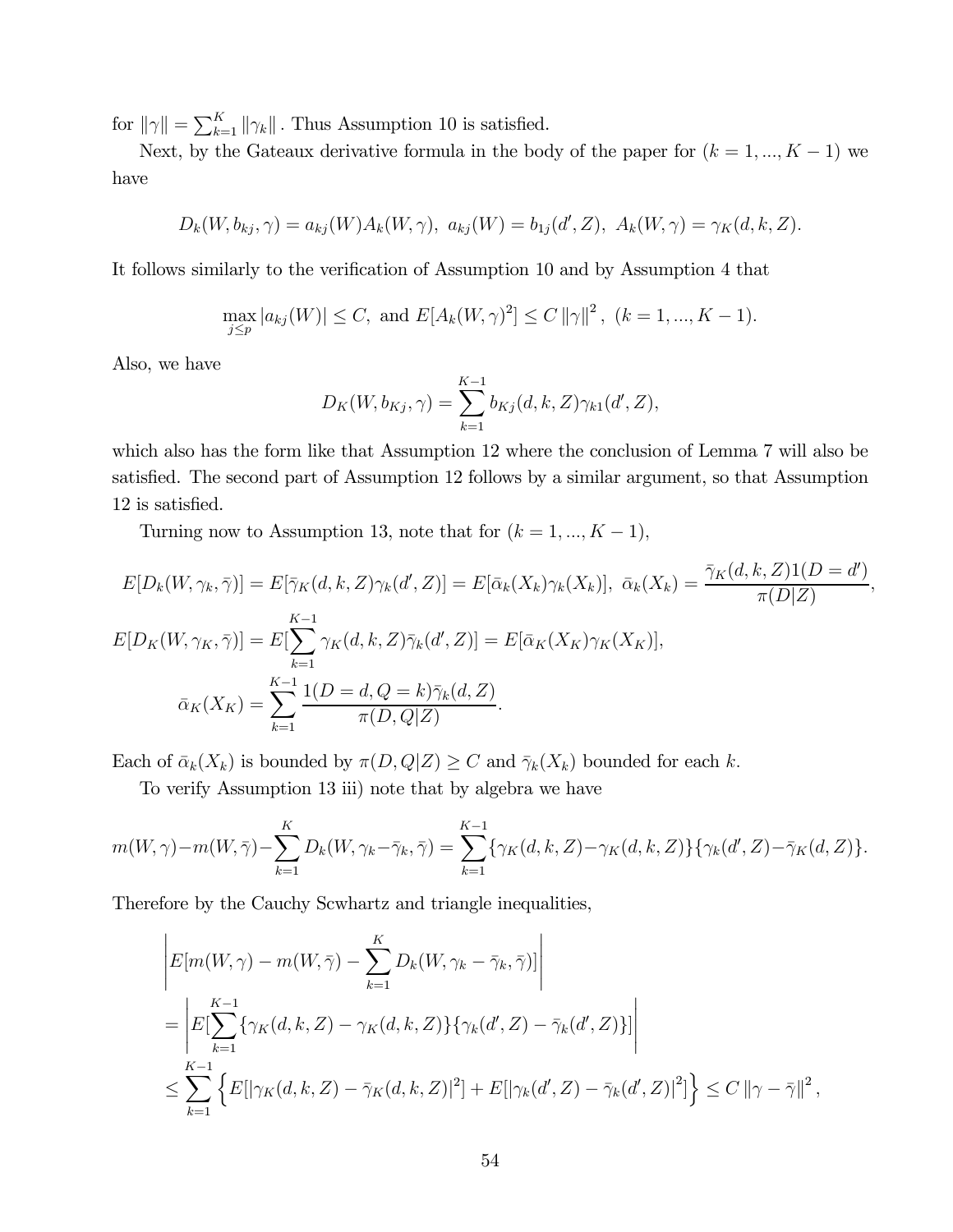for  $\|\gamma\| = \sum_{k=1}^K \|\gamma_k\|$ . Thus Assumption 10 is satisfied.

Next, by the Gateaux derivative formula in the body of the paper for  $(k = 1, ..., K - 1)$  we have

$$
D_k(W, b_{kj}, \gamma) = a_{kj}(W)A_k(W, \gamma), \ a_{kj}(W) = b_{1j}(d', Z), \ A_k(W, \gamma) = \gamma_K(d, k, Z).
$$

It follows similarly to the verification of Assumption 10 and by Assumption 4 that

$$
\max_{j\leq p} |a_{kj}(W)| \leq C, \text{ and } E[A_k(W,\gamma)^2] \leq C ||\gamma||^2, \ (k = 1, ..., K - 1).
$$

Also, we have

$$
D_K(W, b_{Kj}, \gamma) = \sum_{k=1}^{K-1} b_{Kj}(d, k, Z) \gamma_{k1}(d', Z),
$$

which also has the form like that Assumption 12 where the conclusion of Lemma 7 will also be satisfied. The second part of Assumption 12 follows by a similar argument, so that Assumption 12 is satisfied.

Turning now to Assumption 13, note that for  $(k = 1, ..., K - 1)$ ,

$$
E[D_k(W, \gamma_k, \overline{\gamma})] = E[\overline{\gamma}_K(d, k, Z)\gamma_k(d', Z)] = E[\overline{\alpha}_k(X_k)\gamma_k(X_k)], \ \overline{\alpha}_k(X_k) = \frac{\overline{\gamma}_K(d, k, Z)1(D = d')}{\pi(D|Z)},
$$
  
\n
$$
E[D_K(W, \gamma_K, \overline{\gamma})] = E[\sum_{k=1}^{K-1} \gamma_K(d, k, Z)\overline{\gamma}_k(d', Z)] = E[\overline{\alpha}_K(X_K)\gamma_K(X_K)],
$$
  
\n
$$
\overline{\alpha}_K(X_K) = \sum_{k=1}^{K-1} \frac{1(D = d, Q = k)\overline{\gamma}_k(d, Z)}{\pi(D, Q|Z)}.
$$

Each of  $\bar{\alpha}_k(X_k)$  is bounded by  $\pi(D, Q|Z) \geq C$  and  $\bar{\gamma}_k(X_k)$  bounded for each k.

To verify Assumption 13 iii) note that by algebra we have

$$
m(W, \gamma) - m(W, \bar{\gamma}) - \sum_{k=1}^{K} D_k(W, \gamma_k - \bar{\gamma}_k, \bar{\gamma}) = \sum_{k=1}^{K-1} \{ \gamma_K(d, k, Z) - \gamma_K(d, k, Z) \} \{ \gamma_k(d', Z) - \bar{\gamma}_K(d, Z) \}.
$$

Therefore by the Cauchy Scwhartz and triangle inequalities,

$$
\begin{aligned}\n&\left| E[m(W,\gamma) - m(W,\bar{\gamma}) - \sum_{k=1}^{K} D_k(W,\gamma_k - \bar{\gamma}_k,\bar{\gamma})] \right| \\
&= \left| E[\sum_{k=1}^{K-1} \{ \gamma_K(d,k,Z) - \gamma_K(d,k,Z) \} \{ \gamma_k(d',Z) - \bar{\gamma}_k(d',Z) \} ] \right| \\
&\leq \sum_{k=1}^{K-1} \left\{ E[|\gamma_K(d,k,Z) - \bar{\gamma}_K(d,k,Z)|^2] + E[|\gamma_k(d',Z) - \bar{\gamma}_k(d',Z)|^2] \right\} \leq C \, \|\gamma - \bar{\gamma}\|^2 \,,\n\end{aligned}
$$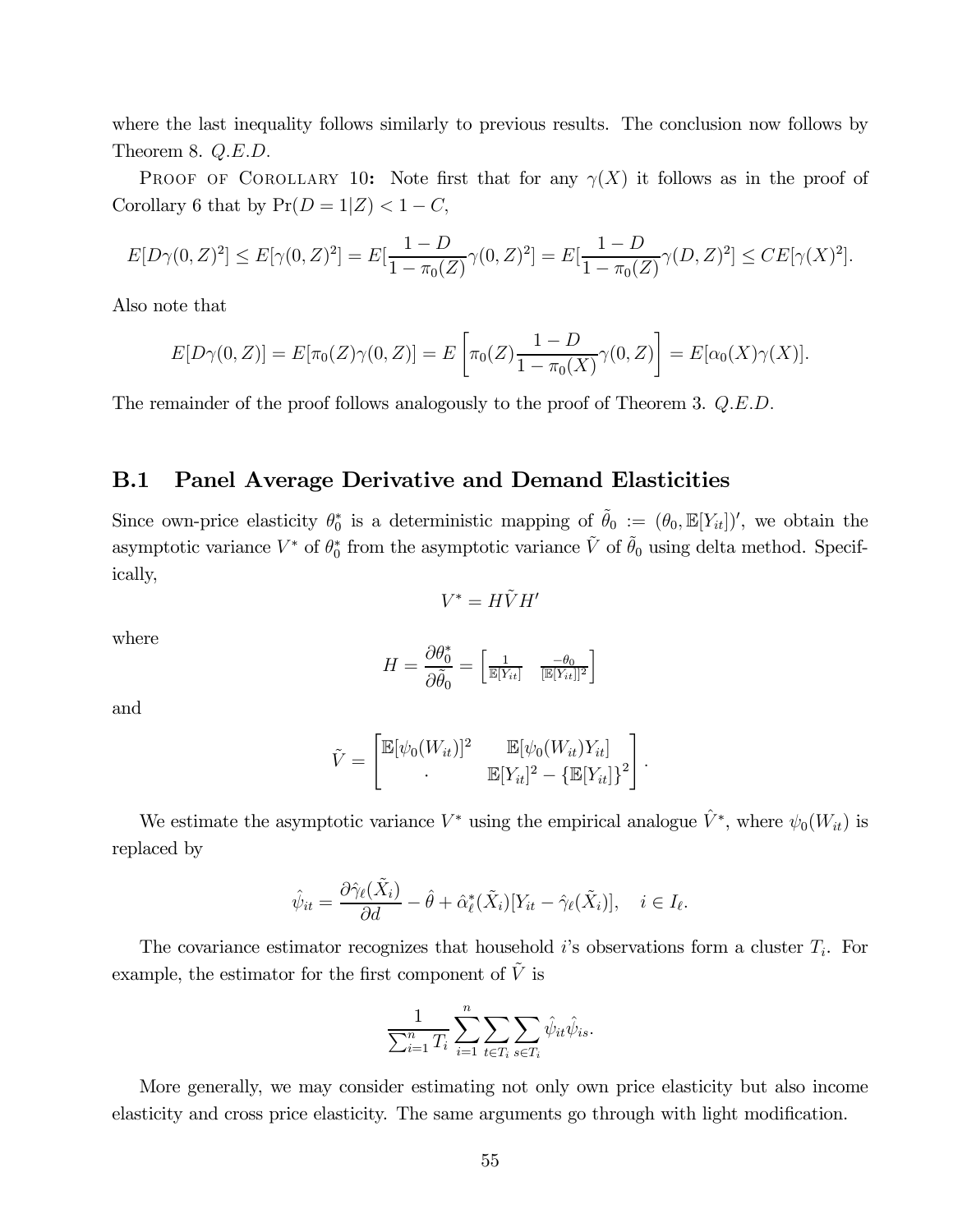where the last inequality follows similarly to previous results. The conclusion now follows by Theorem 8.  $Q.E.D.$ 

PROOF OF COROLLARY 10: Note first that for any  $\gamma(X)$  it follows as in the proof of Corollary 6 that by  $Pr(D = 1|Z) < 1 - C$ ,

$$
E[D\gamma(0,Z)^2] \le E[\gamma(0,Z)^2] = E[\frac{1-D}{1-\pi_0(Z)}\gamma(0,Z)^2] = E[\frac{1-D}{1-\pi_0(Z)}\gamma(D,Z)^2] \le CE[\gamma(X)^2].
$$

Also note that

$$
E[D\gamma(0,Z)] = E[\pi_0(Z)\gamma(0,Z)] = E\left[\pi_0(Z)\frac{1-D}{1-\pi_0(X)}\gamma(0,Z)\right] = E[\alpha_0(X)\gamma(X)].
$$

The remainder of the proof follows analogously to the proof of Theorem 3. Q.E.D.

#### B.1 Panel Average Derivative and Demand Elasticities

Since own-price elasticity  $\theta_0^*$  is a deterministic mapping of  $\tilde{\theta}_0 := (\theta_0, \mathbb{E}[Y_{it}])'$ , we obtain the asymptotic variance  $V^*$  of  $\theta_0^*$  from the asymptotic variance  $\tilde{V}$  of  $\tilde{\theta}_0$  using delta method. Specifically,

 $V^* = H\tilde{V}H'$ 

where

$$
H = \frac{\partial \theta_0^*}{\partial \tilde{\theta}_0} = \begin{bmatrix} \frac{1}{\mathbb{E}[Y_{it}]} & \frac{-\theta_0}{[\mathbb{E}[Y_{it}]]^2} \end{bmatrix}
$$

and

$$
\tilde{V} = \begin{bmatrix} \mathbb{E}[\psi_0(W_{it})]^2 & \mathbb{E}[\psi_0(W_{it})Y_{it}] \\ \cdot & \mathbb{E}[Y_{it}]^2 - {\mathbb{E}[Y_{it}]}^2 \end{bmatrix}.
$$

We estimate the asymptotic variance  $V^*$  using the empirical analogue  $\hat{V}^*$ , where  $\psi_0(W_{it})$  is replaced by

$$
\hat{\psi}_{it} = \frac{\partial \hat{\gamma}_{\ell}(\tilde{X}_i)}{\partial d} - \hat{\theta} + \hat{\alpha}_{\ell}^*(\tilde{X}_i)[Y_{it} - \hat{\gamma}_{\ell}(\tilde{X}_i)], \quad i \in I_{\ell}.
$$

The covariance estimator recognizes that household  $i$ 's observations form a cluster  $T_i$ . For example, the estimator for the first component of  $\tilde{V}$  is

$$
\frac{1}{\sum_{i=1}^n T_i} \sum_{i=1}^n \sum_{t \in T_i} \sum_{s \in T_i} \hat{\psi}_{it} \hat{\psi}_{is}.
$$

More generally, we may consider estimating not only own price elasticity but also income elasticity and cross price elasticity. The same arguments go through with light modification.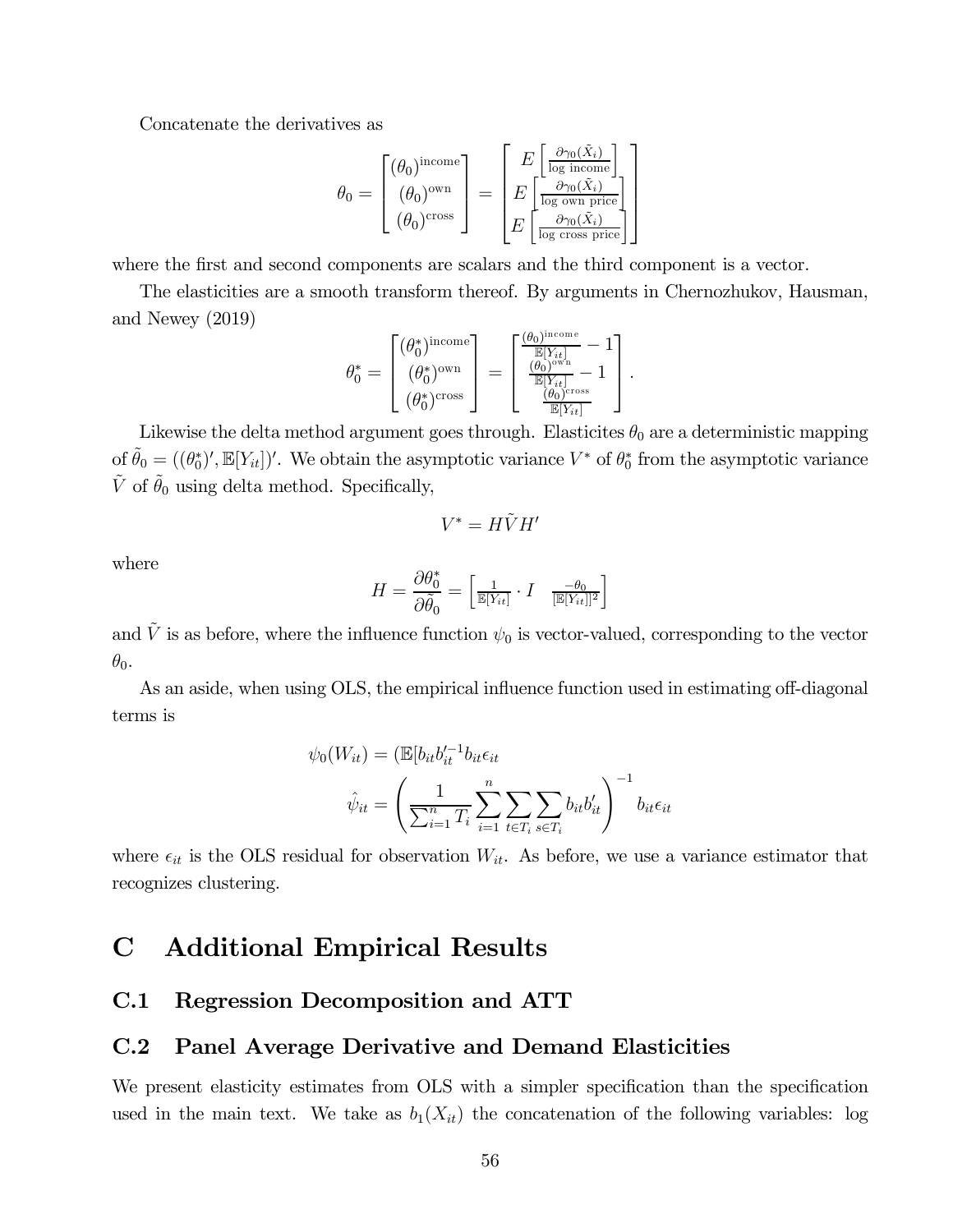Concatenate the derivatives as

$$
\theta_0 = \begin{bmatrix} (\theta_0)^{\text{income}} \\ (\theta_0)^{\text{own}} \\ (\theta_0)^{\text{cos}} \end{bmatrix} = \begin{bmatrix} E \left[ \frac{\partial \gamma_0(\tilde{X}_i)}{\log \text{ income}} \right] \\ E \left[ \frac{\partial \gamma_0(\tilde{X}_i)}{\log \text{ own price}} \right] \\ E \left[ \frac{\partial \gamma_0(\tilde{X}_i)}{\log \text{ cross price}} \right] \end{bmatrix}
$$

where the first and second components are scalars and the third component is a vector.

The elasticities are a smooth transform thereof. By arguments in Chernozhukov, Hausman, and Newey (2019)

$$
\theta_0^* = \begin{bmatrix} (\theta_0^*)^{\text{income}} \\ (\theta_0^*)^{\text{own}} \\ (\theta_0^*)^{\text{own}} \end{bmatrix} = \begin{bmatrix} \frac{(\theta_0)^{\text{income}}}{\mathbb{E}[Y_{it}]} - 1 \\ \frac{(\theta_0)^{\text{own}}}{\mathbb{E}[Y_{it}]} - 1 \\ \frac{(\theta_0)^{\text{cross}}}{\mathbb{E}[Y_{it}]} \end{bmatrix}.
$$

Likewise the delta method argument goes through. Elasticites  $\theta_0$  are a deterministic mapping of  $\tilde{\theta}_0 = ((\theta_0^*)', \mathbb{E}[Y_{it}])'$ . We obtain the asymptotic variance  $V^*$  of  $\theta_0^*$  from the asymptotic variance  $\tilde{V}$  of  $\tilde{\theta}_0$  using delta method. Specifically,

$$
V^*=H\tilde{V}H'
$$

where

$$
H = \frac{\partial \theta_0^*}{\partial \tilde{\theta}_0} = \begin{bmatrix} \frac{1}{\mathbb{E}[Y_{it}]} & I & \frac{-\theta_0}{\mathbb{E}[Y_{it}]]^2} \end{bmatrix}
$$

and  $\tilde{V}$  is as before, where the influence function  $\psi_0$  is vector-valued, corresponding to the vector  $\theta_0$ .

As an aside, when using OLS, the empirical influence function used in estimating off-diagonal terms is

$$
\psi_0(W_{it}) = (\mathbb{E}[b_{it}b_{it}^{\prime -1}b_{it}\epsilon_{it} \n\hat{\psi}_{it} = \left(\frac{1}{\sum_{i=1}^n T_i} \sum_{i=1}^n \sum_{t \in T_i} \sum_{s \in T_i} b_{it}b_{it}^\prime\right)^{-1} b_{it}\epsilon_{it}
$$

where  $\epsilon_{it}$  is the OLS residual for observation  $W_{it}$ . As before, we use a variance estimator that recognizes clustering.

### C Additional Empirical Results

#### C.1 Regression Decomposition and ATT

### C.2 Panel Average Derivative and Demand Elasticities

We present elasticity estimates from OLS with a simpler specification than the specification used in the main text. We take as  $b_1(X_{it})$  the concatenation of the following variables: log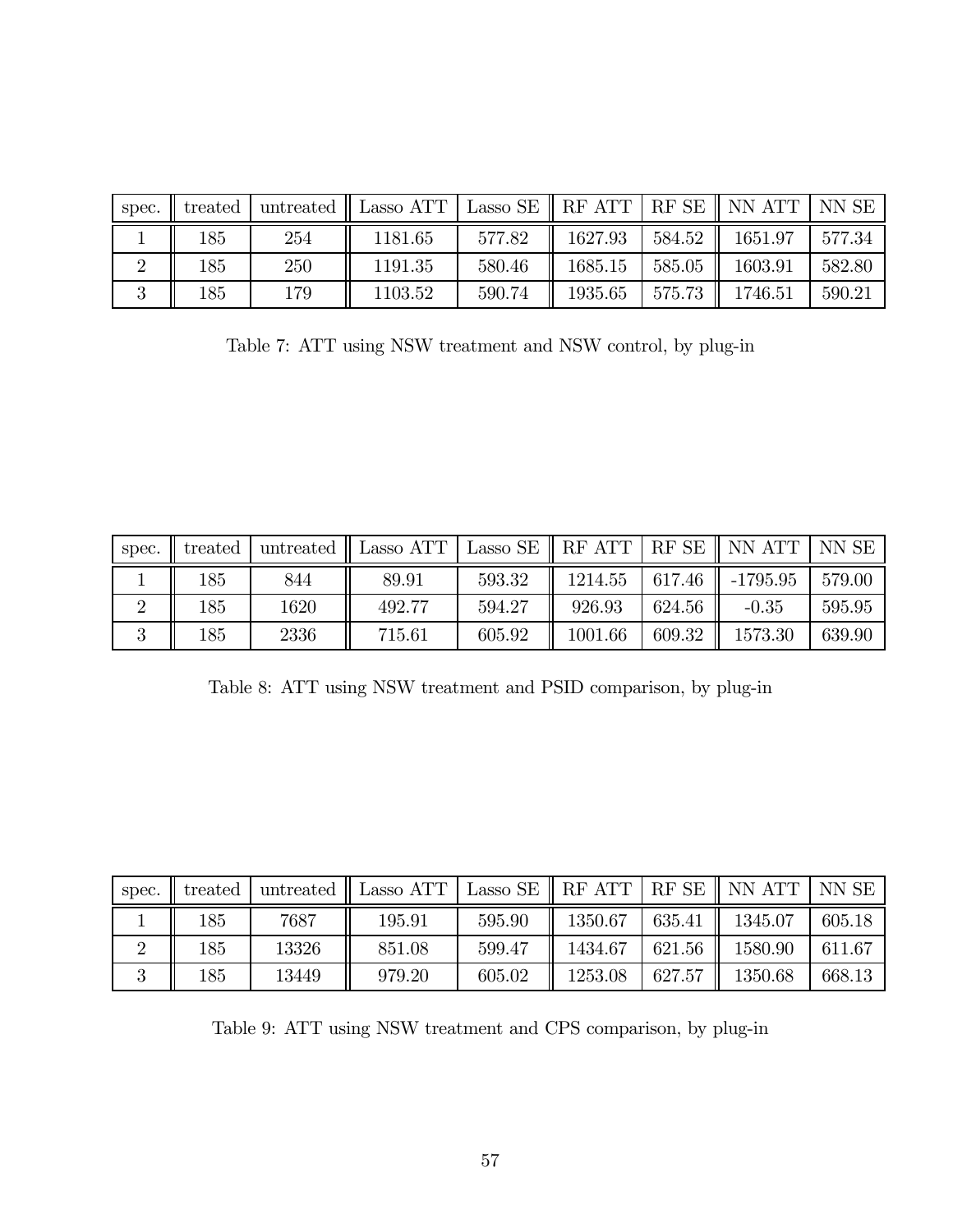| spec. | treated | untreated | Lasso ATT | Lasso SE | RF ATT  | $RF$ SE $\parallel$ | NN ATT  | NN SE  |
|-------|---------|-----------|-----------|----------|---------|---------------------|---------|--------|
|       | 185     | 254       | 1181.65   | 577.82   | 1627.93 | 584.52              | 1651.97 | 577.34 |
|       | 185     | 250       | 1191.35   | 580.46   | 1685.15 | 585.05              | 1603.91 | 582.80 |
|       | 185     | 179       | 1103.52   | 590.74   | 1935.65 | 575.73              | 1746.51 | 590.21 |

Table 7: ATT using NSW treatment and NSW control, by plug-in

| spec. | treated |      | untreated $\parallel$ Lasso ATT | Lasso SE | RF ATT  | RF SE  | NN ATT      | NN SE  |
|-------|---------|------|---------------------------------|----------|---------|--------|-------------|--------|
|       | .85     | 844  | 89.91                           | 593.32   | 1214.55 | 617.46 | $-1795.95$  | 579.00 |
|       | .85     | 1620 | 492.77                          | 594.27   | 926.93  | 624.56 | $-0.35$     | 595.95 |
| ಀ     | .85     | 2336 | 715.61                          | 605.92   | 1001.66 | 609.32 | $1573.30\,$ | 639.90 |

Table 8: ATT using NSW treatment and PSID comparison, by plug-in

| spec. | treated | untreated | Lasso ATT $_\mathrm{I}$ | Lasso SE | RF ATT  | RF SE  | NN ATT  | NN SE  |
|-------|---------|-----------|-------------------------|----------|---------|--------|---------|--------|
|       | 185     | 7687      | 195.91                  | 595.90   | 1350.67 | 635.41 | 1345.07 | 605.18 |
|       | 185     | 13326     | 851.08                  | 599.47   | 1434.67 | 621.56 | 1580.90 | 611.67 |
|       | 185     | 13449     | 979.20                  | 605.02   | 1253.08 | 627.57 | 1350.68 | 668.13 |

Table 9: ATT using NSW treatment and CPS comparison, by plug-in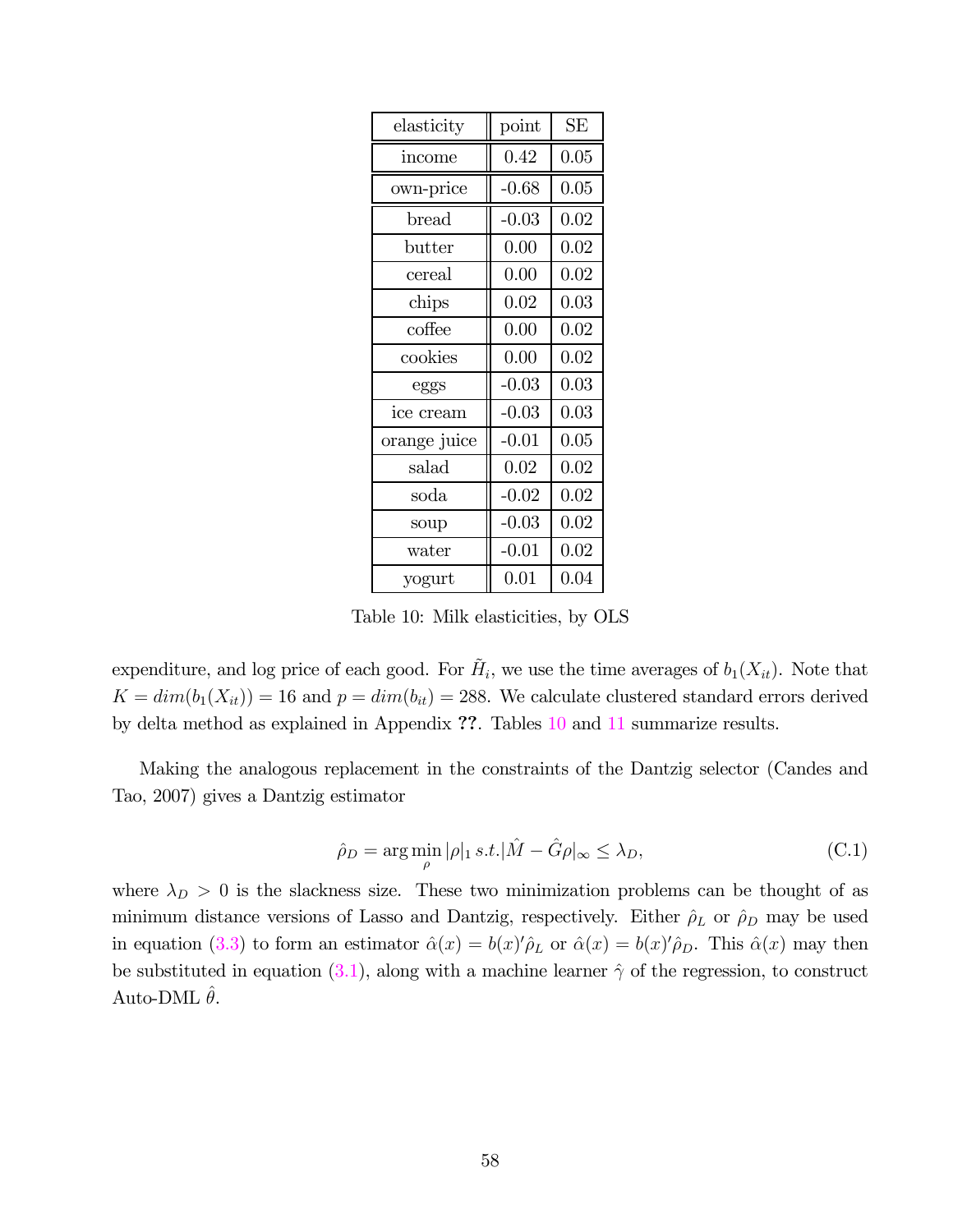| elasticity        | point   | <b>SE</b> |
|-------------------|---------|-----------|
| income            | 0.42    | 0.05      |
| own-price         | $-0.68$ | 0.05      |
| $_{\text{bread}}$ | $-0.03$ | 0.02      |
| butter            | 0.00    | 0.02      |
| cereal            | 0.00    | 0.02      |
| chips             | 0.02    | 0.03      |
| coffee            | 0.00    | 0.02      |
| cookies           | 0.00    | 0.02      |
| eggs              | $-0.03$ | 0.03      |
| ice cream         | $-0.03$ | 0.03      |
| orange juice      | $-0.01$ | 0.05      |
| salad             | 0.02    | 0.02      |
| soda              | $-0.02$ | 0.02      |
| soup              | $-0.03$ | 0.02      |
| water             | $-0.01$ | 0.02      |
| yogurt            | 0.01    | 0.04      |

Table 10: Milk elasticities, by OLS

expenditure, and log price of each good. For  $\tilde{H}_i$ , we use the time averages of  $b_1(X_{it})$ . Note that  $K = dim(b_1(X_{it})) = 16$  and  $p = dim(b_{it}) = 288$ . We calculate clustered standard errors derived by delta method as explained in Appendix ??. Tables 10 and 11 summarize results.

Making the analogous replacement in the constraints of the Dantzig selector (Candes and Tao, 2007) gives a Dantzig estimator

$$
\hat{\rho}_D = \arg\min_{\rho} |\rho|_1 \, s.t. |\hat{M} - \hat{G}\rho|_{\infty} \le \lambda_D,\tag{C.1}
$$

where  $\lambda_D > 0$  is the slackness size. These two minimization problems can be thought of as minimum distance versions of Lasso and Dantzig, respectively. Either  $\hat{\rho}_L$  or  $\hat{\rho}_D$  may be used in equation (3.3) to form an estimator  $\hat{\alpha}(x) = b(x)'\hat{\rho}_L$  or  $\hat{\alpha}(x) = b(x)'\hat{\rho}_D$ . This  $\hat{\alpha}(x)$  may then be substituted in equation (3.1), along with a machine learner  $\hat{\gamma}$  of the regression, to construct Auto-DML  $\hat{\theta}$ .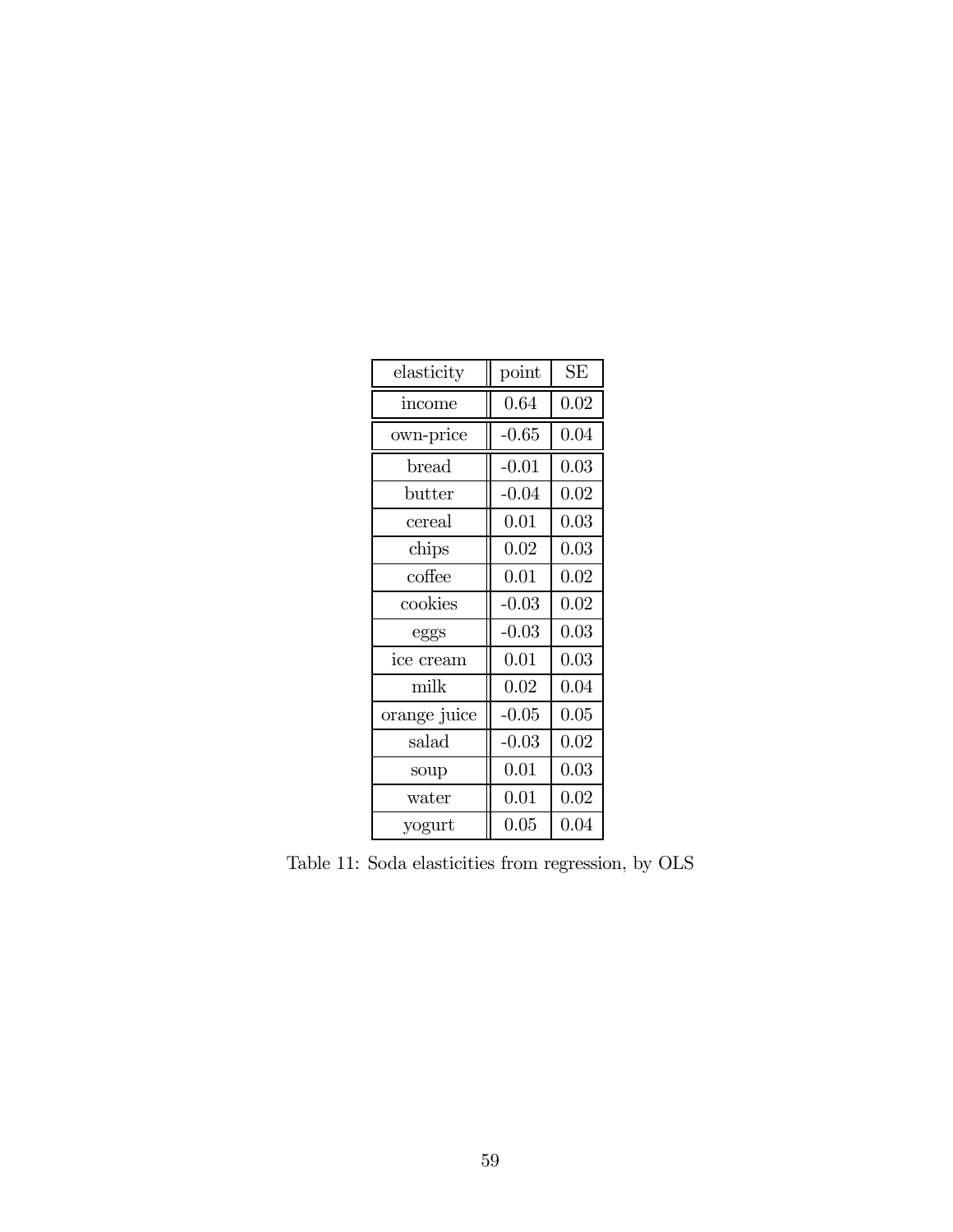| elasticity        | point    | <b>SE</b> |
|-------------------|----------|-----------|
| income            | 0.64     | 0.02      |
| own-price         | $-0.65$  | 0.04      |
| $_{\text{bread}}$ | $-0.01$  | 0.03      |
| butter            | $-0.04$  | 0.02      |
| cereal            | 0.01     | 0.03      |
| chips             | 0.02     | 0.03      |
| coffee            | 0.01     | 0.02      |
| cookies           | $-0.03$  | 0.02      |
| eggs              | $-0.03$  | 0.03      |
| ice cream         | 0.01     | 0.03      |
| milk              | 0.02     | 0.04      |
| orange juice      | $-0.05$  | 0.05      |
| salad             | $-0.03$  | 0.02      |
| soup              | 0.01     | 0.03      |
| water             | 0.01     | 0.02      |
| yogurt            | $0.05\,$ | 0.04      |

Table 11: Soda elasticities from regression, by OLS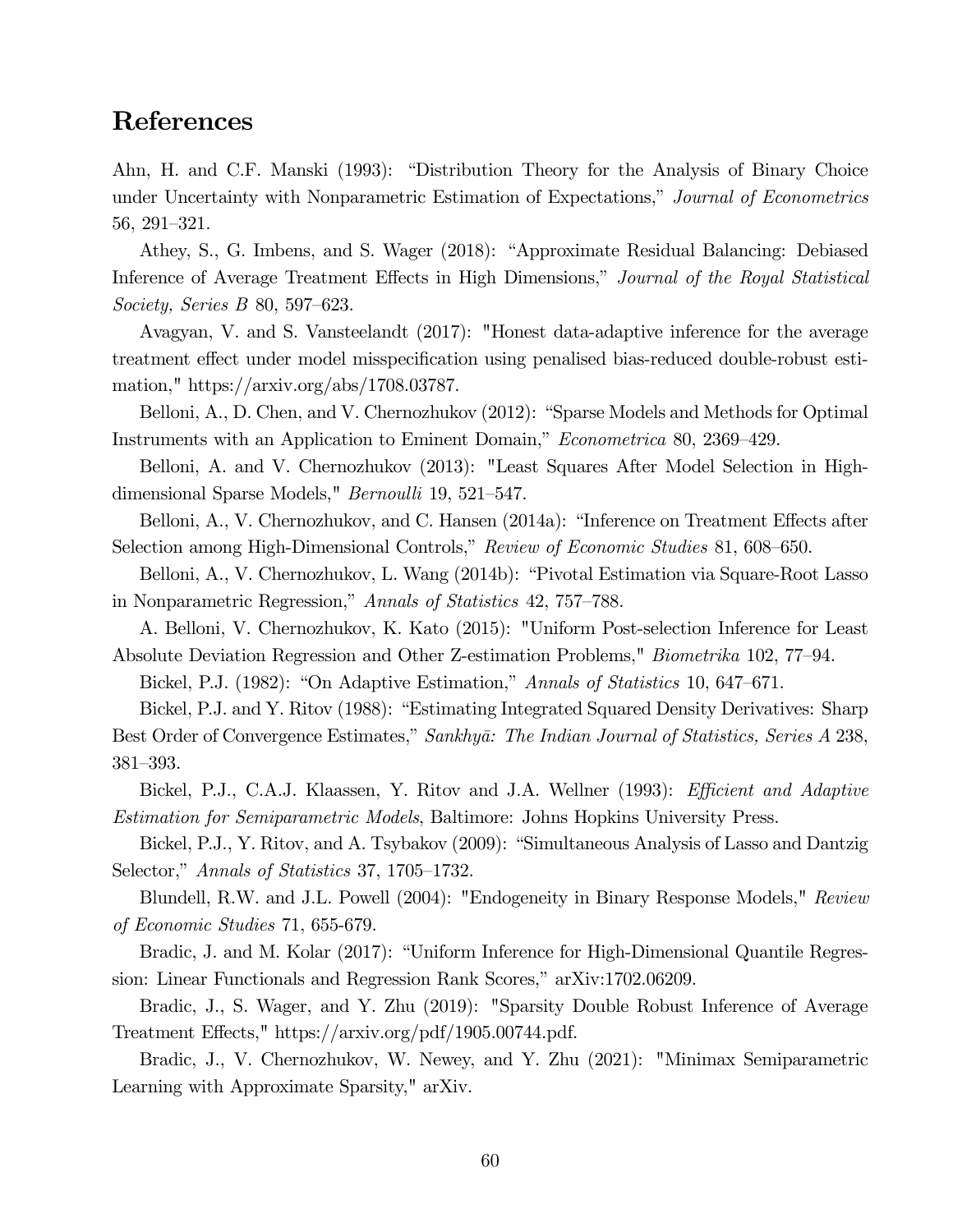### References

Ahn, H. and C.F. Manski (1993): "Distribution Theory for the Analysis of Binary Choice under Uncertainty with Nonparametric Estimation of Expectations," Journal of Econometrics 56, 291—321.

Athey, S., G. Imbens, and S. Wager (2018): "Approximate Residual Balancing: Debiased Inference of Average Treatment Effects in High Dimensions," Journal of the Royal Statistical Society, Series B 80, 597—623.

Avagyan, V. and S. Vansteelandt (2017): "Honest data-adaptive inference for the average treatment effect under model misspecification using penalised bias-reduced double-robust estimation," https://arxiv.org/abs/1708.03787.

Belloni, A., D. Chen, and V. Chernozhukov (2012): "Sparse Models and Methods for Optimal Instruments with an Application to Eminent Domain," Econometrica 80, 2369—429.

Belloni, A. and V. Chernozhukov (2013): "Least Squares After Model Selection in Highdimensional Sparse Models," Bernoulli 19, 521—547.

Belloni, A., V. Chernozhukov, and C. Hansen (2014a): "Inference on Treatment Effects after Selection among High-Dimensional Controls," Review of Economic Studies 81, 608—650.

Belloni, A., V. Chernozhukov, L. Wang (2014b): "Pivotal Estimation via Square-Root Lasso in Nonparametric Regression," Annals of Statistics 42, 757—788.

A. Belloni, V. Chernozhukov, K. Kato (2015): "Uniform Post-selection Inference for Least Absolute Deviation Regression and Other Z-estimation Problems," Biometrika 102, 77—94.

Bickel, P.J. (1982): "On Adaptive Estimation," Annals of Statistics 10, 647–671.

Bickel, P.J. and Y. Ritov (1988): "Estimating Integrated Squared Density Derivatives: Sharp Best Order of Convergence Estimates," Sankhyā: The Indian Journal of Statistics, Series A 238, 381—393.

Bickel, P.J., C.A.J. Klaassen, Y. Ritov and J.A. Wellner (1993): *Efficient and Adaptive* Estimation for Semiparametric Models, Baltimore: Johns Hopkins University Press.

Bickel, P.J., Y. Ritov, and A. Tsybakov (2009): "Simultaneous Analysis of Lasso and Dantzig Selector," Annals of Statistics 37, 1705—1732.

Blundell, R.W. and J.L. Powell (2004): "Endogeneity in Binary Response Models," Review of Economic Studies 71, 655-679.

Bradic, J. and M. Kolar (2017): "Uniform Inference for High-Dimensional Quantile Regression: Linear Functionals and Regression Rank Scores," arXiv:1702.06209.

Bradic, J., S. Wager, and Y. Zhu (2019): "Sparsity Double Robust Inference of Average Treatment Effects," https://arxiv.org/pdf/1905.00744.pdf.

Bradic, J., V. Chernozhukov, W. Newey, and Y. Zhu (2021): "Minimax Semiparametric Learning with Approximate Sparsity," arXiv.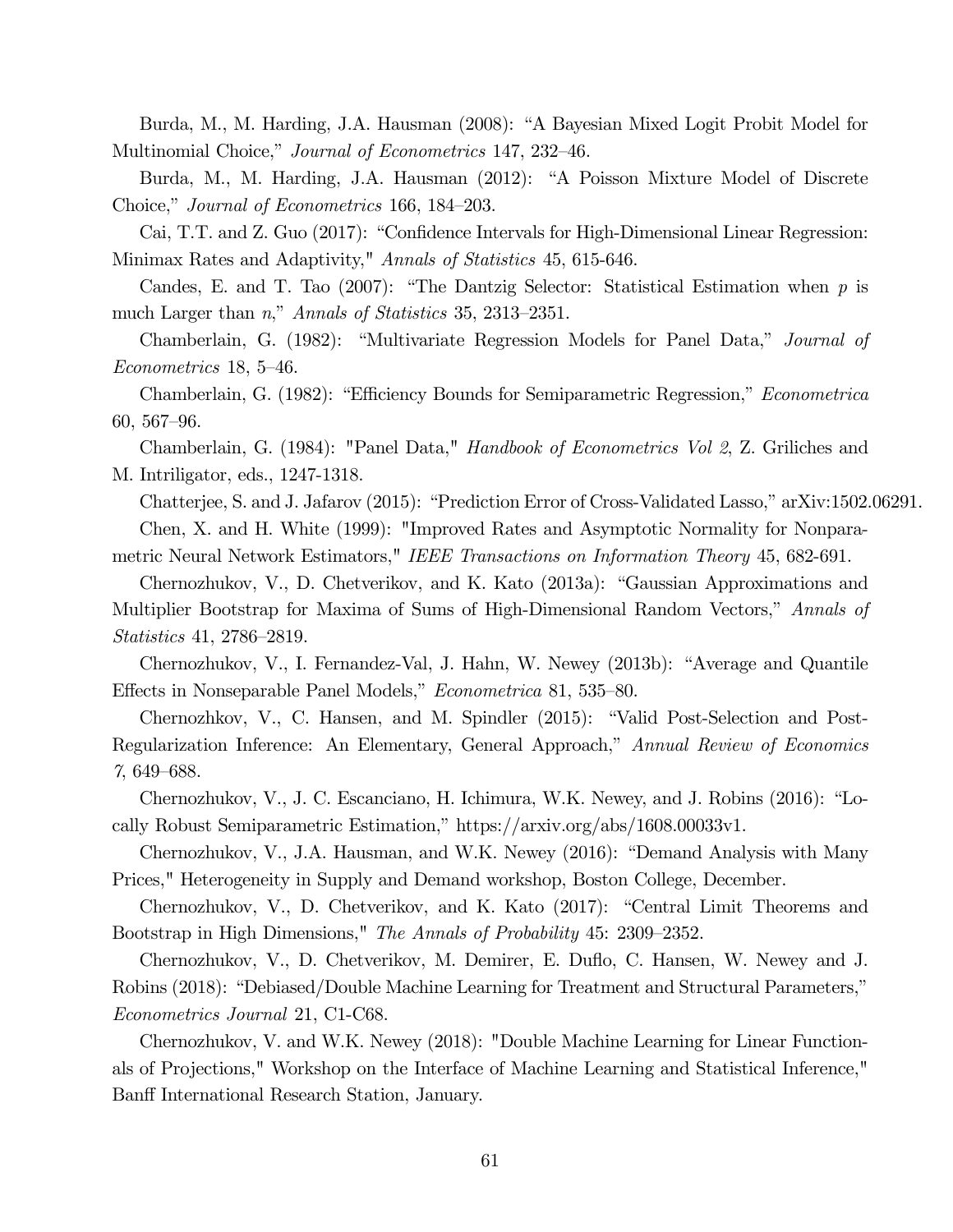Burda, M., M. Harding, J.A. Hausman (2008): "A Bayesian Mixed Logit Probit Model for Multinomial Choice," Journal of Econometrics 147, 232—46.

Burda, M., M. Harding, J.A. Hausman (2012): "A Poisson Mixture Model of Discrete Choice," Journal of Econometrics 166, 184—203.

Cai, T.T. and Z. Guo (2017): "Confidence Intervals for High-Dimensional Linear Regression: Minimax Rates and Adaptivity," Annals of Statistics 45, 615-646.

Candes, E. and T. Tao (2007): "The Dantzig Selector: Statistical Estimation when  $p$  is much Larger than n," Annals of Statistics 35, 2313—2351.

Chamberlain, G. (1982): "Multivariate Regression Models for Panel Data," Journal of Econometrics 18, 5—46.

Chamberlain, G. (1982): "Efficiency Bounds for Semiparametric Regression," Econometrica 60, 567—96.

Chamberlain, G. (1984): "Panel Data," Handbook of Econometrics Vol 2, Z. Griliches and M. Intriligator, eds., 1247-1318.

Chatterjee, S. and J. Jafarov (2015): "Prediction Error of Cross-Validated Lasso," arXiv:1502.06291. Chen, X. and H. White (1999): "Improved Rates and Asymptotic Normality for Nonparametric Neural Network Estimators," IEEE Transactions on Information Theory 45, 682-691.

Chernozhukov, V., D. Chetverikov, and K. Kato (2013a): "Gaussian Approximations and Multiplier Bootstrap for Maxima of Sums of High-Dimensional Random Vectors," Annals of Statistics 41, 2786—2819.

Chernozhukov, V., I. Fernandez-Val, J. Hahn, W. Newey (2013b): "Average and Quantile Effects in Nonseparable Panel Models," Econometrica 81, 535—80.

Chernozhkov, V., C. Hansen, and M. Spindler (2015): "Valid Post-Selection and Post-Regularization Inference: An Elementary, General Approach," Annual Review of Economics 7, 649—688.

Chernozhukov, V., J. C. Escanciano, H. Ichimura, W.K. Newey, and J. Robins (2016): "Locally Robust Semiparametric Estimation," https://arxiv.org/abs/1608.00033v1.

Chernozhukov, V., J.A. Hausman, and W.K. Newey (2016): "Demand Analysis with Many Prices," Heterogeneity in Supply and Demand workshop, Boston College, December.

Chernozhukov, V., D. Chetverikov, and K. Kato (2017): "Central Limit Theorems and Bootstrap in High Dimensions," The Annals of Probability 45: 2309—2352.

Chernozhukov, V., D. Chetverikov, M. Demirer, E. Duflo, C. Hansen, W. Newey and J. Robins (2018): "Debiased/Double Machine Learning for Treatment and Structural Parameters," Econometrics Journal 21, C1-C68.

Chernozhukov, V. and W.K. Newey (2018): "Double Machine Learning for Linear Functionals of Projections," Workshop on the Interface of Machine Learning and Statistical Inference," Banff International Research Station, January.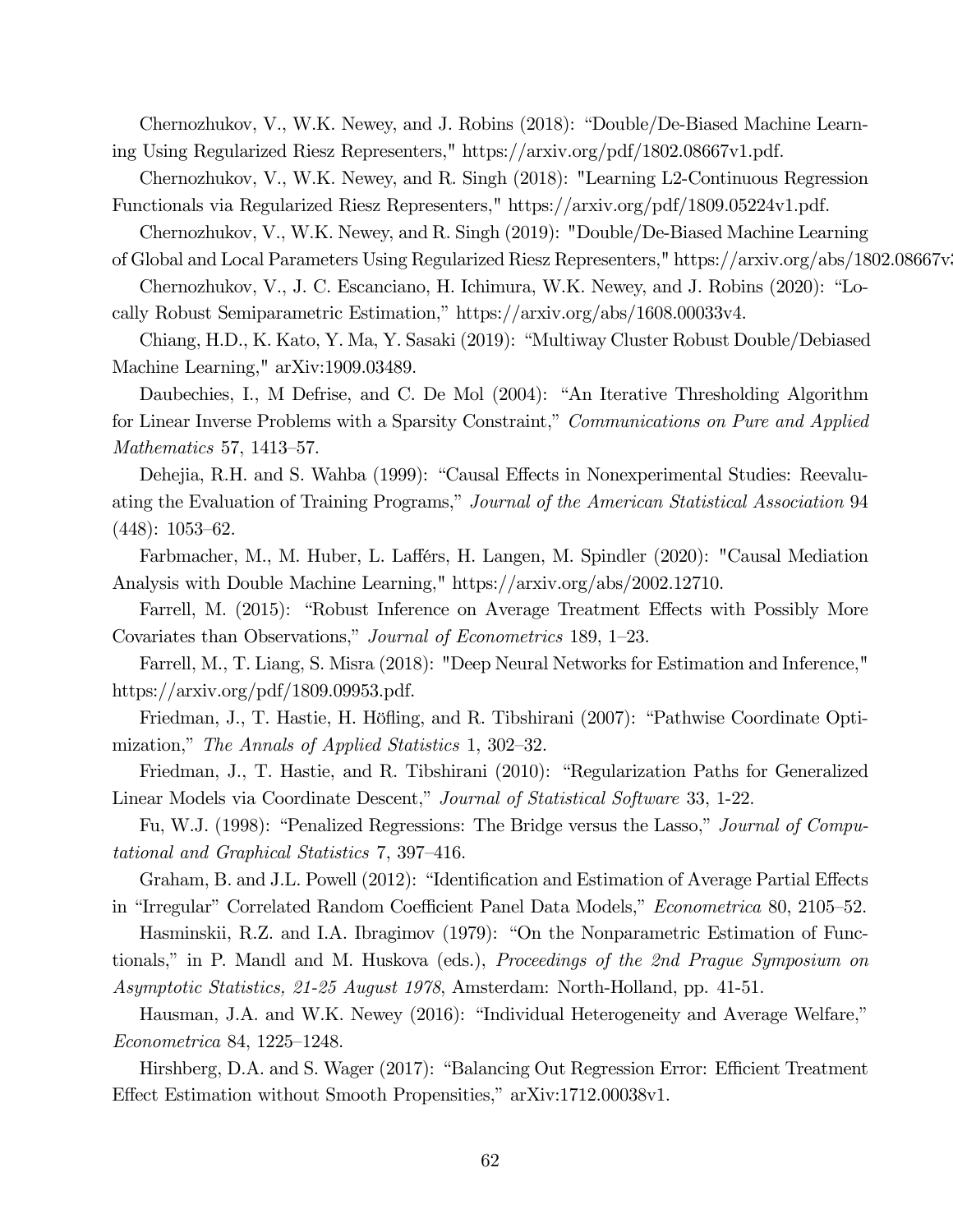Chernozhukov, V., W.K. Newey, and J. Robins (2018): "Double/De-Biased Machine Learning Using Regularized Riesz Representers," https://arxiv.org/pdf/1802.08667v1.pdf.

Chernozhukov, V., W.K. Newey, and R. Singh (2018): "Learning L2-Continuous Regression

Functionals via Regularized Riesz Representers," https://arxiv.org/pdf/1809.05224v1.pdf.

Chernozhukov, V., W.K. Newey, and R. Singh (2019): "Double/De-Biased Machine Learning

of Global and Local Parameters Using Regularized Riesz Representers," https://arxiv.org/abs/1802.08667v3

Chernozhukov, V., J. C. Escanciano, H. Ichimura, W.K. Newey, and J. Robins (2020): "Locally Robust Semiparametric Estimation," https://arxiv.org/abs/1608.00033v4.

Chiang, H.D., K. Kato, Y. Ma, Y. Sasaki (2019): "Multiway Cluster Robust Double/Debiased Machine Learning," arXiv:1909.03489.

Daubechies, I., M Defrise, and C. De Mol (2004): "An Iterative Thresholding Algorithm for Linear Inverse Problems with a Sparsity Constraint," Communications on Pure and Applied Mathematics 57, 1413—57.

Dehejia, R.H. and S. Wahba (1999): "Causal Effects in Nonexperimental Studies: Reevaluating the Evaluation of Training Programs," Journal of the American Statistical Association 94 (448): 1053—62.

Farbmacher, M., M. Huber, L. Lafférs, H. Langen, M. Spindler (2020): "Causal Mediation Analysis with Double Machine Learning," https://arxiv.org/abs/2002.12710.

Farrell, M. (2015): "Robust Inference on Average Treatment Effects with Possibly More Covariates than Observations," Journal of Econometrics 189, 1—23.

Farrell, M., T. Liang, S. Misra (2018): "Deep Neural Networks for Estimation and Inference," https://arxiv.org/pdf/1809.09953.pdf.

Friedman, J., T. Hastie, H. Höfling, and R. Tibshirani (2007): "Pathwise Coordinate Optimization," The Annals of Applied Statistics 1, 302—32.

Friedman, J., T. Hastie, and R. Tibshirani (2010): "Regularization Paths for Generalized Linear Models via Coordinate Descent," Journal of Statistical Software 33, 1-22.

Fu, W.J. (1998): "Penalized Regressions: The Bridge versus the Lasso," *Journal of Compu*tational and Graphical Statistics 7, 397—416.

Graham, B. and J.L. Powell (2012): "Identification and Estimation of Average Partial Effects in "Irregular" Correlated Random Coefficient Panel Data Models," Econometrica 80, 2105—52.

Hasminskii, R.Z. and I.A. Ibragimov (1979): "On the Nonparametric Estimation of Functionals," in P. Mandl and M. Huskova (eds.), Proceedings of the 2nd Prague Symposium on Asymptotic Statistics, 21-25 August 1978, Amsterdam: North-Holland, pp. 41-51.

Hausman, J.A. and W.K. Newey (2016): "Individual Heterogeneity and Average Welfare," Econometrica 84, 1225—1248.

Hirshberg, D.A. and S. Wager (2017): "Balancing Out Regression Error: Efficient Treatment Effect Estimation without Smooth Propensities," arXiv:1712.00038v1.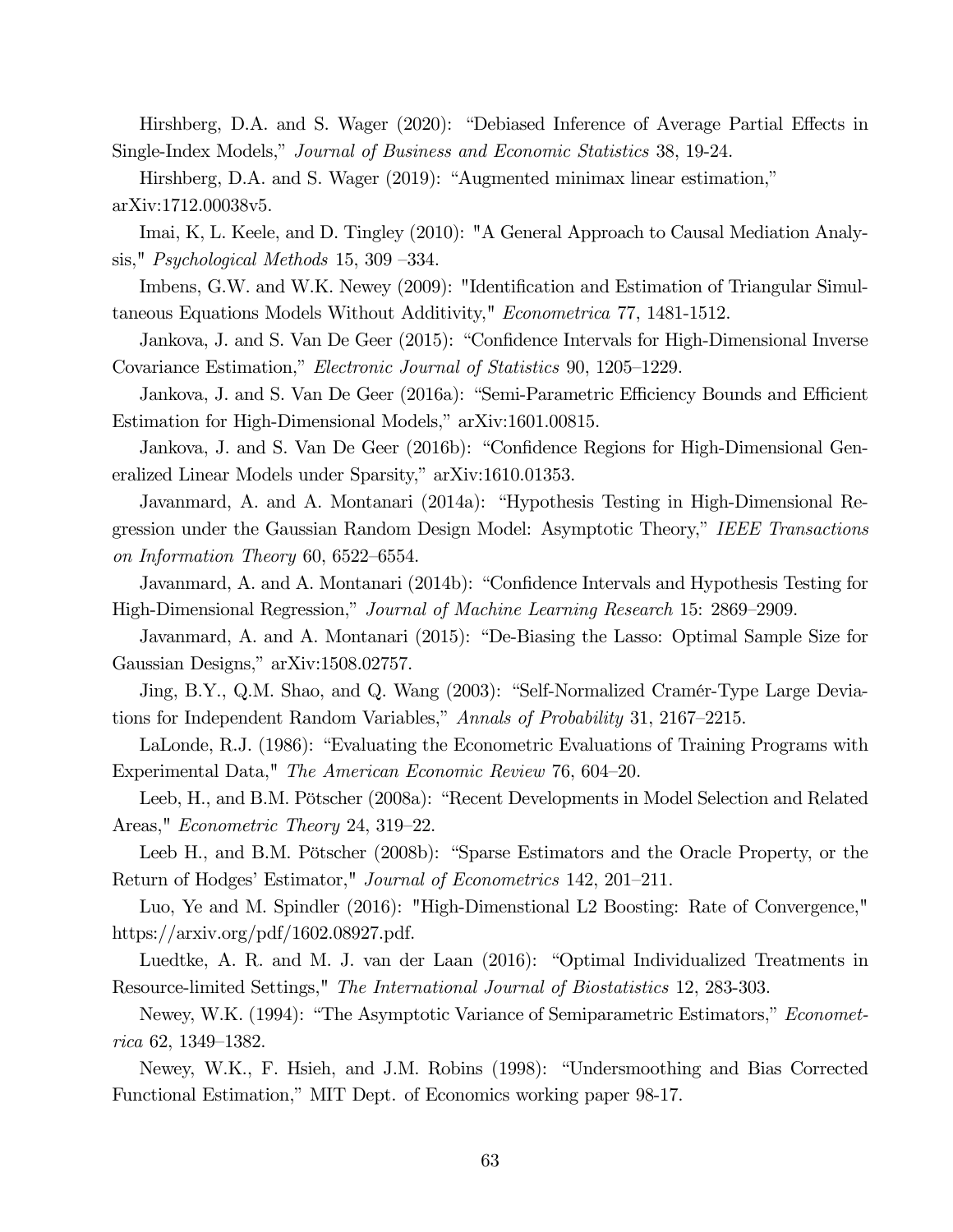Hirshberg, D.A. and S. Wager (2020): "Debiased Inference of Average Partial Effects in Single-Index Models," Journal of Business and Economic Statistics 38, 19-24.

Hirshberg, D.A. and S. Wager (2019): "Augmented minimax linear estimation," arXiv:1712.00038v5.

Imai, K, L. Keele, and D. Tingley (2010): "A General Approach to Causal Mediation Analysis," Psychological Methods 15, 309 —334.

Imbens, G.W. and W.K. Newey (2009): "Identification and Estimation of Triangular Simultaneous Equations Models Without Additivity," Econometrica 77, 1481-1512.

Jankova, J. and S. Van De Geer (2015): "Confidence Intervals for High-Dimensional Inverse Covariance Estimation," Electronic Journal of Statistics 90, 1205—1229.

Jankova, J. and S. Van De Geer (2016a): "Semi-Parametric Efficiency Bounds and Efficient Estimation for High-Dimensional Models," arXiv:1601.00815.

Jankova, J. and S. Van De Geer (2016b): "Confidence Regions for High-Dimensional Generalized Linear Models under Sparsity," arXiv:1610.01353.

Javanmard, A. and A. Montanari (2014a): "Hypothesis Testing in High-Dimensional Regression under the Gaussian Random Design Model: Asymptotic Theory," IEEE Transactions on Information Theory 60, 6522—6554.

Javanmard, A. and A. Montanari (2014b): "Confidence Intervals and Hypothesis Testing for High-Dimensional Regression," Journal of Machine Learning Research 15: 2869—2909.

Javanmard, A. and A. Montanari (2015): "De-Biasing the Lasso: Optimal Sample Size for Gaussian Designs," arXiv:1508.02757.

Jing, B.Y., Q.M. Shao, and Q. Wang (2003): "Self-Normalized Cramér-Type Large Deviations for Independent Random Variables," Annals of Probability 31, 2167—2215.

LaLonde, R.J. (1986): "Evaluating the Econometric Evaluations of Training Programs with Experimental Data," The American Economic Review 76, 604—20.

Leeb, H., and B.M. Pötscher (2008a): "Recent Developments in Model Selection and Related Areas," Econometric Theory 24, 319—22.

Leeb H., and B.M. Pötscher (2008b): "Sparse Estimators and the Oracle Property, or the Return of Hodges' Estimator," Journal of Econometrics 142, 201—211.

Luo, Ye and M. Spindler (2016): "High-Dimenstional L2 Boosting: Rate of Convergence," https://arxiv.org/pdf/1602.08927.pdf.

Luedtke, A. R. and M. J. van der Laan (2016): "Optimal Individualized Treatments in Resource-limited Settings," The International Journal of Biostatistics 12, 283-303.

Newey, W.K. (1994): "The Asymptotic Variance of Semiparametric Estimators," *Economet*rica 62, 1349—1382.

Newey, W.K., F. Hsieh, and J.M. Robins (1998): "Undersmoothing and Bias Corrected Functional Estimation," MIT Dept. of Economics working paper 98-17.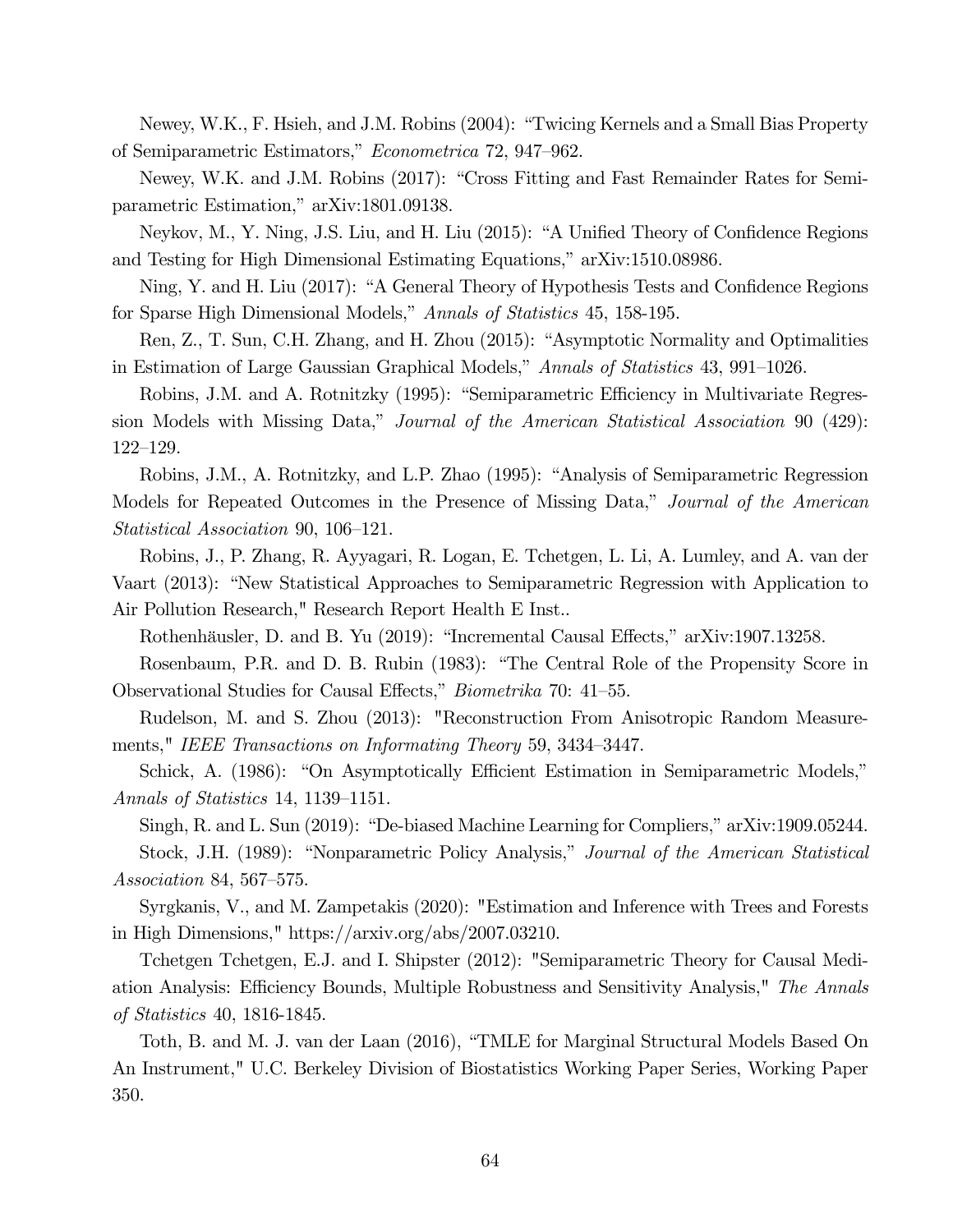Newey, W.K., F. Hsieh, and J.M. Robins (2004): "Twicing Kernels and a Small Bias Property of Semiparametric Estimators," Econometrica 72, 947—962.

Newey, W.K. and J.M. Robins (2017): "Cross Fitting and Fast Remainder Rates for Semiparametric Estimation," arXiv:1801.09138.

Neykov, M., Y. Ning, J.S. Liu, and H. Liu (2015): "A Unified Theory of Confidence Regions and Testing for High Dimensional Estimating Equations," arXiv:1510.08986.

Ning, Y. and H. Liu (2017): "A General Theory of Hypothesis Tests and Confidence Regions for Sparse High Dimensional Models," Annals of Statistics 45, 158-195.

Ren, Z., T. Sun, C.H. Zhang, and H. Zhou (2015): "Asymptotic Normality and Optimalities in Estimation of Large Gaussian Graphical Models," Annals of Statistics 43, 991—1026.

Robins, J.M. and A. Rotnitzky (1995): "Semiparametric Efficiency in Multivariate Regression Models with Missing Data," Journal of the American Statistical Association 90 (429): 122—129.

Robins, J.M., A. Rotnitzky, and L.P. Zhao (1995): "Analysis of Semiparametric Regression Models for Repeated Outcomes in the Presence of Missing Data," Journal of the American Statistical Association 90, 106—121.

Robins, J., P. Zhang, R. Ayyagari, R. Logan, E. Tchetgen, L. Li, A. Lumley, and A. van der Vaart (2013): "New Statistical Approaches to Semiparametric Regression with Application to Air Pollution Research," Research Report Health E Inst..

Rothenhäusler, D. and B. Yu (2019): "Incremental Causal Effects," arXiv:1907.13258.

Rosenbaum, P.R. and D. B. Rubin (1983): "The Central Role of the Propensity Score in Observational Studies for Causal Effects," Biometrika 70: 41—55.

Rudelson, M. and S. Zhou (2013): "Reconstruction From Anisotropic Random Measurements," IEEE Transactions on Informating Theory 59, 3434—3447.

Schick, A. (1986): "On Asymptotically Efficient Estimation in Semiparametric Models," Annals of Statistics 14, 1139—1151.

Singh, R. and L. Sun (2019): "De-biased Machine Learning for Compliers," arXiv:1909.05244. Stock, J.H. (1989): "Nonparametric Policy Analysis," *Journal of the American Statistical* Association 84, 567—575.

Syrgkanis, V., and M. Zampetakis (2020): "Estimation and Inference with Trees and Forests in High Dimensions," https://arxiv.org/abs/2007.03210.

Tchetgen Tchetgen, E.J. and I. Shipster (2012): "Semiparametric Theory for Causal Mediation Analysis: Efficiency Bounds, Multiple Robustness and Sensitivity Analysis," The Annals of Statistics 40, 1816-1845.

Toth, B. and M. J. van der Laan (2016), "TMLE for Marginal Structural Models Based On An Instrument," U.C. Berkeley Division of Biostatistics Working Paper Series, Working Paper 350.